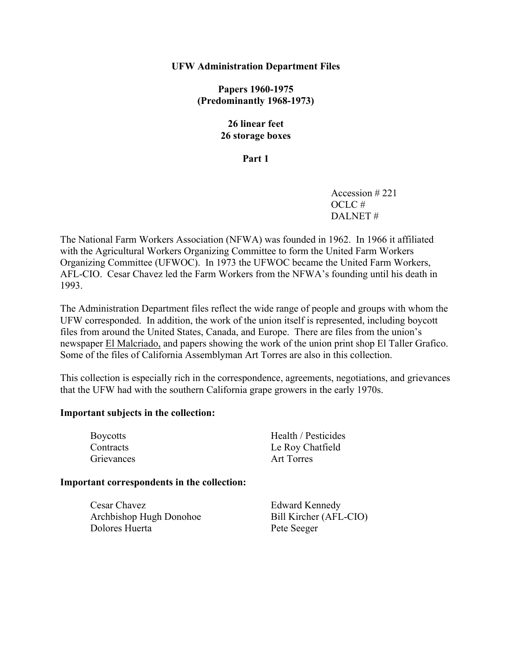### **UFW Administration Department Files**

**Papers 1960-1975 (Predominantly 1968-1973)** 

## **26 linear feet 26 storage boxes**

### **Part 1**

Accession # 221 OCLC # DALNET #

The National Farm Workers Association (NFWA) was founded in 1962. In 1966 it affiliated with the Agricultural Workers Organizing Committee to form the United Farm Workers Organizing Committee (UFWOC). In 1973 the UFWOC became the United Farm Workers, AFL-CIO. Cesar Chavez led the Farm Workers from the NFWA's founding until his death in 1993.

The Administration Department files reflect the wide range of people and groups with whom the UFW corresponded. In addition, the work of the union itself is represented, including boycott files from around the United States, Canada, and Europe. There are files from the union's newspaper El Malcriado, and papers showing the work of the union print shop El Taller Grafico. Some of the files of California Assemblyman Art Torres are also in this collection.

This collection is especially rich in the correspondence, agreements, negotiations, and grievances that the UFW had with the southern California grape growers in the early 1970s.

### **Important subjects in the collection:**

| <b>Boycotts</b> | Health / Pesticides |
|-----------------|---------------------|
| Contracts       | Le Roy Chatfield    |
| Grievances      | Art Torres          |

#### **Important correspondents in the collection:**

| Cesar Chavez            | <b>Edward Kennedy</b>  |
|-------------------------|------------------------|
| Archbishop Hugh Donohoe | Bill Kircher (AFL-CIO) |
| Dolores Huerta          | Pete Seeger            |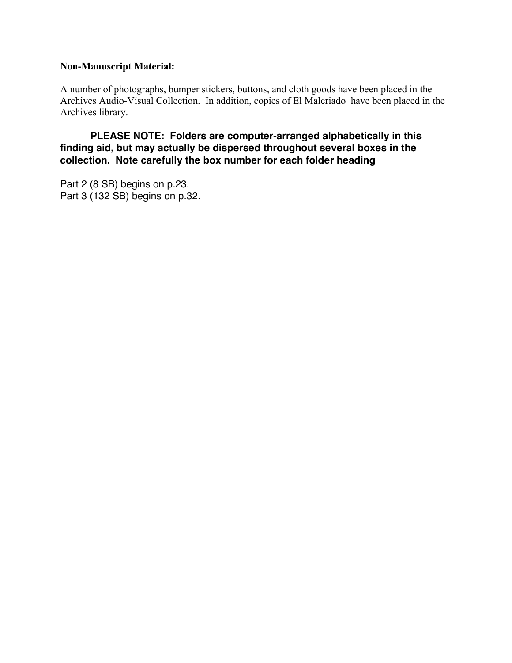# **Non-Manuscript Material:**

A number of photographs, bumper stickers, buttons, and cloth goods have been placed in the Archives Audio-Visual Collection. In addition, copies of El Malcriado have been placed in the Archives library.

 **PLEASE NOTE: Folders are computer-arranged alphabetically in this finding aid, but may actually be dispersed throughout several boxes in the collection. Note carefully the box number for each folder heading** 

Part 2 (8 SB) begins on p.23. Part 3 (132 SB) begins on p.32.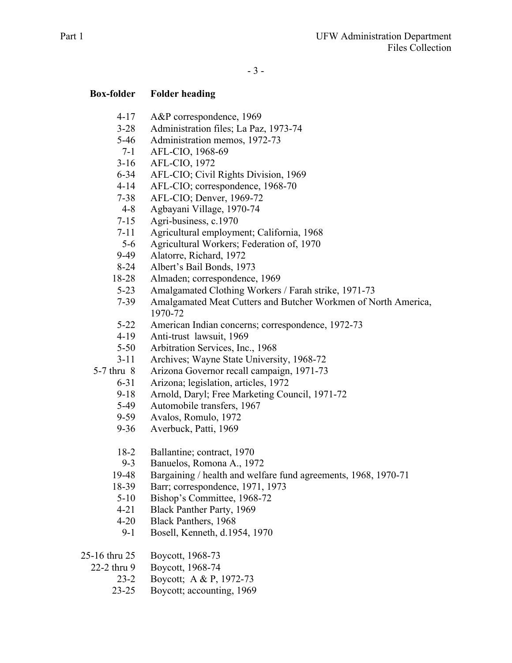- 4-17 A&P correspondence, 1969
- 3-28 Administration files; La Paz, 1973-74
- 5-46 Administration memos, 1972-73
- 7-1 AFL-CIO, 1968-69
- 3-16 AFL-CIO, 1972
- 6-34 AFL-CIO; Civil Rights Division, 1969
- 4-14 AFL-CIO; correspondence, 1968-70
- 7-38 AFL-CIO; Denver, 1969-72
- 4-8 Agbayani Village, 1970-74
- 7-15 Agri-business, c.1970
- 7-11 Agricultural employment; California, 1968
- 5-6 Agricultural Workers; Federation of, 1970
- 9-49 Alatorre, Richard, 1972
- 8-24 Albert's Bail Bonds, 1973
- 18-28 Almaden; correspondence, 1969
- 5-23 Amalgamated Clothing Workers / Farah strike, 1971-73
- 7-39 Amalgamated Meat Cutters and Butcher Workmen of North America, 1970-72
- 5-22 American Indian concerns; correspondence, 1972-73
- 4-19 Anti-trust lawsuit, 1969
- 5-50 Arbitration Services, Inc., 1968
- 3-11 Archives; Wayne State University, 1968-72
- 5-7 thru 8 Arizona Governor recall campaign, 1971-73
	- 6-31 Arizona; legislation, articles, 1972
		- 9-18 Arnold, Daryl; Free Marketing Council, 1971-72
		- 5-49 Automobile transfers, 1967
		- 9-59 Avalos, Romulo, 1972
		- 9-36 Averbuck, Patti, 1969
		- 18-2 Ballantine; contract, 1970
		- 9-3 Banuelos, Romona A., 1972
	- 19-48 Bargaining / health and welfare fund agreements, 1968, 1970-71
	- 18-39 Barr; correspondence, 1971, 1973
	- 5-10 Bishop's Committee, 1968-72
	- 4-21 Black Panther Party, 1969
	- 4-20 Black Panthers, 1968
	- 9-1 Bosell, Kenneth, d.1954, 1970
- 25-16 thru 25 Boycott, 1968-73
	- 22-2 thru 9 Boycott, 1968-74
		- 23-2 Boycott; A & P, 1972-73
		- 23-25 Boycott; accounting, 1969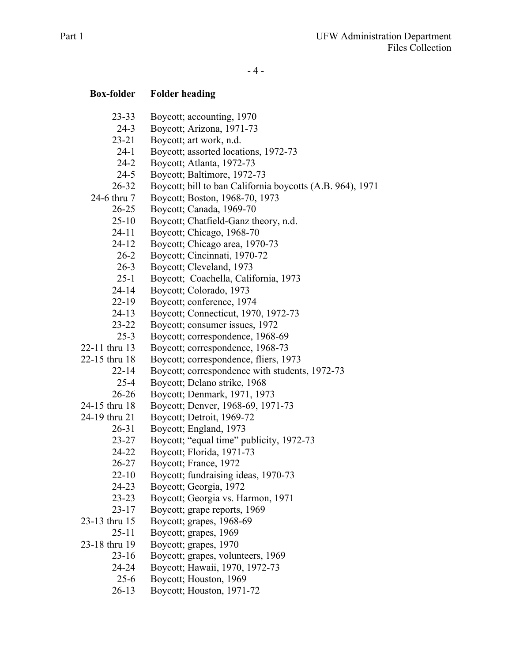- 4 -

| <b>Box-folder</b>  | <b>Folder heading</b>                                               |
|--------------------|---------------------------------------------------------------------|
| $23 - 33$          | Boycott; accounting, 1970                                           |
| $24 - 3$           | Boycott; Arizona, 1971-73                                           |
| $23 - 21$          | Boycott; art work, n.d.                                             |
| $24-1$             | Boycott; assorted locations, 1972-73                                |
| $24 - 2$           | Boycott; Atlanta, 1972-73                                           |
| $24 - 5$           | Boycott; Baltimore, 1972-73                                         |
| $26 - 32$          | Boycott; bill to ban California boycotts (A.B. 964), 1971           |
| 24-6 thru 7        | Boycott; Boston, 1968-70, 1973                                      |
| $26 - 25$          | Boycott; Canada, 1969-70                                            |
| $25 - 10$          | Boycott; Chatfield-Ganz theory, n.d.                                |
| $24 - 11$          | Boycott; Chicago, 1968-70                                           |
| $24 - 12$          | Boycott; Chicago area, 1970-73                                      |
| $26 - 2$           | Boycott; Cincinnati, 1970-72                                        |
| $26 - 3$           | Boycott; Cleveland, 1973                                            |
| $25 - 1$           | Boycott; Coachella, California, 1973                                |
| $24 - 14$          | Boycott; Colorado, 1973                                             |
| $22-19$            | Boycott; conference, 1974                                           |
| $24 - 13$          | Boycott; Connecticut, 1970, 1972-73                                 |
| $23 - 22$          | Boycott; consumer issues, 1972                                      |
| $25 - 3$           | Boycott; correspondence, 1968-69                                    |
| 22-11 thru 13      | Boycott; correspondence, 1968-73                                    |
| 22-15 thru 18      | Boycott; correspondence, fliers, 1973                               |
| $22 - 14$          | Boycott; correspondence with students, 1972-73                      |
| $25 - 4$           | Boycott; Delano strike, 1968                                        |
| $26 - 26$          | Boycott; Denmark, 1971, 1973                                        |
| 24-15 thru 18      | Boycott; Denver, 1968-69, 1971-73                                   |
| 24-19 thru 21      | Boycott; Detroit, 1969-72                                           |
| $26 - 31$          | Boycott; England, 1973                                              |
| $23 - 27$          | Boycott; "equal time" publicity, 1972-73                            |
| 24-22              | Boycott; Florida, 1971-73                                           |
| 26-27              | Boycott; France, 1972                                               |
| $22 - 10$          | Boycott; fundraising ideas, 1970-73                                 |
| 24-23              | Boycott; Georgia, 1972                                              |
| $23 - 23$          | Boycott; Georgia vs. Harmon, 1971                                   |
| $23 - 17$          | Boycott; grape reports, 1969                                        |
| 23-13 thru 15      | Boycott; grapes, 1968-69                                            |
| $25 - 11$          | Boycott; grapes, 1969                                               |
| 23-18 thru 19      | Boycott; grapes, 1970                                               |
| $23 - 16$<br>24-24 | Boycott; grapes, volunteers, 1969<br>Boycott; Hawaii, 1970, 1972-73 |
| $25 - 6$           | Boycott; Houston, 1969                                              |
| $26 - 13$          | Boycott; Houston, 1971-72                                           |
|                    |                                                                     |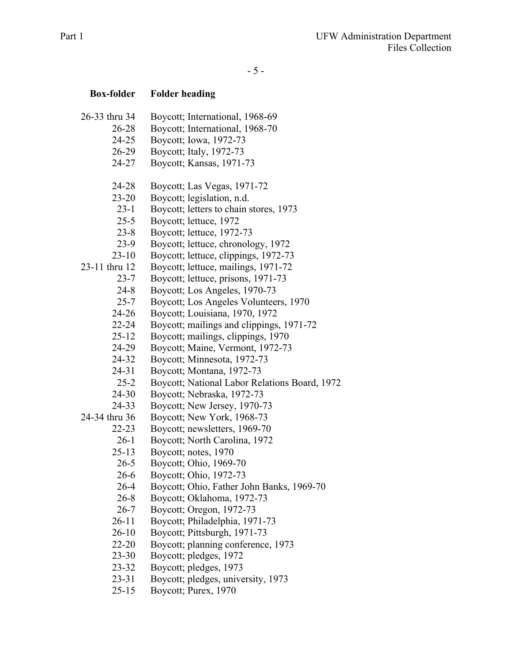- 5 -

| <b>Box-folder</b> | <b>Folder heading</b>                         |
|-------------------|-----------------------------------------------|
| 26-33 thru 34     | Boycott; International, 1968-69               |
| $26 - 28$         | Boycott; International, 1968-70               |
| 24-25             | Boycott; Iowa, 1972-73                        |
| 26-29             | Boycott; Italy, 1972-73                       |
| 24-27             | Boycott; Kansas, 1971-73                      |
| 24-28             | Boycott; Las Vegas, 1971-72                   |
| $23 - 20$         | Boycott; legislation, n.d.                    |
| $23-1$            | Boycott; letters to chain stores, 1973        |
| $25 - 5$          | Boycott; lettuce, 1972                        |
| $23 - 8$          | Boycott; lettuce, 1972-73                     |
| $23-9$            | Boycott; lettuce, chronology, 1972            |
| $23 - 10$         | Boycott; lettuce, clippings, 1972-73          |
| 23-11 thru 12     | Boycott; lettuce, mailings, 1971-72           |
| $23 - 7$          | Boycott; lettuce, prisons, 1971-73            |
| $24 - 8$          | Boycott; Los Angeles, 1970-73                 |
| $25 - 7$          | Boycott; Los Angeles Volunteers, 1970         |
| $24 - 26$         | Boycott; Louisiana, 1970, 1972                |
| 22-24             | Boycott; mailings and clippings, 1971-72      |
| $25 - 12$         | Boycott; mailings, clippings, 1970            |
| 24-29             | Boycott; Maine, Vermont, 1972-73              |
| 24-32             | Boycott; Minnesota, 1972-73                   |
| 24-31             | Boycott; Montana, 1972-73                     |
| $25 - 2$          | Boycott; National Labor Relations Board, 1972 |
| 24-30             | Boycott; Nebraska, 1972-73                    |
| 24-33             | Boycott; New Jersey, 1970-73                  |
| 24-34 thru 36     | Boycott; New York, 1968-73                    |
| $22 - 23$         | Boycott; newsletters, 1969-70                 |
| $26-1$            | Boycott; North Carolina, 1972                 |
| $25 - 13$         | Boycott; notes, 1970                          |
| $26 - 5$          | Boycott; Ohio, 1969-70                        |
| $26-6$            | Boycott; Ohio, 1972-73                        |
| $26 - 4$          | Boycott; Ohio, Father John Banks, 1969-70     |
| $26 - 8$          | Boycott; Oklahoma, 1972-73                    |
| $26 - 7$          | Boycott; Oregon, 1972-73                      |
| $26 - 11$         | Boycott; Philadelphia, 1971-73                |
| $26 - 10$         | Boycott; Pittsburgh, 1971-73                  |
| 22-20             | Boycott; planning conference, 1973            |
| $23 - 30$         | Boycott; pledges, 1972                        |
| 23-32             | Boycott; pledges, 1973                        |
| $23 - 31$         | Boycott; pledges, university, 1973            |
| $25 - 15$         | Boycott; Purex, 1970                          |
|                   |                                               |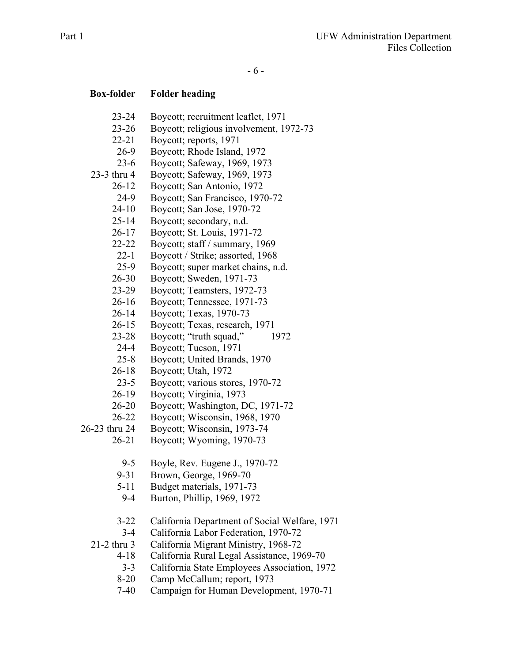- 23-24 Boycott; recruitment leaflet, 1971
- 23-26 Boycott; religious involvement, 1972-73
- 22-21 Boycott; reports, 1971
- 26-9 Boycott; Rhode Island, 1972
- 23-6 Boycott; Safeway, 1969, 1973
- 23-3 thru 4 Boycott; Safeway, 1969, 1973
	- 26-12 Boycott; San Antonio, 1972
		- 24-9 Boycott; San Francisco, 1970-72
		- 24-10 Boycott; San Jose, 1970-72
		- 25-14 Boycott; secondary, n.d.
		- 26-17 Boycott; St. Louis, 1971-72
		- 22-22 Boycott; staff / summary, 1969
		- 22-1 Boycott / Strike; assorted, 1968
		- 25-9 Boycott; super market chains, n.d.
		- 26-30 Boycott; Sweden, 1971-73
		- 23-29 Boycott; Teamsters, 1972-73
		- 26-16 Boycott; Tennessee, 1971-73
		- 26-14 Boycott; Texas, 1970-73
		- 26-15 Boycott; Texas, research, 1971
		- 23-28 Boycott; "truth squad," 1972
		- 24-4 Boycott; Tucson, 1971
		- 25-8 Boycott; United Brands, 1970
		- 26-18 Boycott; Utah, 1972
		- 23-5 Boycott; various stores, 1970-72
		- 26-19 Boycott; Virginia, 1973
		- 26-20 Boycott; Washington, DC, 1971-72
		- 26-22 Boycott; Wisconsin, 1968, 1970
- 26-23 thru 24 Boycott; Wisconsin, 1973-74
	- 26-21 Boycott; Wyoming, 1970-73
		- 9-5 Boyle, Rev. Eugene J., 1970-72
		- 9-31 Brown, George, 1969-70
		- 5-11 Budget materials, 1971-73
		- 9-4 Burton, Phillip, 1969, 1972
		- 3-22 California Department of Social Welfare, 1971
		- 3-4 California Labor Federation, 1970-72

21-2 thru 3 California Migrant Ministry, 1968-72

- 4-18 California Rural Legal Assistance, 1969-70
- 3-3 California State Employees Association, 1972
- 8-20 Camp McCallum; report, 1973
- 7-40 Campaign for Human Development, 1970-71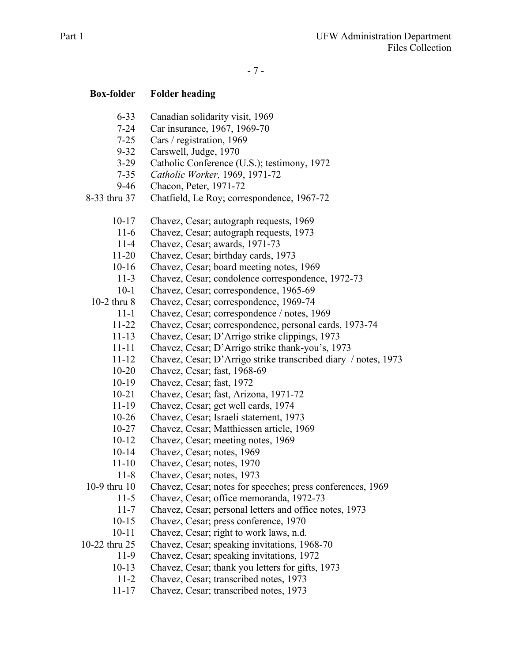- 6-33 Canadian solidarity visit, 1969
- 7-24 Car insurance, 1967, 1969-70
- 7-25 Cars / registration, 1969
- 9-32 Carswell, Judge, 1970
- 3-29 Catholic Conference (U.S.); testimony, 1972
- 7-35 *Catholic Worker,* 1969, 1971-72
- 9-46 Chacon, Peter, 1971-72
- 8-33 thru 37 Chatfield, Le Roy; correspondence, 1967-72
	- 10-17 Chavez, Cesar; autograph requests, 1969
	- 11-6 Chavez, Cesar; autograph requests, 1973
	- 11-4 Chavez, Cesar; awards, 1971-73
	- 11-20 Chavez, Cesar; birthday cards, 1973
	- 10-16 Chavez, Cesar; board meeting notes, 1969
	- 11-3 Chavez, Cesar; condolence correspondence, 1972-73
	- 10-1 Chavez, Cesar; correspondence, 1965-69

10-2 thru 8 Chavez, Cesar; correspondence, 1969-74

- 11-1 Chavez, Cesar; correspondence / notes, 1969
	- 11-22 Chavez, Cesar; correspondence, personal cards, 1973-74
	- 11-13 Chavez, Cesar; D'Arrigo strike clippings, 1973
	- 11-11 Chavez, Cesar; D'Arrigo strike thank-you's, 1973
	- 11-12 Chavez, Cesar; D'Arrigo strike transcribed diary / notes, 1973
- 10-20 Chavez, Cesar; fast, 1968-69
- 10-19 Chavez, Cesar; fast, 1972
- 10-21 Chavez, Cesar; fast, Arizona, 1971-72
- 11-19 Chavez, Cesar; get well cards, 1974
- 10-26 Chavez, Cesar; Israeli statement, 1973
- 10-27 Chavez, Cesar; Matthiessen article, 1969
- 10-12 Chavez, Cesar; meeting notes, 1969
- 10-14 Chavez, Cesar; notes, 1969
- 11-10 Chavez, Cesar; notes, 1970
- 11-8 Chavez, Cesar; notes, 1973
- 10-9 thru 10 Chavez, Cesar; notes for speeches; press conferences, 1969
	- 11-5 Chavez, Cesar; office memoranda, 1972-73
	- 11-7 Chavez, Cesar; personal letters and office notes, 1973
	- 10-15 Chavez, Cesar; press conference, 1970
	- 10-11 Chavez, Cesar; right to work laws, n.d.

10-22 thru 25 Chavez, Cesar; speaking invitations, 1968-70

- 11-9 Chavez, Cesar; speaking invitations, 1972
- 10-13 Chavez, Cesar; thank you letters for gifts, 1973
- 11-2 Chavez, Cesar; transcribed notes, 1973
- 11-17 Chavez, Cesar; transcribed notes, 1973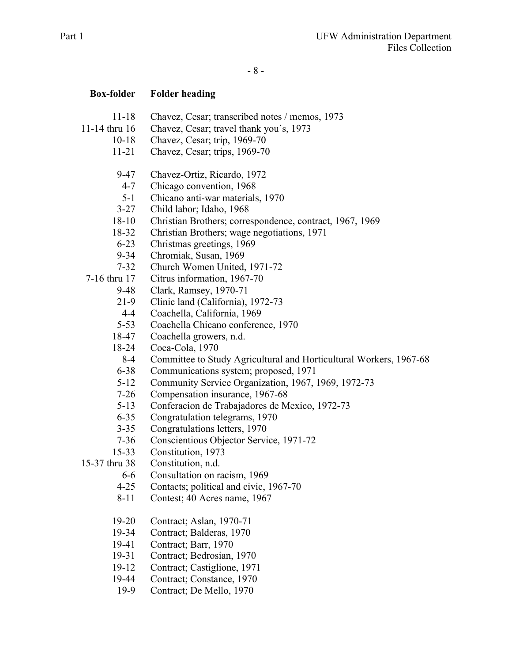- 8 -

- 11-18 Chavez, Cesar; transcribed notes / memos, 1973
- 11-14 thru 16 Chavez, Cesar; travel thank you's, 1973
	- 10-18 Chavez, Cesar; trip, 1969-70
	- 11-21 Chavez, Cesar; trips, 1969-70
	- 9-47 Chavez-Ortiz, Ricardo, 1972
	- 4-7 Chicago convention, 1968
	- 5-1 Chicano anti-war materials, 1970
	- 3-27 Child labor; Idaho, 1968
	- 18-10 Christian Brothers; correspondence, contract, 1967, 1969
	- 18-32 Christian Brothers; wage negotiations, 1971
	- 6-23 Christmas greetings, 1969
	- 9-34 Chromiak, Susan, 1969
	- 7-32 Church Women United, 1971-72
- 7-16 thru 17 Citrus information, 1967-70
	- 9-48 Clark, Ramsey, 1970-71
	- 21-9 Clinic land (California), 1972-73
	- 4-4 Coachella, California, 1969
	- 5-53 Coachella Chicano conference, 1970
	- 18-47 Coachella growers, n.d.
	- 18-24 Coca-Cola, 1970
		- 8-4 Committee to Study Agricultural and Horticultural Workers, 1967-68
	- 6-38 Communications system; proposed, 1971
	- 5-12 Community Service Organization, 1967, 1969, 1972-73
	- 7-26 Compensation insurance, 1967-68
	- 5-13 Conferacion de Trabajadores de Mexico, 1972-73
	- 6-35 Congratulation telegrams, 1970
	- 3-35 Congratulations letters, 1970
	- 7-36 Conscientious Objector Service, 1971-72
	- 15-33 Constitution, 1973
- 15-37 thru 38 Constitution, n.d.
	- 6-6 Consultation on racism, 1969
	- 4-25 Contacts; political and civic, 1967-70
	- 8-11 Contest; 40 Acres name, 1967
	- 19-20 Contract; Aslan, 1970-71
	- 19-34 Contract; Balderas, 1970
	- 19-41 Contract; Barr, 1970
	- 19-31 Contract; Bedrosian, 1970
	- 19-12 Contract; Castiglione, 1971
	- 19-44 Contract; Constance, 1970
	- 19-9 Contract; De Mello, 1970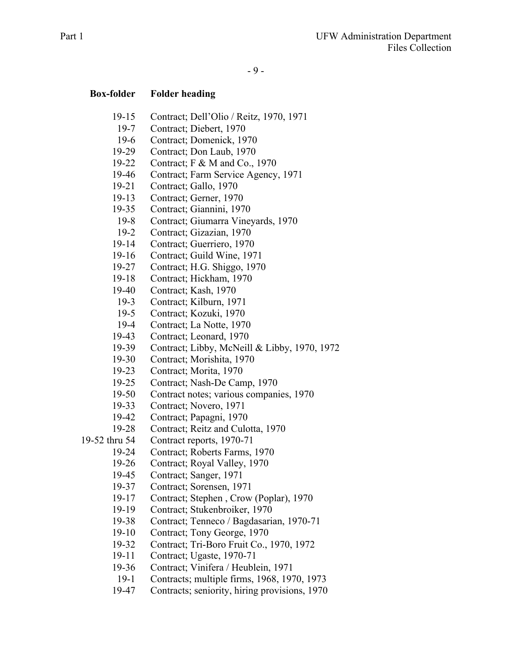- 19-15 Contract; Dell'Olio / Reitz, 1970, 1971
- 19-7 Contract; Diebert, 1970
- 19-6 Contract; Domenick, 1970
- 19-29 Contract; Don Laub, 1970
- 19-22 Contract; F & M and Co., 1970
- 19-46 Contract; Farm Service Agency, 1971
- 19-21 Contract; Gallo, 1970
- 19-13 Contract; Gerner, 1970
- 19-35 Contract; Giannini, 1970
- 19-8 Contract; Giumarra Vineyards, 1970
- 19-2 Contract; Gizazian, 1970
- 19-14 Contract; Guerriero, 1970
- 19-16 Contract; Guild Wine, 1971
- 19-27 Contract; H.G. Shiggo, 1970
- 19-18 Contract; Hickham, 1970
- 19-40 Contract; Kash, 1970
- 19-3 Contract; Kilburn, 1971
- 19-5 Contract; Kozuki, 1970
- 19-4 Contract; La Notte, 1970
- 19-43 Contract; Leonard, 1970
- 19-39 Contract; Libby, McNeill & Libby, 1970, 1972
- 19-30 Contract; Morishita, 1970
- 19-23 Contract; Morita, 1970
- 19-25 Contract; Nash-De Camp, 1970
- 19-50 Contract notes; various companies, 1970
- 19-33 Contract; Novero, 1971
- 19-42 Contract; Papagni, 1970
- 19-28 Contract; Reitz and Culotta, 1970
- 19-52 thru 54 Contract reports, 1970-71
	- 19-24 Contract; Roberts Farms, 1970
	- 19-26 Contract; Royal Valley, 1970
	- 19-45 Contract; Sanger, 1971
	- 19-37 Contract; Sorensen, 1971
	- 19-17 Contract; Stephen , Crow (Poplar), 1970
	- 19-19 Contract; Stukenbroiker, 1970
	- 19-38 Contract; Tenneco / Bagdasarian, 1970-71
	- 19-10 Contract; Tony George, 1970
	- 19-32 Contract; Tri-Boro Fruit Co., 1970, 1972
	- 19-11 Contract; Ugaste, 1970-71
	- 19-36 Contract; Vinifera / Heublein, 1971
	- 19-1 Contracts; multiple firms, 1968, 1970, 1973
	- 19-47 Contracts; seniority, hiring provisions, 1970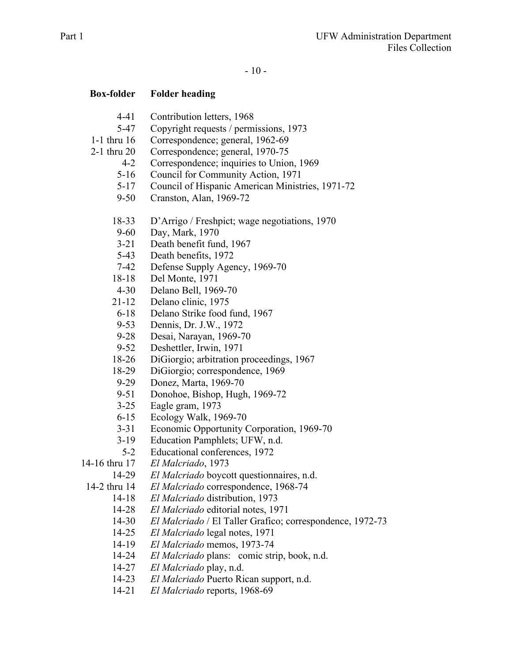- 4-41 Contribution letters, 1968
- 5-47 Copyright requests / permissions, 1973
- 1-1 thru 16 Correspondence; general, 1962-69
- 2-1 thru 20 Correspondence; general, 1970-75
	- 4-2 Correspondence; inquiries to Union, 1969
	- 5-16 Council for Community Action, 1971
	- 5-17 Council of Hispanic American Ministries, 1971-72
	- 9-50 Cranston, Alan, 1969-72
	- 18-33 D'Arrigo / Freshpict; wage negotiations, 1970
	- 9-60 Day, Mark, 1970
	- 3-21 Death benefit fund, 1967
	- 5-43 Death benefits, 1972
	- 7-42 Defense Supply Agency, 1969-70
	- 18-18 Del Monte, 1971
	- 4-30 Delano Bell, 1969-70
	- 21-12 Delano clinic, 1975
	- 6-18 Delano Strike food fund, 1967
	- 9-53 Dennis, Dr. J.W., 1972
	- 9-28 Desai, Narayan, 1969-70
	- 9-52 Deshettler, Irwin, 1971
	- 18-26 DiGiorgio; arbitration proceedings, 1967
	- 18-29 DiGiorgio; correspondence, 1969
	- 9-29 Donez, Marta, 1969-70
	- 9-51 Donohoe, Bishop, Hugh, 1969-72
	- 3-25 Eagle gram, 1973
	- 6-15 Ecology Walk, 1969-70
	- 3-31 Economic Opportunity Corporation, 1969-70
	- 3-19 Education Pamphlets; UFW, n.d.
	- 5-2 Educational conferences, 1972
- 14-16 thru 17 *El Malcriado*, 1973
	- 14-29 *El Malcriado* boycott questionnaires, n.d.
	- 14-2 thru 14 *El Malcriado* correspondence, 1968-74
		- 14-18 *El Malcriado* distribution, 1973
		- 14-28 *El Malcriado* editorial notes, 1971
		- 14-30 *El Malcriado* / El Taller Grafico; correspondence, 1972-73
		- 14-25 *El Malcriado* legal notes, 1971
		- 14-19 *El Malcriado* memos, 1973-74
		- 14-24 *El Malcriado* plans: comic strip, book, n.d.
		- 14-27 *El Malcriado* play, n.d.
		- 14-23 *El Malcriado* Puerto Rican support, n.d.
		- 14-21 *El Malcriado* reports, 1968-69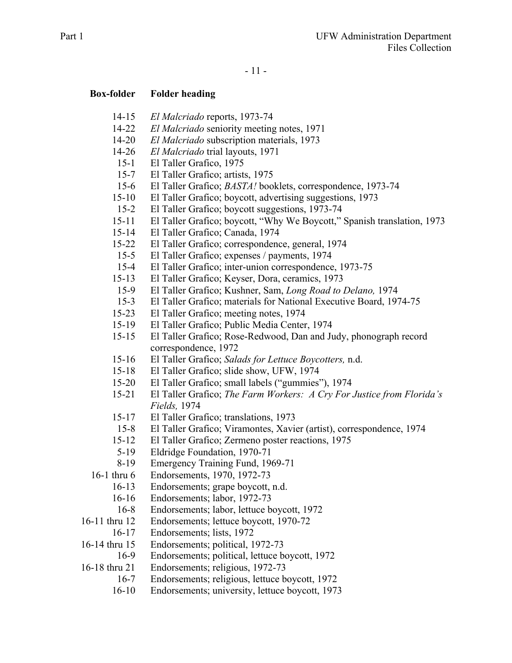- 11 -

- 14-15 *El Malcriado* reports, 1973-74
- 14-22 *El Malcriado* seniority meeting notes, 1971
- 14-20 *El Malcriado* subscription materials, 1973
- 14-26 *El Malcriado* trial layouts, 1971
- 15-1 El Taller Grafico, 1975
- 15-7 El Taller Grafico; artists, 1975
- 15-6 El Taller Grafico; *BASTA!* booklets, correspondence, 1973-74
- 15-10 El Taller Grafico; boycott, advertising suggestions, 1973
- 15-2 El Taller Grafico; boycott suggestions, 1973-74
- 15-11 El Taller Grafico; boycott, "Why We Boycott," Spanish translation, 1973
- 15-14 El Taller Grafico; Canada, 1974
- 15-22 El Taller Grafico; correspondence, general, 1974
- 15-5 El Taller Grafico; expenses / payments, 1974
- 15-4 El Taller Grafico; inter-union correspondence, 1973-75
- 15-13 El Taller Grafico; Keyser, Dora, ceramics, 1973
- 15-9 El Taller Grafico; Kushner, Sam, *Long Road to Delano,* 1974
- 15-3 El Taller Grafico; materials for National Executive Board, 1974-75
- 15-23 El Taller Grafico; meeting notes, 1974
- 15-19 El Taller Grafico; Public Media Center, 1974
- 15-15 El Taller Grafico; Rose-Redwood, Dan and Judy, phonograph record correspondence, 1972
- 15-16 El Taller Grafico; *Salads for Lettuce Boycotters,* n.d.
- 15-18 El Taller Grafico; slide show, UFW, 1974
- 15-20 El Taller Grafico; small labels ("gummies"), 1974
- 15-21 El Taller Grafico; *The Farm Workers: A Cry For Justice from Florida's Fields,* 1974
- 15-17 El Taller Grafico; translations, 1973
- 15-8 El Taller Grafico; Viramontes, Xavier (artist), correspondence, 1974
- 15-12 El Taller Grafico; Zermeno poster reactions, 1975
- 5-19 Eldridge Foundation, 1970-71
- 8-19 Emergency Training Fund, 1969-71
- 16-1 thru 6 Endorsements, 1970, 1972-73
	- 16-13 Endorsements; grape boycott, n.d.
	- 16-16 Endorsements; labor, 1972-73
	- 16-8 Endorsements; labor, lettuce boycott, 1972
- 16-11 thru 12 Endorsements; lettuce boycott, 1970-72
- 16-17 Endorsements; lists, 1972
- 16-14 thru 15 Endorsements; political, 1972-73
	- 16-9 Endorsements; political, lettuce boycott, 1972
- 16-18 thru 21 Endorsements; religious, 1972-73
	- 16-7 Endorsements; religious, lettuce boycott, 1972
	- 16-10 Endorsements; university, lettuce boycott, 1973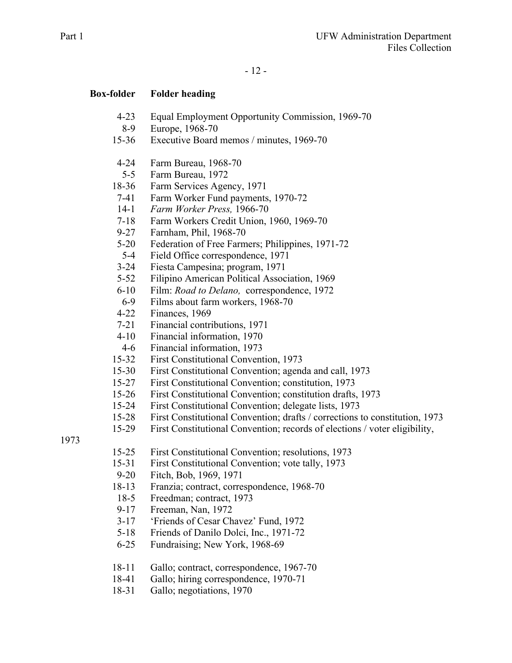- 4-23 Equal Employment Opportunity Commission, 1969-70
- 8-9 Europe, 1968-70
- 15-36 Executive Board memos / minutes, 1969-70
- 4-24 Farm Bureau, 1968-70
- 5-5 Farm Bureau, 1972
- 18-36 Farm Services Agency, 1971
- 7-41 Farm Worker Fund payments, 1970-72
- 14-1 *Farm Worker Press,* 1966-70
- 7-18 Farm Workers Credit Union, 1960, 1969-70
- 9-27 Farnham, Phil, 1968-70
- 5-20 Federation of Free Farmers; Philippines, 1971-72
- 5-4 Field Office correspondence, 1971
- 3-24 Fiesta Campesina; program, 1971
- 5-52 Filipino American Political Association, 1969
- 6-10 Film: *Road to Delano,* correspondence, 1972
- 6-9 Films about farm workers, 1968-70
- 4-22 Finances, 1969
- 7-21 Financial contributions, 1971
- 4-10 Financial information, 1970
- 4-6 Financial information, 1973
- 15-32 First Constitutional Convention, 1973
- 15-30 First Constitutional Convention; agenda and call, 1973
- 15-27 First Constitutional Convention; constitution, 1973
- 15-26 First Constitutional Convention; constitution drafts, 1973
- 15-24 First Constitutional Convention; delegate lists, 1973
- 15-28 First Constitutional Convention; drafts / corrections to constitution, 1973
- 15-29 First Constitutional Convention; records of elections / voter eligibility,

1973

- 15-25 First Constitutional Convention; resolutions, 1973
- 15-31 First Constitutional Convention; vote tally, 1973
- 9-20 Fitch, Bob, 1969, 1971
- 18-13 Franzia; contract, correspondence, 1968-70
- 18-5 Freedman; contract, 1973
- 9-17 Freeman, Nan, 1972
- 3-17 'Friends of Cesar Chavez' Fund, 1972
- 5-18 Friends of Danilo Dolci, Inc., 1971-72
- 6-25 Fundraising; New York, 1968-69
- 18-11 Gallo; contract, correspondence, 1967-70
- 18-41 Gallo; hiring correspondence, 1970-71
- 18-31 Gallo; negotiations, 1970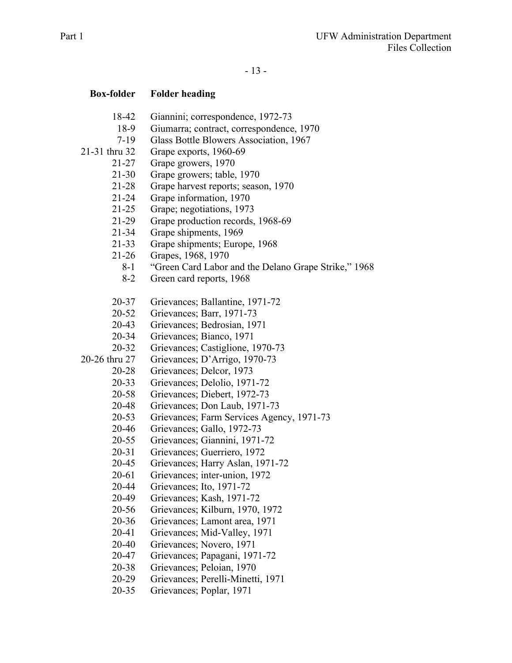### - 13 -

- 18-42 Giannini; correspondence, 1972-73
- 18-9 Giumarra; contract, correspondence, 1970
- 7-19 Glass Bottle Blowers Association, 1967
- 21-31 thru 32 Grape exports, 1960-69
	- 21-27 Grape growers, 1970
	- 21-30 Grape growers; table, 1970
	- 21-28 Grape harvest reports; season, 1970
	- 21-24 Grape information, 1970
	- 21-25 Grape; negotiations, 1973
	- 21-29 Grape production records, 1968-69
	- 21-34 Grape shipments, 1969
	- 21-33 Grape shipments; Europe, 1968
	- 21-26 Grapes, 1968, 1970
		- 8-1 "Green Card Labor and the Delano Grape Strike," 1968
		- 8-2 Green card reports, 1968
	- 20-37 Grievances; Ballantine, 1971-72
	- 20-52 Grievances; Barr, 1971-73
	- 20-43 Grievances; Bedrosian, 1971
	- 20-34 Grievances; Bianco, 1971
	- 20-32 Grievances; Castiglione, 1970-73
- 20-26 thru 27 Grievances; D'Arrigo, 1970-73
	- 20-28 Grievances; Delcor, 1973
	- 20-33 Grievances; Delolio, 1971-72
	- 20-58 Grievances; Diebert, 1972-73
	- 20-48 Grievances; Don Laub, 1971-73
	- 20-53 Grievances; Farm Services Agency, 1971-73
	- 20-46 Grievances; Gallo, 1972-73
	- 20-55 Grievances; Giannini, 1971-72
	- 20-31 Grievances; Guerriero, 1972
	- 20-45 Grievances; Harry Aslan, 1971-72
	- 20-61 Grievances; inter-union, 1972
	- 20-44 Grievances; Ito, 1971-72
	- 20-49 Grievances; Kash, 1971-72
	- 20-56 Grievances; Kilburn, 1970, 1972
	- 20-36 Grievances; Lamont area, 1971
	- 20-41 Grievances; Mid-Valley, 1971
	- 20-40 Grievances; Novero, 1971
	- 20-47 Grievances; Papagani, 1971-72
	- 20-38 Grievances; Peloian, 1970
	- 20-29 Grievances; Perelli-Minetti, 1971
	- 20-35 Grievances; Poplar, 1971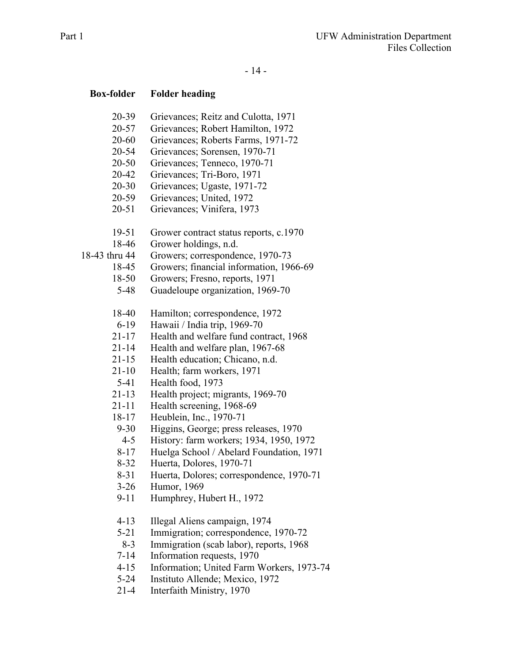- 14 -

- 20-39 Grievances; Reitz and Culotta, 1971
- 20-57 Grievances; Robert Hamilton, 1972
- 20-60 Grievances; Roberts Farms, 1971-72
- 20-54 Grievances; Sorensen, 1970-71
- 20-50 Grievances; Tenneco, 1970-71
- 20-42 Grievances; Tri-Boro, 1971
- 20-30 Grievances; Ugaste, 1971-72
- 20-59 Grievances; United, 1972
- 20-51 Grievances; Vinifera, 1973
- 19-51 Grower contract status reports, c.1970
- 18-46 Grower holdings, n.d.
- 18-43 thru 44 Growers; correspondence, 1970-73
	- 18-45 Growers; financial information, 1966-69
	- 18-50 Growers; Fresno, reports, 1971
	- 5-48 Guadeloupe organization, 1969-70
	- 18-40 Hamilton; correspondence, 1972
	- 6-19 Hawaii / India trip, 1969-70
	- 21-17 Health and welfare fund contract, 1968
	- 21-14 Health and welfare plan, 1967-68
	- 21-15 Health education; Chicano, n.d.
	- 21-10 Health; farm workers, 1971
	- 5-41 Health food, 1973
	- 21-13 Health project; migrants, 1969-70
	- 21-11 Health screening, 1968-69
	- 18-17 Heublein, Inc., 1970-71
	- 9-30 Higgins, George; press releases, 1970
	- 4-5 History: farm workers; 1934, 1950, 1972
	- 8-17 Huelga School / Abelard Foundation, 1971
	- 8-32 Huerta, Dolores, 1970-71
	- 8-31 Huerta, Dolores; correspondence, 1970-71
	- 3-26 Humor, 1969
	- 9-11 Humphrey, Hubert H., 1972
	- 4-13 Illegal Aliens campaign, 1974
	- 5-21 Immigration; correspondence, 1970-72
	- 8-3 Immigration (scab labor), reports, 1968
	- 7-14 Information requests, 1970
	- 4-15 Information; United Farm Workers, 1973-74
	- 5-24 Instituto Allende; Mexico, 1972
	- 21-4 Interfaith Ministry, 1970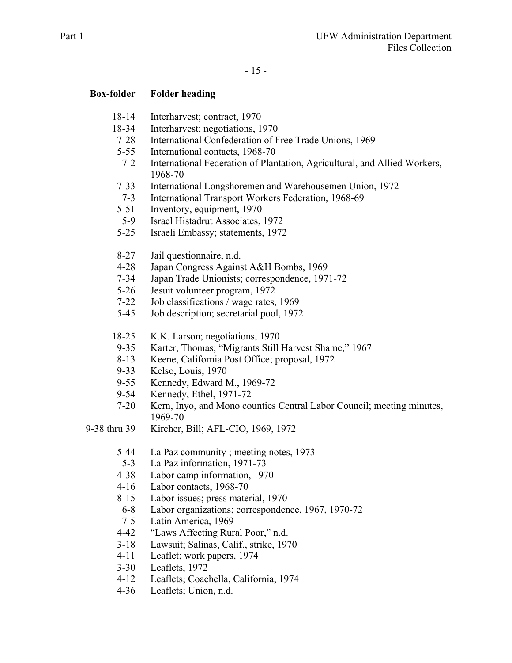- 18-14 Interharvest; contract, 1970
- 18-34 Interharvest; negotiations, 1970
- 7-28 International Confederation of Free Trade Unions, 1969
- 5-55 International contacts, 1968-70
- 7-2 International Federation of Plantation, Agricultural, and Allied Workers, 1968-70
- 7-33 International Longshoremen and Warehousemen Union, 1972
- 7-3 International Transport Workers Federation, 1968-69
- 5-51 Inventory, equipment, 1970
- 5-9 Israel Histadrut Associates, 1972
- 5-25 Israeli Embassy; statements, 1972
- 8-27 Jail questionnaire, n.d.
- 4-28 Japan Congress Against A&H Bombs, 1969
- 7-34 Japan Trade Unionists; correspondence, 1971-72
- 5-26 Jesuit volunteer program, 1972
- 7-22 Job classifications / wage rates, 1969
- 5-45 Job description; secretarial pool, 1972
- 18-25 K.K. Larson; negotiations, 1970
- 9-35 Karter, Thomas; "Migrants Still Harvest Shame," 1967
- 8-13 Keene, California Post Office; proposal, 1972
- 9-33 Kelso, Louis, 1970
- 9-55 Kennedy, Edward M., 1969-72
- 9-54 Kennedy, Ethel, 1971-72
- 7-20 Kern, Inyo, and Mono counties Central Labor Council; meeting minutes, 1969-70
- 9-38 thru 39 Kircher, Bill; AFL-CIO, 1969, 1972
	- 5-44 La Paz community ; meeting notes, 1973
	- 5-3 La Paz information, 1971-73
	- 4-38 Labor camp information, 1970
	- 4-16 Labor contacts, 1968-70
	- 8-15 Labor issues; press material, 1970
	- 6-8 Labor organizations; correspondence, 1967, 1970-72
	- 7-5 Latin America, 1969
	- 4-42 "Laws Affecting Rural Poor," n.d.
	- 3-18 Lawsuit; Salinas, Calif., strike, 1970
	- 4-11 Leaflet; work papers, 1974
	- 3-30 Leaflets, 1972
	- 4-12 Leaflets; Coachella, California, 1974
	- 4-36 Leaflets; Union, n.d.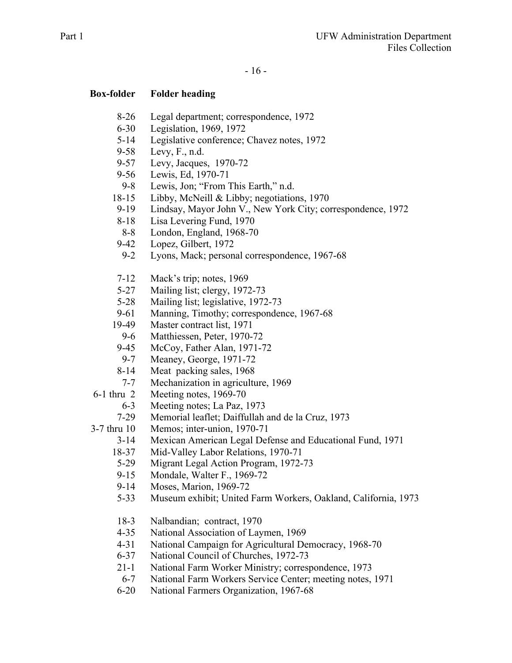- 8-26 Legal department; correspondence, 1972
- 6-30 Legislation, 1969, 1972
- 5-14 Legislative conference; Chavez notes, 1972
- 9-58 Levy, F., n.d.
- 9-57 Levy, Jacques, 1970-72
- 9-56 Lewis, Ed, 1970-71
- 9-8 Lewis, Jon; "From This Earth," n.d.
- 18-15 Libby, McNeill & Libby; negotiations, 1970
- 9-19 Lindsay, Mayor John V., New York City; correspondence, 1972
- 8-18 Lisa Levering Fund, 1970
- 8-8 London, England, 1968-70
- 9-42 Lopez, Gilbert, 1972
- 9-2 Lyons, Mack; personal correspondence, 1967-68
- 7-12 Mack's trip; notes, 1969
- 5-27 Mailing list; clergy, 1972-73
- 5-28 Mailing list; legislative, 1972-73
- 9-61 Manning, Timothy; correspondence, 1967-68
- 19-49 Master contract list, 1971
	- 9-6 Matthiessen, Peter, 1970-72
- 9-45 McCoy, Father Alan, 1971-72
- 9-7 Meaney, George, 1971-72
- 8-14 Meat packing sales, 1968
- 7-7 Mechanization in agriculture, 1969
- 6-1 thru 2 Meeting notes, 1969-70
	- 6-3 Meeting notes; La Paz, 1973
	- 7-29 Memorial leaflet; Daiffullah and de la Cruz, 1973

3-7 thru 10 Memos; inter-union, 1970-71

- 3-14 Mexican American Legal Defense and Educational Fund, 1971
- 18-37 Mid-Valley Labor Relations, 1970-71
- 5-29 Migrant Legal Action Program, 1972-73
- 9-15 Mondale, Walter F., 1969-72<br>9-14 Moses, Marion, 1969-72
- Moses, Marion, 1969-72
- 5-33 Museum exhibit; United Farm Workers, Oakland, California, 1973
- 18-3 Nalbandian; contract, 1970
- 4-35 National Association of Laymen, 1969
- 4-31 National Campaign for Agricultural Democracy, 1968-70
- 6-37 National Council of Churches, 1972-73
- 21-1 National Farm Worker Ministry; correspondence, 1973
- 6-7 National Farm Workers Service Center; meeting notes, 1971
- 6-20 National Farmers Organization, 1967-68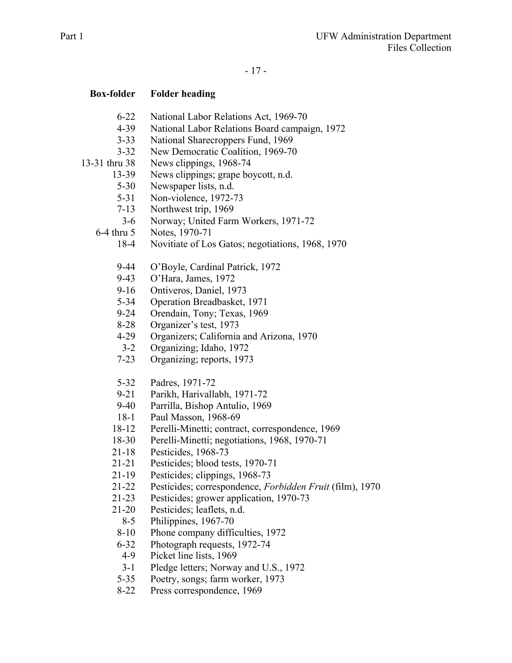- 6-22 National Labor Relations Act, 1969-70
- 4-39 National Labor Relations Board campaign, 1972
- 3-33 National Sharecroppers Fund, 1969
- 3-32 New Democratic Coalition, 1969-70
- 13-31 thru 38 News clippings, 1968-74
	- 13-39 News clippings; grape boycott, n.d.
		- 5-30 Newspaper lists, n.d.
		- 5-31 Non-violence, 1972-73
	- 7-13 Northwest trip, 1969
	- 3-6 Norway; United Farm Workers, 1971-72
	- 6-4 thru 5 Notes, 1970-71
		- 18-4 Novitiate of Los Gatos; negotiations, 1968, 1970
		- 9-44 O'Boyle, Cardinal Patrick, 1972
		- 9-43 O'Hara, James, 1972
		- 9-16 Ontiveros, Daniel, 1973
		- 5-34 Operation Breadbasket, 1971
		- 9-24 Orendain, Tony; Texas, 1969
		- 8-28 Organizer's test, 1973
		- 4-29 Organizers; California and Arizona, 1970
		- 3-2 Organizing; Idaho, 1972
		- 7-23 Organizing; reports, 1973
		- 5-32 Padres, 1971-72
		- 9-21 Parikh, Harivallabh, 1971-72
		- 9-40 Parrilla, Bishop Antulio, 1969
		- 18-1 Paul Masson, 1968-69
		- 18-12 Perelli-Minetti; contract, correspondence, 1969
		- 18-30 Perelli-Minetti; negotiations, 1968, 1970-71
		- 21-18 Pesticides, 1968-73
		- 21-21 Pesticides; blood tests, 1970-71
		- 21-19 Pesticides; clippings, 1968-73
		- 21-22 Pesticides; correspondence, *Forbidden Fruit* (film), 1970
		- 21-23 Pesticides; grower application, 1970-73
		- 21-20 Pesticides; leaflets, n.d.
			- 8-5 Philippines, 1967-70
			- 8-10 Phone company difficulties, 1972
		- 6-32 Photograph requests, 1972-74
		- 4-9 Picket line lists, 1969
		- 3-1 Pledge letters; Norway and U.S., 1972
		- 5-35 Poetry, songs; farm worker, 1973
		- 8-22 Press correspondence, 1969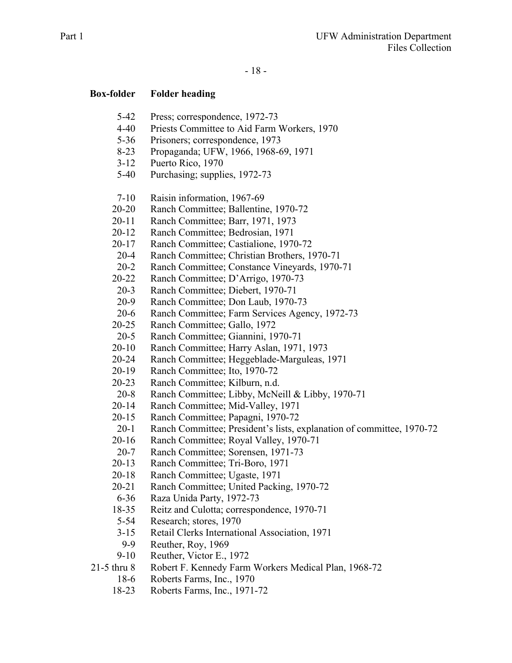- 5-42 Press; correspondence, 1972-73
- 4-40 Priests Committee to Aid Farm Workers, 1970
- 5-36 Prisoners; correspondence, 1973
- 8-23 Propaganda; UFW, 1966, 1968-69, 1971
- 3-12 Puerto Rico, 1970
- 5-40 Purchasing; supplies, 1972-73
- 7-10 Raisin information, 1967-69
- 20-20 Ranch Committee; Ballentine, 1970-72
- 20-11 Ranch Committee; Barr, 1971, 1973
- 20-12 Ranch Committee; Bedrosian, 1971
- 20-17 Ranch Committee; Castialione, 1970-72
- 20-4 Ranch Committee; Christian Brothers, 1970-71
- 20-2 Ranch Committee; Constance Vineyards, 1970-71
- 20-22 Ranch Committee; D'Arrigo, 1970-73
- 20-3 Ranch Committee; Diebert, 1970-71
- 20-9 Ranch Committee; Don Laub, 1970-73
- 20-6 Ranch Committee; Farm Services Agency, 1972-73
- 20-25 Ranch Committee; Gallo, 1972
- 20-5 Ranch Committee; Giannini, 1970-71
- 20-10 Ranch Committee; Harry Aslan, 1971, 1973
- 20-24 Ranch Committee; Heggeblade-Marguleas, 1971
- 20-19 Ranch Committee; Ito, 1970-72
- 20-23 Ranch Committee; Kilburn, n.d.
- 20-8 Ranch Committee; Libby, McNeill & Libby, 1970-71
- 20-14 Ranch Committee; Mid-Valley, 1971
- 20-15 Ranch Committee; Papagni, 1970-72
- 20-1 Ranch Committee; President's lists, explanation of committee, 1970-72
- 20-16 Ranch Committee; Royal Valley, 1970-71
- 20-7 Ranch Committee; Sorensen, 1971-73
- 20-13 Ranch Committee; Tri-Boro, 1971
- 20-18 Ranch Committee; Ugaste, 1971
- 20-21 Ranch Committee; United Packing, 1970-72
- 6-36 Raza Unida Party, 1972-73
- 18-35 Reitz and Culotta; correspondence, 1970-71
- 5-54 Research; stores, 1970
- 3-15 Retail Clerks International Association, 1971
- 9-9 Reuther, Roy, 1969
- 9-10 Reuther, Victor E., 1972
- 21-5 thru 8 Robert F. Kennedy Farm Workers Medical Plan, 1968-72
	- 18-6 Roberts Farms, Inc., 1970
	- 18-23 Roberts Farms, Inc., 1971-72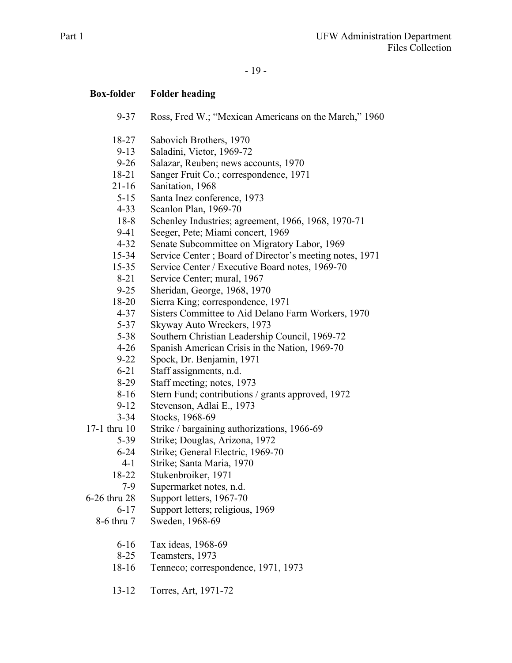- 19 -

- 9-37 Ross, Fred W.; "Mexican Americans on the March," 1960
- 18-27 Sabovich Brothers, 1970
- 9-13 Saladini, Victor, 1969-72
- 9-26 Salazar, Reuben; news accounts, 1970
- 18-21 Sanger Fruit Co.; correspondence, 1971
- 21-16 Sanitation, 1968
- 5-15 Santa Inez conference, 1973
- 4-33 Scanlon Plan, 1969-70
- 18-8 Schenley Industries; agreement, 1966, 1968, 1970-71
- 9-41 Seeger, Pete; Miami concert, 1969
- 4-32 Senate Subcommittee on Migratory Labor, 1969
- 15-34 Service Center ; Board of Director's meeting notes, 1971
- 15-35 Service Center / Executive Board notes, 1969-70
- 8-21 Service Center; mural, 1967
- 9-25 Sheridan, George, 1968, 1970
- 18-20 Sierra King; correspondence, 1971
- 4-37 Sisters Committee to Aid Delano Farm Workers, 1970
- 5-37 Skyway Auto Wreckers, 1973
- 5-38 Southern Christian Leadership Council, 1969-72
- 4-26 Spanish American Crisis in the Nation, 1969-70
- 9-22 Spock, Dr. Benjamin, 1971
- 6-21 Staff assignments, n.d.
- 8-29 Staff meeting; notes, 1973
- 8-16 Stern Fund; contributions / grants approved, 1972
- 9-12 Stevenson, Adlai E., 1973
- 3-34 Stocks, 1968-69
- 17-1 thru 10 Strike / bargaining authorizations, 1966-69
	- 5-39 Strike; Douglas, Arizona, 1972
	- 6-24 Strike; General Electric, 1969-70
	- 4-1 Strike; Santa Maria, 1970
	- 18-22 Stukenbroiker, 1971
	- 7-9 Supermarket notes, n.d.
- 6-26 thru 28 Support letters, 1967-70
	- 6-17 Support letters; religious, 1969
	- 8-6 thru 7 Sweden, 1968-69
		- 6-16 Tax ideas, 1968-69
		- 8-25 Teamsters, 1973
		- 18-16 Tenneco; correspondence, 1971, 1973
		- 13-12 Torres, Art, 1971-72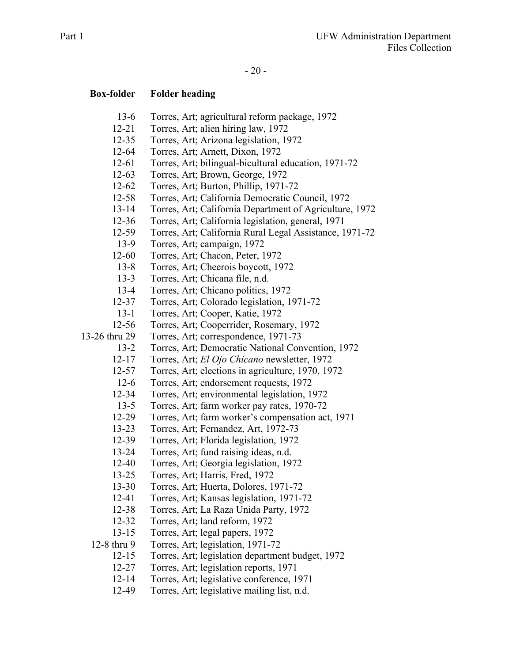#### - 20 -

### **Box-folder Folder heading**

- 13-6 Torres, Art; agricultural reform package, 1972
- 12-21 Torres, Art; alien hiring law, 1972
- 12-35 Torres, Art; Arizona legislation, 1972
- 12-64 Torres, Art; Arnett, Dixon, 1972
- 12-61 Torres, Art; bilingual-bicultural education, 1971-72
- 12-63 Torres, Art; Brown, George, 1972
- 12-62 Torres, Art; Burton, Phillip, 1971-72
- 12-58 Torres, Art; California Democratic Council, 1972
- 13-14 Torres, Art; California Department of Agriculture, 1972
- 12-36 Torres, Art; California legislation, general, 1971
- 12-59 Torres, Art; California Rural Legal Assistance, 1971-72
- 13-9 Torres, Art; campaign, 1972
- 12-60 Torres, Art; Chacon, Peter, 1972
- 13-8 Torres, Art; Cheerois boycott, 1972
- 13-3 Torres, Art; Chicana file, n.d.
- 13-4 Torres, Art; Chicano politics, 1972
- 12-37 Torres, Art; Colorado legislation, 1971-72
- 13-1 Torres, Art; Cooper, Katie, 1972
- 12-56 Torres, Art; Cooperrider, Rosemary, 1972
- 13-26 thru 29 Torres, Art; correspondence, 1971-73
	- 13-2 Torres, Art; Democratic National Convention, 1972
	- 12-17 Torres, Art; *El Ojo Chicano* newsletter, 1972
	- 12-57 Torres, Art; elections in agriculture, 1970, 1972
	- 12-6 Torres, Art; endorsement requests, 1972
	- 12-34 Torres, Art; environmental legislation, 1972
	- 13-5 Torres, Art; farm worker pay rates, 1970-72
	- 12-29 Torres, Art; farm worker's compensation act, 1971
	- 13-23 Torres, Art; Fernandez, Art, 1972-73
	- 12-39 Torres, Art; Florida legislation, 1972
	- 13-24 Torres, Art; fund raising ideas, n.d.
	- 12-40 Torres, Art; Georgia legislation, 1972
	- 13-25 Torres, Art; Harris, Fred, 1972
	- 13-30 Torres, Art; Huerta, Dolores, 1971-72
	- 12-41 Torres, Art; Kansas legislation, 1971-72
	- 12-38 Torres, Art; La Raza Unida Party, 1972
	- 12-32 Torres, Art; land reform, 1972
	- 13-15 Torres, Art; legal papers, 1972

12-8 thru 9 Torres, Art; legislation, 1971-72

- 12-15 Torres, Art; legislation department budget, 1972
- 12-27 Torres, Art; legislation reports, 1971
- 12-14 Torres, Art; legislative conference, 1971
- 12-49 Torres, Art; legislative mailing list, n.d.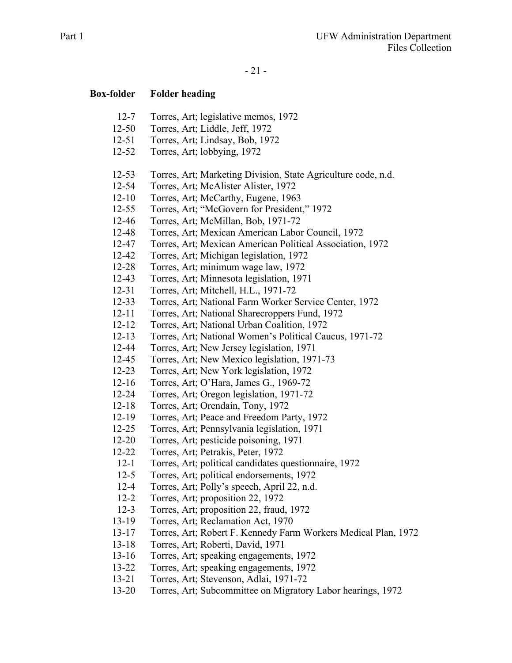- 21 -

- 12-7 Torres, Art; legislative memos, 1972
- 12-50 Torres, Art; Liddle, Jeff, 1972
- 12-51 Torres, Art; Lindsay, Bob, 1972
- 12-52 Torres, Art; lobbying, 1972
- 12-53 Torres, Art; Marketing Division, State Agriculture code, n.d.
- 12-54 Torres, Art; McAlister Alister, 1972
- 12-10 Torres, Art; McCarthy, Eugene, 1963
- 12-55 Torres, Art; "McGovern for President," 1972
- 12-46 Torres, Art; McMillan, Bob, 1971-72
- 12-48 Torres, Art; Mexican American Labor Council, 1972
- 12-47 Torres, Art; Mexican American Political Association, 1972
- 12-42 Torres, Art; Michigan legislation, 1972
- 12-28 Torres, Art; minimum wage law, 1972
- 12-43 Torres, Art; Minnesota legislation, 1971
- 12-31 Torres, Art; Mitchell, H.L., 1971-72
- 12-33 Torres, Art; National Farm Worker Service Center, 1972
- 12-11 Torres, Art; National Sharecroppers Fund, 1972
- 12-12 Torres, Art; National Urban Coalition, 1972
- 12-13 Torres, Art; National Women's Political Caucus, 1971-72
- 12-44 Torres, Art; New Jersey legislation, 1971
- 12-45 Torres, Art; New Mexico legislation, 1971-73
- 12-23 Torres, Art; New York legislation, 1972
- 12-16 Torres, Art; O'Hara, James G., 1969-72
- 12-24 Torres, Art; Oregon legislation, 1971-72
- 12-18 Torres, Art; Orendain, Tony, 1972
- 12-19 Torres, Art; Peace and Freedom Party, 1972
- 12-25 Torres, Art; Pennsylvania legislation, 1971
- 12-20 Torres, Art; pesticide poisoning, 1971
- 12-22 Torres, Art; Petrakis, Peter, 1972
- 12-1 Torres, Art; political candidates questionnaire, 1972
- 12-5 Torres, Art; political endorsements, 1972
- 12-4 Torres, Art; Polly's speech, April 22, n.d.
- 12-2 Torres, Art; proposition 22, 1972
- 12-3 Torres, Art; proposition 22, fraud, 1972
- 13-19 Torres, Art; Reclamation Act, 1970
- 13-17 Torres, Art; Robert F. Kennedy Farm Workers Medical Plan, 1972
- 13-18 Torres, Art; Roberti, David, 1971
- 13-16 Torres, Art; speaking engagements, 1972
- 13-22 Torres, Art; speaking engagements, 1972
- 13-21 Torres, Art; Stevenson, Adlai, 1971-72
- 13-20 Torres, Art; Subcommittee on Migratory Labor hearings, 1972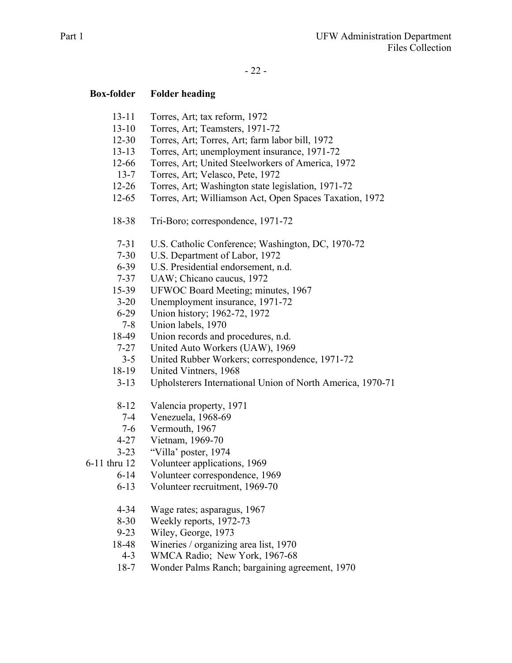### - 22 -

- 13-11 Torres, Art; tax reform, 1972
- 13-10 Torres, Art; Teamsters, 1971-72
- 12-30 Torres, Art; Torres, Art; farm labor bill, 1972
- 13-13 Torres, Art; unemployment insurance, 1971-72
- 12-66 Torres, Art; United Steelworkers of America, 1972
- 13-7 Torres, Art; Velasco, Pete, 1972
- 12-26 Torres, Art; Washington state legislation, 1971-72
- 12-65 Torres, Art; Williamson Act, Open Spaces Taxation, 1972
- 18-38 Tri-Boro; correspondence, 1971-72
- 7-31 U.S. Catholic Conference; Washington, DC, 1970-72
- 7-30 U.S. Department of Labor, 1972
- 6-39 U.S. Presidential endorsement, n.d.
- 7-37 UAW; Chicano caucus, 1972
- 15-39 UFWOC Board Meeting; minutes, 1967
- 3-20 Unemployment insurance, 1971-72
- 6-29 Union history; 1962-72, 1972
- 7-8 Union labels, 1970
- 18-49 Union records and procedures, n.d.
- 7-27 United Auto Workers (UAW), 1969
- 3-5 United Rubber Workers; correspondence, 1971-72
- 18-19 United Vintners, 1968
- 3-13 Upholsterers International Union of North America, 1970-71
- 8-12 Valencia property, 1971
- 7-4 Venezuela, 1968-69
- 7-6 Vermouth, 1967
- 4-27 Vietnam, 1969-70
- 3-23 "Villa' poster, 1974
- 6-11 thru 12 Volunteer applications, 1969
	- 6-14 Volunteer correspondence, 1969
	- 6-13 Volunteer recruitment, 1969-70
	- 4-34 Wage rates; asparagus, 1967
	- 8-30 Weekly reports, 1972-73
	- 9-23 Wiley, George, 1973
	- 18-48 Wineries / organizing area list, 1970
		- 4-3 WMCA Radio; New York, 1967-68
	- 18-7 Wonder Palms Ranch; bargaining agreement, 1970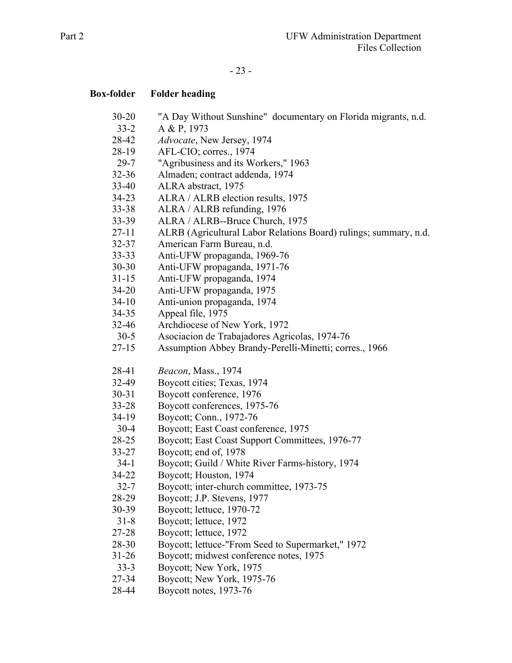# - 23 -

| <b>Box-folder</b>   | <b>Folder heading</b>                                                                        |
|---------------------|----------------------------------------------------------------------------------------------|
| $30 - 20$           | "A Day Without Sunshine" documentary on Florida migrants, n.d.                               |
| $33 - 2$            | A & P, 1973                                                                                  |
| 28-42               | Advocate, New Jersey, 1974                                                                   |
| 28-19               | AFL-CIO; corres., 1974                                                                       |
| $29 - 7$            | "Agribusiness and its Workers," 1963                                                         |
| $32 - 36$           | Almaden; contract addenda, 1974                                                              |
| 33-40               | ALRA abstract, 1975                                                                          |
| $34 - 23$           | ALRA / ALRB election results, 1975                                                           |
| $33 - 38$           | ALRA / ALRB refunding, 1976                                                                  |
| $33 - 39$           | ALRA / ALRB--Bruce Church, 1975                                                              |
| $27 - 11$           | ALRB (Agricultural Labor Relations Board) rulings; summary, n.d.                             |
| $32 - 37$           | American Farm Bureau, n.d.                                                                   |
| $33 - 33$           | Anti-UFW propaganda, 1969-76                                                                 |
| $30 - 30$           | Anti-UFW propaganda, 1971-76                                                                 |
| $31 - 15$           | Anti-UFW propaganda, 1974                                                                    |
| $34 - 20$           | Anti-UFW propaganda, 1975                                                                    |
| $34-10$             | Anti-union propaganda, 1974                                                                  |
| $34 - 35$           | Appeal file, 1975                                                                            |
| $32 - 46$           | Archdiocese of New York, 1972                                                                |
| $30-5$              | Asociacion de Trabajadores Agricolas, 1974-76                                                |
| $27 - 15$           | Assumption Abbey Brandy-Perelli-Minetti; corres., 1966                                       |
|                     |                                                                                              |
| 28-41               | Beacon, Mass., 1974                                                                          |
| 32-49               | Boycott cities; Texas, 1974                                                                  |
| $30 - 31$           | Boycott conference, 1976                                                                     |
| $33 - 28$           | Boycott conferences, 1975-76                                                                 |
| $34-19$             | Boycott; Conn., 1972-76                                                                      |
| $30-4$              | Boycott; East Coast conference, 1975                                                         |
| $28-25$             | Boycott; East Coast Support Committees, 1976-77                                              |
| $33 - 27$           | Boycott; end of, 1978                                                                        |
| $34-1$              | Boycott; Guild / White River Farms-history, 1974                                             |
| 34-22               | Boycott; Houston, 1974                                                                       |
| $32 - 7$            | Boycott; inter-church committee, 1973-75                                                     |
| 28-29               | Boycott; J.P. Stevens, 1977                                                                  |
| 30-39               | Boycott; lettuce, 1970-72                                                                    |
| $31 - 8$            | Boycott; lettuce, 1972                                                                       |
| 27-28               | Boycott; lettuce, 1972                                                                       |
| 28-30               | Boycott; lettuce-"From Seed to Supermarket," 1972<br>Boycott; midwest conference notes, 1975 |
| $31 - 26$<br>$33-3$ |                                                                                              |
|                     | Boycott; New York, 1975                                                                      |
| 27-34               | Boycott; New York, 1975-76                                                                   |
| 28-44               | Boycott notes, 1973-76                                                                       |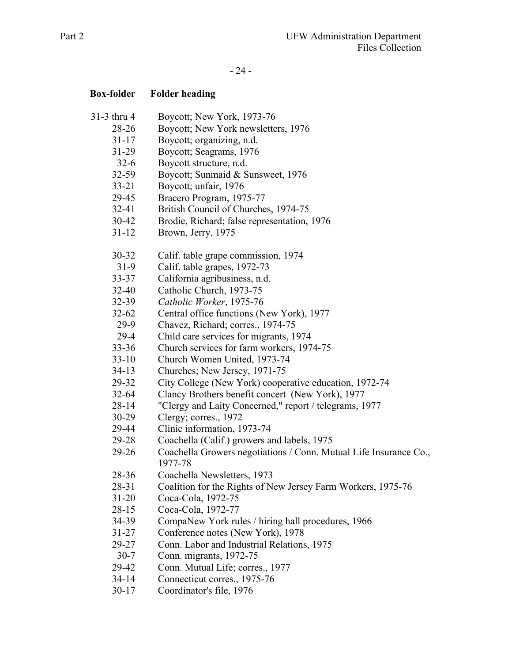# - 24 -

| <b>Box-folder</b> | <b>Folder heading</b>                                                        |
|-------------------|------------------------------------------------------------------------------|
| 31-3 thru 4       | Boycott; New York, 1973-76                                                   |
| 28-26             | Boycott; New York newsletters, 1976                                          |
| $31 - 17$         | Boycott; organizing, n.d.                                                    |
| $31 - 29$         | Boycott; Seagrams, 1976                                                      |
| $32-6$            | Boycott structure, n.d.                                                      |
| $32 - 59$         | Boycott; Sunmaid & Sunsweet, 1976                                            |
| $33 - 21$         | Boycott; unfair, 1976                                                        |
| 29-45             | Bracero Program, 1975-77                                                     |
| $32 - 41$         | British Council of Churches, 1974-75                                         |
| 30-42             | Brodie, Richard; false representation, 1976                                  |
| $31 - 12$         | Brown, Jerry, 1975                                                           |
| 30-32             | Calif. table grape commission, 1974                                          |
| $31-9$            | Calif. table grapes, 1972-73                                                 |
| $33 - 37$         | California agribusiness, n.d.                                                |
| $32 - 40$         | Catholic Church, 1973-75                                                     |
| 32-39             | Catholic Worker, 1975-76                                                     |
| $32 - 62$         | Central office functions (New York), 1977                                    |
| $29-9$            | Chavez, Richard; corres., 1974-75                                            |
| $29-4$            | Child care services for migrants, 1974                                       |
| $33 - 36$         | Church services for farm workers, 1974-75                                    |
| $33-10$           | Church Women United, 1973-74                                                 |
| $34-13$           | Churches; New Jersey, 1971-75                                                |
| 29-32             | City College (New York) cooperative education, 1972-74                       |
| $32 - 64$         | Clancy Brothers benefit concert (New York), 1977                             |
| $28 - 14$         | "Clergy and Laity Concerned," report / telegrams, 1977                       |
| $30-29$           | Clergy; corres., 1972                                                        |
| 29-44             | Clinic information, 1973-74                                                  |
| 29-28             | Coachella (Calif.) growers and labels, 1975                                  |
| 29-26             | Coachella Growers negotiations / Conn. Mutual Life Insurance Co.,<br>1977-78 |
| 28-36             | Coachella Newsletters, 1973                                                  |
| 28-31             | Coalition for the Rights of New Jersey Farm Workers, 1975-76                 |
| $31 - 20$         | Coca-Cola, 1972-75                                                           |
| $28-15$           | Coca-Cola, 1972-77                                                           |
| 34-39             | CompaNew York rules / hiring hall procedures, 1966                           |
| $31 - 27$         | Conference notes (New York), 1978                                            |
| 29-27             | Conn. Labor and Industrial Relations, 1975                                   |
| $30-7$            | Conn. migrants, 1972-75                                                      |
| 29-42             | Conn. Mutual Life; corres., 1977                                             |
| $34 - 14$         | Connecticut corres., 1975-76                                                 |
| $30 - 17$         | Coordinator's file, 1976                                                     |
|                   |                                                                              |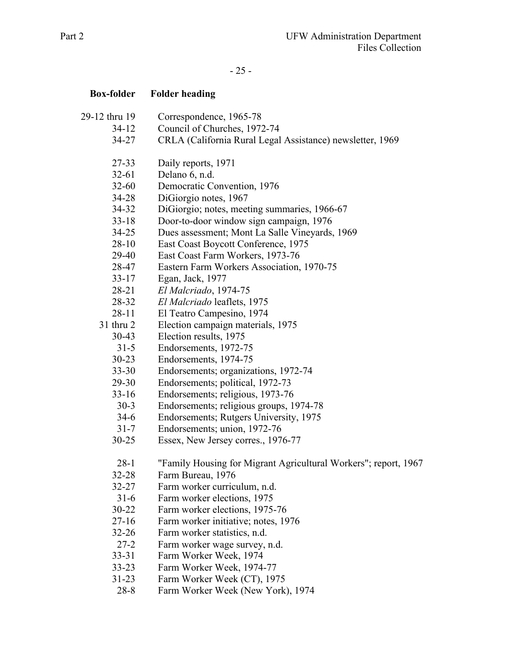# - 25 -

| <b>Box-folder</b> | <b>Folder heading</b>                                           |
|-------------------|-----------------------------------------------------------------|
| 29-12 thru 19     | Correspondence, 1965-78                                         |
| $34-12$           | Council of Churches, 1972-74                                    |
| $34 - 27$         | CRLA (California Rural Legal Assistance) newsletter, 1969       |
| 27-33             | Daily reports, 1971                                             |
| $32 - 61$         | Delano 6, n.d.                                                  |
| $32 - 60$         | Democratic Convention, 1976                                     |
| 34-28             | DiGiorgio notes, 1967                                           |
| 34-32             | DiGiorgio; notes, meeting summaries, 1966-67                    |
| $33-18$           | Door-to-door window sign campaign, 1976                         |
| 34-25             | Dues assessment; Mont La Salle Vineyards, 1969                  |
| $28-10$           | East Coast Boycott Conference, 1975                             |
| 29-40             | East Coast Farm Workers, 1973-76                                |
| 28-47             | Eastern Farm Workers Association, 1970-75                       |
| $33 - 17$         | Egan, Jack, 1977                                                |
| 28-21             | El Malcriado, 1974-75                                           |
| 28-32             | El Malcriado leaflets, 1975                                     |
| $28 - 11$         | El Teatro Campesino, 1974                                       |
| 31 thru 2         | Election campaign materials, 1975                               |
| $30 - 43$         | Election results, 1975                                          |
| $31 - 5$          | Endorsements, 1972-75                                           |
| $30 - 23$         | Endorsements, 1974-75                                           |
| $33 - 30$         | Endorsements; organizations, 1972-74                            |
| 29-30             | Endorsements; political, 1972-73                                |
| $33-16$           | Endorsements; religious, 1973-76                                |
| $30-3$            | Endorsements; religious groups, 1974-78                         |
| $34-6$            | Endorsements; Rutgers University, 1975                          |
| $31 - 7$          | Endorsements; union, 1972-76                                    |
| $30 - 25$         | Essex, New Jersey corres., 1976-77                              |
| $28-1$            | "Family Housing for Migrant Agricultural Workers"; report, 1967 |
| $32 - 28$         | Farm Bureau, 1976                                               |
| $32 - 27$         | Farm worker curriculum, n.d.                                    |
| $31-6$            | Farm worker elections, 1975                                     |
| $30 - 22$         | Farm worker elections, 1975-76                                  |
| $27 - 16$         | Farm worker initiative; notes, 1976                             |
| $32 - 26$         | Farm worker statistics, n.d.                                    |
| $27 - 2$          | Farm worker wage survey, n.d.                                   |
| $33 - 31$         | Farm Worker Week, 1974                                          |
| $33 - 23$         | Farm Worker Week, 1974-77                                       |
| $31 - 23$         | Farm Worker Week (CT), 1975                                     |
| $28 - 8$          | Farm Worker Week (New York), 1974                               |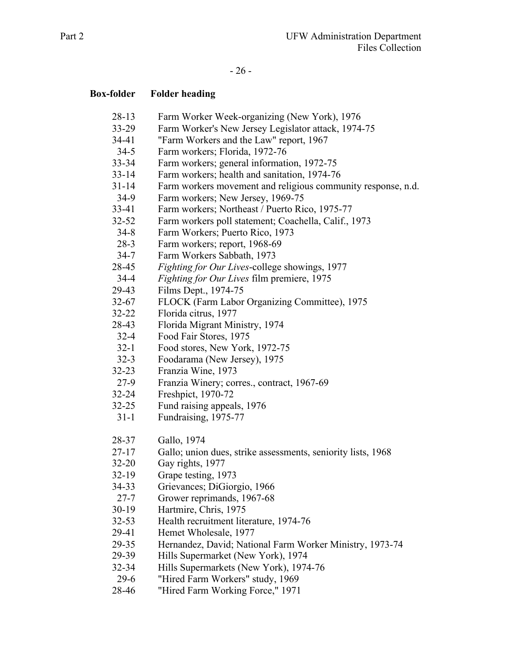# - 26 -

| <b>Box-folder</b> | <b>Folder heading</b>                                                                          |
|-------------------|------------------------------------------------------------------------------------------------|
| $28-13$           | Farm Worker Week-organizing (New York), 1976                                                   |
| $33 - 29$         | Farm Worker's New Jersey Legislator attack, 1974-75                                            |
| 34-41             | "Farm Workers and the Law" report, 1967                                                        |
| $34-5$            | Farm workers; Florida, 1972-76                                                                 |
| $33 - 34$         | Farm workers; general information, 1972-75                                                     |
| $33 - 14$         | Farm workers; health and sanitation, 1974-76                                                   |
| $31 - 14$         | Farm workers movement and religious community response, n.d.                                   |
| $34-9$            | Farm workers; New Jersey, 1969-75                                                              |
| $33-41$           | Farm workers; Northeast / Puerto Rico, 1975-77                                                 |
| $32 - 52$         | Farm workers poll statement; Coachella, Calif., 1973                                           |
| $34 - 8$          | Farm Workers; Puerto Rico, 1973                                                                |
| $28-3$            | Farm workers; report, 1968-69                                                                  |
| $34 - 7$          | Farm Workers Sabbath, 1973                                                                     |
| 28-45             | Fighting for Our Lives-college showings, 1977                                                  |
| $34 - 4$          | Fighting for Our Lives film premiere, 1975                                                     |
| 29-43             | Films Dept., 1974-75                                                                           |
| $32 - 67$         | FLOCK (Farm Labor Organizing Committee), 1975                                                  |
| $32 - 22$         | Florida citrus, 1977                                                                           |
| 28-43             | Florida Migrant Ministry, 1974                                                                 |
| $32 - 4$          | Food Fair Stores, 1975                                                                         |
| $32 - 1$          | Food stores, New York, 1972-75                                                                 |
| $32 - 3$          | Foodarama (New Jersey), 1975                                                                   |
| $32 - 23$         | Franzia Wine, 1973                                                                             |
| $27-9$            | Franzia Winery; corres., contract, 1967-69                                                     |
| $32 - 24$         | Freshpict, 1970-72                                                                             |
| $32 - 25$         | Fund raising appeals, 1976                                                                     |
| $31-1$            | Fundraising, 1975-77                                                                           |
| 28-37             | Gallo, 1974                                                                                    |
| $27 - 17$         | Gallo; union dues, strike assessments, seniority lists, 1968                                   |
| $32 - 20$         | Gay rights, 1977                                                                               |
| $32-19$           | Grape testing, 1973                                                                            |
| 34-33             | Grievances; DiGiorgio, 1966                                                                    |
| $27 - 7$          | Grower reprimands, 1967-68                                                                     |
| $30-19$           | Hartmire, Chris, 1975                                                                          |
| $32 - 53$         | Health recruitment literature, 1974-76                                                         |
| 29-41             | Hemet Wholesale, 1977                                                                          |
| 29-35             |                                                                                                |
| 29-39             | Hernandez, David; National Farm Worker Ministry, 1973-74<br>Hills Supermarket (New York), 1974 |
| 32-34             | Hills Supermarkets (New York), 1974-76                                                         |
| $29-6$            |                                                                                                |
|                   | "Hired Farm Workers" study, 1969                                                               |
| 28-46             | "Hired Farm Working Force," 1971                                                               |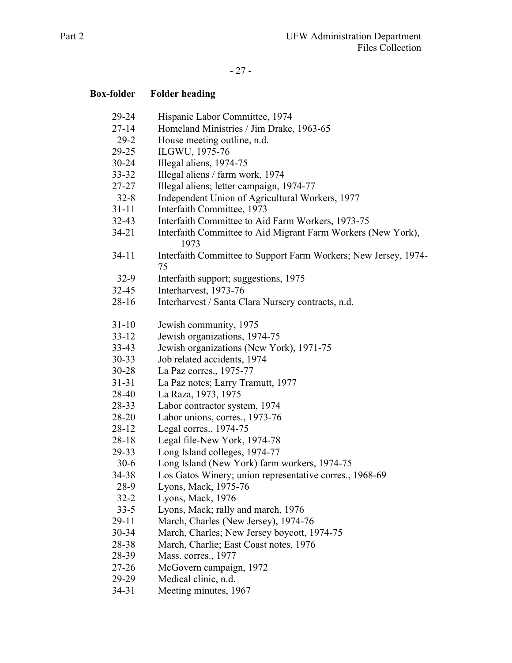# - 27 -

| <b>Box-folder</b> | <b>Folder heading</b>                                                 |
|-------------------|-----------------------------------------------------------------------|
| 29-24             | Hispanic Labor Committee, 1974                                        |
| $27 - 14$         | Homeland Ministries / Jim Drake, 1963-65                              |
| $29-2$            | House meeting outline, n.d.                                           |
| $29 - 25$         | ILGWU, 1975-76                                                        |
| $30 - 24$         | Illegal aliens, 1974-75                                               |
| $33 - 32$         | Illegal aliens / farm work, 1974                                      |
| 27-27             | Illegal aliens; letter campaign, 1974-77                              |
| $32 - 8$          | Independent Union of Agricultural Workers, 1977                       |
| $31 - 11$         | Interfaith Committee, 1973                                            |
| $32 - 43$         | Interfaith Committee to Aid Farm Workers, 1973-75                     |
| $34 - 21$         | Interfaith Committee to Aid Migrant Farm Workers (New York),<br>1973  |
| $34-11$           | Interfaith Committee to Support Farm Workers; New Jersey, 1974-<br>75 |
| $32-9$            | Interfaith support; suggestions, 1975                                 |
| $32 - 45$         | Interharvest, 1973-76                                                 |
| $28-16$           | Interharvest / Santa Clara Nursery contracts, n.d.                    |
| $31 - 10$         | Jewish community, 1975                                                |
| $33 - 12$         | Jewish organizations, 1974-75                                         |
| $33-43$           | Jewish organizations (New York), 1971-75                              |
| $30 - 33$         | Job related accidents, 1974                                           |
| $30 - 28$         | La Paz corres., 1975-77                                               |
| $31 - 31$         | La Paz notes; Larry Tramutt, 1977                                     |
| 28-40             | La Raza, 1973, 1975                                                   |
| 28-33             | Labor contractor system, 1974                                         |
| 28-20             | Labor unions, corres., 1973-76                                        |
| 28-12             | Legal corres., 1974-75                                                |
| $28 - 18$         | Legal file-New York, 1974-78                                          |
| 29-33             | Long Island colleges, 1974-77                                         |
| $30-6$            | Long Island (New York) farm workers, 1974-75                          |
| 34-38             | Los Gatos Winery; union representative corres., 1968-69               |
| 28-9              | Lyons, Mack, 1975-76                                                  |
| $32 - 2$          | Lyons, Mack, 1976                                                     |
| $33 - 5$          | Lyons, Mack; rally and march, 1976                                    |
| $29 - 11$         | March, Charles (New Jersey), 1974-76                                  |
| 30-34             | March, Charles; New Jersey boycott, 1974-75                           |
| 28-38             | March, Charlie; East Coast notes, 1976                                |
| 28-39             | Mass. corres., 1977                                                   |
| $27 - 26$         | McGovern campaign, 1972                                               |
| 29-29             | Medical clinic, n.d.                                                  |
| 34-31             | Meeting minutes, 1967                                                 |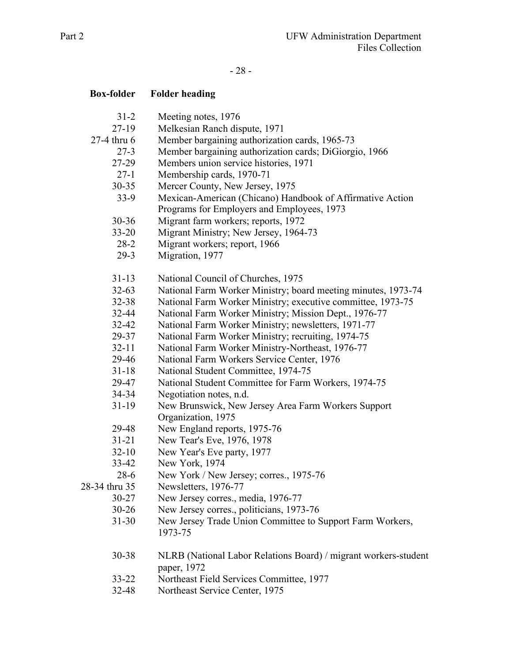# - 28 -

| <b>Box-folder</b> | <b>Folder heading</b>                                                          |
|-------------------|--------------------------------------------------------------------------------|
| $31 - 2$          | Meeting notes, 1976                                                            |
| $27-19$           | Melkesian Ranch dispute, 1971                                                  |
| 27-4 thru 6       | Member bargaining authorization cards, 1965-73                                 |
| $27-3$            | Member bargaining authorization cards; DiGiorgio, 1966                         |
| 27-29             | Members union service histories, 1971                                          |
| $27-1$            | Membership cards, 1970-71                                                      |
| $30 - 35$         | Mercer County, New Jersey, 1975                                                |
| $33-9$            | Mexican-American (Chicano) Handbook of Affirmative Action                      |
|                   | Programs for Employers and Employees, 1973                                     |
| $30 - 36$         | Migrant farm workers; reports, 1972                                            |
| $33 - 20$         | Migrant Ministry; New Jersey, 1964-73                                          |
| $28-2$            | Migrant workers; report, 1966                                                  |
| $29-3$            | Migration, 1977                                                                |
| $31 - 13$         | National Council of Churches, 1975                                             |
| $32 - 63$         | National Farm Worker Ministry; board meeting minutes, 1973-74                  |
| 32-38             | National Farm Worker Ministry; executive committee, 1973-75                    |
| 32-44             | National Farm Worker Ministry; Mission Dept., 1976-77                          |
| $32 - 42$         | National Farm Worker Ministry; newsletters, 1971-77                            |
| 29-37             | National Farm Worker Ministry; recruiting, 1974-75                             |
| $32 - 11$         | National Farm Worker Ministry-Northeast, 1976-77                               |
| 29-46             | National Farm Workers Service Center, 1976                                     |
| $31 - 18$         | National Student Committee, 1974-75                                            |
| 29-47             | National Student Committee for Farm Workers, 1974-75                           |
| 34-34             | Negotiation notes, n.d.                                                        |
| $31-19$           | New Brunswick, New Jersey Area Farm Workers Support                            |
|                   | Organization, 1975                                                             |
| 29-48             | New England reports, 1975-76                                                   |
| $31 - 21$         | New Tear's Eve, 1976, 1978                                                     |
| $32 - 10$         | New Year's Eve party, 1977                                                     |
| 33-42             | New York, 1974                                                                 |
| $28-6$            | New York / New Jersey; corres., 1975-76                                        |
| 28-34 thru 35     | Newsletters, 1976-77                                                           |
| $30 - 27$         | New Jersey corres., media, 1976-77                                             |
| $30 - 26$         | New Jersey corres., politicians, 1973-76                                       |
| $31 - 30$         | New Jersey Trade Union Committee to Support Farm Workers,<br>1973-75           |
| 30-38             | NLRB (National Labor Relations Board) / migrant workers-student<br>paper, 1972 |
| $33 - 22$         | Northeast Field Services Committee, 1977                                       |
| 32-48             | Northeast Service Center, 1975                                                 |
|                   |                                                                                |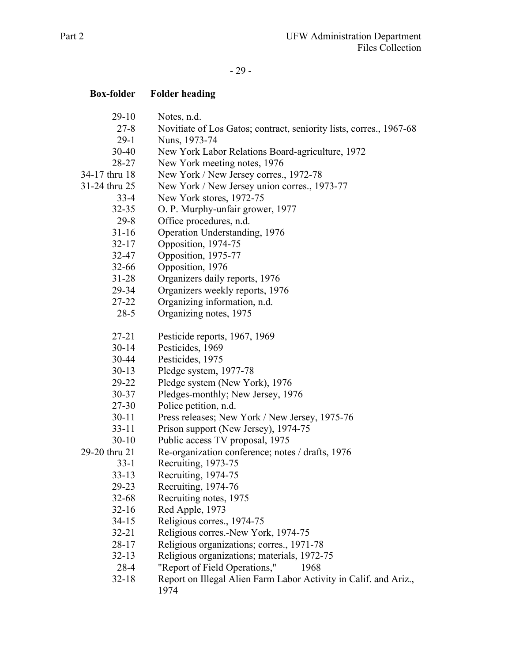# - 29 -

| <b>Box-folder</b> | <b>Folder heading</b>                                               |
|-------------------|---------------------------------------------------------------------|
| $29-10$           | Notes, n.d.                                                         |
| $27 - 8$          | Novitiate of Los Gatos; contract, seniority lists, corres., 1967-68 |
| $29-1$            | Nuns, 1973-74                                                       |
| $30 - 40$         | New York Labor Relations Board-agriculture, 1972                    |
| 28-27             | New York meeting notes, 1976                                        |
| 34-17 thru 18     | New York / New Jersey corres., 1972-78                              |
| 31-24 thru 25     | New York / New Jersey union corres., 1973-77                        |
| $33-4$            | New York stores, 1972-75                                            |
| $32 - 35$         | O. P. Murphy-unfair grower, 1977                                    |
| $29 - 8$          | Office procedures, n.d.                                             |
| $31 - 16$         | Operation Understanding, 1976                                       |
| $32 - 17$         | Opposition, 1974-75                                                 |
| 32-47             | Opposition, 1975-77                                                 |
| $32 - 66$         | Opposition, 1976                                                    |
| $31 - 28$         | Organizers daily reports, 1976                                      |
| 29-34             | Organizers weekly reports, 1976                                     |
| 27-22             | Organizing information, n.d.                                        |
| $28 - 5$          | Organizing notes, 1975                                              |
| $27 - 21$         | Pesticide reports, 1967, 1969                                       |
| $30 - 14$         | Pesticides, 1969                                                    |
| 30-44             | Pesticides, 1975                                                    |
| $30-13$           | Pledge system, 1977-78                                              |
| 29-22             | Pledge system (New York), 1976                                      |
| $30 - 37$         | Pledges-monthly; New Jersey, 1976                                   |
| 27-30             | Police petition, n.d.                                               |
| $30 - 11$         | Press releases; New York / New Jersey, 1975-76                      |
| $33 - 11$         | Prison support (New Jersey), 1974-75                                |
| $30-10$           | Public access TV proposal, 1975                                     |
| 29-20 thru 21     | Re-organization conference; notes / drafts, 1976                    |
| $33 - 1$          | Recruiting, 1973-75                                                 |
| $33 - 13$         | Recruiting, 1974-75                                                 |
| 29-23             | Recruiting, 1974-76                                                 |
| $32 - 68$         | Recruiting notes, 1975                                              |
| $32 - 16$         | Red Apple, 1973                                                     |
| $34 - 15$         | Religious corres., 1974-75                                          |
| $32 - 21$         | Religious corres.-New York, 1974-75                                 |
| 28-17             | Religious organizations; corres., 1971-78                           |
| $32 - 13$         | Religious organizations; materials, 1972-75                         |
| 28-4              | "Report of Field Operations,"<br>1968                               |
| $32 - 18$         | Report on Illegal Alien Farm Labor Activity in Calif. and Ariz.,    |

1974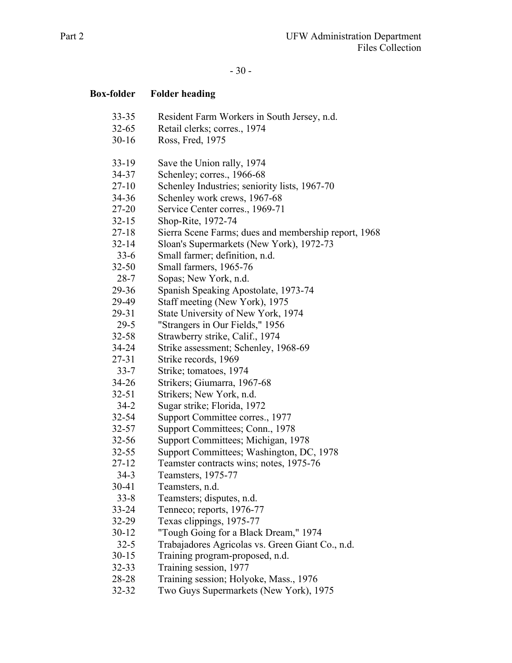# - 30 -

| <b>Box-folder</b> | <b>Folder heading</b>                                |
|-------------------|------------------------------------------------------|
| $33 - 35$         | Resident Farm Workers in South Jersey, n.d.          |
| $32 - 65$         | Retail clerks; corres., 1974                         |
| $30 - 16$         | Ross, Fred, 1975                                     |
| $33-19$           | Save the Union rally, 1974                           |
| 34-37             | Schenley; corres., 1966-68                           |
| $27-10$           | Schenley Industries; seniority lists, 1967-70        |
| 34-36             | Schenley work crews, 1967-68                         |
| 27-20             | Service Center corres., 1969-71                      |
| $32 - 15$         | Shop-Rite, 1972-74                                   |
| $27 - 18$         | Sierra Scene Farms; dues and membership report, 1968 |
| $32 - 14$         | Sloan's Supermarkets (New York), 1972-73             |
| $33-6$            | Small farmer; definition, n.d.                       |
| $32 - 50$         | Small farmers, 1965-76                               |
| $28 - 7$          | Sopas; New York, n.d.                                |
| 29-36             | Spanish Speaking Apostolate, 1973-74                 |
| 29-49             | Staff meeting (New York), 1975                       |
| 29-31             | State University of New York, 1974                   |
| $29 - 5$          | "Strangers in Our Fields," 1956                      |
| $32 - 58$         | Strawberry strike, Calif., 1974                      |
| $34 - 24$         | Strike assessment; Schenley, 1968-69                 |
| 27-31             | Strike records, 1969                                 |
| $33 - 7$          | Strike; tomatoes, 1974                               |
| $34 - 26$         | Strikers; Giumarra, 1967-68                          |
| $32 - 51$         | Strikers; New York, n.d.                             |
| $34 - 2$          | Sugar strike; Florida, 1972                          |
| $32 - 54$         | Support Committee corres., 1977                      |
| $32 - 57$         | Support Committees; Conn., 1978                      |
| $32 - 56$         | Support Committees; Michigan, 1978                   |
| $32 - 55$         | Support Committees; Washington, DC, 1978             |
| $27 - 12$         | Teamster contracts wins; notes, 1975-76              |
| $34-3$            | Teamsters, 1975-77                                   |
| 30-41             | Teamsters, n.d.                                      |
| $33 - 8$          | Teamsters; disputes, n.d.                            |
| 33-24             | Tenneco; reports, 1976-77                            |
| $32 - 29$         | Texas clippings, 1975-77                             |
| $30-12$           | "Tough Going for a Black Dream," 1974                |
| $32 - 5$          | Trabajadores Agricolas vs. Green Giant Co., n.d.     |
| $30-15$           | Training program-proposed, n.d.                      |
| $32 - 33$         | Training session, 1977                               |
| 28-28             | Training session; Holyoke, Mass., 1976               |
| 32-32             | Two Guys Supermarkets (New York), 1975               |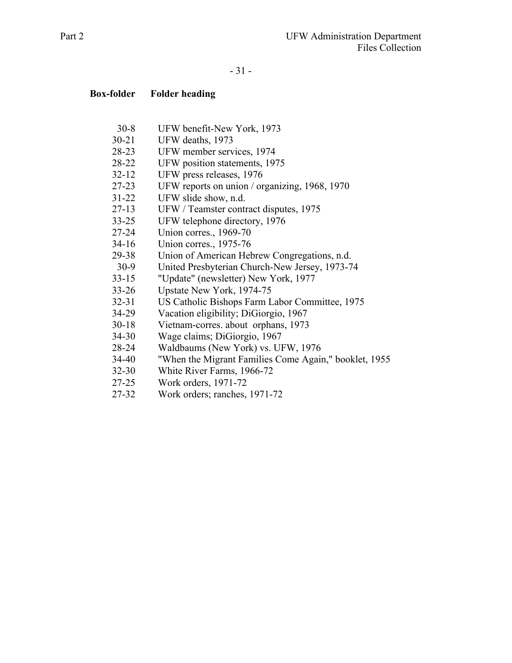### - 31 -

- 30-8 UFW benefit-New York, 1973
- 30-21 UFW deaths, 1973
- 28-23 UFW member services, 1974
- 28-22 UFW position statements, 1975
- 32-12 UFW press releases, 1976
- 27-23 UFW reports on union / organizing, 1968, 1970
- 31-22 UFW slide show, n.d.
- 27-13 UFW / Teamster contract disputes, 1975
- 33-25 UFW telephone directory, 1976
- 27-24 Union corres., 1969-70
- 34-16 Union corres., 1975-76
- 29-38 Union of American Hebrew Congregations, n.d.
- 30-9 United Presbyterian Church-New Jersey, 1973-74
- 33-15 "Update" (newsletter) New York, 1977
- 33-26 Upstate New York, 1974-75
- 32-31 US Catholic Bishops Farm Labor Committee, 1975
- 34-29 Vacation eligibility; DiGiorgio, 1967
- 30-18 Vietnam-corres. about orphans, 1973
- 34-30 Wage claims; DiGiorgio, 1967
- 28-24 Waldbaums (New York) vs. UFW, 1976
- 34-40 "When the Migrant Families Come Again," booklet, 1955
- 32-30 White River Farms, 1966-72
- 27-25 Work orders, 1971-72
- 27-32 Work orders; ranches, 1971-72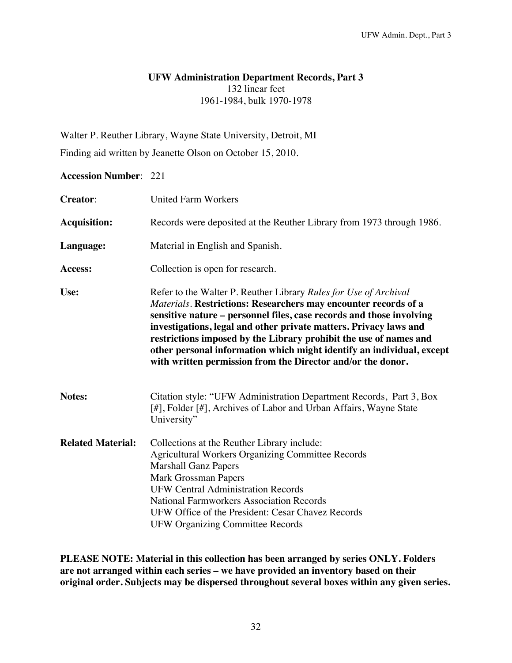### **UFW Administration Department Records, Part 3**  132 linear feet 1961-1984, bulk 1970-1978

Walter P. Reuther Library, Wayne State University, Detroit, MI

Finding aid written by Jeanette Olson on October 15, 2010.

## **Accession Number**: 221

| <b>Creator:</b>          | <b>United Farm Workers</b>                                                                                                                                                                                                                                                                                                                                                                                                                                                                    |
|--------------------------|-----------------------------------------------------------------------------------------------------------------------------------------------------------------------------------------------------------------------------------------------------------------------------------------------------------------------------------------------------------------------------------------------------------------------------------------------------------------------------------------------|
| <b>Acquisition:</b>      | Records were deposited at the Reuther Library from 1973 through 1986.                                                                                                                                                                                                                                                                                                                                                                                                                         |
| Language:                | Material in English and Spanish.                                                                                                                                                                                                                                                                                                                                                                                                                                                              |
| Access:                  | Collection is open for research.                                                                                                                                                                                                                                                                                                                                                                                                                                                              |
| Use:                     | Refer to the Walter P. Reuther Library Rules for Use of Archival<br>Materials. Restrictions: Researchers may encounter records of a<br>sensitive nature - personnel files, case records and those involving<br>investigations, legal and other private matters. Privacy laws and<br>restrictions imposed by the Library prohibit the use of names and<br>other personal information which might identify an individual, except<br>with written permission from the Director and/or the donor. |
| Notes:                   | Citation style: "UFW Administration Department Records, Part 3, Box<br>[#], Folder [#], Archives of Labor and Urban Affairs, Wayne State<br>University"                                                                                                                                                                                                                                                                                                                                       |
| <b>Related Material:</b> | Collections at the Reuther Library include:<br><b>Agricultural Workers Organizing Committee Records</b><br><b>Marshall Ganz Papers</b><br><b>Mark Grossman Papers</b><br><b>UFW Central Administration Records</b><br><b>National Farmworkers Association Records</b><br>UFW Office of the President: Cesar Chavez Records<br><b>UFW Organizing Committee Records</b>                                                                                                                         |

**PLEASE NOTE: Material in this collection has been arranged by series ONLY. Folders are not arranged within each series – we have provided an inventory based on their original order. Subjects may be dispersed throughout several boxes within any given series.**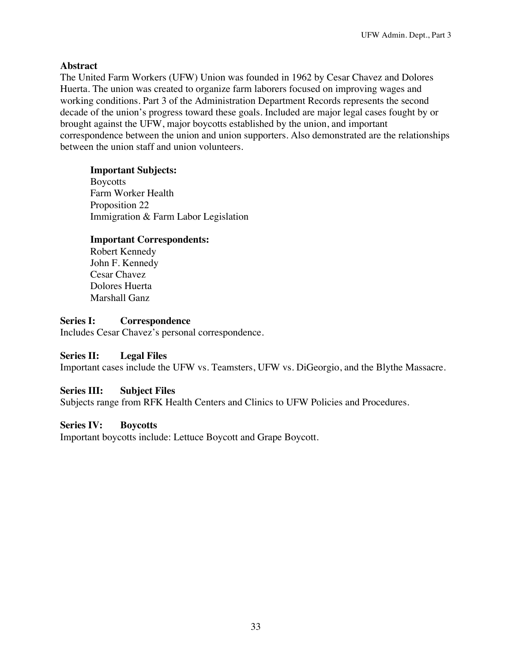# **Abstract**

The United Farm Workers (UFW) Union was founded in 1962 by Cesar Chavez and Dolores Huerta. The union was created to organize farm laborers focused on improving wages and working conditions. Part 3 of the Administration Department Records represents the second decade of the union's progress toward these goals. Included are major legal cases fought by or brought against the UFW, major boycotts established by the union, and important correspondence between the union and union supporters. Also demonstrated are the relationships between the union staff and union volunteers.

# **Important Subjects:**

Boycotts Farm Worker Health Proposition 22 Immigration & Farm Labor Legislation

# **Important Correspondents:**

Robert Kennedy John F. Kennedy Cesar Chavez Dolores Huerta Marshall Ganz

# **Series I: Correspondence**

Includes Cesar Chavez's personal correspondence.

# **Series II: Legal Files**

Important cases include the UFW vs. Teamsters, UFW vs. DiGeorgio, and the Blythe Massacre.

# **Series III: Subject Files**

Subjects range from RFK Health Centers and Clinics to UFW Policies and Procedures.

# **Series IV: Boycotts**

Important boycotts include: Lettuce Boycott and Grape Boycott.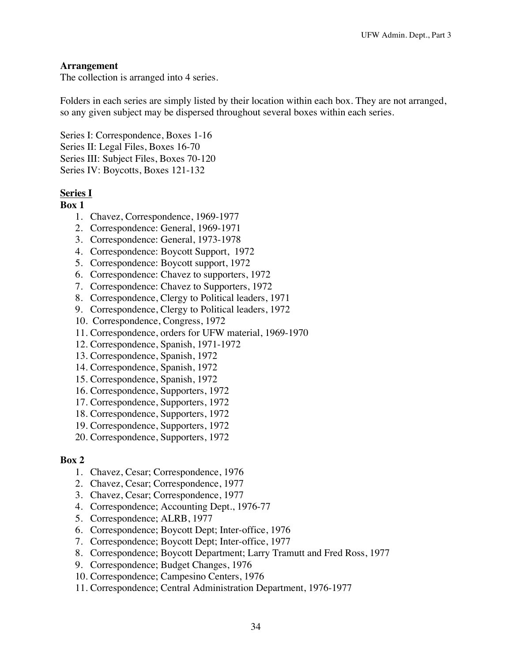### **Arrangement**

The collection is arranged into 4 series.

Folders in each series are simply listed by their location within each box. They are not arranged, so any given subject may be dispersed throughout several boxes within each series.

Series I: Correspondence, Boxes 1-16 Series II: Legal Files, Boxes 16-70 Series III: Subject Files, Boxes 70-120 Series IV: Boycotts, Boxes 121-132

### **Series I**

**Box 1** 

- 1. Chavez, Correspondence, 1969-1977
- 2. Correspondence: General, 1969-1971
- 3. Correspondence: General, 1973-1978
- 4. Correspondence: Boycott Support, 1972
- 5. Correspondence: Boycott support, 1972
- 6. Correspondence: Chavez to supporters, 1972
- 7. Correspondence: Chavez to Supporters, 1972
- 8. Correspondence, Clergy to Political leaders, 1971
- 9. Correspondence, Clergy to Political leaders, 1972
- 10. Correspondence, Congress, 1972
- 11. Correspondence, orders for UFW material, 1969-1970
- 12. Correspondence, Spanish, 1971-1972
- 13. Correspondence, Spanish, 1972
- 14. Correspondence, Spanish, 1972
- 15. Correspondence, Spanish, 1972
- 16. Correspondence, Supporters, 1972
- 17. Correspondence, Supporters, 1972
- 18. Correspondence, Supporters, 1972
- 19. Correspondence, Supporters, 1972
- 20. Correspondence, Supporters, 1972

### **Box 2**

- 1. Chavez, Cesar; Correspondence, 1976
- 2. Chavez, Cesar; Correspondence, 1977
- 3. Chavez, Cesar; Correspondence, 1977
- 4. Correspondence; Accounting Dept., 1976-77
- 5. Correspondence; ALRB, 1977
- 6. Correspondence; Boycott Dept; Inter-office, 1976
- 7. Correspondence; Boycott Dept; Inter-office, 1977
- 8. Correspondence; Boycott Department; Larry Tramutt and Fred Ross, 1977
- 9. Correspondence; Budget Changes, 1976
- 10. Correspondence; Campesino Centers, 1976
- 11. Correspondence; Central Administration Department, 1976-1977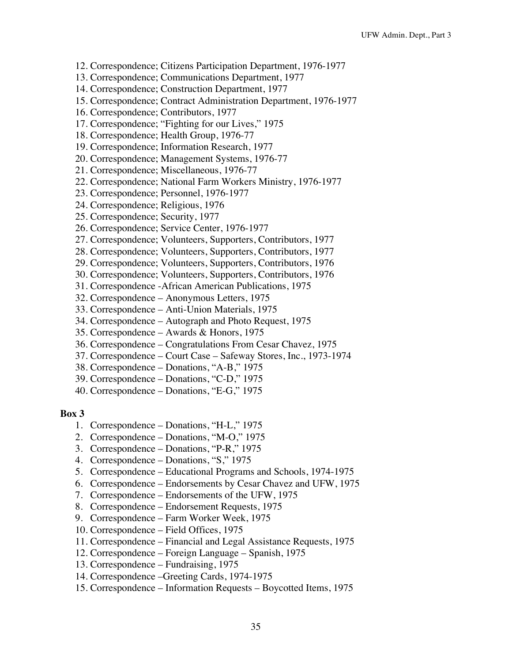- 12. Correspondence; Citizens Participation Department, 1976-1977
- 13. Correspondence; Communications Department, 1977
- 14. Correspondence; Construction Department, 1977
- 15. Correspondence; Contract Administration Department, 1976-1977
- 16. Correspondence; Contributors, 1977
- 17. Correspondence; "Fighting for our Lives," 1975
- 18. Correspondence; Health Group, 1976-77
- 19. Correspondence; Information Research, 1977
- 20. Correspondence; Management Systems, 1976-77
- 21. Correspondence; Miscellaneous, 1976-77
- 22. Correspondence; National Farm Workers Ministry, 1976-1977
- 23. Correspondence; Personnel, 1976-1977
- 24. Correspondence; Religious, 1976
- 25. Correspondence; Security, 1977
- 26. Correspondence; Service Center, 1976-1977
- 27. Correspondence; Volunteers, Supporters, Contributors, 1977
- 28. Correspondence; Volunteers, Supporters, Contributors, 1977
- 29. Correspondence; Volunteers, Supporters, Contributors, 1976
- 30. Correspondence; Volunteers, Supporters, Contributors, 1976
- 31. Correspondence -African American Publications, 1975
- 32. Correspondence Anonymous Letters, 1975
- 33. Correspondence Anti-Union Materials, 1975
- 34. Correspondence Autograph and Photo Request, 1975
- 35. Correspondence Awards & Honors, 1975
- 36. Correspondence Congratulations From Cesar Chavez, 1975
- 37. Correspondence Court Case Safeway Stores, Inc., 1973-1974
- 38. Correspondence Donations, "A-B," 1975
- 39. Correspondence Donations, "C-D," 1975
- 40. Correspondence Donations, "E-G," 1975

#### **Box 3**

- 1. Correspondence Donations, "H-L," 1975
- 2. Correspondence Donations, "M-O," 1975
- 3. Correspondence Donations, "P-R," 1975
- 4. Correspondence Donations, "S," 1975
- 5. Correspondence Educational Programs and Schools, 1974-1975
- 6. Correspondence Endorsements by Cesar Chavez and UFW, 1975
- 7. Correspondence Endorsements of the UFW, 1975
- 8. Correspondence Endorsement Requests, 1975
- 9. Correspondence Farm Worker Week, 1975
- 10. Correspondence Field Offices, 1975
- 11. Correspondence Financial and Legal Assistance Requests, 1975
- 12. Correspondence Foreign Language Spanish, 1975
- 13. Correspondence Fundraising, 1975
- 14. Correspondence –Greeting Cards, 1974-1975
- 15. Correspondence Information Requests Boycotted Items, 1975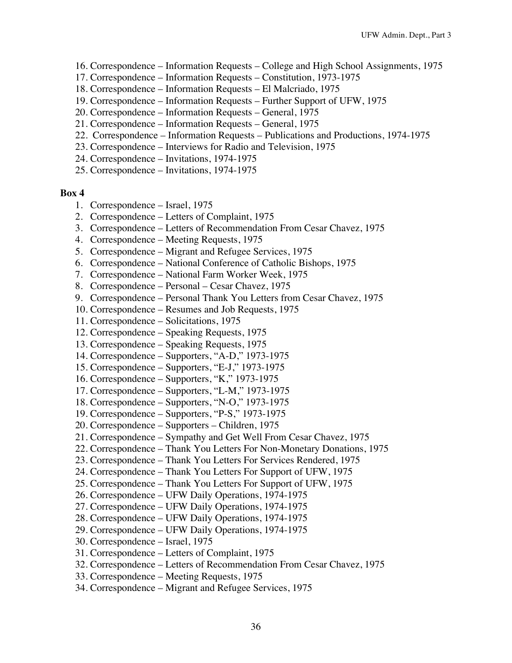- 16. Correspondence Information Requests College and High School Assignments, 1975
- 17. Correspondence Information Requests Constitution, 1973-1975
- 18. Correspondence Information Requests El Malcriado, 1975
- 19. Correspondence Information Requests Further Support of UFW, 1975
- 20. Correspondence Information Requests General, 1975
- 21. Correspondence Information Requests General, 1975
- 22. Correspondence Information Requests Publications and Productions, 1974-1975
- 23. Correspondence Interviews for Radio and Television, 1975
- 24. Correspondence Invitations, 1974-1975
- 25. Correspondence Invitations, 1974-1975

### **Box 4**

- 1. Correspondence Israel, 1975
- 2. Correspondence Letters of Complaint, 1975
- 3. Correspondence Letters of Recommendation From Cesar Chavez, 1975
- 4. Correspondence Meeting Requests, 1975
- 5. Correspondence Migrant and Refugee Services, 1975
- 6. Correspondence National Conference of Catholic Bishops, 1975
- 7. Correspondence National Farm Worker Week, 1975
- 8. Correspondence Personal Cesar Chavez, 1975
- 9. Correspondence Personal Thank You Letters from Cesar Chavez, 1975
- 10. Correspondence Resumes and Job Requests, 1975
- 11. Correspondence Solicitations, 1975
- 12. Correspondence Speaking Requests, 1975
- 13. Correspondence Speaking Requests, 1975
- 14. Correspondence Supporters, "A-D," 1973-1975
- 15. Correspondence Supporters, "E-J," 1973-1975
- 16. Correspondence Supporters, "K," 1973-1975
- 17. Correspondence Supporters, "L-M," 1973-1975
- 18. Correspondence Supporters, "N-O," 1973-1975
- 19. Correspondence Supporters, "P-S," 1973-1975
- 20. Correspondence Supporters Children, 1975
- 21. Correspondence Sympathy and Get Well From Cesar Chavez, 1975
- 22. Correspondence Thank You Letters For Non-Monetary Donations, 1975
- 23. Correspondence Thank You Letters For Services Rendered, 1975
- 24. Correspondence Thank You Letters For Support of UFW, 1975
- 25. Correspondence Thank You Letters For Support of UFW, 1975
- 26. Correspondence UFW Daily Operations, 1974-1975
- 27. Correspondence UFW Daily Operations, 1974-1975
- 28. Correspondence UFW Daily Operations, 1974-1975
- 29. Correspondence UFW Daily Operations, 1974-1975
- 30. Correspondence Israel, 1975
- 31. Correspondence Letters of Complaint, 1975
- 32. Correspondence Letters of Recommendation From Cesar Chavez, 1975
- 33. Correspondence Meeting Requests, 1975
- 34. Correspondence Migrant and Refugee Services, 1975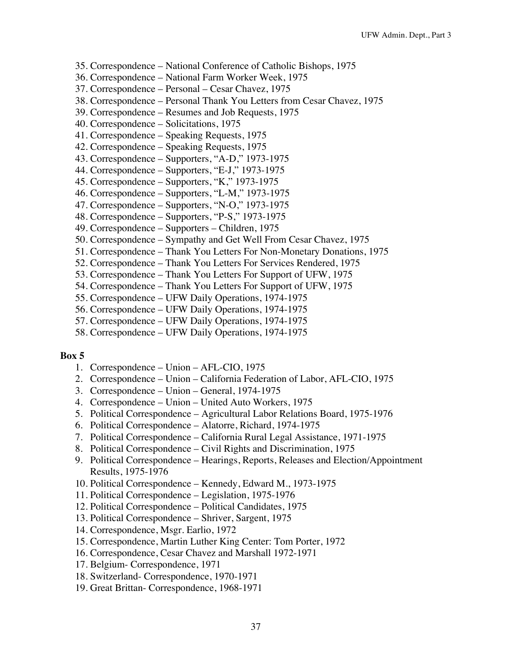- 35. Correspondence National Conference of Catholic Bishops, 1975
- 36. Correspondence National Farm Worker Week, 1975
- 37. Correspondence Personal Cesar Chavez, 1975
- 38. Correspondence Personal Thank You Letters from Cesar Chavez, 1975
- 39. Correspondence Resumes and Job Requests, 1975
- 40. Correspondence Solicitations, 1975
- 41. Correspondence Speaking Requests, 1975
- 42. Correspondence Speaking Requests, 1975
- 43. Correspondence Supporters, "A-D," 1973-1975
- 44. Correspondence Supporters, "E-J," 1973-1975
- 45. Correspondence Supporters, "K," 1973-1975
- 46. Correspondence Supporters, "L-M," 1973-1975
- 47. Correspondence Supporters, "N-O," 1973-1975
- 48. Correspondence Supporters, "P-S," 1973-1975
- 49. Correspondence Supporters Children, 1975
- 50. Correspondence Sympathy and Get Well From Cesar Chavez, 1975
- 51. Correspondence Thank You Letters For Non-Monetary Donations, 1975
- 52. Correspondence Thank You Letters For Services Rendered, 1975
- 53. Correspondence Thank You Letters For Support of UFW, 1975
- 54. Correspondence Thank You Letters For Support of UFW, 1975
- 55. Correspondence UFW Daily Operations, 1974-1975
- 56. Correspondence UFW Daily Operations, 1974-1975
- 57. Correspondence UFW Daily Operations, 1974-1975
- 58. Correspondence UFW Daily Operations, 1974-1975

- 1. Correspondence Union AFL-CIO, 1975
- 2. Correspondence Union California Federation of Labor, AFL-CIO, 1975
- 3. Correspondence Union General, 1974-1975
- 4. Correspondence Union United Auto Workers, 1975
- 5. Political Correspondence Agricultural Labor Relations Board, 1975-1976
- 6. Political Correspondence Alatorre, Richard, 1974-1975
- 7. Political Correspondence California Rural Legal Assistance, 1971-1975
- 8. Political Correspondence Civil Rights and Discrimination, 1975
- 9. Political Correspondence Hearings, Reports, Releases and Election/Appointment Results, 1975-1976
- 10. Political Correspondence Kennedy, Edward M., 1973-1975
- 11. Political Correspondence Legislation, 1975-1976
- 12. Political Correspondence Political Candidates, 1975
- 13. Political Correspondence Shriver, Sargent, 1975
- 14. Correspondence, Msgr. Earlio, 1972
- 15. Correspondence, Martin Luther King Center: Tom Porter, 1972
- 16. Correspondence, Cesar Chavez and Marshall 1972-1971
- 17. Belgium- Correspondence, 1971
- 18. Switzerland- Correspondence, 1970-1971
- 19. Great Brittan- Correspondence, 1968-1971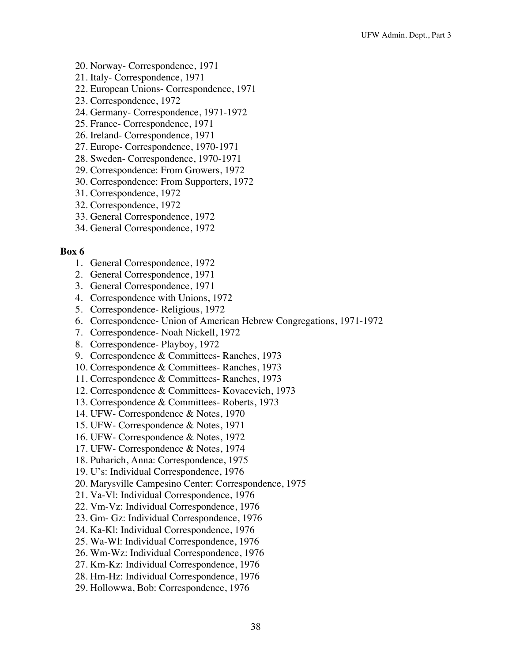- 20. Norway- Correspondence, 1971
- 21. Italy- Correspondence, 1971
- 22. European Unions- Correspondence, 1971
- 23. Correspondence, 1972
- 24. Germany- Correspondence, 1971-1972
- 25. France- Correspondence, 1971
- 26. Ireland- Correspondence, 1971
- 27. Europe- Correspondence, 1970-1971
- 28. Sweden- Correspondence, 1970-1971
- 29. Correspondence: From Growers, 1972
- 30. Correspondence: From Supporters, 1972
- 31. Correspondence, 1972
- 32. Correspondence, 1972
- 33. General Correspondence, 1972
- 34. General Correspondence, 1972

- 1. General Correspondence, 1972
- 2. General Correspondence, 1971
- 3. General Correspondence, 1971
- 4. Correspondence with Unions, 1972
- 5. Correspondence- Religious, 1972
- 6. Correspondence- Union of American Hebrew Congregations, 1971-1972
- 7. Correspondence- Noah Nickell, 1972
- 8. Correspondence- Playboy, 1972
- 9. Correspondence & Committees- Ranches, 1973
- 10. Correspondence & Committees- Ranches, 1973
- 11. Correspondence & Committees- Ranches, 1973
- 12. Correspondence & Committees- Kovacevich, 1973
- 13. Correspondence & Committees- Roberts, 1973
- 14. UFW- Correspondence & Notes, 1970
- 15. UFW- Correspondence & Notes, 1971
- 16. UFW- Correspondence & Notes, 1972
- 17. UFW- Correspondence & Notes, 1974
- 18. Puharich, Anna: Correspondence, 1975
- 19. U's: Individual Correspondence, 1976
- 20. Marysville Campesino Center: Correspondence, 1975
- 21. Va-Vl: Individual Correspondence, 1976
- 22. Vm-Vz: Individual Correspondence, 1976
- 23. Gm- Gz: Individual Correspondence, 1976
- 24. Ka-Kl: Individual Correspondence, 1976
- 25. Wa-Wl: Individual Correspondence, 1976
- 26. Wm-Wz: Individual Correspondence, 1976
- 27. Km-Kz: Individual Correspondence, 1976
- 28. Hm-Hz: Individual Correspondence, 1976
- 29. Hollowwa, Bob: Correspondence, 1976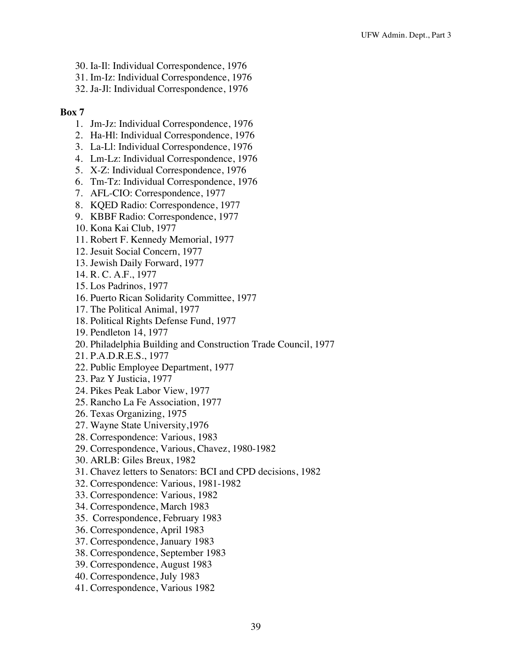- 30. Ia-Il: Individual Correspondence, 1976
- 31. Im-Iz: Individual Correspondence, 1976
- 32. Ja-Jl: Individual Correspondence, 1976

- 1. Jm-Jz: Individual Correspondence, 1976
- 2. Ha-Hl: Individual Correspondence, 1976
- 3. La-Ll: Individual Correspondence, 1976
- 4. Lm-Lz: Individual Correspondence, 1976
- 5. X-Z: Individual Correspondence, 1976
- 6. Tm-Tz: Individual Correspondence, 1976
- 7. AFL-CIO: Correspondence, 1977
- 8. KQED Radio: Correspondence, 1977
- 9. KBBF Radio: Correspondence, 1977
- 10. Kona Kai Club, 1977
- 11. Robert F. Kennedy Memorial, 1977
- 12. Jesuit Social Concern, 1977
- 13. Jewish Daily Forward, 1977
- 14. R. C. A.F., 1977
- 15. Los Padrinos, 1977
- 16. Puerto Rican Solidarity Committee, 1977
- 17. The Political Animal, 1977
- 18. Political Rights Defense Fund, 1977
- 19. Pendleton 14, 1977
- 20. Philadelphia Building and Construction Trade Council, 1977
- 21. P.A.D.R.E.S., 1977
- 22. Public Employee Department, 1977
- 23. Paz Y Justicia, 1977
- 24. Pikes Peak Labor View, 1977
- 25. Rancho La Fe Association, 1977
- 26. Texas Organizing, 1975
- 27. Wayne State University,1976
- 28. Correspondence: Various, 1983
- 29. Correspondence, Various, Chavez, 1980-1982
- 30. ARLB: Giles Breux, 1982
- 31. Chavez letters to Senators: BCI and CPD decisions, 1982
- 32. Correspondence: Various, 1981-1982
- 33. Correspondence: Various, 1982
- 34. Correspondence, March 1983
- 35. Correspondence, February 1983
- 36. Correspondence, April 1983
- 37. Correspondence, January 1983
- 38. Correspondence, September 1983
- 39. Correspondence, August 1983
- 40. Correspondence, July 1983
- 41. Correspondence, Various 1982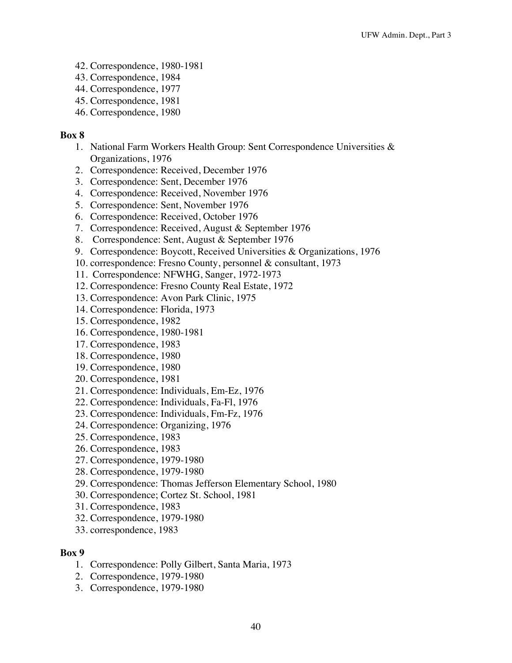- 42. Correspondence, 1980-1981
- 43. Correspondence, 1984
- 44. Correspondence, 1977
- 45. Correspondence, 1981
- 46. Correspondence, 1980

- 1. National Farm Workers Health Group: Sent Correspondence Universities & Organizations, 1976
- 2. Correspondence: Received, December 1976
- 3. Correspondence: Sent, December 1976
- 4. Correspondence: Received, November 1976
- 5. Correspondence: Sent, November 1976
- 6. Correspondence: Received, October 1976
- 7. Correspondence: Received, August & September 1976
- 8. Correspondence: Sent, August & September 1976
- 9. Correspondence: Boycott, Received Universities & Organizations, 1976
- 10. correspondence: Fresno County, personnel & consultant, 1973
- 11. Correspondence: NFWHG, Sanger, 1972-1973
- 12. Correspondence: Fresno County Real Estate, 1972
- 13. Correspondence: Avon Park Clinic, 1975
- 14. Correspondence: Florida, 1973
- 15. Correspondence, 1982
- 16. Correspondence, 1980-1981
- 17. Correspondence, 1983
- 18. Correspondence, 1980
- 19. Correspondence, 1980
- 20. Correspondence, 1981
- 21. Correspondence: Individuals, Em-Ez, 1976
- 22. Correspondence: Individuals, Fa-Fl, 1976
- 23. Correspondence: Individuals, Fm-Fz, 1976
- 24. Correspondence: Organizing, 1976
- 25. Correspondence, 1983
- 26. Correspondence, 1983
- 27. Correspondence, 1979-1980
- 28. Correspondence, 1979-1980
- 29. Correspondence: Thomas Jefferson Elementary School, 1980
- 30. Correspondence; Cortez St. School, 1981
- 31. Correspondence, 1983
- 32. Correspondence, 1979-1980
- 33. correspondence, 1983

- 1. Correspondence: Polly Gilbert, Santa Maria, 1973
- 2. Correspondence, 1979-1980
- 3. Correspondence, 1979-1980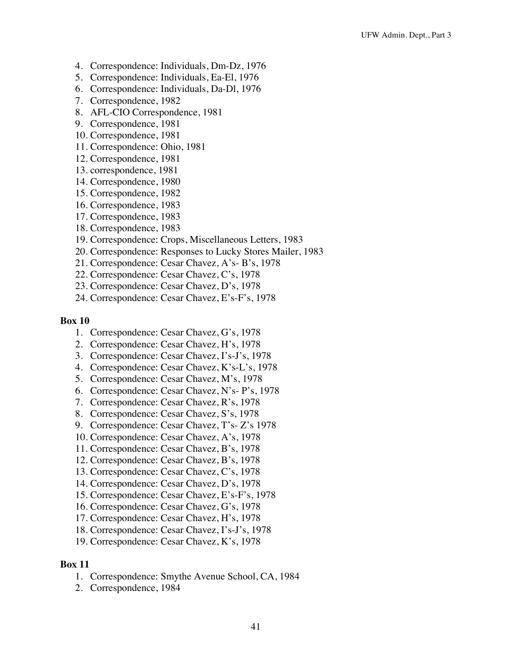- 4. Correspondence: Individuals, Dm-Dz, 1976
- 5. Correspondence: Individuals, Ea-El, 1976
- 6. Correspondence: Individuals, Da-Dl, 1976
- 7. Correspondence, 1982
- 8. AFL-CIO Correspondence, 1981
- 9. Correspondence, 1981
- 10. Correspondence, 1981
- 11. Correspondence: Ohio, 1981
- 12. Correspondence, 1981
- 13. correspondence, 1981
- 14. Correspondence, 1980
- 15. Correspondence, 1982
- 16. Correspondence, 1983
- 17. Correspondence, 1983
- 18. Correspondence, 1983
- 19. Correspondence: Crops, Miscellaneous Letters, 1983
- 20. Correspondence: Responses to Lucky Stores Mailer, 1983
- 21. Correspondence: Cesar Chavez, A's- B's, 1978
- 22. Correspondence: Cesar Chavez, C's, 1978
- 23. Correspondence: Cesar Chavez, D's, 1978
- 24. Correspondence: Cesar Chavez, E's-F's, 1978

- 1. Correspondence: Cesar Chavez, G's, 1978
- 2. Correspondence: Cesar Chavez, H's, 1978
- 3. Correspondence: Cesar Chavez, I's-J's, 1978
- 4. Correspondence: Cesar Chavez, K's-L's, 1978
- 5. Correspondence: Cesar Chavez, M's, 1978
- 6. Correspondence: Cesar Chavez, N's- P's, 1978
- 7. Correspondence: Cesar Chavez, R's, 1978
- 8. Correspondence: Cesar Chavez, S's, 1978
- 9. Correspondence: Cesar Chavez, T's- Z's 1978
- 10. Correspondence: Cesar Chavez, A's, 1978
- 11. Correspondence: Cesar Chavez, B's, 1978
- 12. Correspondence: Cesar Chavez, B's, 1978
- 13. Correspondence: Cesar Chavez, C's, 1978
- 14. Correspondence: Cesar Chavez, D's, 1978
- 15. Correspondence: Cesar Chavez, E's-F's, 1978
- 16. Correspondence: Cesar Chavez, G's, 1978
- 17. Correspondence: Cesar Chavez, H's, 1978
- 18. Correspondence: Cesar Chavez, I's-J's, 1978
- 19. Correspondence: Cesar Chavez, K's, 1978

- 1. Correspondence: Smythe Avenue School, CA, 1984
- 2. Correspondence, 1984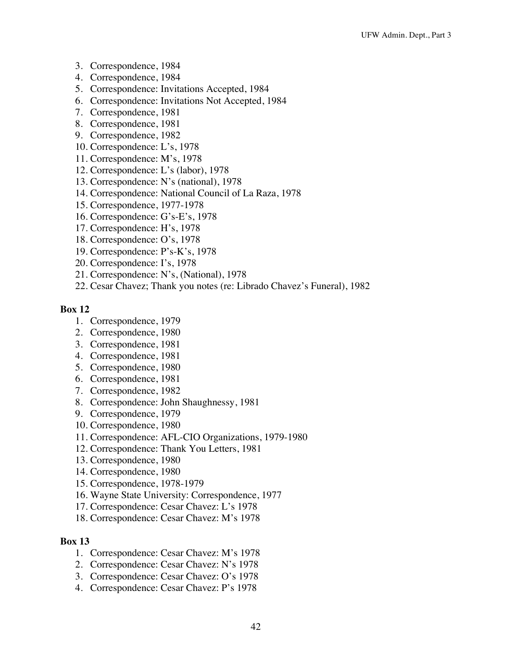- 3. Correspondence, 1984
- 4. Correspondence, 1984
- 5. Correspondence: Invitations Accepted, 1984
- 6. Correspondence: Invitations Not Accepted, 1984
- 7. Correspondence, 1981
- 8. Correspondence, 1981
- 9. Correspondence, 1982
- 10. Correspondence: L's, 1978
- 11. Correspondence: M's, 1978
- 12. Correspondence: L's (labor), 1978
- 13. Correspondence: N's (national), 1978
- 14. Correspondence: National Council of La Raza, 1978
- 15. Correspondence, 1977-1978
- 16. Correspondence: G's-E's, 1978
- 17. Correspondence: H's, 1978
- 18. Correspondence: O's, 1978
- 19. Correspondence: P's-K's, 1978
- 20. Correspondence: I's, 1978
- 21. Correspondence: N's, (National), 1978
- 22. Cesar Chavez; Thank you notes (re: Librado Chavez's Funeral), 1982

- 1. Correspondence, 1979
- 2. Correspondence, 1980
- 3. Correspondence, 1981
- 4. Correspondence, 1981
- 5. Correspondence, 1980
- 6. Correspondence, 1981
- 7. Correspondence, 1982
- 8. Correspondence: John Shaughnessy, 1981
- 9. Correspondence, 1979
- 10. Correspondence, 1980
- 11. Correspondence: AFL-CIO Organizations, 1979-1980
- 12. Correspondence: Thank You Letters, 1981
- 13. Correspondence, 1980
- 14. Correspondence, 1980
- 15. Correspondence, 1978-1979
- 16. Wayne State University: Correspondence, 1977
- 17. Correspondence: Cesar Chavez: L's 1978
- 18. Correspondence: Cesar Chavez: M's 1978

- 1. Correspondence: Cesar Chavez: M's 1978
- 2. Correspondence: Cesar Chavez: N's 1978
- 3. Correspondence: Cesar Chavez: O's 1978
- 4. Correspondence: Cesar Chavez: P's 1978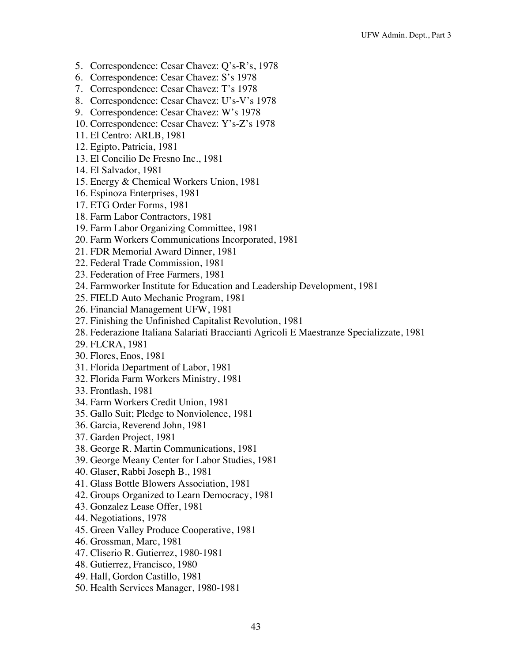- 5. Correspondence: Cesar Chavez: Q's-R's, 1978
- 6. Correspondence: Cesar Chavez: S's 1978
- 7. Correspondence: Cesar Chavez: T's 1978
- 8. Correspondence: Cesar Chavez: U's-V's 1978
- 9. Correspondence: Cesar Chavez: W's 1978
- 10. Correspondence: Cesar Chavez: Y's-Z's 1978
- 11. El Centro: ARLB, 1981
- 12. Egipto, Patricia, 1981
- 13. El Concilio De Fresno Inc., 1981
- 14. El Salvador, 1981
- 15. Energy & Chemical Workers Union, 1981
- 16. Espinoza Enterprises, 1981
- 17. ETG Order Forms, 1981
- 18. Farm Labor Contractors, 1981
- 19. Farm Labor Organizing Committee, 1981
- 20. Farm Workers Communications Incorporated, 1981
- 21. FDR Memorial Award Dinner, 1981
- 22. Federal Trade Commission, 1981
- 23. Federation of Free Farmers, 1981
- 24. Farmworker Institute for Education and Leadership Development, 1981
- 25. FIELD Auto Mechanic Program, 1981
- 26. Financial Management UFW, 1981
- 27. Finishing the Unfinished Capitalist Revolution, 1981
- 28. Federazione Italiana Salariati Braccianti Agricoli E Maestranze Specializzate, 1981
- 29. FLCRA, 1981
- 30. Flores, Enos, 1981
- 31. Florida Department of Labor, 1981
- 32. Florida Farm Workers Ministry, 1981
- 33. Frontlash, 1981
- 34. Farm Workers Credit Union, 1981
- 35. Gallo Suit; Pledge to Nonviolence, 1981
- 36. Garcia, Reverend John, 1981
- 37. Garden Project, 1981
- 38. George R. Martin Communications, 1981
- 39. George Meany Center for Labor Studies, 1981
- 40. Glaser, Rabbi Joseph B., 1981
- 41. Glass Bottle Blowers Association, 1981
- 42. Groups Organized to Learn Democracy, 1981
- 43. Gonzalez Lease Offer, 1981
- 44. Negotiations, 1978
- 45. Green Valley Produce Cooperative, 1981
- 46. Grossman, Marc, 1981
- 47. Cliserio R. Gutierrez, 1980-1981
- 48. Gutierrez, Francisco, 1980
- 49. Hall, Gordon Castillo, 1981
- 50. Health Services Manager, 1980-1981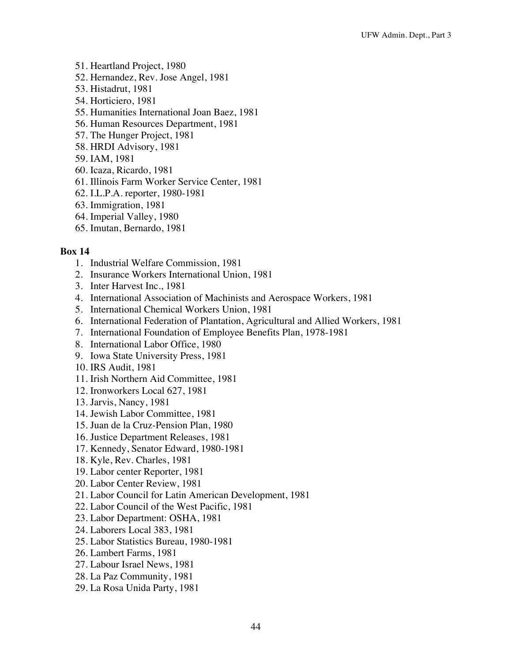- 51. Heartland Project, 1980
- 52. Hernandez, Rev. Jose Angel, 1981
- 53. Histadrut, 1981
- 54. Horticiero, 1981
- 55. Humanities International Joan Baez, 1981
- 56. Human Resources Department, 1981
- 57. The Hunger Project, 1981
- 58. HRDI Advisory, 1981
- 59. IAM, 1981
- 60. Icaza, Ricardo, 1981
- 61. Illinois Farm Worker Service Center, 1981
- 62. I.L.P.A. reporter, 1980-1981
- 63. Immigration, 1981
- 64. Imperial Valley, 1980
- 65. Imutan, Bernardo, 1981

- 1. Industrial Welfare Commission, 1981
- 2. Insurance Workers International Union, 1981
- 3. Inter Harvest Inc., 1981
- 4. International Association of Machinists and Aerospace Workers, 1981
- 5. International Chemical Workers Union, 1981
- 6. International Federation of Plantation, Agricultural and Allied Workers, 1981
- 7. International Foundation of Employee Benefits Plan, 1978-1981
- 8. International Labor Office, 1980
- 9. Iowa State University Press, 1981
- 10. IRS Audit, 1981
- 11. Irish Northern Aid Committee, 1981
- 12. Ironworkers Local 627, 1981
- 13. Jarvis, Nancy, 1981
- 14. Jewish Labor Committee, 1981
- 15. Juan de la Cruz-Pension Plan, 1980
- 16. Justice Department Releases, 1981
- 17. Kennedy, Senator Edward, 1980-1981
- 18. Kyle, Rev. Charles, 1981
- 19. Labor center Reporter, 1981
- 20. Labor Center Review, 1981
- 21. Labor Council for Latin American Development, 1981
- 22. Labor Council of the West Pacific, 1981
- 23. Labor Department: OSHA, 1981
- 24. Laborers Local 383, 1981
- 25. Labor Statistics Bureau, 1980-1981
- 26. Lambert Farms, 1981
- 27. Labour Israel News, 1981
- 28. La Paz Community, 1981
- 29. La Rosa Unida Party, 1981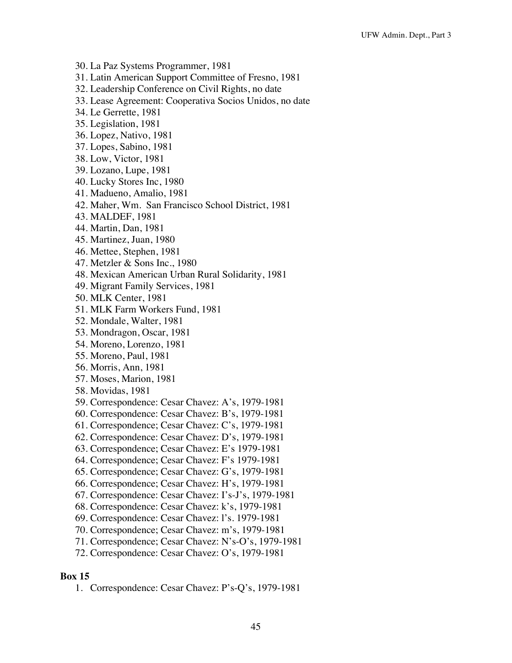- 30. La Paz Systems Programmer, 1981
- 31. Latin American Support Committee of Fresno, 1981
- 32. Leadership Conference on Civil Rights, no date
- 33. Lease Agreement: Cooperativa Socios Unidos, no date
- 34. Le Gerrette, 1981
- 35. Legislation, 1981
- 36. Lopez, Nativo, 1981
- 37. Lopes, Sabino, 1981
- 38. Low, Victor, 1981
- 39. Lozano, Lupe, 1981
- 40. Lucky Stores Inc, 1980
- 41. Madueno, Amalio, 1981
- 42. Maher, Wm. San Francisco School District, 1981
- 43. MALDEF, 1981
- 44. Martin, Dan, 1981
- 45. Martinez, Juan, 1980
- 46. Mettee, Stephen, 1981
- 47. Metzler & Sons Inc., 1980
- 48. Mexican American Urban Rural Solidarity, 1981
- 49. Migrant Family Services, 1981
- 50. MLK Center, 1981
- 51. MLK Farm Workers Fund, 1981
- 52. Mondale, Walter, 1981
- 53. Mondragon, Oscar, 1981
- 54. Moreno, Lorenzo, 1981
- 55. Moreno, Paul, 1981
- 56. Morris, Ann, 1981
- 57. Moses, Marion, 1981
- 58. Movidas, 1981
- 59. Correspondence: Cesar Chavez: A's, 1979-1981
- 60. Correspondence: Cesar Chavez: B's, 1979-1981
- 61. Correspondence; Cesar Chavez: C's, 1979-1981
- 62. Correspondence: Cesar Chavez: D's, 1979-1981
- 63. Correspondence; Cesar Chavez: E's 1979-1981
- 64. Correspondence; Cesar Chavez: F's 1979-1981
- 65. Correspondence; Cesar Chavez: G's, 1979-1981
- 66. Correspondence; Cesar Chavez: H's, 1979-1981
- 67. Correspondence: Cesar Chavez: I's-J's, 1979-1981
- 68. Correspondence: Cesar Chavez: k's, 1979-1981
- 69. Correspondence: Cesar Chavez: l's. 1979-1981
- 70. Correspondence; Cesar Chavez: m's, 1979-1981
- 71. Correspondence; Cesar Chavez: N's-O's, 1979-1981
- 72. Correspondence: Cesar Chavez: O's, 1979-1981

1. Correspondence: Cesar Chavez: P's-Q's, 1979-1981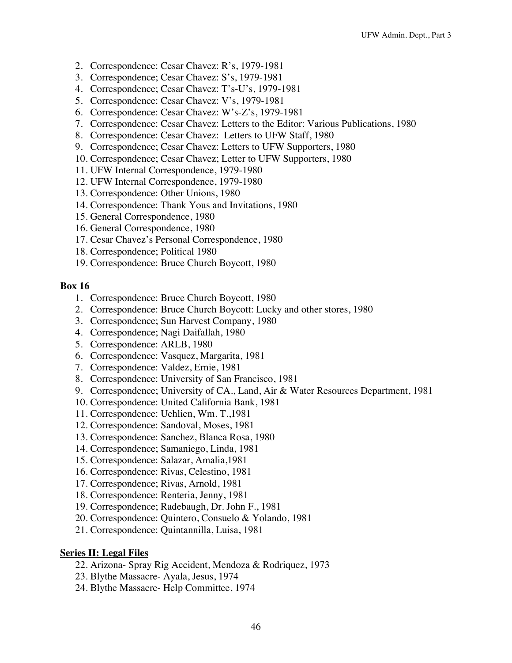- 2. Correspondence: Cesar Chavez: R's, 1979-1981
- 3. Correspondence; Cesar Chavez: S's, 1979-1981
- 4. Correspondence; Cesar Chavez: T's-U's, 1979-1981
- 5. Correspondence: Cesar Chavez: V's, 1979-1981
- 6. Correspondence: Cesar Chavez: W's-Z's, 1979-1981
- 7. Correspondence: Cesar Chavez: Letters to the Editor: Various Publications, 1980
- 8. Correspondence: Cesar Chavez: Letters to UFW Staff, 1980
- 9. Correspondence; Cesar Chavez: Letters to UFW Supporters, 1980
- 10. Correspondence; Cesar Chavez; Letter to UFW Supporters, 1980
- 11. UFW Internal Correspondence, 1979-1980
- 12. UFW Internal Correspondence, 1979-1980
- 13. Correspondence: Other Unions, 1980
- 14. Correspondence: Thank Yous and Invitations, 1980
- 15. General Correspondence, 1980
- 16. General Correspondence, 1980
- 17. Cesar Chavez's Personal Correspondence, 1980
- 18. Correspondence; Political 1980
- 19. Correspondence: Bruce Church Boycott, 1980

- 1. Correspondence: Bruce Church Boycott, 1980
- 2. Correspondence: Bruce Church Boycott: Lucky and other stores, 1980
- 3. Correspondence; Sun Harvest Company, 1980
- 4. Correspondence; Nagi Daifallah, 1980
- 5. Correspondence: ARLB, 1980
- 6. Correspondence: Vasquez, Margarita, 1981
- 7. Correspondence: Valdez, Ernie, 1981
- 8. Correspondence: University of San Francisco, 1981
- 9. Correspondence; University of CA., Land, Air & Water Resources Department, 1981
- 10. Correspondence: United California Bank, 1981
- 11. Correspondence: Uehlien, Wm. T.,1981
- 12. Correspondence: Sandoval, Moses, 1981
- 13. Correspondence: Sanchez, Blanca Rosa, 1980
- 14. Correspondence; Samaniego, Linda, 1981
- 15. Correspondence: Salazar, Amalia,1981
- 16. Correspondence: Rivas, Celestino, 1981
- 17. Correspondence; Rivas, Arnold, 1981
- 18. Correspondence: Renteria, Jenny, 1981
- 19. Correspondence; Radebaugh, Dr. John F., 1981
- 20. Correspondence: Quintero, Consuelo & Yolando, 1981
- 21. Correspondence: Quintannilla, Luisa, 1981

### **Series II: Legal Files**

- 22. Arizona- Spray Rig Accident, Mendoza & Rodriquez, 1973
- 23. Blythe Massacre- Ayala, Jesus, 1974
- 24. Blythe Massacre- Help Committee, 1974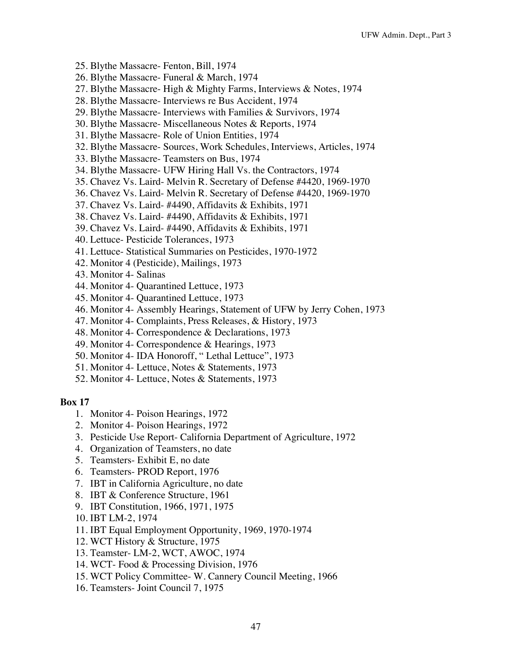- 25. Blythe Massacre- Fenton, Bill, 1974
- 26. Blythe Massacre- Funeral & March, 1974
- 27. Blythe Massacre- High & Mighty Farms, Interviews & Notes, 1974
- 28. Blythe Massacre- Interviews re Bus Accident, 1974
- 29. Blythe Massacre- Interviews with Families & Survivors, 1974
- 30. Blythe Massacre- Miscellaneous Notes & Reports, 1974
- 31. Blythe Massacre- Role of Union Entities, 1974
- 32. Blythe Massacre- Sources, Work Schedules, Interviews, Articles, 1974
- 33. Blythe Massacre- Teamsters on Bus, 1974
- 34. Blythe Massacre- UFW Hiring Hall Vs. the Contractors, 1974
- 35. Chavez Vs. Laird- Melvin R. Secretary of Defense #4420, 1969-1970
- 36. Chavez Vs. Laird- Melvin R. Secretary of Defense #4420, 1969-1970
- 37. Chavez Vs. Laird- #4490, Affidavits & Exhibits, 1971
- 38. Chavez Vs. Laird- #4490, Affidavits & Exhibits, 1971
- 39. Chavez Vs. Laird- #4490, Affidavits & Exhibits, 1971
- 40. Lettuce- Pesticide Tolerances, 1973
- 41. Lettuce- Statistical Summaries on Pesticides, 1970-1972
- 42. Monitor 4 (Pesticide), Mailings, 1973
- 43. Monitor 4- Salinas
- 44. Monitor 4- Quarantined Lettuce, 1973
- 45. Monitor 4- Quarantined Lettuce, 1973
- 46. Monitor 4- Assembly Hearings, Statement of UFW by Jerry Cohen, 1973
- 47. Monitor 4- Complaints, Press Releases, & History, 1973
- 48. Monitor 4- Correspondence & Declarations, 1973
- 49. Monitor 4- Correspondence & Hearings, 1973
- 50. Monitor 4- IDA Honoroff, " Lethal Lettuce", 1973
- 51. Monitor 4- Lettuce, Notes & Statements, 1973
- 52. Monitor 4- Lettuce, Notes & Statements, 1973

- 1. Monitor 4- Poison Hearings, 1972
- 2. Monitor 4- Poison Hearings, 1972
- 3. Pesticide Use Report- California Department of Agriculture, 1972
- 4. Organization of Teamsters, no date
- 5. Teamsters- Exhibit E, no date
- 6. Teamsters- PROD Report, 1976
- 7. IBT in California Agriculture, no date
- 8. IBT & Conference Structure, 1961
- 9. IBT Constitution, 1966, 1971, 1975
- 10. IBT LM-2, 1974
- 11. IBT Equal Employment Opportunity, 1969, 1970-1974
- 12. WCT History & Structure, 1975
- 13. Teamster- LM-2, WCT, AWOC, 1974
- 14. WCT- Food & Processing Division, 1976
- 15. WCT Policy Committee- W. Cannery Council Meeting, 1966
- 16. Teamsters- Joint Council 7, 1975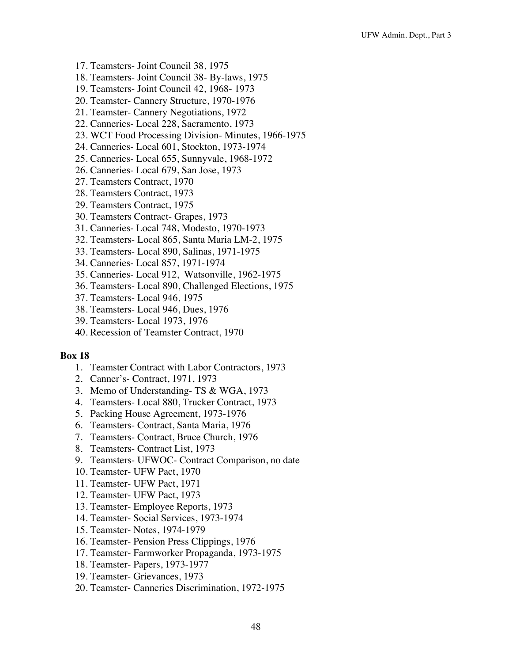- 17. Teamsters- Joint Council 38, 1975
- 18. Teamsters- Joint Council 38- By-laws, 1975
- 19. Teamsters- Joint Council 42, 1968- 1973
- 20. Teamster- Cannery Structure, 1970-1976
- 21. Teamster- Cannery Negotiations, 1972
- 22. Canneries- Local 228, Sacramento, 1973
- 23. WCT Food Processing Division- Minutes, 1966-1975
- 24. Canneries- Local 601, Stockton, 1973-1974
- 25. Canneries- Local 655, Sunnyvale, 1968-1972
- 26. Canneries- Local 679, San Jose, 1973
- 27. Teamsters Contract, 1970
- 28. Teamsters Contract, 1973
- 29. Teamsters Contract, 1975
- 30. Teamsters Contract- Grapes, 1973
- 31. Canneries- Local 748, Modesto, 1970-1973
- 32. Teamsters- Local 865, Santa Maria LM-2, 1975
- 33. Teamsters- Local 890, Salinas, 1971-1975
- 34. Canneries- Local 857, 1971-1974
- 35. Canneries- Local 912, Watsonville, 1962-1975
- 36. Teamsters- Local 890, Challenged Elections, 1975
- 37. Teamsters- Local 946, 1975
- 38. Teamsters- Local 946, Dues, 1976
- 39. Teamsters- Local 1973, 1976
- 40. Recession of Teamster Contract, 1970

- 1. Teamster Contract with Labor Contractors, 1973
- 2. Canner's- Contract, 1971, 1973
- 3. Memo of Understanding- TS & WGA, 1973
- 4. Teamsters- Local 880, Trucker Contract, 1973
- 5. Packing House Agreement, 1973-1976
- 6. Teamsters- Contract, Santa Maria, 1976
- 7. Teamsters- Contract, Bruce Church, 1976
- 8. Teamsters- Contract List, 1973
- 9. Teamsters- UFWOC- Contract Comparison, no date
- 10. Teamster- UFW Pact, 1970
- 11. Teamster- UFW Pact, 1971
- 12. Teamster- UFW Pact, 1973
- 13. Teamster- Employee Reports, 1973
- 14. Teamster- Social Services, 1973-1974
- 15. Teamster- Notes, 1974-1979
- 16. Teamster- Pension Press Clippings, 1976
- 17. Teamster- Farmworker Propaganda, 1973-1975
- 18. Teamster- Papers, 1973-1977
- 19. Teamster- Grievances, 1973
- 20. Teamster- Canneries Discrimination, 1972-1975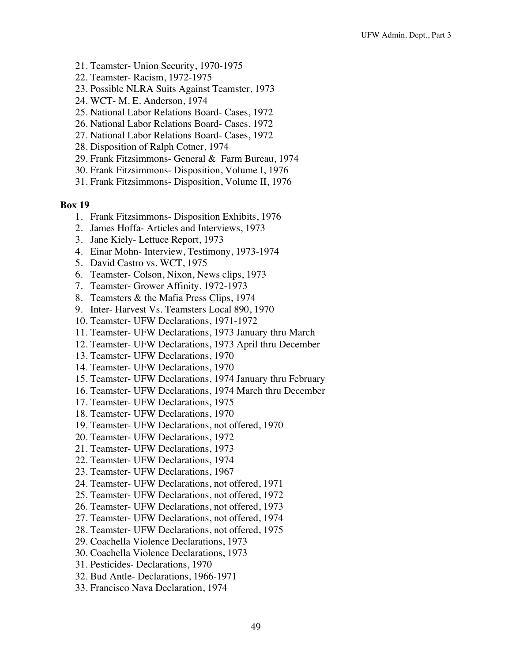- 21. Teamster- Union Security, 1970-1975
- 22. Teamster- Racism, 1972-1975
- 23. Possible NLRA Suits Against Teamster, 1973
- 24. WCT- M. E. Anderson, 1974
- 25. National Labor Relations Board- Cases, 1972
- 26. National Labor Relations Board- Cases, 1972
- 27. National Labor Relations Board- Cases, 1972
- 28. Disposition of Ralph Cotner, 1974
- 29. Frank Fitzsimmons- General & Farm Bureau, 1974
- 30. Frank Fitzsimmons- Disposition, Volume I, 1976
- 31. Frank Fitzsimmons- Disposition, Volume II, 1976

- 1. Frank Fitzsimmons- Disposition Exhibits, 1976
- 2. James Hoffa- Articles and Interviews, 1973
- 3. Jane Kiely- Lettuce Report, 1973
- 4. Einar Mohn- Interview, Testimony, 1973-1974
- 5. David Castro vs. WCT, 1975
- 6. Teamster- Colson, Nixon, News clips, 1973
- 7. Teamster- Grower Affinity, 1972-1973
- 8. Teamsters & the Mafia Press Clips, 1974
- 9. Inter- Harvest Vs. Teamsters Local 890, 1970
- 10. Teamster- UFW Declarations, 1971-1972
- 11. Teamster- UFW Declarations, 1973 January thru March
- 12. Teamster- UFW Declarations, 1973 April thru December
- 13. Teamster- UFW Declarations, 1970
- 14. Teamster- UFW Declarations, 1970
- 15. Teamster- UFW Declarations, 1974 January thru February
- 16. Teamster- UFW Declarations, 1974 March thru December
- 17. Teamster- UFW Declarations, 1975
- 18. Teamster- UFW Declarations, 1970
- 19. Teamster- UFW Declarations, not offered, 1970
- 20. Teamster- UFW Declarations, 1972
- 21. Teamster- UFW Declarations, 1973
- 22. Teamster- UFW Declarations, 1974
- 23. Teamster- UFW Declarations, 1967
- 24. Teamster- UFW Declarations, not offered, 1971
- 25. Teamster- UFW Declarations, not offered, 1972
- 26. Teamster- UFW Declarations, not offered, 1973
- 27. Teamster- UFW Declarations, not offered, 1974
- 28. Teamster- UFW Declarations, not offered, 1975
- 29. Coachella Violence Declarations, 1973
- 30. Coachella Violence Declarations, 1973
- 31. Pesticides- Declarations, 1970
- 32. Bud Antle- Declarations, 1966-1971
- 33. Francisco Nava Declaration, 1974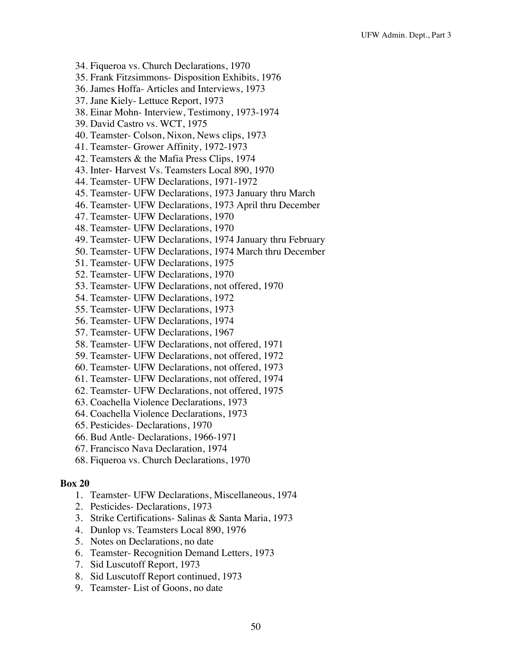- 34. Fiqueroa vs. Church Declarations, 1970
- 35. Frank Fitzsimmons- Disposition Exhibits, 1976
- 36. James Hoffa- Articles and Interviews, 1973
- 37. Jane Kiely- Lettuce Report, 1973
- 38. Einar Mohn- Interview, Testimony, 1973-1974
- 39. David Castro vs. WCT, 1975
- 40. Teamster- Colson, Nixon, News clips, 1973
- 41. Teamster- Grower Affinity, 1972-1973
- 42. Teamsters & the Mafia Press Clips, 1974
- 43. Inter- Harvest Vs. Teamsters Local 890, 1970
- 44. Teamster- UFW Declarations, 1971-1972
- 45. Teamster- UFW Declarations, 1973 January thru March
- 46. Teamster- UFW Declarations, 1973 April thru December
- 47. Teamster- UFW Declarations, 1970
- 48. Teamster- UFW Declarations, 1970
- 49. Teamster- UFW Declarations, 1974 January thru February
- 50. Teamster- UFW Declarations, 1974 March thru December
- 51. Teamster- UFW Declarations, 1975
- 52. Teamster- UFW Declarations, 1970
- 53. Teamster- UFW Declarations, not offered, 1970
- 54. Teamster- UFW Declarations, 1972
- 55. Teamster- UFW Declarations, 1973
- 56. Teamster- UFW Declarations, 1974
- 57. Teamster- UFW Declarations, 1967
- 58. Teamster- UFW Declarations, not offered, 1971
- 59. Teamster- UFW Declarations, not offered, 1972
- 60. Teamster- UFW Declarations, not offered, 1973
- 61. Teamster- UFW Declarations, not offered, 1974
- 62. Teamster- UFW Declarations, not offered, 1975
- 63. Coachella Violence Declarations, 1973
- 64. Coachella Violence Declarations, 1973
- 65. Pesticides- Declarations, 1970
- 66. Bud Antle- Declarations, 1966-1971
- 67. Francisco Nava Declaration, 1974
- 68. Fiqueroa vs. Church Declarations, 1970

- 1. Teamster- UFW Declarations, Miscellaneous, 1974
- 2. Pesticides- Declarations, 1973
- 3. Strike Certifications- Salinas & Santa Maria, 1973
- 4. Dunlop vs. Teamsters Local 890, 1976
- 5. Notes on Declarations, no date
- 6. Teamster- Recognition Demand Letters, 1973
- 7. Sid Luscutoff Report, 1973
- 8. Sid Luscutoff Report continued, 1973
- 9. Teamster- List of Goons, no date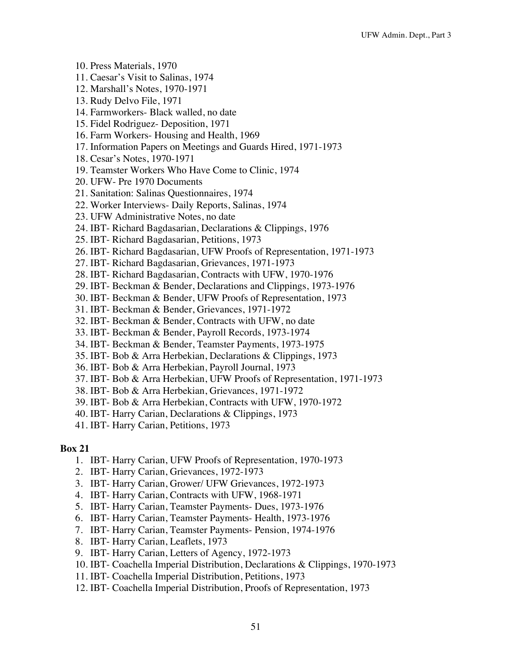- 10. Press Materials, 1970
- 11. Caesar's Visit to Salinas, 1974
- 12. Marshall's Notes, 1970-1971
- 13. Rudy Delvo File, 1971
- 14. Farmworkers- Black walled, no date
- 15. Fidel Rodriguez- Deposition, 1971
- 16. Farm Workers- Housing and Health, 1969
- 17. Information Papers on Meetings and Guards Hired, 1971-1973
- 18. Cesar's Notes, 1970-1971
- 19. Teamster Workers Who Have Come to Clinic, 1974
- 20. UFW- Pre 1970 Documents
- 21. Sanitation: Salinas Questionnaires, 1974
- 22. Worker Interviews- Daily Reports, Salinas, 1974
- 23. UFW Administrative Notes, no date
- 24. IBT- Richard Bagdasarian, Declarations & Clippings, 1976
- 25. IBT- Richard Bagdasarian, Petitions, 1973
- 26. IBT- Richard Bagdasarian, UFW Proofs of Representation, 1971-1973
- 27. IBT- Richard Bagdasarian, Grievances, 1971-1973
- 28. IBT- Richard Bagdasarian, Contracts with UFW, 1970-1976
- 29. IBT- Beckman & Bender, Declarations and Clippings, 1973-1976
- 30. IBT- Beckman & Bender, UFW Proofs of Representation, 1973
- 31. IBT- Beckman & Bender, Grievances, 1971-1972
- 32. IBT- Beckman & Bender, Contracts with UFW, no date
- 33. IBT- Beckman & Bender, Payroll Records, 1973-1974
- 34. IBT- Beckman & Bender, Teamster Payments, 1973-1975
- 35. IBT- Bob & Arra Herbekian, Declarations & Clippings, 1973
- 36. IBT- Bob & Arra Herbekian, Payroll Journal, 1973
- 37. IBT- Bob & Arra Herbekian, UFW Proofs of Representation, 1971-1973
- 38. IBT- Bob & Arra Herbekian, Grievances, 1971-1972
- 39. IBT- Bob & Arra Herbekian, Contracts with UFW, 1970-1972
- 40. IBT- Harry Carian, Declarations & Clippings, 1973
- 41. IBT- Harry Carian, Petitions, 1973

- 1. IBT- Harry Carian, UFW Proofs of Representation, 1970-1973
- 2. IBT- Harry Carian, Grievances, 1972-1973
- 3. IBT- Harry Carian, Grower/ UFW Grievances, 1972-1973
- 4. IBT- Harry Carian, Contracts with UFW, 1968-1971
- 5. IBT- Harry Carian, Teamster Payments- Dues, 1973-1976
- 6. IBT- Harry Carian, Teamster Payments- Health, 1973-1976
- 7. IBT- Harry Carian, Teamster Payments- Pension, 1974-1976
- 8. IBT- Harry Carian, Leaflets, 1973
- 9. IBT- Harry Carian, Letters of Agency, 1972-1973
- 10. IBT- Coachella Imperial Distribution, Declarations & Clippings, 1970-1973
- 11. IBT- Coachella Imperial Distribution, Petitions, 1973
- 12. IBT- Coachella Imperial Distribution, Proofs of Representation, 1973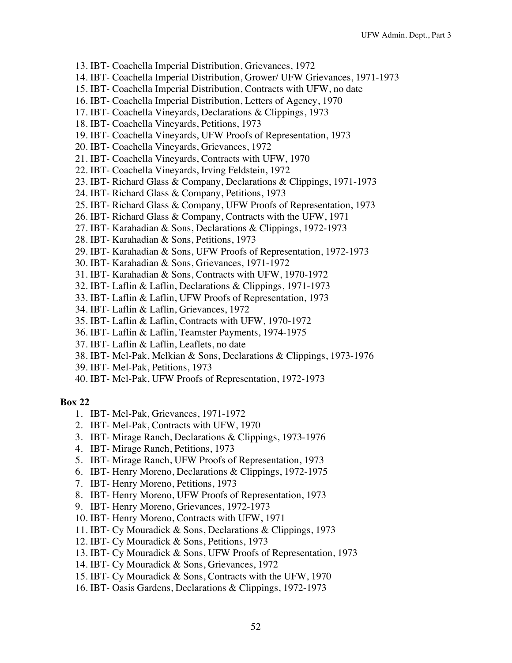- 13. IBT- Coachella Imperial Distribution, Grievances, 1972
- 14. IBT- Coachella Imperial Distribution, Grower/ UFW Grievances, 1971-1973
- 15. IBT- Coachella Imperial Distribution, Contracts with UFW, no date
- 16. IBT- Coachella Imperial Distribution, Letters of Agency, 1970
- 17. IBT- Coachella Vineyards, Declarations & Clippings, 1973
- 18. IBT- Coachella Vineyards, Petitions, 1973
- 19. IBT- Coachella Vineyards, UFW Proofs of Representation, 1973
- 20. IBT- Coachella Vineyards, Grievances, 1972
- 21. IBT- Coachella Vineyards, Contracts with UFW, 1970
- 22. IBT- Coachella Vineyards, Irving Feldstein, 1972
- 23. IBT- Richard Glass & Company, Declarations & Clippings, 1971-1973
- 24. IBT- Richard Glass & Company, Petitions, 1973
- 25. IBT- Richard Glass & Company, UFW Proofs of Representation, 1973
- 26. IBT- Richard Glass & Company, Contracts with the UFW, 1971
- 27. IBT- Karahadian & Sons, Declarations & Clippings, 1972-1973
- 28. IBT- Karahadian & Sons, Petitions, 1973
- 29. IBT- Karahadian & Sons, UFW Proofs of Representation, 1972-1973
- 30. IBT- Karahadian & Sons, Grievances, 1971-1972
- 31. IBT- Karahadian & Sons, Contracts with UFW, 1970-1972
- 32. IBT- Laflin & Laflin, Declarations & Clippings, 1971-1973
- 33. IBT- Laflin & Laflin, UFW Proofs of Representation, 1973
- 34. IBT- Laflin & Laflin, Grievances, 1972
- 35. IBT- Laflin & Laflin, Contracts with UFW, 1970-1972
- 36. IBT- Laflin & Laflin, Teamster Payments, 1974-1975
- 37. IBT- Laflin & Laflin, Leaflets, no date
- 38. IBT- Mel-Pak, Melkian & Sons, Declarations & Clippings, 1973-1976
- 39. IBT- Mel-Pak, Petitions, 1973
- 40. IBT- Mel-Pak, UFW Proofs of Representation, 1972-1973

- 1. IBT- Mel-Pak, Grievances, 1971-1972
- 2. IBT- Mel-Pak, Contracts with UFW, 1970
- 3. IBT- Mirage Ranch, Declarations & Clippings, 1973-1976
- 4. IBT- Mirage Ranch, Petitions, 1973
- 5. IBT- Mirage Ranch, UFW Proofs of Representation, 1973
- 6. IBT- Henry Moreno, Declarations & Clippings, 1972-1975
- 7. IBT- Henry Moreno, Petitions, 1973
- 8. IBT- Henry Moreno, UFW Proofs of Representation, 1973
- 9. IBT- Henry Moreno, Grievances, 1972-1973
- 10. IBT- Henry Moreno, Contracts with UFW, 1971
- 11. IBT- Cy Mouradick & Sons, Declarations & Clippings, 1973
- 12. IBT- Cy Mouradick & Sons, Petitions, 1973
- 13. IBT- Cy Mouradick & Sons, UFW Proofs of Representation, 1973
- 14. IBT- Cy Mouradick & Sons, Grievances, 1972
- 15. IBT- Cy Mouradick & Sons, Contracts with the UFW, 1970
- 16. IBT- Oasis Gardens, Declarations & Clippings, 1972-1973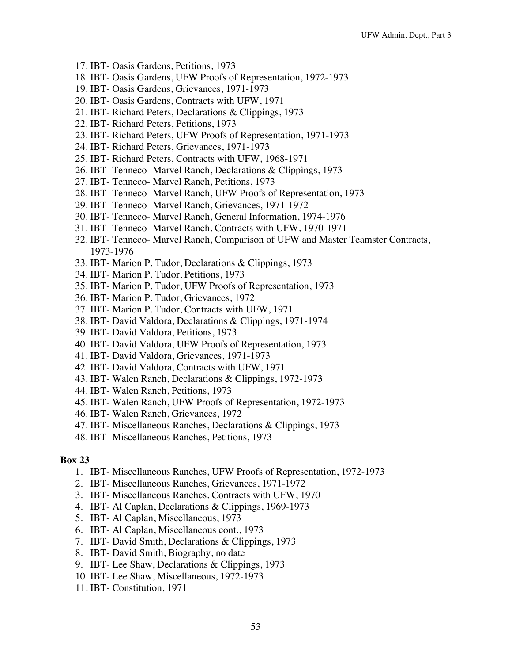- 17. IBT- Oasis Gardens, Petitions, 1973
- 18. IBT- Oasis Gardens, UFW Proofs of Representation, 1972-1973
- 19. IBT- Oasis Gardens, Grievances, 1971-1973
- 20. IBT- Oasis Gardens, Contracts with UFW, 1971
- 21. IBT- Richard Peters, Declarations & Clippings, 1973
- 22. IBT- Richard Peters, Petitions, 1973
- 23. IBT- Richard Peters, UFW Proofs of Representation, 1971-1973
- 24. IBT- Richard Peters, Grievances, 1971-1973
- 25. IBT- Richard Peters, Contracts with UFW, 1968-1971
- 26. IBT- Tenneco- Marvel Ranch, Declarations & Clippings, 1973
- 27. IBT- Tenneco- Marvel Ranch, Petitions, 1973
- 28. IBT- Tenneco- Marvel Ranch, UFW Proofs of Representation, 1973
- 29. IBT- Tenneco- Marvel Ranch, Grievances, 1971-1972
- 30. IBT- Tenneco- Marvel Ranch, General Information, 1974-1976
- 31. IBT- Tenneco- Marvel Ranch, Contracts with UFW, 1970-1971
- 32. IBT- Tenneco- Marvel Ranch, Comparison of UFW and Master Teamster Contracts, 1973-1976
- 33. IBT- Marion P. Tudor, Declarations & Clippings, 1973
- 34. IBT- Marion P. Tudor, Petitions, 1973
- 35. IBT- Marion P. Tudor, UFW Proofs of Representation, 1973
- 36. IBT- Marion P. Tudor, Grievances, 1972
- 37. IBT- Marion P. Tudor, Contracts with UFW, 1971
- 38. IBT- David Valdora, Declarations & Clippings, 1971-1974
- 39. IBT- David Valdora, Petitions, 1973
- 40. IBT- David Valdora, UFW Proofs of Representation, 1973
- 41. IBT- David Valdora, Grievances, 1971-1973
- 42. IBT- David Valdora, Contracts with UFW, 1971
- 43. IBT- Walen Ranch, Declarations & Clippings, 1972-1973
- 44. IBT- Walen Ranch, Petitions, 1973
- 45. IBT- Walen Ranch, UFW Proofs of Representation, 1972-1973
- 46. IBT- Walen Ranch, Grievances, 1972
- 47. IBT- Miscellaneous Ranches, Declarations & Clippings, 1973
- 48. IBT- Miscellaneous Ranches, Petitions, 1973

- 1. IBT- Miscellaneous Ranches, UFW Proofs of Representation, 1972-1973
- 2. IBT- Miscellaneous Ranches, Grievances, 1971-1972
- 3. IBT- Miscellaneous Ranches, Contracts with UFW, 1970
- 4. IBT- Al Caplan, Declarations & Clippings, 1969-1973
- 5. IBT- Al Caplan, Miscellaneous, 1973
- 6. IBT- Al Caplan, Miscellaneous cont., 1973
- 7. IBT- David Smith, Declarations & Clippings, 1973
- 8. IBT- David Smith, Biography, no date
- 9. IBT- Lee Shaw, Declarations & Clippings, 1973
- 10. IBT- Lee Shaw, Miscellaneous, 1972-1973
- 11. IBT- Constitution, 1971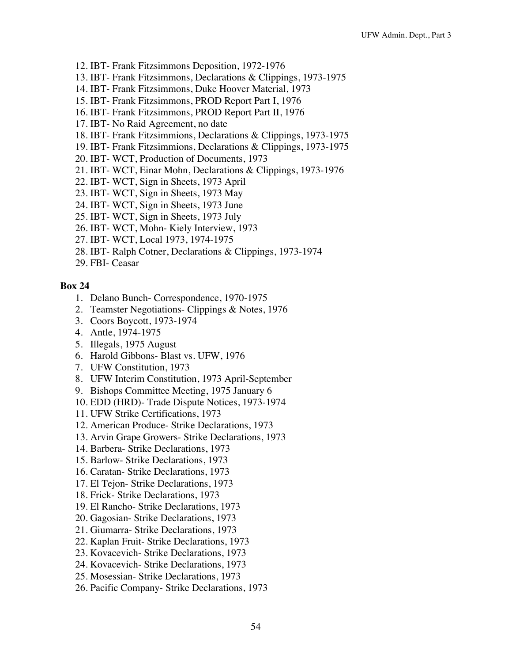- 12. IBT- Frank Fitzsimmons Deposition, 1972-1976
- 13. IBT- Frank Fitzsimmons, Declarations & Clippings, 1973-1975
- 14. IBT- Frank Fitzsimmons, Duke Hoover Material, 1973
- 15. IBT- Frank Fitzsimmons, PROD Report Part I, 1976
- 16. IBT- Frank Fitzsimmons, PROD Report Part II, 1976
- 17. IBT- No Raid Agreement, no date
- 18. IBT- Frank Fitzsimmions, Declarations & Clippings, 1973-1975
- 19. IBT- Frank Fitzsimmions, Declarations & Clippings, 1973-1975
- 20. IBT- WCT, Production of Documents, 1973
- 21. IBT- WCT, Einar Mohn, Declarations & Clippings, 1973-1976
- 22. IBT- WCT, Sign in Sheets, 1973 April
- 23. IBT- WCT, Sign in Sheets, 1973 May
- 24. IBT- WCT, Sign in Sheets, 1973 June
- 25. IBT- WCT, Sign in Sheets, 1973 July
- 26. IBT- WCT, Mohn- Kiely Interview, 1973
- 27. IBT- WCT, Local 1973, 1974-1975
- 28. IBT- Ralph Cotner, Declarations & Clippings, 1973-1974
- 29. FBI- Ceasar

- 1. Delano Bunch- Correspondence, 1970-1975
- 2. Teamster Negotiations- Clippings & Notes, 1976
- 3. Coors Boycott, 1973-1974
- 4. Antle, 1974-1975
- 5. Illegals, 1975 August
- 6. Harold Gibbons- Blast vs. UFW, 1976
- 7. UFW Constitution, 1973
- 8. UFW Interim Constitution, 1973 April-September
- 9. Bishops Committee Meeting, 1975 January 6
- 10. EDD (HRD)- Trade Dispute Notices, 1973-1974
- 11. UFW Strike Certifications, 1973
- 12. American Produce- Strike Declarations, 1973
- 13. Arvin Grape Growers- Strike Declarations, 1973
- 14. Barbera- Strike Declarations, 1973
- 15. Barlow- Strike Declarations, 1973
- 16. Caratan- Strike Declarations, 1973
- 17. El Tejon- Strike Declarations, 1973
- 18. Frick- Strike Declarations, 1973
- 19. El Rancho- Strike Declarations, 1973
- 20. Gagosian- Strike Declarations, 1973
- 21. Giumarra- Strike Declarations, 1973
- 22. Kaplan Fruit- Strike Declarations, 1973
- 23. Kovacevich- Strike Declarations, 1973
- 24. Kovacevich- Strike Declarations, 1973
- 25. Mosessian- Strike Declarations, 1973
- 26. Pacific Company- Strike Declarations, 1973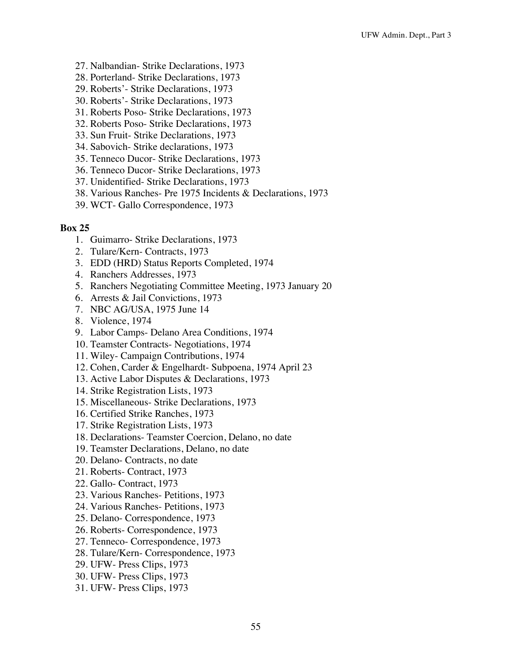- 27. Nalbandian- Strike Declarations, 1973
- 28. Porterland- Strike Declarations, 1973
- 29. Roberts'- Strike Declarations, 1973
- 30. Roberts'- Strike Declarations, 1973
- 31. Roberts Poso- Strike Declarations, 1973
- 32. Roberts Poso- Strike Declarations, 1973
- 33. Sun Fruit- Strike Declarations, 1973
- 34. Sabovich- Strike declarations, 1973
- 35. Tenneco Ducor- Strike Declarations, 1973
- 36. Tenneco Ducor- Strike Declarations, 1973
- 37. Unidentified- Strike Declarations, 1973
- 38. Various Ranches- Pre 1975 Incidents & Declarations, 1973
- 39. WCT- Gallo Correspondence, 1973

- 1. Guimarro- Strike Declarations, 1973
- 2. Tulare/Kern- Contracts, 1973
- 3. EDD (HRD) Status Reports Completed, 1974
- 4. Ranchers Addresses, 1973
- 5. Ranchers Negotiating Committee Meeting, 1973 January 20
- 6. Arrests & Jail Convictions, 1973
- 7. NBC AG/USA, 1975 June 14
- 8. Violence, 1974
- 9. Labor Camps- Delano Area Conditions, 1974
- 10. Teamster Contracts- Negotiations, 1974
- 11. Wiley- Campaign Contributions, 1974
- 12. Cohen, Carder & Engelhardt- Subpoena, 1974 April 23
- 13. Active Labor Disputes & Declarations, 1973
- 14. Strike Registration Lists, 1973
- 15. Miscellaneous- Strike Declarations, 1973
- 16. Certified Strike Ranches, 1973
- 17. Strike Registration Lists, 1973
- 18. Declarations- Teamster Coercion, Delano, no date
- 19. Teamster Declarations, Delano, no date
- 20. Delano- Contracts, no date
- 21. Roberts- Contract, 1973
- 22. Gallo- Contract, 1973
- 23. Various Ranches- Petitions, 1973
- 24. Various Ranches- Petitions, 1973
- 25. Delano- Correspondence, 1973
- 26. Roberts- Correspondence, 1973
- 27. Tenneco- Correspondence, 1973
- 28. Tulare/Kern- Correspondence, 1973
- 29. UFW- Press Clips, 1973
- 30. UFW- Press Clips, 1973
- 31. UFW- Press Clips, 1973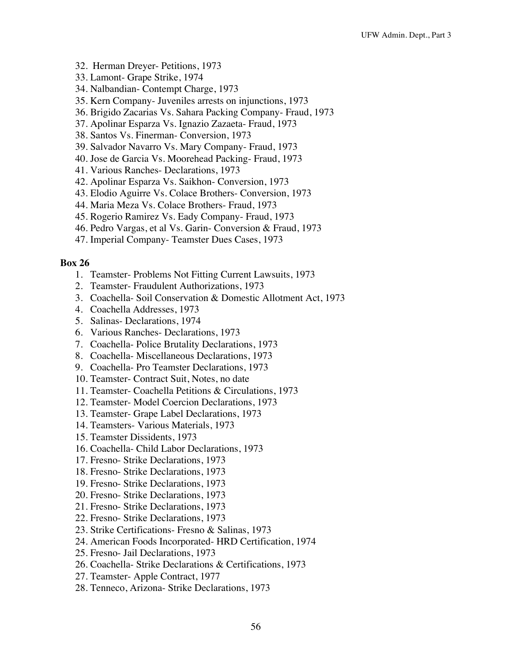- 32. Herman Dreyer- Petitions, 1973
- 33. Lamont- Grape Strike, 1974
- 34. Nalbandian- Contempt Charge, 1973
- 35. Kern Company- Juveniles arrests on injunctions, 1973
- 36. Brigido Zacarias Vs. Sahara Packing Company- Fraud, 1973
- 37. Apolinar Esparza Vs. Ignazio Zazaeta- Fraud, 1973
- 38. Santos Vs. Finerman- Conversion, 1973
- 39. Salvador Navarro Vs. Mary Company- Fraud, 1973
- 40. Jose de Garcia Vs. Moorehead Packing- Fraud, 1973
- 41. Various Ranches- Declarations, 1973
- 42. Apolinar Esparza Vs. Saikhon- Conversion, 1973
- 43. Elodio Aguirre Vs. Colace Brothers- Conversion, 1973
- 44. Maria Meza Vs. Colace Brothers- Fraud, 1973
- 45. Rogerio Ramirez Vs. Eady Company- Fraud, 1973
- 46. Pedro Vargas, et al Vs. Garin- Conversion & Fraud, 1973
- 47. Imperial Company- Teamster Dues Cases, 1973

- 1. Teamster- Problems Not Fitting Current Lawsuits, 1973
- 2. Teamster- Fraudulent Authorizations, 1973
- 3. Coachella- Soil Conservation & Domestic Allotment Act, 1973
- 4. Coachella Addresses, 1973
- 5. Salinas- Declarations, 1974
- 6. Various Ranches- Declarations, 1973
- 7. Coachella- Police Brutality Declarations, 1973
- 8. Coachella- Miscellaneous Declarations, 1973
- 9. Coachella- Pro Teamster Declarations, 1973
- 10. Teamster- Contract Suit, Notes, no date
- 11. Teamster- Coachella Petitions & Circulations, 1973
- 12. Teamster- Model Coercion Declarations, 1973
- 13. Teamster- Grape Label Declarations, 1973
- 14. Teamsters- Various Materials, 1973
- 15. Teamster Dissidents, 1973
- 16. Coachella- Child Labor Declarations, 1973
- 17. Fresno- Strike Declarations, 1973
- 18. Fresno- Strike Declarations, 1973
- 19. Fresno- Strike Declarations, 1973
- 20. Fresno- Strike Declarations, 1973
- 21. Fresno- Strike Declarations, 1973
- 22. Fresno- Strike Declarations, 1973
- 23. Strike Certifications- Fresno & Salinas, 1973
- 24. American Foods Incorporated- HRD Certification, 1974
- 25. Fresno- Jail Declarations, 1973
- 26. Coachella- Strike Declarations & Certifications, 1973
- 27. Teamster- Apple Contract, 1977
- 28. Tenneco, Arizona- Strike Declarations, 1973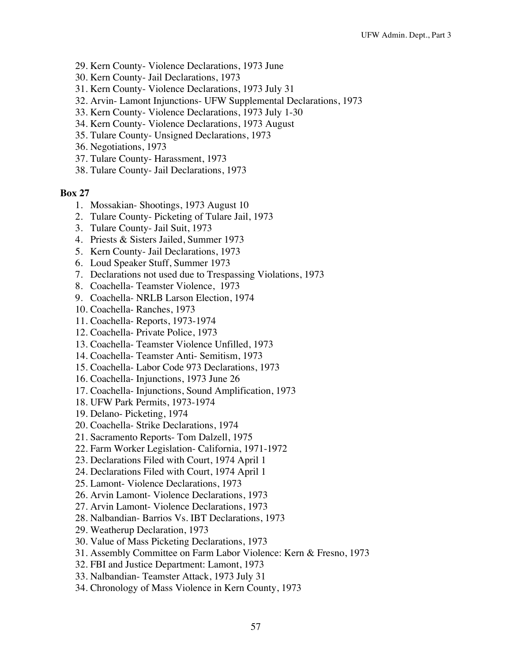- 29. Kern County- Violence Declarations, 1973 June
- 30. Kern County- Jail Declarations, 1973
- 31. Kern County- Violence Declarations, 1973 July 31
- 32. Arvin- Lamont Injunctions- UFW Supplemental Declarations, 1973
- 33. Kern County- Violence Declarations, 1973 July 1-30
- 34. Kern County- Violence Declarations, 1973 August
- 35. Tulare County- Unsigned Declarations, 1973
- 36. Negotiations, 1973
- 37. Tulare County- Harassment, 1973
- 38. Tulare County- Jail Declarations, 1973

- 1. Mossakian- Shootings, 1973 August 10
- 2. Tulare County- Picketing of Tulare Jail, 1973
- 3. Tulare County- Jail Suit, 1973
- 4. Priests & Sisters Jailed, Summer 1973
- 5. Kern County- Jail Declarations, 1973
- 6. Loud Speaker Stuff, Summer 1973
- 7. Declarations not used due to Trespassing Violations, 1973
- 8. Coachella- Teamster Violence, 1973
- 9. Coachella- NRLB Larson Election, 1974
- 10. Coachella- Ranches, 1973
- 11. Coachella- Reports, 1973-1974
- 12. Coachella- Private Police, 1973
- 13. Coachella- Teamster Violence Unfilled, 1973
- 14. Coachella- Teamster Anti- Semitism, 1973
- 15. Coachella- Labor Code 973 Declarations, 1973
- 16. Coachella- Injunctions, 1973 June 26
- 17. Coachella- Injunctions, Sound Amplification, 1973
- 18. UFW Park Permits, 1973-1974
- 19. Delano- Picketing, 1974
- 20. Coachella- Strike Declarations, 1974
- 21. Sacramento Reports- Tom Dalzell, 1975
- 22. Farm Worker Legislation- California, 1971-1972
- 23. Declarations Filed with Court, 1974 April 1
- 24. Declarations Filed with Court, 1974 April 1
- 25. Lamont- Violence Declarations, 1973
- 26. Arvin Lamont- Violence Declarations, 1973
- 27. Arvin Lamont- Violence Declarations, 1973
- 28. Nalbandian- Barrios Vs. IBT Declarations, 1973
- 29. Weatherup Declaration, 1973
- 30. Value of Mass Picketing Declarations, 1973
- 31. Assembly Committee on Farm Labor Violence: Kern & Fresno, 1973
- 32. FBI and Justice Department: Lamont, 1973
- 33. Nalbandian- Teamster Attack, 1973 July 31
- 34. Chronology of Mass Violence in Kern County, 1973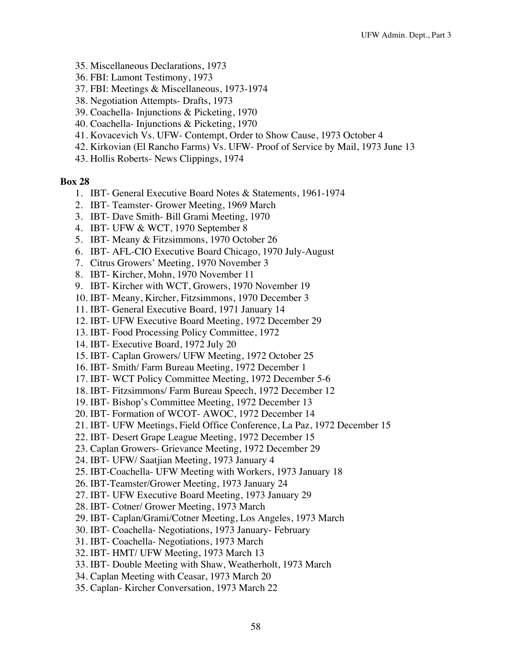- 35. Miscellaneous Declarations, 1973
- 36. FBI: Lamont Testimony, 1973
- 37. FBI: Meetings & Miscellaneous, 1973-1974
- 38. Negotiation Attempts- Drafts, 1973
- 39. Coachella- Injunctions & Picketing, 1970
- 40. Coachella- Injunctions & Picketing, 1970
- 41. Kovacevich Vs. UFW- Contempt, Order to Show Cause, 1973 October 4
- 42. Kirkovian (El Rancho Farms) Vs. UFW- Proof of Service by Mail, 1973 June 13
- 43. Hollis Roberts- News Clippings, 1974

- 1. IBT- General Executive Board Notes & Statements, 1961-1974
- 2. IBT- Teamster- Grower Meeting, 1969 March
- 3. IBT- Dave Smith- Bill Grami Meeting, 1970
- 4. IBT- UFW & WCT, 1970 September 8
- 5. IBT- Meany & Fitzsimmons, 1970 October 26
- 6. IBT- AFL-CIO Executive Board Chicago, 1970 July-August
- 7. Citrus Growers' Meeting, 1970 November 3
- 8. IBT- Kircher, Mohn, 1970 November 11
- 9. IBT- Kircher with WCT, Growers, 1970 November 19
- 10. IBT- Meany, Kircher, Fitzsimmons, 1970 December 3
- 11. IBT- General Executive Board, 1971 January 14
- 12. IBT- UFW Executive Board Meeting, 1972 December 29
- 13. IBT- Food Processing Policy Committee, 1972
- 14. IBT- Executive Board, 1972 July 20
- 15. IBT- Caplan Growers/ UFW Meeting, 1972 October 25
- 16. IBT- Smith/ Farm Bureau Meeting, 1972 December 1
- 17. IBT- WCT Policy Committee Meeting, 1972 December 5-6
- 18. IBT- Fitzsimmons/ Farm Bureau Speech, 1972 December 12
- 19. IBT- Bishop's Committee Meeting, 1972 December 13
- 20. IBT- Formation of WCOT- AWOC, 1972 December 14
- 21. IBT- UFW Meetings, Field Office Conference, La Paz, 1972 December 15
- 22. IBT- Desert Grape League Meeting, 1972 December 15
- 23. Caplan Growers- Grievance Meeting, 1972 December 29
- 24. IBT- UFW/ Saatjian Meeting, 1973 January 4
- 25. IBT-Coachella- UFW Meeting with Workers, 1973 January 18
- 26. IBT-Teamster/Grower Meeting, 1973 January 24
- 27. IBT- UFW Executive Board Meeting, 1973 January 29
- 28. IBT- Cotner/ Grower Meeting, 1973 March
- 29. IBT- Caplan/Grami/Cotner Meeting, Los Angeles, 1973 March
- 30. IBT- Coachella- Negotiations, 1973 January- February
- 31. IBT- Coachella- Negotiations, 1973 March
- 32. IBT- HMT/ UFW Meeting, 1973 March 13
- 33. IBT- Double Meeting with Shaw, Weatherholt, 1973 March
- 34. Caplan Meeting with Ceasar, 1973 March 20
- 35. Caplan- Kircher Conversation, 1973 March 22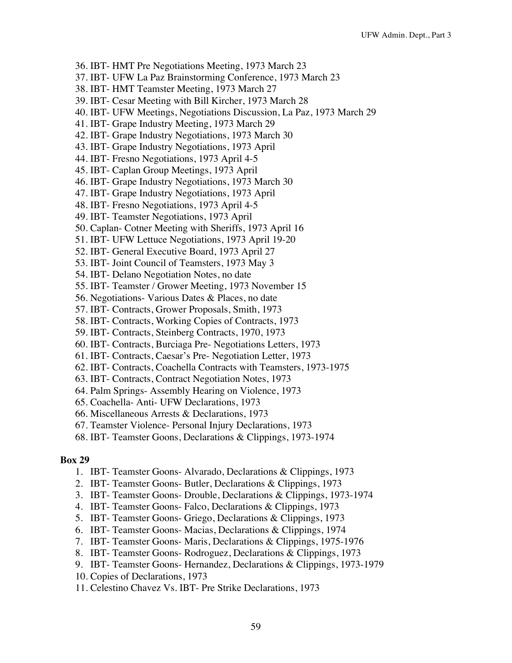- 36. IBT- HMT Pre Negotiations Meeting, 1973 March 23
- 37. IBT- UFW La Paz Brainstorming Conference, 1973 March 23
- 38. IBT- HMT Teamster Meeting, 1973 March 27
- 39. IBT- Cesar Meeting with Bill Kircher, 1973 March 28
- 40. IBT- UFW Meetings, Negotiations Discussion, La Paz, 1973 March 29
- 41. IBT- Grape Industry Meeting, 1973 March 29
- 42. IBT- Grape Industry Negotiations, 1973 March 30
- 43. IBT- Grape Industry Negotiations, 1973 April
- 44. IBT- Fresno Negotiations, 1973 April 4-5
- 45. IBT- Caplan Group Meetings, 1973 April
- 46. IBT- Grape Industry Negotiations, 1973 March 30
- 47. IBT- Grape Industry Negotiations, 1973 April
- 48. IBT- Fresno Negotiations, 1973 April 4-5
- 49. IBT- Teamster Negotiations, 1973 April
- 50. Caplan- Cotner Meeting with Sheriffs, 1973 April 16
- 51. IBT- UFW Lettuce Negotiations, 1973 April 19-20
- 52. IBT- General Executive Board, 1973 April 27
- 53. IBT- Joint Council of Teamsters, 1973 May 3
- 54. IBT- Delano Negotiation Notes, no date
- 55. IBT- Teamster / Grower Meeting, 1973 November 15
- 56. Negotiations- Various Dates & Places, no date
- 57. IBT- Contracts, Grower Proposals, Smith, 1973
- 58. IBT- Contracts, Working Copies of Contracts, 1973
- 59. IBT- Contracts, Steinberg Contracts, 1970, 1973
- 60. IBT- Contracts, Burciaga Pre- Negotiations Letters, 1973
- 61. IBT- Contracts, Caesar's Pre- Negotiation Letter, 1973
- 62. IBT- Contracts, Coachella Contracts with Teamsters, 1973-1975
- 63. IBT- Contracts, Contract Negotiation Notes, 1973
- 64. Palm Springs- Assembly Hearing on Violence, 1973
- 65. Coachella- Anti- UFW Declarations, 1973
- 66. Miscellaneous Arrests & Declarations, 1973
- 67. Teamster Violence- Personal Injury Declarations, 1973
- 68. IBT- Teamster Goons, Declarations & Clippings, 1973-1974

- 1. IBT- Teamster Goons- Alvarado, Declarations & Clippings, 1973
- 2. IBT- Teamster Goons- Butler, Declarations & Clippings, 1973
- 3. IBT- Teamster Goons- Drouble, Declarations & Clippings, 1973-1974
- 4. IBT- Teamster Goons- Falco, Declarations & Clippings, 1973
- 5. IBT- Teamster Goons- Griego, Declarations & Clippings, 1973
- 6. IBT- Teamster Goons- Macias, Declarations & Clippings, 1974
- 7. IBT- Teamster Goons- Maris, Declarations & Clippings, 1975-1976
- 8. IBT- Teamster Goons- Rodroguez, Declarations & Clippings, 1973
- 9. IBT- Teamster Goons- Hernandez, Declarations & Clippings, 1973-1979
- 10. Copies of Declarations, 1973
- 11. Celestino Chavez Vs. IBT- Pre Strike Declarations, 1973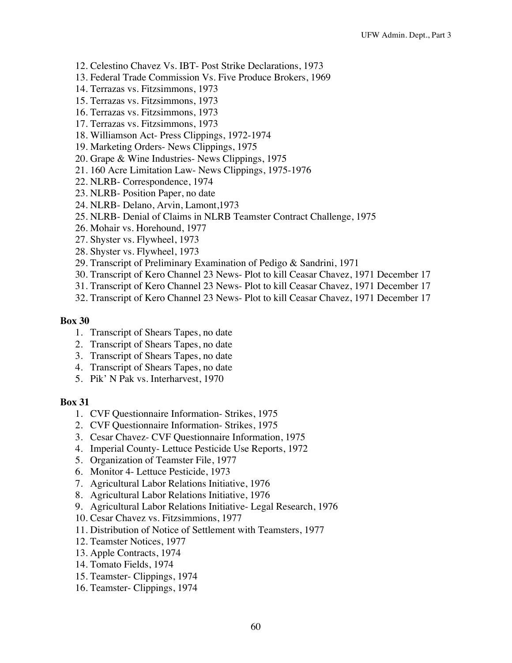- 12. Celestino Chavez Vs. IBT- Post Strike Declarations, 1973
- 13. Federal Trade Commission Vs. Five Produce Brokers, 1969
- 14. Terrazas vs. Fitzsimmons, 1973
- 15. Terrazas vs. Fitzsimmons, 1973
- 16. Terrazas vs. Fitzsimmons, 1973
- 17. Terrazas vs. Fitzsimmons, 1973
- 18. Williamson Act- Press Clippings, 1972-1974
- 19. Marketing Orders- News Clippings, 1975
- 20. Grape & Wine Industries- News Clippings, 1975
- 21. 160 Acre Limitation Law- News Clippings, 1975-1976
- 22. NLRB- Correspondence, 1974
- 23. NLRB- Position Paper, no date
- 24. NLRB- Delano, Arvin, Lamont,1973
- 25. NLRB- Denial of Claims in NLRB Teamster Contract Challenge, 1975
- 26. Mohair vs. Horehound, 1977
- 27. Shyster vs. Flywheel, 1973
- 28. Shyster vs. Flywheel, 1973
- 29. Transcript of Preliminary Examination of Pedigo & Sandrini, 1971
- 30. Transcript of Kero Channel 23 News- Plot to kill Ceasar Chavez, 1971 December 17
- 31. Transcript of Kero Channel 23 News- Plot to kill Ceasar Chavez, 1971 December 17
- 32. Transcript of Kero Channel 23 News- Plot to kill Ceasar Chavez, 1971 December 17

- 1. Transcript of Shears Tapes, no date
- 2. Transcript of Shears Tapes, no date
- 3. Transcript of Shears Tapes, no date
- 4. Transcript of Shears Tapes, no date
- 5. Pik' N Pak vs. Interharvest, 1970

- 1. CVF Questionnaire Information- Strikes, 1975
- 2. CVF Questionnaire Information- Strikes, 1975
- 3. Cesar Chavez- CVF Questionnaire Information, 1975
- 4. Imperial County- Lettuce Pesticide Use Reports, 1972
- 5. Organization of Teamster File, 1977
- 6. Monitor 4- Lettuce Pesticide, 1973
- 7. Agricultural Labor Relations Initiative, 1976
- 8. Agricultural Labor Relations Initiative, 1976
- 9. Agricultural Labor Relations Initiative- Legal Research, 1976
- 10. Cesar Chavez vs. Fitzsimmions, 1977
- 11. Distribution of Notice of Settlement with Teamsters, 1977
- 12. Teamster Notices, 1977
- 13. Apple Contracts, 1974
- 14. Tomato Fields, 1974
- 15. Teamster- Clippings, 1974
- 16. Teamster- Clippings, 1974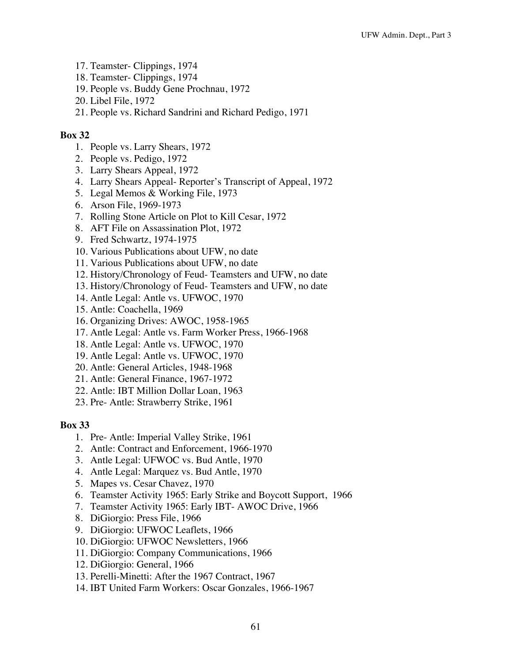- 17. Teamster- Clippings, 1974
- 18. Teamster- Clippings, 1974
- 19. People vs. Buddy Gene Prochnau, 1972
- 20. Libel File, 1972
- 21. People vs. Richard Sandrini and Richard Pedigo, 1971

- 1. People vs. Larry Shears, 1972
- 2. People vs. Pedigo, 1972
- 3. Larry Shears Appeal, 1972
- 4. Larry Shears Appeal- Reporter's Transcript of Appeal, 1972
- 5. Legal Memos & Working File, 1973
- 6. Arson File, 1969-1973
- 7. Rolling Stone Article on Plot to Kill Cesar, 1972
- 8. AFT File on Assassination Plot, 1972
- 9. Fred Schwartz, 1974-1975
- 10. Various Publications about UFW, no date
- 11. Various Publications about UFW, no date
- 12. History/Chronology of Feud- Teamsters and UFW, no date
- 13. History/Chronology of Feud- Teamsters and UFW, no date
- 14. Antle Legal: Antle vs. UFWOC, 1970
- 15. Antle: Coachella, 1969
- 16. Organizing Drives: AWOC, 1958-1965
- 17. Antle Legal: Antle vs. Farm Worker Press, 1966-1968
- 18. Antle Legal: Antle vs. UFWOC, 1970
- 19. Antle Legal: Antle vs. UFWOC, 1970
- 20. Antle: General Articles, 1948-1968
- 21. Antle: General Finance, 1967-1972
- 22. Antle: IBT Million Dollar Loan, 1963
- 23. Pre- Antle: Strawberry Strike, 1961

- 1. Pre- Antle: Imperial Valley Strike, 1961
- 2. Antle: Contract and Enforcement, 1966-1970
- 3. Antle Legal: UFWOC vs. Bud Antle, 1970
- 4. Antle Legal: Marquez vs. Bud Antle, 1970
- 5. Mapes vs. Cesar Chavez, 1970
- 6. Teamster Activity 1965: Early Strike and Boycott Support, 1966
- 7. Teamster Activity 1965: Early IBT- AWOC Drive, 1966
- 8. DiGiorgio: Press File, 1966
- 9. DiGiorgio: UFWOC Leaflets, 1966
- 10. DiGiorgio: UFWOC Newsletters, 1966
- 11. DiGiorgio: Company Communications, 1966
- 12. DiGiorgio: General, 1966
- 13. Perelli-Minetti: After the 1967 Contract, 1967
- 14. IBT United Farm Workers: Oscar Gonzales, 1966-1967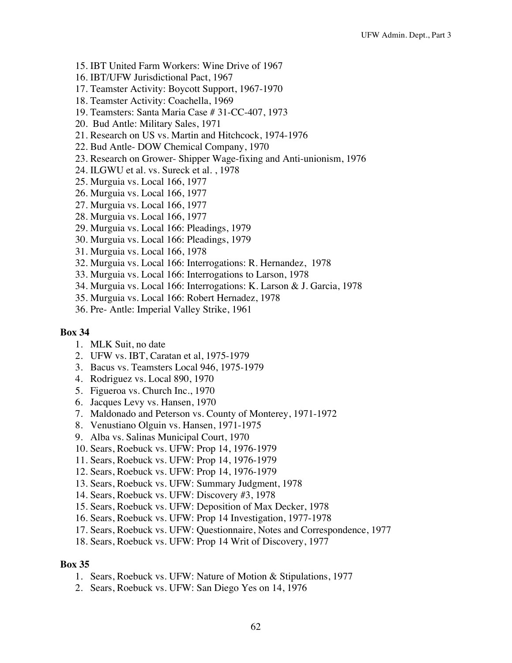- 15. IBT United Farm Workers: Wine Drive of 1967
- 16. IBT/UFW Jurisdictional Pact, 1967
- 17. Teamster Activity: Boycott Support, 1967-1970
- 18. Teamster Activity: Coachella, 1969
- 19. Teamsters: Santa Maria Case # 31-CC-407, 1973
- 20. Bud Antle: Military Sales, 1971
- 21. Research on US vs. Martin and Hitchcock, 1974-1976
- 22. Bud Antle- DOW Chemical Company, 1970
- 23. Research on Grower- Shipper Wage-fixing and Anti-unionism, 1976
- 24. ILGWU et al. vs. Sureck et al. , 1978
- 25. Murguia vs. Local 166, 1977
- 26. Murguia vs. Local 166, 1977
- 27. Murguia vs. Local 166, 1977
- 28. Murguia vs. Local 166, 1977
- 29. Murguia vs. Local 166: Pleadings, 1979
- 30. Murguia vs. Local 166: Pleadings, 1979
- 31. Murguia vs. Local 166, 1978
- 32. Murguia vs. Local 166: Interrogations: R. Hernandez, 1978
- 33. Murguia vs. Local 166: Interrogations to Larson, 1978
- 34. Murguia vs. Local 166: Interrogations: K. Larson & J. Garcia, 1978
- 35. Murguia vs. Local 166: Robert Hernadez, 1978
- 36. Pre- Antle: Imperial Valley Strike, 1961

- 1. MLK Suit, no date
- 2. UFW vs. IBT, Caratan et al, 1975-1979
- 3. Bacus vs. Teamsters Local 946, 1975-1979
- 4. Rodriguez vs. Local 890, 1970
- 5. Figueroa vs. Church Inc., 1970
- 6. Jacques Levy vs. Hansen, 1970
- 7. Maldonado and Peterson vs. County of Monterey, 1971-1972
- 8. Venustiano Olguin vs. Hansen, 1971-1975
- 9. Alba vs. Salinas Municipal Court, 1970
- 10. Sears, Roebuck vs. UFW: Prop 14, 1976-1979
- 11. Sears, Roebuck vs. UFW: Prop 14, 1976-1979
- 12. Sears, Roebuck vs. UFW: Prop 14, 1976-1979
- 13. Sears, Roebuck vs. UFW: Summary Judgment, 1978
- 14. Sears, Roebuck vs. UFW: Discovery #3, 1978
- 15. Sears, Roebuck vs. UFW: Deposition of Max Decker, 1978
- 16. Sears, Roebuck vs. UFW: Prop 14 Investigation, 1977-1978
- 17. Sears, Roebuck vs. UFW: Questionnaire, Notes and Correspondence, 1977
- 18. Sears, Roebuck vs. UFW: Prop 14 Writ of Discovery, 1977

- 1. Sears, Roebuck vs. UFW: Nature of Motion & Stipulations, 1977
- 2. Sears, Roebuck vs. UFW: San Diego Yes on 14, 1976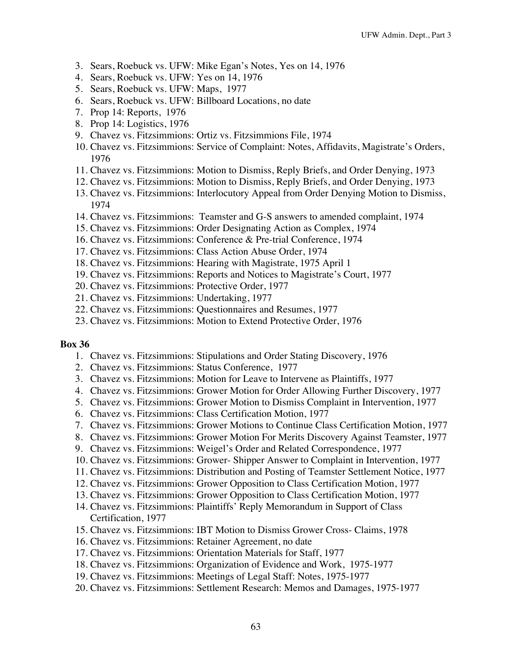- 3. Sears, Roebuck vs. UFW: Mike Egan's Notes, Yes on 14, 1976
- 4. Sears, Roebuck vs. UFW: Yes on 14, 1976
- 5. Sears, Roebuck vs. UFW: Maps, 1977
- 6. Sears, Roebuck vs. UFW: Billboard Locations, no date
- 7. Prop 14: Reports, 1976
- 8. Prop 14: Logistics, 1976
- 9. Chavez vs. Fitzsimmions: Ortiz vs. Fitzsimmions File, 1974
- 10. Chavez vs. Fitzsimmions: Service of Complaint: Notes, Affidavits, Magistrate's Orders, 1976
- 11. Chavez vs. Fitzsimmions: Motion to Dismiss, Reply Briefs, and Order Denying, 1973
- 12. Chavez vs. Fitzsimmions: Motion to Dismiss, Reply Briefs, and Order Denying, 1973
- 13. Chavez vs. Fitzsimmions: Interlocutory Appeal from Order Denying Motion to Dismiss, 1974
- 14. Chavez vs. Fitzsimmions: Teamster and G-S answers to amended complaint, 1974
- 15. Chavez vs. Fitzsimmions: Order Designating Action as Complex, 1974
- 16. Chavez vs. Fitzsimmions: Conference & Pre-trial Conference, 1974
- 17. Chavez vs. Fitzsimmions: Class Action Abuse Order, 1974
- 18. Chavez vs. Fitzsimmions: Hearing with Magistrate, 1975 April 1
- 19. Chavez vs. Fitzsimmions: Reports and Notices to Magistrate's Court, 1977
- 20. Chavez vs. Fitzsimmions: Protective Order, 1977
- 21. Chavez vs. Fitzsimmions: Undertaking, 1977
- 22. Chavez vs. Fitzsimmions: Questionnaires and Resumes, 1977
- 23. Chavez vs. Fitzsimmions: Motion to Extend Protective Order, 1976

- 1. Chavez vs. Fitzsimmions: Stipulations and Order Stating Discovery, 1976
- 2. Chavez vs. Fitzsimmions: Status Conference, 1977
- 3. Chavez vs. Fitzsimmions: Motion for Leave to Intervene as Plaintiffs, 1977
- 4. Chavez vs. Fitzsimmions: Grower Motion for Order Allowing Further Discovery, 1977
- 5. Chavez vs. Fitzsimmions: Grower Motion to Dismiss Complaint in Intervention, 1977
- 6. Chavez vs. Fitzsimmions: Class Certification Motion, 1977
- 7. Chavez vs. Fitzsimmions: Grower Motions to Continue Class Certification Motion, 1977
- 8. Chavez vs. Fitzsimmions: Grower Motion For Merits Discovery Against Teamster, 1977
- 9. Chavez vs. Fitzsimmions: Weigel's Order and Related Correspondence, 1977
- 10. Chavez vs. Fitzsimmions: Grower- Shipper Answer to Complaint in Intervention, 1977
- 11. Chavez vs. Fitzsimmions: Distribution and Posting of Teamster Settlement Notice, 1977
- 12. Chavez vs. Fitzsimmions: Grower Opposition to Class Certification Motion, 1977
- 13. Chavez vs. Fitzsimmions: Grower Opposition to Class Certification Motion, 1977
- 14. Chavez vs. Fitzsimmions: Plaintiffs' Reply Memorandum in Support of Class Certification, 1977
- 15. Chavez vs. Fitzsimmions: IBT Motion to Dismiss Grower Cross- Claims, 1978
- 16. Chavez vs. Fitzsimmions: Retainer Agreement, no date
- 17. Chavez vs. Fitzsimmions: Orientation Materials for Staff, 1977
- 18. Chavez vs. Fitzsimmions: Organization of Evidence and Work, 1975-1977
- 19. Chavez vs. Fitzsimmions: Meetings of Legal Staff: Notes, 1975-1977
- 20. Chavez vs. Fitzsimmions: Settlement Research: Memos and Damages, 1975-1977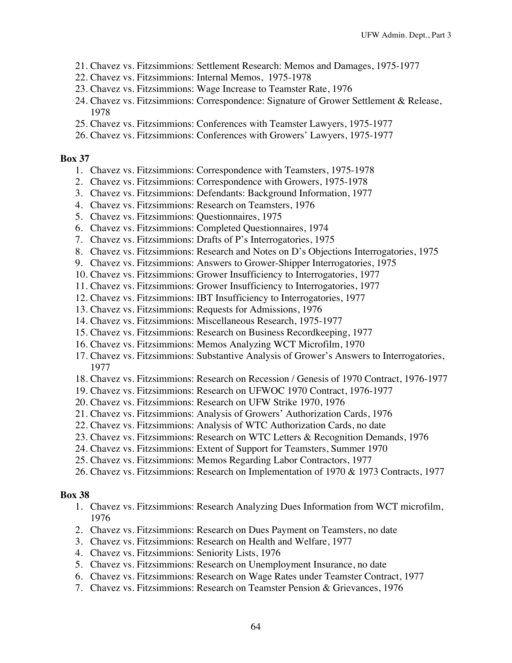- 21. Chavez vs. Fitzsimmions: Settlement Research: Memos and Damages, 1975-1977
- 22. Chavez vs. Fitzsimmions: Internal Memos, 1975-1978
- 23. Chavez vs. Fitzsimmions: Wage Increase to Teamster Rate, 1976
- 24. Chavez vs. Fitzsimmions: Correspondence: Signature of Grower Settlement & Release, 1978
- 25. Chavez vs. Fitzsimmions: Conferences with Teamster Lawyers, 1975-1977
- 26. Chavez vs. Fitzsimmions: Conferences with Growers' Lawyers, 1975-1977

- 1. Chavez vs. Fitzsimmions: Correspondence with Teamsters, 1975-1978
- 2. Chavez vs. Fitzsimmions: Correspondence with Growers, 1975-1978
- 3. Chavez vs. Fitzsimmions: Defendants: Background Information, 1977
- 4. Chavez vs. Fitzsimmions: Research on Teamsters, 1976
- 5. Chavez vs. Fitzsimmions: Questionnaires, 1975
- 6. Chavez vs. Fitzsimmions: Completed Questionnaires, 1974
- 7. Chavez vs. Fitzsimmions: Drafts of P's Interrogatories, 1975
- 8. Chavez vs. Fitzsimmions: Research and Notes on D's Objections Interrogatories, 1975
- 9. Chavez vs. Fitzsimmions: Answers to Grower-Shipper Interrogatories, 1975
- 10. Chavez vs. Fitzsimmions: Grower Insufficiency to Interrogatories, 1977
- 11. Chavez vs. Fitzsimmions: Grower Insufficiency to Interrogatories, 1977
- 12. Chavez vs. Fitzsimmions: IBT Insufficiency to Interrogatories, 1977
- 13. Chavez vs. Fitzsimmions: Requests for Admissions, 1976
- 14. Chavez vs. Fitzsimmions: Miscellaneous Research, 1975-1977
- 15. Chavez vs. Fitzsimmions: Research on Business Recordkeeping, 1977
- 16. Chavez vs. Fitzsimmions: Memos Analyzing WCT Microfilm, 1970
- 17. Chavez vs. Fitzsimmions: Substantive Analysis of Grower's Answers to Interrogatories, 1977
- 18. Chavez vs. Fitzsimmions: Research on Recession / Genesis of 1970 Contract, 1976-1977
- 19. Chavez vs. Fitzsimmions: Research on UFWOC 1970 Contract, 1976-1977
- 20. Chavez vs. Fitzsimmions: Research on UFW Strike 1970, 1976
- 21. Chavez vs. Fitzsimmions: Analysis of Growers' Authorization Cards, 1976
- 22. Chavez vs. Fitzsimmions: Analysis of WTC Authorization Cards, no date
- 23. Chavez vs. Fitzsimmions: Research on WTC Letters & Recognition Demands, 1976
- 24. Chavez vs. Fitzsimmions: Extent of Support for Teamsters, Summer 1970
- 25. Chavez vs. Fitzsimmions: Memos Regarding Labor Contractors, 1977
- 26. Chavez vs. Fitzsimmions: Research on Implementation of 1970 & 1973 Contracts, 1977

- 1. Chavez vs. Fitzsimmions: Research Analyzing Dues Information from WCT microfilm, 1976
- 2. Chavez vs. Fitzsimmions: Research on Dues Payment on Teamsters, no date
- 3. Chavez vs. Fitzsimmions: Research on Health and Welfare, 1977
- 4. Chavez vs. Fitzsimmions: Seniority Lists, 1976
- 5. Chavez vs. Fitzsimmions: Research on Unemployment Insurance, no date
- 6. Chavez vs. Fitzsimmions: Research on Wage Rates under Teamster Contract, 1977
- 7. Chavez vs. Fitzsimmions: Research on Teamster Pension & Grievances, 1976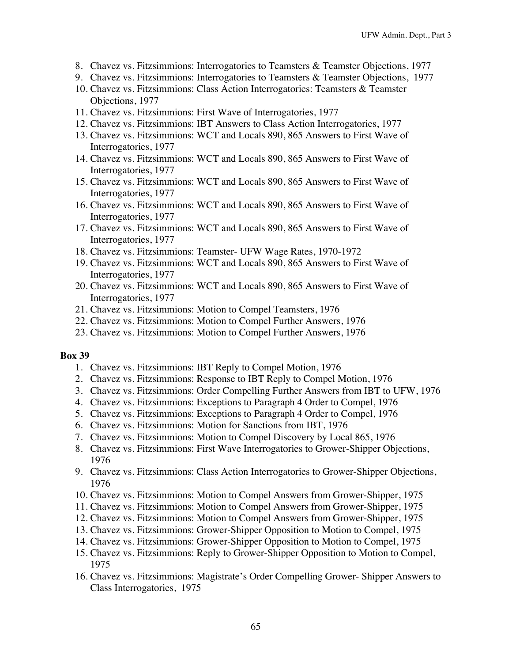- 8. Chavez vs. Fitzsimmions: Interrogatories to Teamsters & Teamster Objections, 1977
- 9. Chavez vs. Fitzsimmions: Interrogatories to Teamsters & Teamster Objections, 1977
- 10. Chavez vs. Fitzsimmions: Class Action Interrogatories: Teamsters & Teamster Objections, 1977
- 11. Chavez vs. Fitzsimmions: First Wave of Interrogatories, 1977
- 12. Chavez vs. Fitzsimmions: IBT Answers to Class Action Interrogatories, 1977
- 13. Chavez vs. Fitzsimmions: WCT and Locals 890, 865 Answers to First Wave of Interrogatories, 1977
- 14. Chavez vs. Fitzsimmions: WCT and Locals 890, 865 Answers to First Wave of Interrogatories, 1977
- 15. Chavez vs. Fitzsimmions: WCT and Locals 890, 865 Answers to First Wave of Interrogatories, 1977
- 16. Chavez vs. Fitzsimmions: WCT and Locals 890, 865 Answers to First Wave of Interrogatories, 1977
- 17. Chavez vs. Fitzsimmions: WCT and Locals 890, 865 Answers to First Wave of Interrogatories, 1977
- 18. Chavez vs. Fitzsimmions: Teamster- UFW Wage Rates, 1970-1972
- 19. Chavez vs. Fitzsimmions: WCT and Locals 890, 865 Answers to First Wave of Interrogatories, 1977
- 20. Chavez vs. Fitzsimmions: WCT and Locals 890, 865 Answers to First Wave of Interrogatories, 1977
- 21. Chavez vs. Fitzsimmions: Motion to Compel Teamsters, 1976
- 22. Chavez vs. Fitzsimmions: Motion to Compel Further Answers, 1976
- 23. Chavez vs. Fitzsimmions: Motion to Compel Further Answers, 1976

- 1. Chavez vs. Fitzsimmions: IBT Reply to Compel Motion, 1976
- 2. Chavez vs. Fitzsimmions: Response to IBT Reply to Compel Motion, 1976
- 3. Chavez vs. Fitzsimmions: Order Compelling Further Answers from IBT to UFW, 1976
- 4. Chavez vs. Fitzsimmions: Exceptions to Paragraph 4 Order to Compel, 1976
- 5. Chavez vs. Fitzsimmions: Exceptions to Paragraph 4 Order to Compel, 1976
- 6. Chavez vs. Fitzsimmions: Motion for Sanctions from IBT, 1976
- 7. Chavez vs. Fitzsimmions: Motion to Compel Discovery by Local 865, 1976
- 8. Chavez vs. Fitzsimmions: First Wave Interrogatories to Grower-Shipper Objections, 1976
- 9. Chavez vs. Fitzsimmions: Class Action Interrogatories to Grower-Shipper Objections, 1976
- 10. Chavez vs. Fitzsimmions: Motion to Compel Answers from Grower-Shipper, 1975
- 11. Chavez vs. Fitzsimmions: Motion to Compel Answers from Grower-Shipper, 1975
- 12. Chavez vs. Fitzsimmions: Motion to Compel Answers from Grower-Shipper, 1975
- 13. Chavez vs. Fitzsimmions: Grower-Shipper Opposition to Motion to Compel, 1975
- 14. Chavez vs. Fitzsimmions: Grower-Shipper Opposition to Motion to Compel, 1975
- 15. Chavez vs. Fitzsimmions: Reply to Grower-Shipper Opposition to Motion to Compel, 1975
- 16. Chavez vs. Fitzsimmions: Magistrate's Order Compelling Grower- Shipper Answers to Class Interrogatories, 1975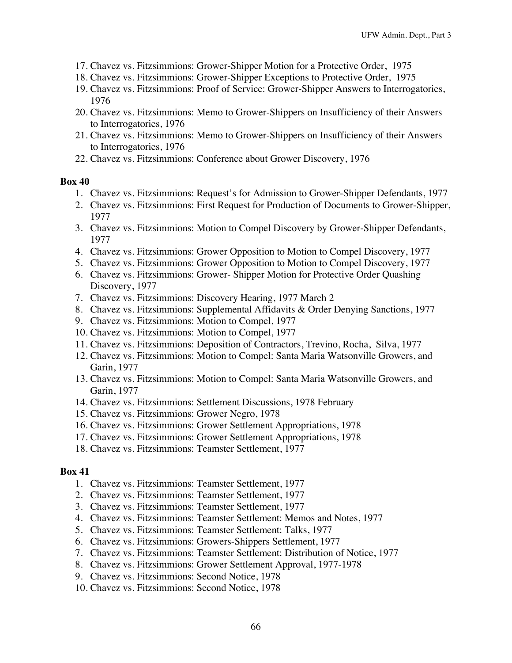- 17. Chavez vs. Fitzsimmions: Grower-Shipper Motion for a Protective Order, 1975
- 18. Chavez vs. Fitzsimmions: Grower-Shipper Exceptions to Protective Order, 1975
- 19. Chavez vs. Fitzsimmions: Proof of Service: Grower-Shipper Answers to Interrogatories, 1976
- 20. Chavez vs. Fitzsimmions: Memo to Grower-Shippers on Insufficiency of their Answers to Interrogatories, 1976
- 21. Chavez vs. Fitzsimmions: Memo to Grower-Shippers on Insufficiency of their Answers to Interrogatories, 1976
- 22. Chavez vs. Fitzsimmions: Conference about Grower Discovery, 1976

- 1. Chavez vs. Fitzsimmions: Request's for Admission to Grower-Shipper Defendants, 1977
- 2. Chavez vs. Fitzsimmions: First Request for Production of Documents to Grower-Shipper, 1977
- 3. Chavez vs. Fitzsimmions: Motion to Compel Discovery by Grower-Shipper Defendants, 1977
- 4. Chavez vs. Fitzsimmions: Grower Opposition to Motion to Compel Discovery, 1977
- 5. Chavez vs. Fitzsimmions: Grower Opposition to Motion to Compel Discovery, 1977
- 6. Chavez vs. Fitzsimmions: Grower- Shipper Motion for Protective Order Quashing Discovery, 1977
- 7. Chavez vs. Fitzsimmions: Discovery Hearing, 1977 March 2
- 8. Chavez vs. Fitzsimmions: Supplemental Affidavits & Order Denying Sanctions, 1977
- 9. Chavez vs. Fitzsimmions: Motion to Compel, 1977
- 10. Chavez vs. Fitzsimmions: Motion to Compel, 1977
- 11. Chavez vs. Fitzsimmions: Deposition of Contractors, Trevino, Rocha, Silva, 1977
- 12. Chavez vs. Fitzsimmions: Motion to Compel: Santa Maria Watsonville Growers, and Garin, 1977
- 13. Chavez vs. Fitzsimmions: Motion to Compel: Santa Maria Watsonville Growers, and Garin, 1977
- 14. Chavez vs. Fitzsimmions: Settlement Discussions, 1978 February
- 15. Chavez vs. Fitzsimmions: Grower Negro, 1978
- 16. Chavez vs. Fitzsimmions: Grower Settlement Appropriations, 1978
- 17. Chavez vs. Fitzsimmions: Grower Settlement Appropriations, 1978
- 18. Chavez vs. Fitzsimmions: Teamster Settlement, 1977

- 1. Chavez vs. Fitzsimmions: Teamster Settlement, 1977
- 2. Chavez vs. Fitzsimmions: Teamster Settlement, 1977
- 3. Chavez vs. Fitzsimmions: Teamster Settlement, 1977
- 4. Chavez vs. Fitzsimmions: Teamster Settlement: Memos and Notes, 1977
- 5. Chavez vs. Fitzsimmions: Teamster Settlement: Talks, 1977
- 6. Chavez vs. Fitzsimmions: Growers-Shippers Settlement, 1977
- 7. Chavez vs. Fitzsimmions: Teamster Settlement: Distribution of Notice, 1977
- 8. Chavez vs. Fitzsimmions: Grower Settlement Approval, 1977-1978
- 9. Chavez vs. Fitzsimmions: Second Notice, 1978
- 10. Chavez vs. Fitzsimmions: Second Notice, 1978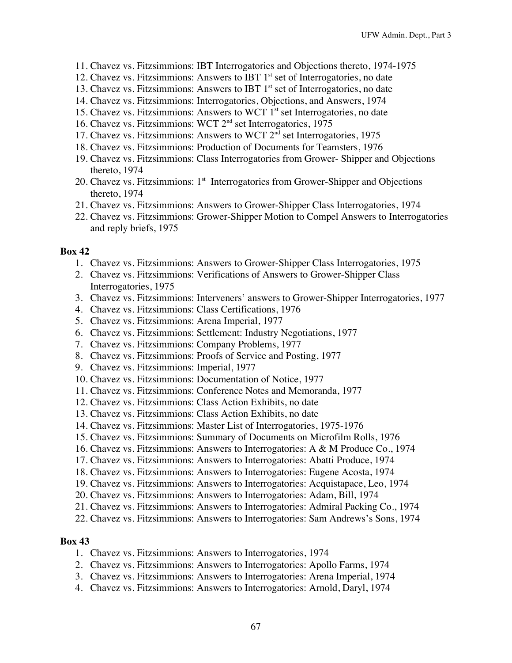- 11. Chavez vs. Fitzsimmions: IBT Interrogatories and Objections thereto, 1974-1975
- 12. Chavez vs. Fitzsimmions: Answers to IBT  $1<sup>st</sup>$  set of Interrogatories, no date
- 13. Chavez vs. Fitzsimmions: Answers to IBT  $1<sup>st</sup>$  set of Interrogatories, no date
- 14. Chavez vs. Fitzsimmions: Interrogatories, Objections, and Answers, 1974
- 15. Chavez vs. Fitzsimmions: Answers to WCT  $1<sup>st</sup>$  set Interrogatories, no date
- 16. Chavez vs. Fitzsimmions: WCT 2nd set Interrogatories, 1975
- 17. Chavez vs. Fitzsimmions: Answers to WCT  $2^{nd}$  set Interrogatories, 1975
- 18. Chavez vs. Fitzsimmions: Production of Documents for Teamsters, 1976
- 19. Chavez vs. Fitzsimmions: Class Interrogatories from Grower- Shipper and Objections thereto, 1974
- 20. Chavez vs. Fitzsimmions: 1<sup>st</sup> Interrogatories from Grower-Shipper and Objections thereto, 1974
- 21. Chavez vs. Fitzsimmions: Answers to Grower-Shipper Class Interrogatories, 1974
- 22. Chavez vs. Fitzsimmions: Grower-Shipper Motion to Compel Answers to Interrogatories and reply briefs, 1975

- 1. Chavez vs. Fitzsimmions: Answers to Grower-Shipper Class Interrogatories, 1975
- 2. Chavez vs. Fitzsimmions: Verifications of Answers to Grower-Shipper Class Interrogatories, 1975
- 3. Chavez vs. Fitzsimmions: Interveners' answers to Grower-Shipper Interrogatories, 1977
- 4. Chavez vs. Fitzsimmions: Class Certifications, 1976
- 5. Chavez vs. Fitzsimmions: Arena Imperial, 1977
- 6. Chavez vs. Fitzsimmions: Settlement: Industry Negotiations, 1977
- 7. Chavez vs. Fitzsimmions: Company Problems, 1977
- 8. Chavez vs. Fitzsimmions: Proofs of Service and Posting, 1977
- 9. Chavez vs. Fitzsimmions: Imperial, 1977
- 10. Chavez vs. Fitzsimmions: Documentation of Notice, 1977
- 11. Chavez vs. Fitzsimmions: Conference Notes and Memoranda, 1977
- 12. Chavez vs. Fitzsimmions: Class Action Exhibits, no date
- 13. Chavez vs. Fitzsimmions: Class Action Exhibits, no date
- 14. Chavez vs. Fitzsimmions: Master List of Interrogatories, 1975-1976
- 15. Chavez vs. Fitzsimmions: Summary of Documents on Microfilm Rolls, 1976
- 16. Chavez vs. Fitzsimmions: Answers to Interrogatories: A & M Produce Co., 1974
- 17. Chavez vs. Fitzsimmions: Answers to Interrogatories: Abatti Produce, 1974
- 18. Chavez vs. Fitzsimmions: Answers to Interrogatories: Eugene Acosta, 1974
- 19. Chavez vs. Fitzsimmions: Answers to Interrogatories: Acquistapace, Leo, 1974
- 20. Chavez vs. Fitzsimmions: Answers to Interrogatories: Adam, Bill, 1974
- 21. Chavez vs. Fitzsimmions: Answers to Interrogatories: Admiral Packing Co., 1974
- 22. Chavez vs. Fitzsimmions: Answers to Interrogatories: Sam Andrews's Sons, 1974

- 1. Chavez vs. Fitzsimmions: Answers to Interrogatories, 1974
- 2. Chavez vs. Fitzsimmions: Answers to Interrogatories: Apollo Farms, 1974
- 3. Chavez vs. Fitzsimmions: Answers to Interrogatories: Arena Imperial, 1974
- 4. Chavez vs. Fitzsimmions: Answers to Interrogatories: Arnold, Daryl, 1974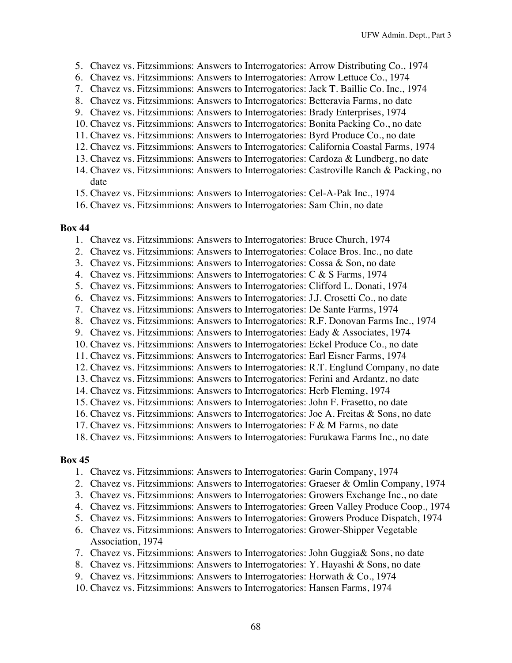- 5. Chavez vs. Fitzsimmions: Answers to Interrogatories: Arrow Distributing Co., 1974
- 6. Chavez vs. Fitzsimmions: Answers to Interrogatories: Arrow Lettuce Co., 1974
- 7. Chavez vs. Fitzsimmions: Answers to Interrogatories: Jack T. Baillie Co. Inc., 1974
- 8. Chavez vs. Fitzsimmions: Answers to Interrogatories: Betteravia Farms, no date
- 9. Chavez vs. Fitzsimmions: Answers to Interrogatories: Brady Enterprises, 1974
- 10. Chavez vs. Fitzsimmions: Answers to Interrogatories: Bonita Packing Co., no date
- 11. Chavez vs. Fitzsimmions: Answers to Interrogatories: Byrd Produce Co., no date
- 12. Chavez vs. Fitzsimmions: Answers to Interrogatories: California Coastal Farms, 1974
- 13. Chavez vs. Fitzsimmions: Answers to Interrogatories: Cardoza & Lundberg, no date
- 14. Chavez vs. Fitzsimmions: Answers to Interrogatories: Castroville Ranch & Packing, no date
- 15. Chavez vs. Fitzsimmions: Answers to Interrogatories: Cel-A-Pak Inc., 1974
- 16. Chavez vs. Fitzsimmions: Answers to Interrogatories: Sam Chin, no date

- 1. Chavez vs. Fitzsimmions: Answers to Interrogatories: Bruce Church, 1974
- 2. Chavez vs. Fitzsimmions: Answers to Interrogatories: Colace Bros. Inc., no date
- 3. Chavez vs. Fitzsimmions: Answers to Interrogatories: Cossa & Son, no date
- 4. Chavez vs. Fitzsimmions: Answers to Interrogatories: C & S Farms, 1974
- 5. Chavez vs. Fitzsimmions: Answers to Interrogatories: Clifford L. Donati, 1974
- 6. Chavez vs. Fitzsimmions: Answers to Interrogatories: J.J. Crosetti Co., no date
- 7. Chavez vs. Fitzsimmions: Answers to Interrogatories: De Sante Farms, 1974
- 8. Chavez vs. Fitzsimmions: Answers to Interrogatories: R.F. Donovan Farms Inc., 1974
- 9. Chavez vs. Fitzsimmions: Answers to Interrogatories: Eady & Associates, 1974
- 10. Chavez vs. Fitzsimmions: Answers to Interrogatories: Eckel Produce Co., no date
- 11. Chavez vs. Fitzsimmions: Answers to Interrogatories: Earl Eisner Farms, 1974
- 12. Chavez vs. Fitzsimmions: Answers to Interrogatories: R.T. Englund Company, no date
- 13. Chavez vs. Fitzsimmions: Answers to Interrogatories: Ferini and Ardantz, no date
- 14. Chavez vs. Fitzsimmions: Answers to Interrogatories: Herb Fleming, 1974
- 15. Chavez vs. Fitzsimmions: Answers to Interrogatories: John F. Frasetto, no date
- 16. Chavez vs. Fitzsimmions: Answers to Interrogatories: Joe A. Freitas & Sons, no date
- 17. Chavez vs. Fitzsimmions: Answers to Interrogatories: F & M Farms, no date
- 18. Chavez vs. Fitzsimmions: Answers to Interrogatories: Furukawa Farms Inc., no date

- 1. Chavez vs. Fitzsimmions: Answers to Interrogatories: Garin Company, 1974
- 2. Chavez vs. Fitzsimmions: Answers to Interrogatories: Graeser & Omlin Company, 1974
- 3. Chavez vs. Fitzsimmions: Answers to Interrogatories: Growers Exchange Inc., no date
- 4. Chavez vs. Fitzsimmions: Answers to Interrogatories: Green Valley Produce Coop., 1974
- 5. Chavez vs. Fitzsimmions: Answers to Interrogatories: Growers Produce Dispatch, 1974
- 6. Chavez vs. Fitzsimmions: Answers to Interrogatories: Grower-Shipper Vegetable Association, 1974
- 7. Chavez vs. Fitzsimmions: Answers to Interrogatories: John Guggia& Sons, no date
- 8. Chavez vs. Fitzsimmions: Answers to Interrogatories: Y. Hayashi & Sons, no date
- 9. Chavez vs. Fitzsimmions: Answers to Interrogatories: Horwath & Co., 1974
- 10. Chavez vs. Fitzsimmions: Answers to Interrogatories: Hansen Farms, 1974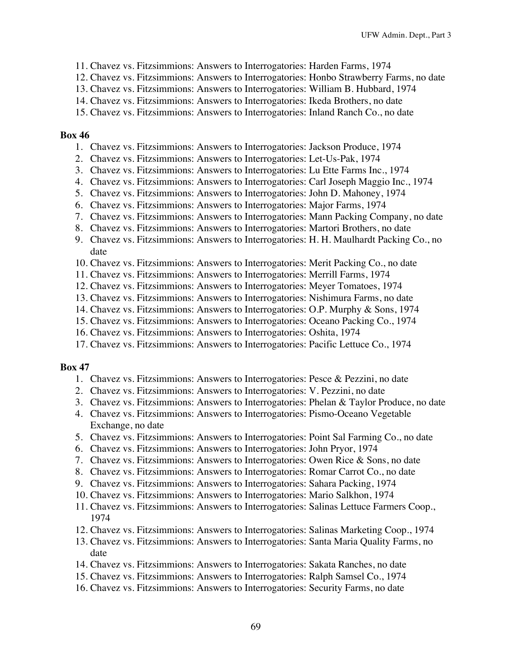- 11. Chavez vs. Fitzsimmions: Answers to Interrogatories: Harden Farms, 1974
- 12. Chavez vs. Fitzsimmions: Answers to Interrogatories: Honbo Strawberry Farms, no date
- 13. Chavez vs. Fitzsimmions: Answers to Interrogatories: William B. Hubbard, 1974
- 14. Chavez vs. Fitzsimmions: Answers to Interrogatories: Ikeda Brothers, no date
- 15. Chavez vs. Fitzsimmions: Answers to Interrogatories: Inland Ranch Co., no date

- 1. Chavez vs. Fitzsimmions: Answers to Interrogatories: Jackson Produce, 1974
- 2. Chavez vs. Fitzsimmions: Answers to Interrogatories: Let-Us-Pak, 1974
- 3. Chavez vs. Fitzsimmions: Answers to Interrogatories: Lu Ette Farms Inc., 1974
- 4. Chavez vs. Fitzsimmions: Answers to Interrogatories: Carl Joseph Maggio Inc., 1974
- 5. Chavez vs. Fitzsimmions: Answers to Interrogatories: John D. Mahoney, 1974
- 6. Chavez vs. Fitzsimmions: Answers to Interrogatories: Major Farms, 1974
- 7. Chavez vs. Fitzsimmions: Answers to Interrogatories: Mann Packing Company, no date
- 8. Chavez vs. Fitzsimmions: Answers to Interrogatories: Martori Brothers, no date
- 9. Chavez vs. Fitzsimmions: Answers to Interrogatories: H. H. Maulhardt Packing Co., no date
- 10. Chavez vs. Fitzsimmions: Answers to Interrogatories: Merit Packing Co., no date
- 11. Chavez vs. Fitzsimmions: Answers to Interrogatories: Merrill Farms, 1974
- 12. Chavez vs. Fitzsimmions: Answers to Interrogatories: Meyer Tomatoes, 1974
- 13. Chavez vs. Fitzsimmions: Answers to Interrogatories: Nishimura Farms, no date
- 14. Chavez vs. Fitzsimmions: Answers to Interrogatories: O.P. Murphy & Sons, 1974
- 15. Chavez vs. Fitzsimmions: Answers to Interrogatories: Oceano Packing Co., 1974
- 16. Chavez vs. Fitzsimmions: Answers to Interrogatories: Oshita, 1974
- 17. Chavez vs. Fitzsimmions: Answers to Interrogatories: Pacific Lettuce Co., 1974

- 1. Chavez vs. Fitzsimmions: Answers to Interrogatories: Pesce & Pezzini, no date
- 2. Chavez vs. Fitzsimmions: Answers to Interrogatories: V. Pezzini, no date
- 3. Chavez vs. Fitzsimmions: Answers to Interrogatories: Phelan & Taylor Produce, no date
- 4. Chavez vs. Fitzsimmions: Answers to Interrogatories: Pismo-Oceano Vegetable Exchange, no date
- 5. Chavez vs. Fitzsimmions: Answers to Interrogatories: Point Sal Farming Co., no date
- 6. Chavez vs. Fitzsimmions: Answers to Interrogatories: John Pryor, 1974
- 7. Chavez vs. Fitzsimmions: Answers to Interrogatories: Owen Rice & Sons, no date
- 8. Chavez vs. Fitzsimmions: Answers to Interrogatories: Romar Carrot Co., no date
- 9. Chavez vs. Fitzsimmions: Answers to Interrogatories: Sahara Packing, 1974
- 10. Chavez vs. Fitzsimmions: Answers to Interrogatories: Mario Salkhon, 1974
- 11. Chavez vs. Fitzsimmions: Answers to Interrogatories: Salinas Lettuce Farmers Coop., 1974
- 12. Chavez vs. Fitzsimmions: Answers to Interrogatories: Salinas Marketing Coop., 1974
- 13. Chavez vs. Fitzsimmions: Answers to Interrogatories: Santa Maria Quality Farms, no date
- 14. Chavez vs. Fitzsimmions: Answers to Interrogatories: Sakata Ranches, no date
- 15. Chavez vs. Fitzsimmions: Answers to Interrogatories: Ralph Samsel Co., 1974
- 16. Chavez vs. Fitzsimmions: Answers to Interrogatories: Security Farms, no date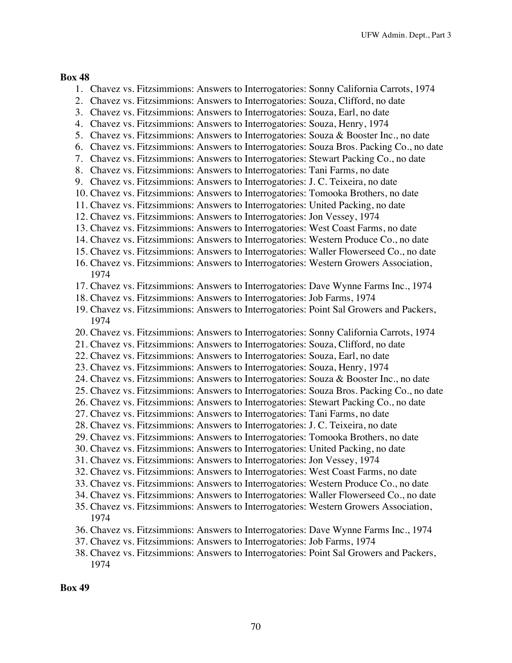- 1. Chavez vs. Fitzsimmions: Answers to Interrogatories: Sonny California Carrots, 1974
- 2. Chavez vs. Fitzsimmions: Answers to Interrogatories: Souza, Clifford, no date
- 3. Chavez vs. Fitzsimmions: Answers to Interrogatories: Souza, Earl, no date
- 4. Chavez vs. Fitzsimmions: Answers to Interrogatories: Souza, Henry, 1974
- 5. Chavez vs. Fitzsimmions: Answers to Interrogatories: Souza & Booster Inc., no date
- 6. Chavez vs. Fitzsimmions: Answers to Interrogatories: Souza Bros. Packing Co., no date
- 7. Chavez vs. Fitzsimmions: Answers to Interrogatories: Stewart Packing Co., no date
- 8. Chavez vs. Fitzsimmions: Answers to Interrogatories: Tani Farms, no date
- 9. Chavez vs. Fitzsimmions: Answers to Interrogatories: J. C. Teixeira, no date
- 10. Chavez vs. Fitzsimmions: Answers to Interrogatories: Tomooka Brothers, no date
- 11. Chavez vs. Fitzsimmions: Answers to Interrogatories: United Packing, no date
- 12. Chavez vs. Fitzsimmions: Answers to Interrogatories: Jon Vessey, 1974
- 13. Chavez vs. Fitzsimmions: Answers to Interrogatories: West Coast Farms, no date
- 14. Chavez vs. Fitzsimmions: Answers to Interrogatories: Western Produce Co., no date
- 15. Chavez vs. Fitzsimmions: Answers to Interrogatories: Waller Flowerseed Co., no date
- 16. Chavez vs. Fitzsimmions: Answers to Interrogatories: Western Growers Association, 1974
- 17. Chavez vs. Fitzsimmions: Answers to Interrogatories: Dave Wynne Farms Inc., 1974
- 18. Chavez vs. Fitzsimmions: Answers to Interrogatories: Job Farms, 1974
- 19. Chavez vs. Fitzsimmions: Answers to Interrogatories: Point Sal Growers and Packers, 1974
- 20. Chavez vs. Fitzsimmions: Answers to Interrogatories: Sonny California Carrots, 1974
- 21. Chavez vs. Fitzsimmions: Answers to Interrogatories: Souza, Clifford, no date
- 22. Chavez vs. Fitzsimmions: Answers to Interrogatories: Souza, Earl, no date
- 23. Chavez vs. Fitzsimmions: Answers to Interrogatories: Souza, Henry, 1974
- 24. Chavez vs. Fitzsimmions: Answers to Interrogatories: Souza & Booster Inc., no date
- 25. Chavez vs. Fitzsimmions: Answers to Interrogatories: Souza Bros. Packing Co., no date
- 26. Chavez vs. Fitzsimmions: Answers to Interrogatories: Stewart Packing Co., no date
- 27. Chavez vs. Fitzsimmions: Answers to Interrogatories: Tani Farms, no date
- 28. Chavez vs. Fitzsimmions: Answers to Interrogatories: J. C. Teixeira, no date
- 29. Chavez vs. Fitzsimmions: Answers to Interrogatories: Tomooka Brothers, no date
- 30. Chavez vs. Fitzsimmions: Answers to Interrogatories: United Packing, no date
- 31. Chavez vs. Fitzsimmions: Answers to Interrogatories: Jon Vessey, 1974
- 32. Chavez vs. Fitzsimmions: Answers to Interrogatories: West Coast Farms, no date
- 33. Chavez vs. Fitzsimmions: Answers to Interrogatories: Western Produce Co., no date
- 34. Chavez vs. Fitzsimmions: Answers to Interrogatories: Waller Flowerseed Co., no date
- 35. Chavez vs. Fitzsimmions: Answers to Interrogatories: Western Growers Association, 1974
- 36. Chavez vs. Fitzsimmions: Answers to Interrogatories: Dave Wynne Farms Inc., 1974
- 37. Chavez vs. Fitzsimmions: Answers to Interrogatories: Job Farms, 1974
- 38. Chavez vs. Fitzsimmions: Answers to Interrogatories: Point Sal Growers and Packers, 1974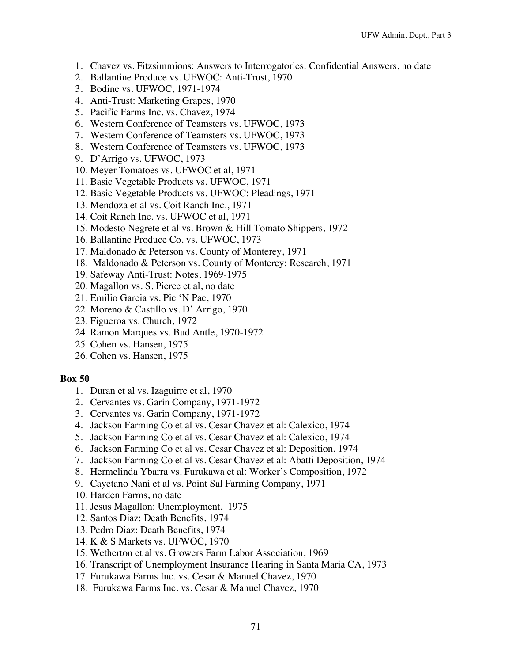- 1. Chavez vs. Fitzsimmions: Answers to Interrogatories: Confidential Answers, no date
- 2. Ballantine Produce vs. UFWOC: Anti-Trust, 1970
- 3. Bodine vs. UFWOC, 1971-1974
- 4. Anti-Trust: Marketing Grapes, 1970
- 5. Pacific Farms Inc. vs. Chavez, 1974
- 6. Western Conference of Teamsters vs. UFWOC, 1973
- 7. Western Conference of Teamsters vs. UFWOC, 1973
- 8. Western Conference of Teamsters vs. UFWOC, 1973
- 9. D'Arrigo vs. UFWOC, 1973
- 10. Meyer Tomatoes vs. UFWOC et al, 1971
- 11. Basic Vegetable Products vs. UFWOC, 1971
- 12. Basic Vegetable Products vs. UFWOC: Pleadings, 1971
- 13. Mendoza et al vs. Coit Ranch Inc., 1971
- 14. Coit Ranch Inc. vs. UFWOC et al, 1971
- 15. Modesto Negrete et al vs. Brown & Hill Tomato Shippers, 1972
- 16. Ballantine Produce Co. vs. UFWOC, 1973
- 17. Maldonado & Peterson vs. County of Monterey, 1971
- 18. Maldonado & Peterson vs. County of Monterey: Research, 1971
- 19. Safeway Anti-Trust: Notes, 1969-1975
- 20. Magallon vs. S. Pierce et al, no date
- 21. Emilio Garcia vs. Pic 'N Pac, 1970
- 22. Moreno & Castillo vs. D' Arrigo, 1970
- 23. Figueroa vs. Church, 1972
- 24. Ramon Marques vs. Bud Antle, 1970-1972
- 25. Cohen vs. Hansen, 1975
- 26. Cohen vs. Hansen, 1975

- 1. Duran et al vs. Izaguirre et al, 1970
- 2. Cervantes vs. Garin Company, 1971-1972
- 3. Cervantes vs. Garin Company, 1971-1972
- 4. Jackson Farming Co et al vs. Cesar Chavez et al: Calexico, 1974
- 5. Jackson Farming Co et al vs. Cesar Chavez et al: Calexico, 1974
- 6. Jackson Farming Co et al vs. Cesar Chavez et al: Deposition, 1974
- 7. Jackson Farming Co et al vs. Cesar Chavez et al: Abatti Deposition, 1974
- 8. Hermelinda Ybarra vs. Furukawa et al: Worker's Composition, 1972
- 9. Cayetano Nani et al vs. Point Sal Farming Company, 1971
- 10. Harden Farms, no date
- 11. Jesus Magallon: Unemployment, 1975
- 12. Santos Diaz: Death Benefits, 1974
- 13. Pedro Diaz: Death Benefits, 1974
- 14. K & S Markets vs. UFWOC, 1970
- 15. Wetherton et al vs. Growers Farm Labor Association, 1969
- 16. Transcript of Unemployment Insurance Hearing in Santa Maria CA, 1973
- 17. Furukawa Farms Inc. vs. Cesar & Manuel Chavez, 1970
- 18. Furukawa Farms Inc. vs. Cesar & Manuel Chavez, 1970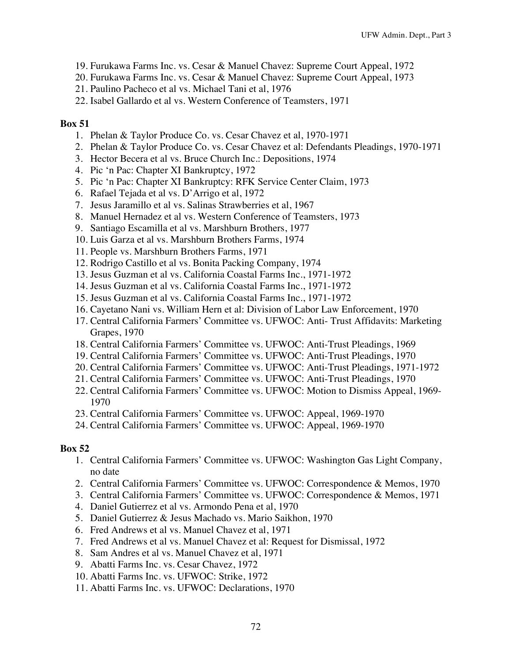- 19. Furukawa Farms Inc. vs. Cesar & Manuel Chavez: Supreme Court Appeal, 1972
- 20. Furukawa Farms Inc. vs. Cesar & Manuel Chavez: Supreme Court Appeal, 1973
- 21. Paulino Pacheco et al vs. Michael Tani et al, 1976
- 22. Isabel Gallardo et al vs. Western Conference of Teamsters, 1971

- 1. Phelan & Taylor Produce Co. vs. Cesar Chavez et al, 1970-1971
- 2. Phelan & Taylor Produce Co. vs. Cesar Chavez et al: Defendants Pleadings, 1970-1971
- 3. Hector Becera et al vs. Bruce Church Inc.: Depositions, 1974
- 4. Pic 'n Pac: Chapter XI Bankruptcy, 1972
- 5. Pic 'n Pac: Chapter XI Bankruptcy: RFK Service Center Claim, 1973
- 6. Rafael Tejada et al vs. D'Arrigo et al, 1972
- 7. Jesus Jaramillo et al vs. Salinas Strawberries et al, 1967
- 8. Manuel Hernadez et al vs. Western Conference of Teamsters, 1973
- 9. Santiago Escamilla et al vs. Marshburn Brothers, 1977
- 10. Luis Garza et al vs. Marshburn Brothers Farms, 1974
- 11. People vs. Marshburn Brothers Farms, 1971
- 12. Rodrigo Castillo et al vs. Bonita Packing Company, 1974
- 13. Jesus Guzman et al vs. California Coastal Farms Inc., 1971-1972
- 14. Jesus Guzman et al vs. California Coastal Farms Inc., 1971-1972
- 15. Jesus Guzman et al vs. California Coastal Farms Inc., 1971-1972
- 16. Cayetano Nani vs. William Hern et al: Division of Labor Law Enforcement, 1970
- 17. Central California Farmers' Committee vs. UFWOC: Anti- Trust Affidavits: Marketing Grapes, 1970
- 18. Central California Farmers' Committee vs. UFWOC: Anti-Trust Pleadings, 1969
- 19. Central California Farmers' Committee vs. UFWOC: Anti-Trust Pleadings, 1970
- 20. Central California Farmers' Committee vs. UFWOC: Anti-Trust Pleadings, 1971-1972
- 21. Central California Farmers' Committee vs. UFWOC: Anti-Trust Pleadings, 1970
- 22. Central California Farmers' Committee vs. UFWOC: Motion to Dismiss Appeal, 1969- 1970
- 23. Central California Farmers' Committee vs. UFWOC: Appeal, 1969-1970
- 24. Central California Farmers' Committee vs. UFWOC: Appeal, 1969-1970

- 1. Central California Farmers' Committee vs. UFWOC: Washington Gas Light Company, no date
- 2. Central California Farmers' Committee vs. UFWOC: Correspondence & Memos, 1970
- 3. Central California Farmers' Committee vs. UFWOC: Correspondence & Memos, 1971
- 4. Daniel Gutierrez et al vs. Armondo Pena et al, 1970
- 5. Daniel Gutierrez & Jesus Machado vs. Mario Saikhon, 1970
- 6. Fred Andrews et al vs. Manuel Chavez et al, 1971
- 7. Fred Andrews et al vs. Manuel Chavez et al: Request for Dismissal, 1972
- 8. Sam Andres et al vs. Manuel Chavez et al, 1971
- 9. Abatti Farms Inc. vs. Cesar Chavez, 1972
- 10. Abatti Farms Inc. vs. UFWOC: Strike, 1972
- 11. Abatti Farms Inc. vs. UFWOC: Declarations, 1970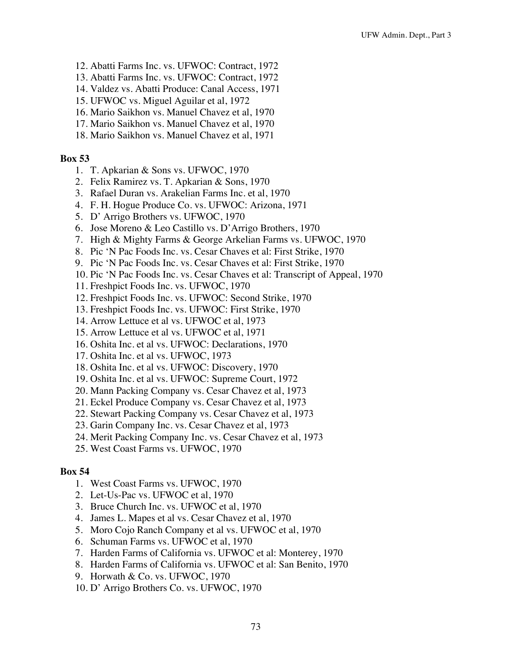- 12. Abatti Farms Inc. vs. UFWOC: Contract, 1972
- 13. Abatti Farms Inc. vs. UFWOC: Contract, 1972
- 14. Valdez vs. Abatti Produce: Canal Access, 1971
- 15. UFWOC vs. Miguel Aguilar et al, 1972
- 16. Mario Saikhon vs. Manuel Chavez et al, 1970
- 17. Mario Saikhon vs. Manuel Chavez et al, 1970
- 18. Mario Saikhon vs. Manuel Chavez et al, 1971

- 1. T. Apkarian & Sons vs. UFWOC, 1970
- 2. Felix Ramirez vs. T. Apkarian & Sons, 1970
- 3. Rafael Duran vs. Arakelian Farms Inc. et al, 1970
- 4. F. H. Hogue Produce Co. vs. UFWOC: Arizona, 1971
- 5. D' Arrigo Brothers vs. UFWOC, 1970
- 6. Jose Moreno & Leo Castillo vs. D'Arrigo Brothers, 1970
- 7. High & Mighty Farms & George Arkelian Farms vs. UFWOC, 1970
- 8. Pic 'N Pac Foods Inc. vs. Cesar Chaves et al: First Strike, 1970
- 9. Pic 'N Pac Foods Inc. vs. Cesar Chaves et al: First Strike, 1970
- 10. Pic 'N Pac Foods Inc. vs. Cesar Chaves et al: Transcript of Appeal, 1970
- 11. Freshpict Foods Inc. vs. UFWOC, 1970
- 12. Freshpict Foods Inc. vs. UFWOC: Second Strike, 1970
- 13. Freshpict Foods Inc. vs. UFWOC: First Strike, 1970
- 14. Arrow Lettuce et al vs. UFWOC et al, 1973
- 15. Arrow Lettuce et al vs. UFWOC et al, 1971
- 16. Oshita Inc. et al vs. UFWOC: Declarations, 1970
- 17. Oshita Inc. et al vs. UFWOC, 1973
- 18. Oshita Inc. et al vs. UFWOC: Discovery, 1970
- 19. Oshita Inc. et al vs. UFWOC: Supreme Court, 1972
- 20. Mann Packing Company vs. Cesar Chavez et al, 1973
- 21. Eckel Produce Company vs. Cesar Chavez et al, 1973
- 22. Stewart Packing Company vs. Cesar Chavez et al, 1973
- 23. Garin Company Inc. vs. Cesar Chavez et al, 1973
- 24. Merit Packing Company Inc. vs. Cesar Chavez et al, 1973
- 25. West Coast Farms vs. UFWOC, 1970

- 1. West Coast Farms vs. UFWOC, 1970
- 2. Let-Us-Pac vs. UFWOC et al, 1970
- 3. Bruce Church Inc. vs. UFWOC et al, 1970
- 4. James L. Mapes et al vs. Cesar Chavez et al, 1970
- 5. Moro Cojo Ranch Company et al vs. UFWOC et al, 1970
- 6. Schuman Farms vs. UFWOC et al, 1970
- 7. Harden Farms of California vs. UFWOC et al: Monterey, 1970
- 8. Harden Farms of California vs. UFWOC et al: San Benito, 1970
- 9. Horwath & Co. vs. UFWOC, 1970
- 10. D' Arrigo Brothers Co. vs. UFWOC, 1970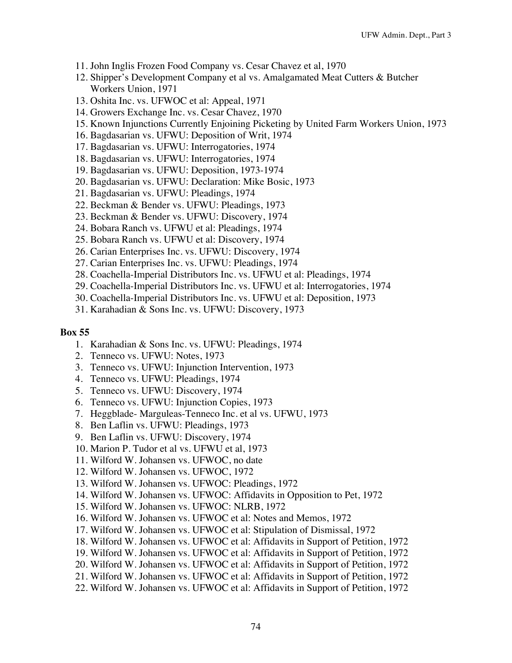- 11. John Inglis Frozen Food Company vs. Cesar Chavez et al, 1970
- 12. Shipper's Development Company et al vs. Amalgamated Meat Cutters & Butcher Workers Union, 1971
- 13. Oshita Inc. vs. UFWOC et al: Appeal, 1971
- 14. Growers Exchange Inc. vs. Cesar Chavez, 1970
- 15. Known Injunctions Currently Enjoining Picketing by United Farm Workers Union, 1973
- 16. Bagdasarian vs. UFWU: Deposition of Writ, 1974
- 17. Bagdasarian vs. UFWU: Interrogatories, 1974
- 18. Bagdasarian vs. UFWU: Interrogatories, 1974
- 19. Bagdasarian vs. UFWU: Deposition, 1973-1974
- 20. Bagdasarian vs. UFWU: Declaration: Mike Bosic, 1973
- 21. Bagdasarian vs. UFWU: Pleadings, 1974
- 22. Beckman & Bender vs. UFWU: Pleadings, 1973
- 23. Beckman & Bender vs. UFWU: Discovery, 1974
- 24. Bobara Ranch vs. UFWU et al: Pleadings, 1974
- 25. Bobara Ranch vs. UFWU et al: Discovery, 1974
- 26. Carian Enterprises Inc. vs. UFWU: Discovery, 1974
- 27. Carian Enterprises Inc. vs. UFWU: Pleadings, 1974
- 28. Coachella-Imperial Distributors Inc. vs. UFWU et al: Pleadings, 1974
- 29. Coachella-Imperial Distributors Inc. vs. UFWU et al: Interrogatories, 1974
- 30. Coachella-Imperial Distributors Inc. vs. UFWU et al: Deposition, 1973
- 31. Karahadian & Sons Inc. vs. UFWU: Discovery, 1973

- 1. Karahadian & Sons Inc. vs. UFWU: Pleadings, 1974
- 2. Tenneco vs. UFWU: Notes, 1973
- 3. Tenneco vs. UFWU: Injunction Intervention, 1973
- 4. Tenneco vs. UFWU: Pleadings, 1974
- 5. Tenneco vs. UFWU: Discovery, 1974
- 6. Tenneco vs. UFWU: Injunction Copies, 1973
- 7. Heggblade- Marguleas-Tenneco Inc. et al vs. UFWU, 1973
- 8. Ben Laflin vs. UFWU: Pleadings, 1973
- 9. Ben Laflin vs. UFWU: Discovery, 1974
- 10. Marion P. Tudor et al vs. UFWU et al, 1973
- 11. Wilford W. Johansen vs. UFWOC, no date
- 12. Wilford W. Johansen vs. UFWOC, 1972
- 13. Wilford W. Johansen vs. UFWOC: Pleadings, 1972
- 14. Wilford W. Johansen vs. UFWOC: Affidavits in Opposition to Pet, 1972
- 15. Wilford W. Johansen vs. UFWOC: NLRB, 1972
- 16. Wilford W. Johansen vs. UFWOC et al: Notes and Memos, 1972
- 17. Wilford W. Johansen vs. UFWOC et al: Stipulation of Dismissal, 1972
- 18. Wilford W. Johansen vs. UFWOC et al: Affidavits in Support of Petition, 1972
- 19. Wilford W. Johansen vs. UFWOC et al: Affidavits in Support of Petition, 1972
- 20. Wilford W. Johansen vs. UFWOC et al: Affidavits in Support of Petition, 1972
- 21. Wilford W. Johansen vs. UFWOC et al: Affidavits in Support of Petition, 1972
- 22. Wilford W. Johansen vs. UFWOC et al: Affidavits in Support of Petition, 1972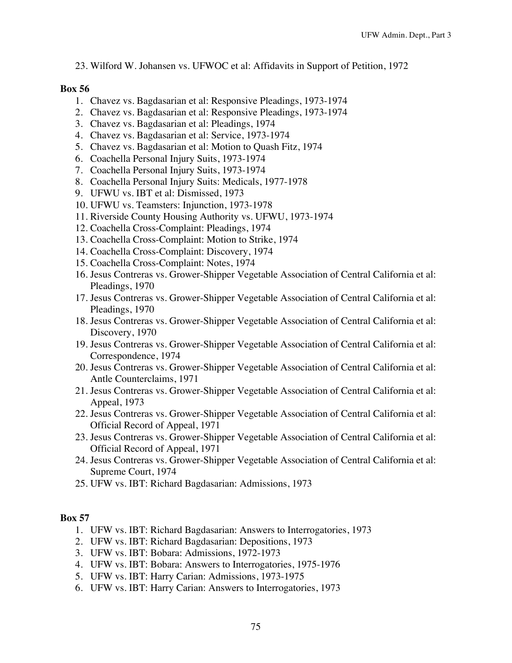23. Wilford W. Johansen vs. UFWOC et al: Affidavits in Support of Petition, 1972

## **Box 56**

- 1. Chavez vs. Bagdasarian et al: Responsive Pleadings, 1973-1974
- 2. Chavez vs. Bagdasarian et al: Responsive Pleadings, 1973-1974
- 3. Chavez vs. Bagdasarian et al: Pleadings, 1974
- 4. Chavez vs. Bagdasarian et al: Service, 1973-1974
- 5. Chavez vs. Bagdasarian et al: Motion to Quash Fitz, 1974
- 6. Coachella Personal Injury Suits, 1973-1974
- 7. Coachella Personal Injury Suits, 1973-1974
- 8. Coachella Personal Injury Suits: Medicals, 1977-1978
- 9. UFWU vs. IBT et al: Dismissed, 1973
- 10. UFWU vs. Teamsters: Injunction, 1973-1978
- 11. Riverside County Housing Authority vs. UFWU, 1973-1974
- 12. Coachella Cross-Complaint: Pleadings, 1974
- 13. Coachella Cross-Complaint: Motion to Strike, 1974
- 14. Coachella Cross-Complaint: Discovery, 1974
- 15. Coachella Cross-Complaint: Notes, 1974
- 16. Jesus Contreras vs. Grower-Shipper Vegetable Association of Central California et al: Pleadings, 1970
- 17. Jesus Contreras vs. Grower-Shipper Vegetable Association of Central California et al: Pleadings, 1970
- 18. Jesus Contreras vs. Grower-Shipper Vegetable Association of Central California et al: Discovery, 1970
- 19. Jesus Contreras vs. Grower-Shipper Vegetable Association of Central California et al: Correspondence, 1974
- 20. Jesus Contreras vs. Grower-Shipper Vegetable Association of Central California et al: Antle Counterclaims, 1971
- 21. Jesus Contreras vs. Grower-Shipper Vegetable Association of Central California et al: Appeal, 1973
- 22. Jesus Contreras vs. Grower-Shipper Vegetable Association of Central California et al: Official Record of Appeal, 1971
- 23. Jesus Contreras vs. Grower-Shipper Vegetable Association of Central California et al: Official Record of Appeal, 1971
- 24. Jesus Contreras vs. Grower-Shipper Vegetable Association of Central California et al: Supreme Court, 1974
- 25. UFW vs. IBT: Richard Bagdasarian: Admissions, 1973

- 1. UFW vs. IBT: Richard Bagdasarian: Answers to Interrogatories, 1973
- 2. UFW vs. IBT: Richard Bagdasarian: Depositions, 1973
- 3. UFW vs. IBT: Bobara: Admissions, 1972-1973
- 4. UFW vs. IBT: Bobara: Answers to Interrogatories, 1975-1976
- 5. UFW vs. IBT: Harry Carian: Admissions, 1973-1975
- 6. UFW vs. IBT: Harry Carian: Answers to Interrogatories, 1973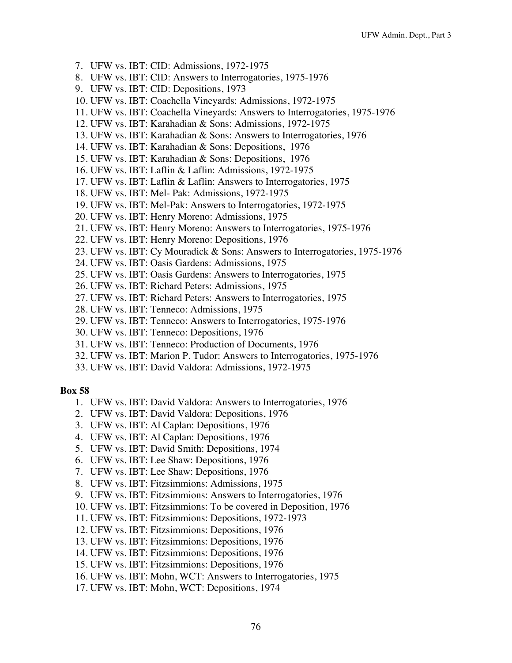- 7. UFW vs. IBT: CID: Admissions, 1972-1975
- 8. UFW vs. IBT: CID: Answers to Interrogatories, 1975-1976
- 9. UFW vs. IBT: CID: Depositions, 1973
- 10. UFW vs. IBT: Coachella Vineyards: Admissions, 1972-1975
- 11. UFW vs. IBT: Coachella Vineyards: Answers to Interrogatories, 1975-1976
- 12. UFW vs. IBT: Karahadian & Sons: Admissions, 1972-1975
- 13. UFW vs. IBT: Karahadian & Sons: Answers to Interrogatories, 1976
- 14. UFW vs. IBT: Karahadian & Sons: Depositions, 1976
- 15. UFW vs. IBT: Karahadian & Sons: Depositions, 1976
- 16. UFW vs. IBT: Laflin & Laflin: Admissions, 1972-1975
- 17. UFW vs. IBT: Laflin & Laflin: Answers to Interrogatories, 1975
- 18. UFW vs. IBT: Mel- Pak: Admissions, 1972-1975
- 19. UFW vs. IBT: Mel-Pak: Answers to Interrogatories, 1972-1975
- 20. UFW vs. IBT: Henry Moreno: Admissions, 1975
- 21. UFW vs. IBT: Henry Moreno: Answers to Interrogatories, 1975-1976
- 22. UFW vs. IBT: Henry Moreno: Depositions, 1976
- 23. UFW vs. IBT: Cy Mouradick & Sons: Answers to Interrogatories, 1975-1976
- 24. UFW vs. IBT: Oasis Gardens: Admissions, 1975
- 25. UFW vs. IBT: Oasis Gardens: Answers to Interrogatories, 1975
- 26. UFW vs. IBT: Richard Peters: Admissions, 1975
- 27. UFW vs. IBT: Richard Peters: Answers to Interrogatories, 1975
- 28. UFW vs. IBT: Tenneco: Admissions, 1975
- 29. UFW vs. IBT: Tenneco: Answers to Interrogatories, 1975-1976
- 30. UFW vs. IBT: Tenneco: Depositions, 1976
- 31. UFW vs. IBT: Tenneco: Production of Documents, 1976
- 32. UFW vs. IBT: Marion P. Tudor: Answers to Interrogatories, 1975-1976
- 33. UFW vs. IBT: David Valdora: Admissions, 1972-1975

- 1. UFW vs. IBT: David Valdora: Answers to Interrogatories, 1976
- 2. UFW vs. IBT: David Valdora: Depositions, 1976
- 3. UFW vs. IBT: Al Caplan: Depositions, 1976
- 4. UFW vs. IBT: Al Caplan: Depositions, 1976
- 5. UFW vs. IBT: David Smith: Depositions, 1974
- 6. UFW vs. IBT: Lee Shaw: Depositions, 1976
- 7. UFW vs. IBT: Lee Shaw: Depositions, 1976
- 8. UFW vs. IBT: Fitzsimmions: Admissions, 1975
- 9. UFW vs. IBT: Fitzsimmions: Answers to Interrogatories, 1976
- 10. UFW vs. IBT: Fitzsimmions: To be covered in Deposition, 1976
- 11. UFW vs. IBT: Fitzsimmions: Depositions, 1972-1973
- 12. UFW vs. IBT: Fitzsimmions: Depositions, 1976
- 13. UFW vs. IBT: Fitzsimmions: Depositions, 1976
- 14. UFW vs. IBT: Fitzsimmions: Depositions, 1976
- 15. UFW vs. IBT: Fitzsimmions: Depositions, 1976
- 16. UFW vs. IBT: Mohn, WCT: Answers to Interrogatories, 1975
- 17. UFW vs. IBT: Mohn, WCT: Depositions, 1974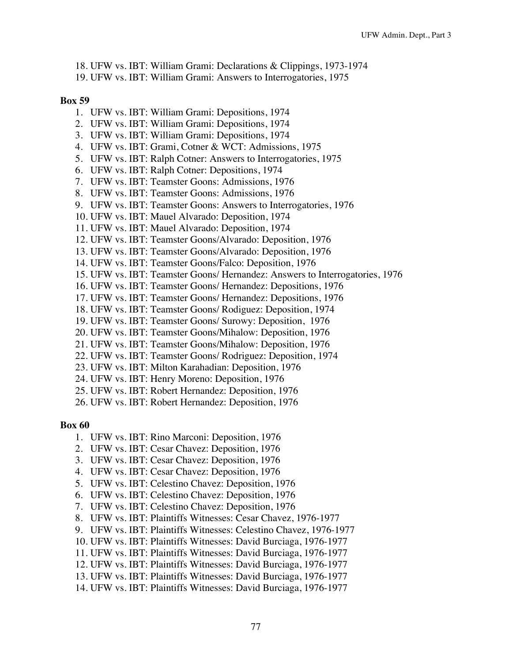- 18. UFW vs. IBT: William Grami: Declarations & Clippings, 1973-1974
- 19. UFW vs. IBT: William Grami: Answers to Interrogatories, 1975

- 1. UFW vs. IBT: William Grami: Depositions, 1974
- 2. UFW vs. IBT: William Grami: Depositions, 1974
- 3. UFW vs. IBT: William Grami: Depositions, 1974
- 4. UFW vs. IBT: Grami, Cotner & WCT: Admissions, 1975
- 5. UFW vs. IBT: Ralph Cotner: Answers to Interrogatories, 1975
- 6. UFW vs. IBT: Ralph Cotner: Depositions, 1974
- 7. UFW vs. IBT: Teamster Goons: Admissions, 1976
- 8. UFW vs. IBT: Teamster Goons: Admissions, 1976
- 9. UFW vs. IBT: Teamster Goons: Answers to Interrogatories, 1976
- 10. UFW vs. IBT: Mauel Alvarado: Deposition, 1974
- 11. UFW vs. IBT: Mauel Alvarado: Deposition, 1974
- 12. UFW vs. IBT: Teamster Goons/Alvarado: Deposition, 1976
- 13. UFW vs. IBT: Teamster Goons/Alvarado: Deposition, 1976
- 14. UFW vs. IBT: Teamster Goons/Falco: Deposition, 1976
- 15. UFW vs. IBT: Teamster Goons/ Hernandez: Answers to Interrogatories, 1976
- 16. UFW vs. IBT: Teamster Goons/ Hernandez: Depositions, 1976
- 17. UFW vs. IBT: Teamster Goons/ Hernandez: Depositions, 1976
- 18. UFW vs. IBT: Teamster Goons/ Rodiguez: Deposition, 1974
- 19. UFW vs. IBT: Teamster Goons/ Surowy: Deposition, 1976
- 20. UFW vs. IBT: Teamster Goons/Mihalow: Deposition, 1976
- 21. UFW vs. IBT: Teamster Goons/Mihalow: Deposition, 1976
- 22. UFW vs. IBT: Teamster Goons/ Rodriguez: Deposition, 1974
- 23. UFW vs. IBT: Milton Karahadian: Deposition, 1976
- 24. UFW vs. IBT: Henry Moreno: Deposition, 1976
- 25. UFW vs. IBT: Robert Hernandez: Deposition, 1976
- 26. UFW vs. IBT: Robert Hernandez: Deposition, 1976

- 1. UFW vs. IBT: Rino Marconi: Deposition, 1976
- 2. UFW vs. IBT: Cesar Chavez: Deposition, 1976
- 3. UFW vs. IBT: Cesar Chavez: Deposition, 1976
- 4. UFW vs. IBT: Cesar Chavez: Deposition, 1976
- 5. UFW vs. IBT: Celestino Chavez: Deposition, 1976
- 6. UFW vs. IBT: Celestino Chavez: Deposition, 1976
- 7. UFW vs. IBT: Celestino Chavez: Deposition, 1976
- 8. UFW vs. IBT: Plaintiffs Witnesses: Cesar Chavez, 1976-1977
- 9. UFW vs. IBT: Plaintiffs Witnesses: Celestino Chavez, 1976-1977
- 10. UFW vs. IBT: Plaintiffs Witnesses: David Burciaga, 1976-1977
- 11. UFW vs. IBT: Plaintiffs Witnesses: David Burciaga, 1976-1977
- 12. UFW vs. IBT: Plaintiffs Witnesses: David Burciaga, 1976-1977
- 13. UFW vs. IBT: Plaintiffs Witnesses: David Burciaga, 1976-1977
- 14. UFW vs. IBT: Plaintiffs Witnesses: David Burciaga, 1976-1977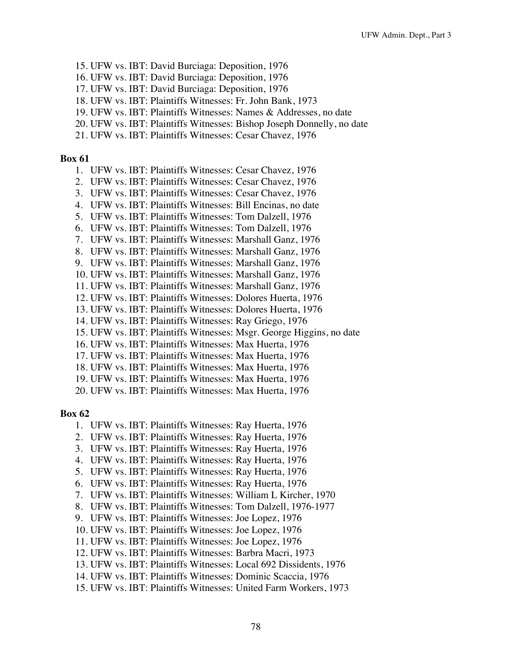- 15. UFW vs. IBT: David Burciaga: Deposition, 1976
- 16. UFW vs. IBT: David Burciaga: Deposition, 1976
- 17. UFW vs. IBT: David Burciaga: Deposition, 1976
- 18. UFW vs. IBT: Plaintiffs Witnesses: Fr. John Bank, 1973
- 19. UFW vs. IBT: Plaintiffs Witnesses: Names & Addresses, no date
- 20. UFW vs. IBT: Plaintiffs Witnesses: Bishop Joseph Donnelly, no date
- 21. UFW vs. IBT: Plaintiffs Witnesses: Cesar Chavez, 1976

- 1. UFW vs. IBT: Plaintiffs Witnesses: Cesar Chavez, 1976
- 2. UFW vs. IBT: Plaintiffs Witnesses: Cesar Chavez, 1976
- 3. UFW vs. IBT: Plaintiffs Witnesses: Cesar Chavez, 1976
- 4. UFW vs. IBT: Plaintiffs Witnesses: Bill Encinas, no date
- 5. UFW vs. IBT: Plaintiffs Witnesses: Tom Dalzell, 1976
- 6. UFW vs. IBT: Plaintiffs Witnesses: Tom Dalzell, 1976
- 7. UFW vs. IBT: Plaintiffs Witnesses: Marshall Ganz, 1976
- 8. UFW vs. IBT: Plaintiffs Witnesses: Marshall Ganz, 1976
- 9. UFW vs. IBT: Plaintiffs Witnesses: Marshall Ganz, 1976
- 10. UFW vs. IBT: Plaintiffs Witnesses: Marshall Ganz, 1976
- 11. UFW vs. IBT: Plaintiffs Witnesses: Marshall Ganz, 1976
- 12. UFW vs. IBT: Plaintiffs Witnesses: Dolores Huerta, 1976
- 13. UFW vs. IBT: Plaintiffs Witnesses: Dolores Huerta, 1976
- 14. UFW vs. IBT: Plaintiffs Witnesses: Ray Griego, 1976
- 15. UFW vs. IBT: Plaintiffs Witnesses: Msgr. George Higgins, no date
- 16. UFW vs. IBT: Plaintiffs Witnesses: Max Huerta, 1976
- 17. UFW vs. IBT: Plaintiffs Witnesses: Max Huerta, 1976
- 18. UFW vs. IBT: Plaintiffs Witnesses: Max Huerta, 1976
- 19. UFW vs. IBT: Plaintiffs Witnesses: Max Huerta, 1976
- 20. UFW vs. IBT: Plaintiffs Witnesses: Max Huerta, 1976

- 1. UFW vs. IBT: Plaintiffs Witnesses: Ray Huerta, 1976
- 2. UFW vs. IBT: Plaintiffs Witnesses: Ray Huerta, 1976
- 3. UFW vs. IBT: Plaintiffs Witnesses: Ray Huerta, 1976
- 4. UFW vs. IBT: Plaintiffs Witnesses: Ray Huerta, 1976
- 5. UFW vs. IBT: Plaintiffs Witnesses: Ray Huerta, 1976
- 6. UFW vs. IBT: Plaintiffs Witnesses: Ray Huerta, 1976
- 7. UFW vs. IBT: Plaintiffs Witnesses: William L Kircher, 1970
- 8. UFW vs. IBT: Plaintiffs Witnesses: Tom Dalzell, 1976-1977
- 9. UFW vs. IBT: Plaintiffs Witnesses: Joe Lopez, 1976
- 10. UFW vs. IBT: Plaintiffs Witnesses: Joe Lopez, 1976
- 11. UFW vs. IBT: Plaintiffs Witnesses: Joe Lopez, 1976
- 12. UFW vs. IBT: Plaintiffs Witnesses: Barbra Macri, 1973
- 13. UFW vs. IBT: Plaintiffs Witnesses: Local 692 Dissidents, 1976
- 14. UFW vs. IBT: Plaintiffs Witnesses: Dominic Scaccia, 1976
- 15. UFW vs. IBT: Plaintiffs Witnesses: United Farm Workers, 1973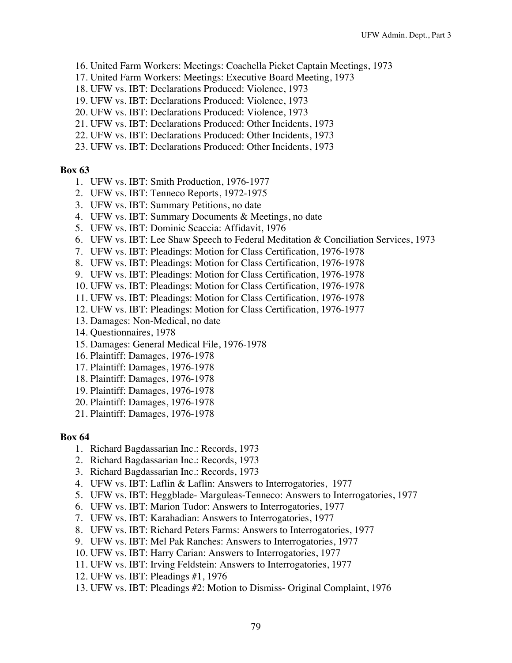- 16. United Farm Workers: Meetings: Coachella Picket Captain Meetings, 1973
- 17. United Farm Workers: Meetings: Executive Board Meeting, 1973
- 18. UFW vs. IBT: Declarations Produced: Violence, 1973
- 19. UFW vs. IBT: Declarations Produced: Violence, 1973
- 20. UFW vs. IBT: Declarations Produced: Violence, 1973
- 21. UFW vs. IBT: Declarations Produced: Other Incidents, 1973
- 22. UFW vs. IBT: Declarations Produced: Other Incidents, 1973
- 23. UFW vs. IBT: Declarations Produced: Other Incidents, 1973

- 1. UFW vs. IBT: Smith Production, 1976-1977
- 2. UFW vs. IBT: Tenneco Reports, 1972-1975
- 3. UFW vs. IBT: Summary Petitions, no date
- 4. UFW vs. IBT: Summary Documents & Meetings, no date
- 5. UFW vs. IBT: Dominic Scaccia: Affidavit, 1976
- 6. UFW vs. IBT: Lee Shaw Speech to Federal Meditation & Conciliation Services, 1973
- 7. UFW vs. IBT: Pleadings: Motion for Class Certification, 1976-1978
- 8. UFW vs. IBT: Pleadings: Motion for Class Certification, 1976-1978
- 9. UFW vs. IBT: Pleadings: Motion for Class Certification, 1976-1978
- 10. UFW vs. IBT: Pleadings: Motion for Class Certification, 1976-1978
- 11. UFW vs. IBT: Pleadings: Motion for Class Certification, 1976-1978
- 12. UFW vs. IBT: Pleadings: Motion for Class Certification, 1976-1977
- 13. Damages: Non-Medical, no date
- 14. Questionnaires, 1978
- 15. Damages: General Medical File, 1976-1978
- 16. Plaintiff: Damages, 1976-1978
- 17. Plaintiff: Damages, 1976-1978
- 18. Plaintiff: Damages, 1976-1978
- 19. Plaintiff: Damages, 1976-1978
- 20. Plaintiff: Damages, 1976-1978
- 21. Plaintiff: Damages, 1976-1978

- 1. Richard Bagdassarian Inc.: Records, 1973
- 2. Richard Bagdassarian Inc.: Records, 1973
- 3. Richard Bagdassarian Inc.: Records, 1973
- 4. UFW vs. IBT: Laflin & Laflin: Answers to Interrogatories, 1977
- 5. UFW vs. IBT: Heggblade- Marguleas-Tenneco: Answers to Interrogatories, 1977
- 6. UFW vs. IBT: Marion Tudor: Answers to Interrogatories, 1977
- 7. UFW vs. IBT: Karahadian: Answers to Interrogatories, 1977
- 8. UFW vs. IBT: Richard Peters Farms: Answers to Interrogatories, 1977
- 9. UFW vs. IBT: Mel Pak Ranches: Answers to Interrogatories, 1977
- 10. UFW vs. IBT: Harry Carian: Answers to Interrogatories, 1977
- 11. UFW vs. IBT: Irving Feldstein: Answers to Interrogatories, 1977
- 12. UFW vs. IBT: Pleadings #1, 1976
- 13. UFW vs. IBT: Pleadings #2: Motion to Dismiss- Original Complaint, 1976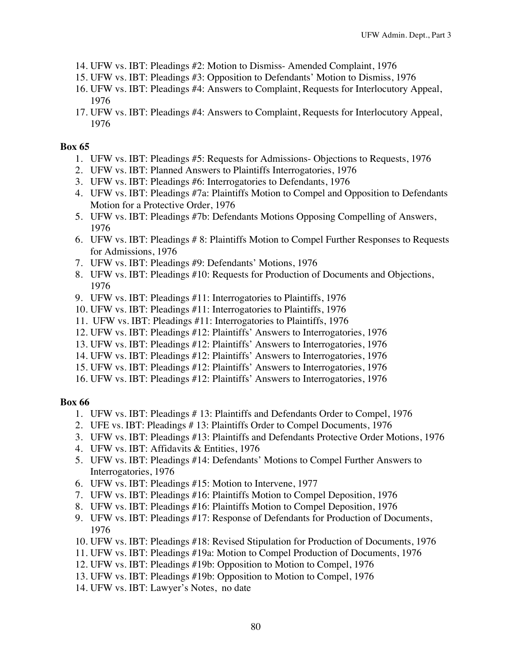- 14. UFW vs. IBT: Pleadings #2: Motion to Dismiss- Amended Complaint, 1976
- 15. UFW vs. IBT: Pleadings #3: Opposition to Defendants' Motion to Dismiss, 1976
- 16. UFW vs. IBT: Pleadings #4: Answers to Complaint, Requests for Interlocutory Appeal, 1976
- 17. UFW vs. IBT: Pleadings #4: Answers to Complaint, Requests for Interlocutory Appeal, 1976

- 1. UFW vs. IBT: Pleadings #5: Requests for Admissions- Objections to Requests, 1976
- 2. UFW vs. IBT: Planned Answers to Plaintiffs Interrogatories, 1976
- 3. UFW vs. IBT: Pleadings #6: Interrogatories to Defendants, 1976
- 4. UFW vs. IBT: Pleadings #7a: Plaintiffs Motion to Compel and Opposition to Defendants Motion for a Protective Order, 1976
- 5. UFW vs. IBT: Pleadings #7b: Defendants Motions Opposing Compelling of Answers, 1976
- 6. UFW vs. IBT: Pleadings # 8: Plaintiffs Motion to Compel Further Responses to Requests for Admissions, 1976
- 7. UFW vs. IBT: Pleadings #9: Defendants' Motions, 1976
- 8. UFW vs. IBT: Pleadings #10: Requests for Production of Documents and Objections, 1976
- 9. UFW vs. IBT: Pleadings #11: Interrogatories to Plaintiffs, 1976
- 10. UFW vs. IBT: Pleadings #11: Interrogatories to Plaintiffs, 1976
- 11. UFW vs. IBT: Pleadings #11: Interrogatories to Plaintiffs, 1976
- 12. UFW vs. IBT: Pleadings #12: Plaintiffs' Answers to Interrogatories, 1976
- 13. UFW vs. IBT: Pleadings #12: Plaintiffs' Answers to Interrogatories, 1976
- 14. UFW vs. IBT: Pleadings #12: Plaintiffs' Answers to Interrogatories, 1976
- 15. UFW vs. IBT: Pleadings #12: Plaintiffs' Answers to Interrogatories, 1976
- 16. UFW vs. IBT: Pleadings #12: Plaintiffs' Answers to Interrogatories, 1976

- 1. UFW vs. IBT: Pleadings # 13: Plaintiffs and Defendants Order to Compel, 1976
- 2. UFE vs. IBT: Pleadings # 13: Plaintiffs Order to Compel Documents, 1976
- 3. UFW vs. IBT: Pleadings #13: Plaintiffs and Defendants Protective Order Motions, 1976
- 4. UFW vs. IBT: Affidavits & Entities, 1976
- 5. UFW vs. IBT: Pleadings #14: Defendants' Motions to Compel Further Answers to Interrogatories, 1976
- 6. UFW vs. IBT: Pleadings #15: Motion to Intervene, 1977
- 7. UFW vs. IBT: Pleadings #16: Plaintiffs Motion to Compel Deposition, 1976
- 8. UFW vs. IBT: Pleadings #16: Plaintiffs Motion to Compel Deposition, 1976
- 9. UFW vs. IBT: Pleadings #17: Response of Defendants for Production of Documents, 1976
- 10. UFW vs. IBT: Pleadings #18: Revised Stipulation for Production of Documents, 1976
- 11. UFW vs. IBT: Pleadings #19a: Motion to Compel Production of Documents, 1976
- 12. UFW vs. IBT: Pleadings #19b: Opposition to Motion to Compel, 1976
- 13. UFW vs. IBT: Pleadings #19b: Opposition to Motion to Compel, 1976
- 14. UFW vs. IBT: Lawyer's Notes, no date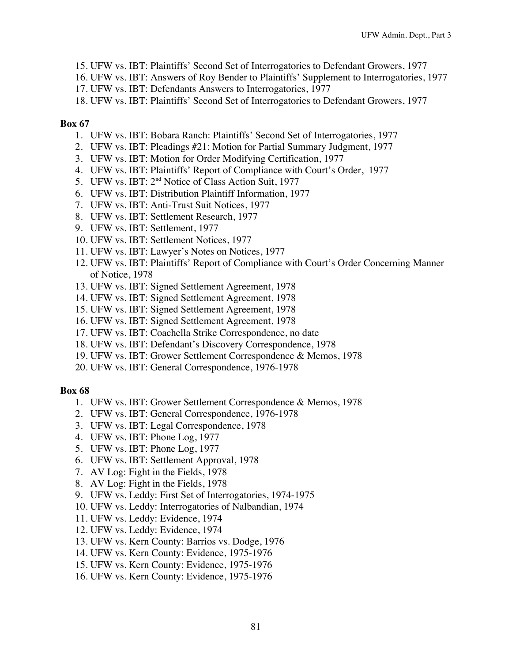- 15. UFW vs. IBT: Plaintiffs' Second Set of Interrogatories to Defendant Growers, 1977
- 16. UFW vs. IBT: Answers of Roy Bender to Plaintiffs' Supplement to Interrogatories, 1977
- 17. UFW vs. IBT: Defendants Answers to Interrogatories, 1977
- 18. UFW vs. IBT: Plaintiffs' Second Set of Interrogatories to Defendant Growers, 1977

- 1. UFW vs. IBT: Bobara Ranch: Plaintiffs' Second Set of Interrogatories, 1977
- 2. UFW vs. IBT: Pleadings #21: Motion for Partial Summary Judgment, 1977
- 3. UFW vs. IBT: Motion for Order Modifying Certification, 1977
- 4. UFW vs. IBT: Plaintiffs' Report of Compliance with Court's Order, 1977
- 5. UFW vs. IBT: 2nd Notice of Class Action Suit, 1977
- 6. UFW vs. IBT: Distribution Plaintiff Information, 1977
- 7. UFW vs. IBT: Anti-Trust Suit Notices, 1977
- 8. UFW vs. IBT: Settlement Research, 1977
- 9. UFW vs. IBT: Settlement, 1977
- 10. UFW vs. IBT: Settlement Notices, 1977
- 11. UFW vs. IBT: Lawyer's Notes on Notices, 1977
- 12. UFW vs. IBT: Plaintiffs' Report of Compliance with Court's Order Concerning Manner of Notice, 1978
- 13. UFW vs. IBT: Signed Settlement Agreement, 1978
- 14. UFW vs. IBT: Signed Settlement Agreement, 1978
- 15. UFW vs. IBT: Signed Settlement Agreement, 1978
- 16. UFW vs. IBT: Signed Settlement Agreement, 1978
- 17. UFW vs. IBT: Coachella Strike Correspondence, no date
- 18. UFW vs. IBT: Defendant's Discovery Correspondence, 1978
- 19. UFW vs. IBT: Grower Settlement Correspondence & Memos, 1978
- 20. UFW vs. IBT: General Correspondence, 1976-1978

- 1. UFW vs. IBT: Grower Settlement Correspondence & Memos, 1978
- 2. UFW vs. IBT: General Correspondence, 1976-1978
- 3. UFW vs. IBT: Legal Correspondence, 1978
- 4. UFW vs. IBT: Phone Log, 1977
- 5. UFW vs. IBT: Phone Log, 1977
- 6. UFW vs. IBT: Settlement Approval, 1978
- 7. AV Log: Fight in the Fields, 1978
- 8. AV Log: Fight in the Fields, 1978
- 9. UFW vs. Leddy: First Set of Interrogatories, 1974-1975
- 10. UFW vs. Leddy: Interrogatories of Nalbandian, 1974
- 11. UFW vs. Leddy: Evidence, 1974
- 12. UFW vs. Leddy: Evidence, 1974
- 13. UFW vs. Kern County: Barrios vs. Dodge, 1976
- 14. UFW vs. Kern County: Evidence, 1975-1976
- 15. UFW vs. Kern County: Evidence, 1975-1976
- 16. UFW vs. Kern County: Evidence, 1975-1976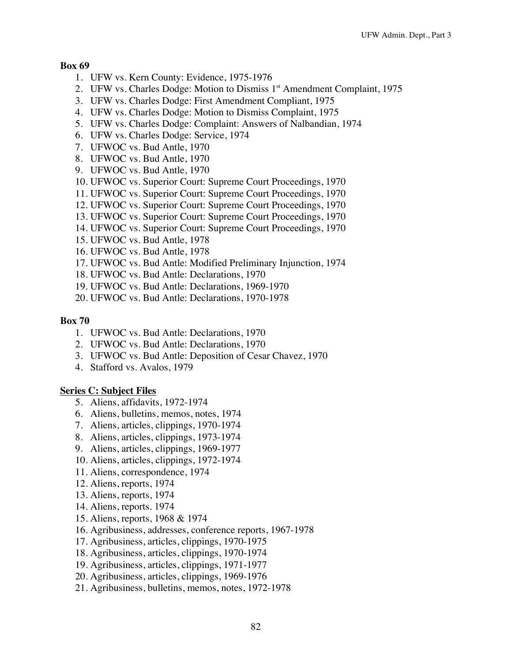- 1. UFW vs. Kern County: Evidence, 1975-1976
- 2. UFW vs. Charles Dodge: Motion to Dismiss 1<sup>st</sup> Amendment Complaint, 1975
- 3. UFW vs. Charles Dodge: First Amendment Compliant, 1975
- 4. UFW vs. Charles Dodge: Motion to Dismiss Complaint, 1975
- 5. UFW vs. Charles Dodge: Complaint: Answers of Nalbandian, 1974
- 6. UFW vs. Charles Dodge: Service, 1974
- 7. UFWOC vs. Bud Antle, 1970
- 8. UFWOC vs. Bud Antle, 1970
- 9. UFWOC vs. Bud Antle, 1970
- 10. UFWOC vs. Superior Court: Supreme Court Proceedings, 1970
- 11. UFWOC vs. Superior Court: Supreme Court Proceedings, 1970
- 12. UFWOC vs. Superior Court: Supreme Court Proceedings, 1970
- 13. UFWOC vs. Superior Court: Supreme Court Proceedings, 1970
- 14. UFWOC vs. Superior Court: Supreme Court Proceedings, 1970
- 15. UFWOC vs. Bud Antle, 1978
- 16. UFWOC vs. Bud Antle, 1978
- 17. UFWOC vs. Bud Antle: Modified Preliminary Injunction, 1974
- 18. UFWOC vs. Bud Antle: Declarations, 1970
- 19. UFWOC vs. Bud Antle: Declarations, 1969-1970
- 20. UFWOC vs. Bud Antle: Declarations, 1970-1978

### **Box 70**

- 1. UFWOC vs. Bud Antle: Declarations, 1970
- 2. UFWOC vs. Bud Antle: Declarations, 1970
- 3. UFWOC vs. Bud Antle: Deposition of Cesar Chavez, 1970
- 4. Stafford vs. Avalos, 1979

## **Series C: Subject Files**

- 5. Aliens, affidavits, 1972-1974
- 6. Aliens, bulletins, memos, notes, 1974
- 7. Aliens, articles, clippings, 1970-1974
- 8. Aliens, articles, clippings, 1973-1974
- 9. Aliens, articles, clippings, 1969-1977
- 10. Aliens, articles, clippings, 1972-1974
- 11. Aliens, correspondence, 1974
- 12. Aliens, reports, 1974
- 13. Aliens, reports, 1974
- 14. Aliens, reports. 1974
- 15. Aliens, reports, 1968 & 1974
- 16. Agribusiness, addresses, conference reports, 1967-1978
- 17. Agribusiness, articles, clippings, 1970-1975
- 18. Agribusiness, articles, clippings, 1970-1974
- 19. Agribusiness, articles, clippings, 1971-1977
- 20. Agribusiness, articles, clippings, 1969-1976
- 21. Agribusiness, bulletins, memos, notes, 1972-1978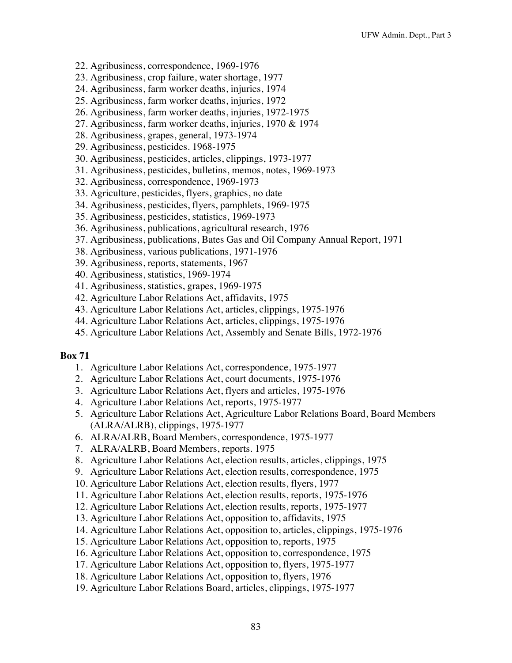- 22. Agribusiness, correspondence, 1969-1976
- 23. Agribusiness, crop failure, water shortage, 1977
- 24. Agribusiness, farm worker deaths, injuries, 1974
- 25. Agribusiness, farm worker deaths, injuries, 1972
- 26. Agribusiness, farm worker deaths, injuries, 1972-1975
- 27. Agribusiness, farm worker deaths, injuries, 1970 & 1974
- 28. Agribusiness, grapes, general, 1973-1974
- 29. Agribusiness, pesticides. 1968-1975
- 30. Agribusiness, pesticides, articles, clippings, 1973-1977
- 31. Agribusiness, pesticides, bulletins, memos, notes, 1969-1973
- 32. Agribusiness, correspondence, 1969-1973
- 33. Agriculture, pesticides, flyers, graphics, no date
- 34. Agribusiness, pesticides, flyers, pamphlets, 1969-1975
- 35. Agribusiness, pesticides, statistics, 1969-1973
- 36. Agribusiness, publications, agricultural research, 1976
- 37. Agribusiness, publications, Bates Gas and Oil Company Annual Report, 1971
- 38. Agribusiness, various publications, 1971-1976
- 39. Agribusiness, reports, statements, 1967
- 40. Agribusiness, statistics, 1969-1974
- 41. Agribusiness, statistics, grapes, 1969-1975
- 42. Agriculture Labor Relations Act, affidavits, 1975
- 43. Agriculture Labor Relations Act, articles, clippings, 1975-1976
- 44. Agriculture Labor Relations Act, articles, clippings, 1975-1976
- 45. Agriculture Labor Relations Act, Assembly and Senate Bills, 1972-1976

- 1. Agriculture Labor Relations Act, correspondence, 1975-1977
- 2. Agriculture Labor Relations Act, court documents, 1975-1976
- 3. Agriculture Labor Relations Act, flyers and articles, 1975-1976
- 4. Agriculture Labor Relations Act, reports, 1975-1977
- 5. Agriculture Labor Relations Act, Agriculture Labor Relations Board, Board Members (ALRA/ALRB), clippings, 1975-1977
- 6. ALRA/ALRB, Board Members, correspondence, 1975-1977
- 7. ALRA/ALRB, Board Members, reports. 1975
- 8. Agriculture Labor Relations Act, election results, articles, clippings, 1975
- 9. Agriculture Labor Relations Act, election results, correspondence, 1975
- 10. Agriculture Labor Relations Act, election results, flyers, 1977
- 11. Agriculture Labor Relations Act, election results, reports, 1975-1976
- 12. Agriculture Labor Relations Act, election results, reports, 1975-1977
- 13. Agriculture Labor Relations Act, opposition to, affidavits, 1975
- 14. Agriculture Labor Relations Act, opposition to, articles, clippings, 1975-1976
- 15. Agriculture Labor Relations Act, opposition to, reports, 1975
- 16. Agriculture Labor Relations Act, opposition to, correspondence, 1975
- 17. Agriculture Labor Relations Act, opposition to, flyers, 1975-1977
- 18. Agriculture Labor Relations Act, opposition to, flyers, 1976
- 19. Agriculture Labor Relations Board, articles, clippings, 1975-1977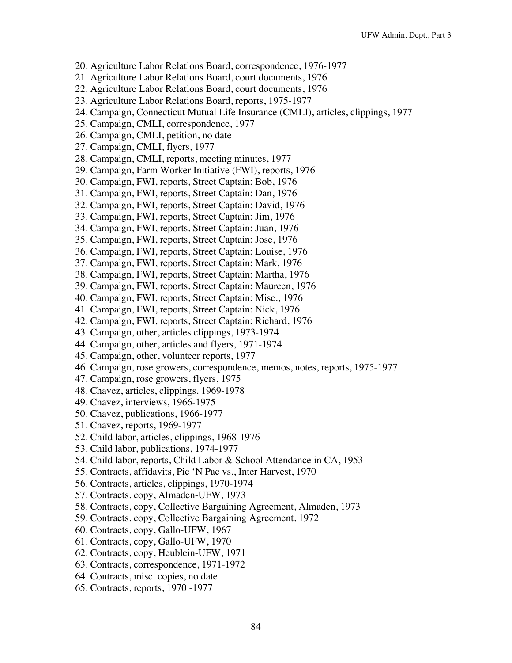- 20. Agriculture Labor Relations Board, correspondence, 1976-1977
- 21. Agriculture Labor Relations Board, court documents, 1976
- 22. Agriculture Labor Relations Board, court documents, 1976
- 23. Agriculture Labor Relations Board, reports, 1975-1977
- 24. Campaign, Connecticut Mutual Life Insurance (CMLI), articles, clippings, 1977
- 25. Campaign, CMLI, correspondence, 1977
- 26. Campaign, CMLI, petition, no date
- 27. Campaign, CMLI, flyers, 1977
- 28. Campaign, CMLI, reports, meeting minutes, 1977
- 29. Campaign, Farm Worker Initiative (FWI), reports, 1976
- 30. Campaign, FWI, reports, Street Captain: Bob, 1976
- 31. Campaign, FWI, reports, Street Captain: Dan, 1976
- 32. Campaign, FWI, reports, Street Captain: David, 1976
- 33. Campaign, FWI, reports, Street Captain: Jim, 1976
- 34. Campaign, FWI, reports, Street Captain: Juan, 1976
- 35. Campaign, FWI, reports, Street Captain: Jose, 1976
- 36. Campaign, FWI, reports, Street Captain: Louise, 1976
- 37. Campaign, FWI, reports, Street Captain: Mark, 1976
- 38. Campaign, FWI, reports, Street Captain: Martha, 1976
- 39. Campaign, FWI, reports, Street Captain: Maureen, 1976
- 40. Campaign, FWI, reports, Street Captain: Misc., 1976
- 41. Campaign, FWI, reports, Street Captain: Nick, 1976
- 42. Campaign, FWI, reports, Street Captain: Richard, 1976
- 43. Campaign, other, articles clippings, 1973-1974
- 44. Campaign, other, articles and flyers, 1971-1974
- 45. Campaign, other, volunteer reports, 1977
- 46. Campaign, rose growers, correspondence, memos, notes, reports, 1975-1977
- 47. Campaign, rose growers, flyers, 1975
- 48. Chavez, articles, clippings. 1969-1978
- 49. Chavez, interviews, 1966-1975
- 50. Chavez, publications, 1966-1977
- 51. Chavez, reports, 1969-1977
- 52. Child labor, articles, clippings, 1968-1976
- 53. Child labor, publications, 1974-1977
- 54. Child labor, reports, Child Labor & School Attendance in CA, 1953
- 55. Contracts, affidavits, Pic 'N Pac vs., Inter Harvest, 1970
- 56. Contracts, articles, clippings, 1970-1974
- 57. Contracts, copy, Almaden-UFW, 1973
- 58. Contracts, copy, Collective Bargaining Agreement, Almaden, 1973
- 59. Contracts, copy, Collective Bargaining Agreement, 1972
- 60. Contracts, copy, Gallo-UFW, 1967
- 61. Contracts, copy, Gallo-UFW, 1970
- 62. Contracts, copy, Heublein-UFW, 1971
- 63. Contracts, correspondence, 1971-1972
- 64. Contracts, misc. copies, no date
- 65. Contracts, reports, 1970 -1977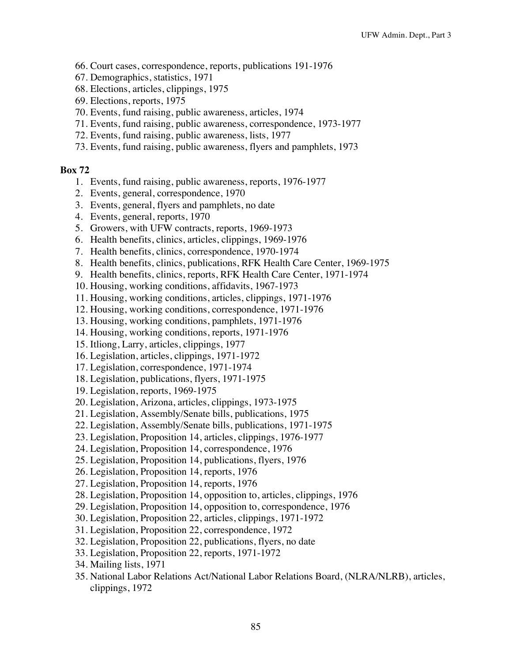- 66. Court cases, correspondence, reports, publications 191-1976
- 67. Demographics, statistics, 1971
- 68. Elections, articles, clippings, 1975
- 69. Elections, reports, 1975
- 70. Events, fund raising, public awareness, articles, 1974
- 71. Events, fund raising, public awareness, correspondence, 1973-1977
- 72. Events, fund raising, public awareness, lists, 1977
- 73. Events, fund raising, public awareness, flyers and pamphlets, 1973

- 1. Events, fund raising, public awareness, reports, 1976-1977
- 2. Events, general, correspondence, 1970
- 3. Events, general, flyers and pamphlets, no date
- 4. Events, general, reports, 1970
- 5. Growers, with UFW contracts, reports, 1969-1973
- 6. Health benefits, clinics, articles, clippings, 1969-1976
- 7. Health benefits, clinics, correspondence, 1970-1974
- 8. Health benefits, clinics, publications, RFK Health Care Center, 1969-1975
- 9. Health benefits, clinics, reports, RFK Health Care Center, 1971-1974
- 10. Housing, working conditions, affidavits, 1967-1973
- 11. Housing, working conditions, articles, clippings, 1971-1976
- 12. Housing, working conditions, correspondence, 1971-1976
- 13. Housing, working conditions, pamphlets, 1971-1976
- 14. Housing, working conditions, reports, 1971-1976
- 15. Itliong, Larry, articles, clippings, 1977
- 16. Legislation, articles, clippings, 1971-1972
- 17. Legislation, correspondence, 1971-1974
- 18. Legislation, publications, flyers, 1971-1975
- 19. Legislation, reports, 1969-1975
- 20. Legislation, Arizona, articles, clippings, 1973-1975
- 21. Legislation, Assembly/Senate bills, publications, 1975
- 22. Legislation, Assembly/Senate bills, publications, 1971-1975
- 23. Legislation, Proposition 14, articles, clippings, 1976-1977
- 24. Legislation, Proposition 14, correspondence, 1976
- 25. Legislation, Proposition 14, publications, flyers, 1976
- 26. Legislation, Proposition 14, reports, 1976
- 27. Legislation, Proposition 14, reports, 1976
- 28. Legislation, Proposition 14, opposition to, articles, clippings, 1976
- 29. Legislation, Proposition 14, opposition to, correspondence, 1976
- 30. Legislation, Proposition 22, articles, clippings, 1971-1972
- 31. Legislation, Proposition 22, correspondence, 1972
- 32. Legislation, Proposition 22, publications, flyers, no date
- 33. Legislation, Proposition 22, reports, 1971-1972
- 34. Mailing lists, 1971
- 35. National Labor Relations Act/National Labor Relations Board, (NLRA/NLRB), articles, clippings, 1972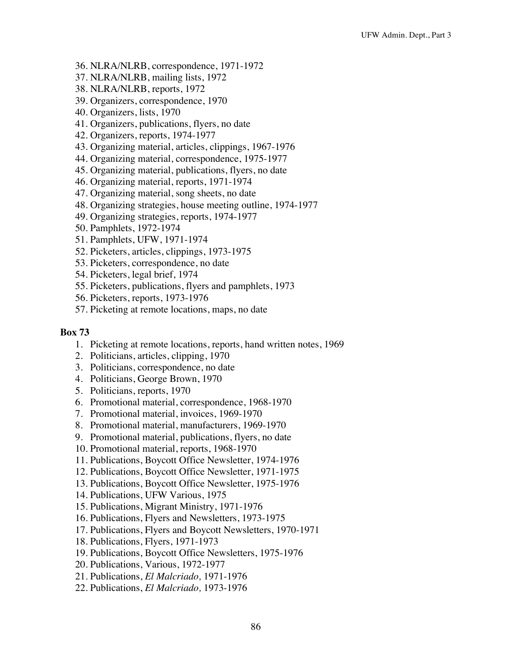- 36. NLRA/NLRB, correspondence, 1971-1972
- 37. NLRA/NLRB, mailing lists, 1972
- 38. NLRA/NLRB, reports, 1972
- 39. Organizers, correspondence, 1970
- 40. Organizers, lists, 1970
- 41. Organizers, publications, flyers, no date
- 42. Organizers, reports, 1974-1977
- 43. Organizing material, articles, clippings, 1967-1976
- 44. Organizing material, correspondence, 1975-1977
- 45. Organizing material, publications, flyers, no date
- 46. Organizing material, reports, 1971-1974
- 47. Organizing material, song sheets, no date
- 48. Organizing strategies, house meeting outline, 1974-1977
- 49. Organizing strategies, reports, 1974-1977
- 50. Pamphlets, 1972-1974
- 51. Pamphlets, UFW, 1971-1974
- 52. Picketers, articles, clippings, 1973-1975
- 53. Picketers, correspondence, no date
- 54. Picketers, legal brief, 1974
- 55. Picketers, publications, flyers and pamphlets, 1973
- 56. Picketers, reports, 1973-1976
- 57. Picketing at remote locations, maps, no date

- 1. Picketing at remote locations, reports, hand written notes, 1969
- 2. Politicians, articles, clipping, 1970
- 3. Politicians, correspondence, no date
- 4. Politicians, George Brown, 1970
- 5. Politicians, reports, 1970
- 6. Promotional material, correspondence, 1968-1970
- 7. Promotional material, invoices, 1969-1970
- 8. Promotional material, manufacturers, 1969-1970
- 9. Promotional material, publications, flyers, no date
- 10. Promotional material, reports, 1968-1970
- 11. Publications, Boycott Office Newsletter, 1974-1976
- 12. Publications, Boycott Office Newsletter, 1971-1975
- 13. Publications, Boycott Office Newsletter, 1975-1976
- 14. Publications, UFW Various, 1975
- 15. Publications, Migrant Ministry, 1971-1976
- 16. Publications, Flyers and Newsletters, 1973-1975
- 17. Publications, Flyers and Boycott Newsletters, 1970-1971
- 18. Publications, Flyers, 1971-1973
- 19. Publications, Boycott Office Newsletters, 1975-1976
- 20. Publications, Various, 1972-1977
- 21. Publications, *El Malcriado,* 1971-1976
- 22. Publications, *El Malcriado,* 1973-1976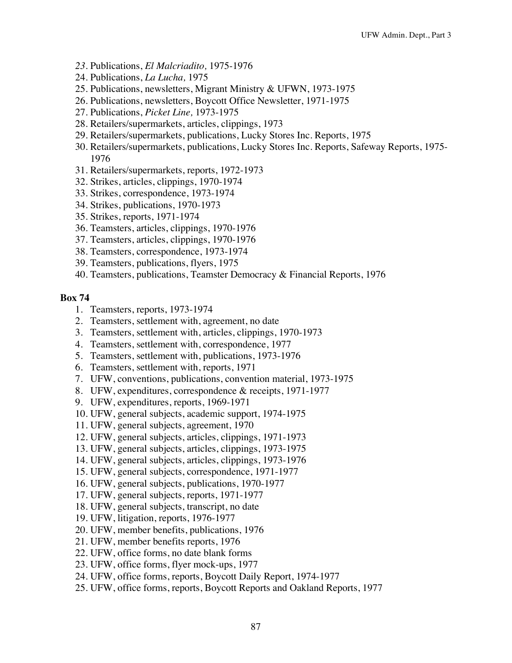- *23.* Publications, *El Malcriadito,* 1975-1976
- 24. Publications, *La Lucha,* 1975
- 25. Publications, newsletters, Migrant Ministry & UFWN, 1973-1975
- 26. Publications, newsletters, Boycott Office Newsletter, 1971-1975
- 27. Publications, *Picket Line,* 1973-1975
- 28. Retailers/supermarkets, articles, clippings, 1973
- 29. Retailers/supermarkets, publications, Lucky Stores Inc. Reports, 1975
- 30. Retailers/supermarkets, publications, Lucky Stores Inc. Reports, Safeway Reports, 1975- 1976
- 31. Retailers/supermarkets, reports, 1972-1973
- 32. Strikes, articles, clippings, 1970-1974
- 33. Strikes, correspondence, 1973-1974
- 34. Strikes, publications, 1970-1973
- 35. Strikes, reports, 1971-1974
- 36. Teamsters, articles, clippings, 1970-1976
- 37. Teamsters, articles, clippings, 1970-1976
- 38. Teamsters, correspondence, 1973-1974
- 39. Teamsters, publications, flyers, 1975
- 40. Teamsters, publications, Teamster Democracy & Financial Reports, 1976

- 1. Teamsters, reports, 1973-1974
- 2. Teamsters, settlement with, agreement, no date
- 3. Teamsters, settlement with, articles, clippings, 1970-1973
- 4. Teamsters, settlement with, correspondence, 1977
- 5. Teamsters, settlement with, publications, 1973-1976
- 6. Teamsters, settlement with, reports, 1971
- 7. UFW, conventions, publications, convention material, 1973-1975
- 8. UFW, expenditures, correspondence & receipts, 1971-1977
- 9. UFW, expenditures, reports, 1969-1971
- 10. UFW, general subjects, academic support, 1974-1975
- 11. UFW, general subjects, agreement, 1970
- 12. UFW, general subjects, articles, clippings, 1971-1973
- 13. UFW, general subjects, articles, clippings, 1973-1975
- 14. UFW, general subjects, articles, clippings, 1973-1976
- 15. UFW, general subjects, correspondence, 1971-1977
- 16. UFW, general subjects, publications, 1970-1977
- 17. UFW, general subjects, reports, 1971-1977
- 18. UFW, general subjects, transcript, no date
- 19. UFW, litigation, reports, 1976-1977
- 20. UFW, member benefits, publications, 1976
- 21. UFW, member benefits reports, 1976
- 22. UFW, office forms, no date blank forms
- 23. UFW, office forms, flyer mock-ups, 1977
- 24. UFW, office forms, reports, Boycott Daily Report, 1974-1977
- 25. UFW, office forms, reports, Boycott Reports and Oakland Reports, 1977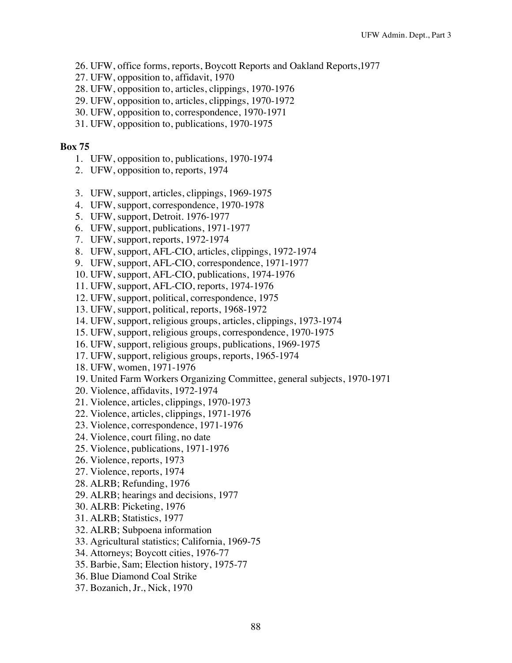- 26. UFW, office forms, reports, Boycott Reports and Oakland Reports,1977
- 27. UFW, opposition to, affidavit, 1970
- 28. UFW, opposition to, articles, clippings, 1970-1976
- 29. UFW, opposition to, articles, clippings, 1970-1972
- 30. UFW, opposition to, correspondence, 1970-1971
- 31. UFW, opposition to, publications, 1970-1975

- 1. UFW, opposition to, publications, 1970-1974
- 2. UFW, opposition to, reports, 1974
- 3. UFW, support, articles, clippings, 1969-1975
- 4. UFW, support, correspondence, 1970-1978
- 5. UFW, support, Detroit. 1976-1977
- 6. UFW, support, publications, 1971-1977
- 7. UFW, support, reports, 1972-1974
- 8. UFW, support, AFL-CIO, articles, clippings, 1972-1974
- 9. UFW, support, AFL-CIO, correspondence, 1971-1977
- 10. UFW, support, AFL-CIO, publications, 1974-1976
- 11. UFW, support, AFL-CIO, reports, 1974-1976
- 12. UFW, support, political, correspondence, 1975
- 13. UFW, support, political, reports, 1968-1972
- 14. UFW, support, religious groups, articles, clippings, 1973-1974
- 15. UFW, support, religious groups, correspondence, 1970-1975
- 16. UFW, support, religious groups, publications, 1969-1975
- 17. UFW, support, religious groups, reports, 1965-1974
- 18. UFW, women, 1971-1976
- 19. United Farm Workers Organizing Committee, general subjects, 1970-1971
- 20. Violence, affidavits, 1972-1974
- 21. Violence, articles, clippings, 1970-1973
- 22. Violence, articles, clippings, 1971-1976
- 23. Violence, correspondence, 1971-1976
- 24. Violence, court filing, no date
- 25. Violence, publications, 1971-1976
- 26. Violence, reports, 1973
- 27. Violence, reports, 1974
- 28. ALRB; Refunding, 1976
- 29. ALRB; hearings and decisions, 1977
- 30. ALRB: Picketing, 1976
- 31. ALRB; Statistics, 1977
- 32. ALRB; Subpoena information
- 33. Agricultural statistics; California, 1969-75
- 34. Attorneys; Boycott cities, 1976-77
- 35. Barbie, Sam; Election history, 1975-77
- 36. Blue Diamond Coal Strike
- 37. Bozanich, Jr., Nick, 1970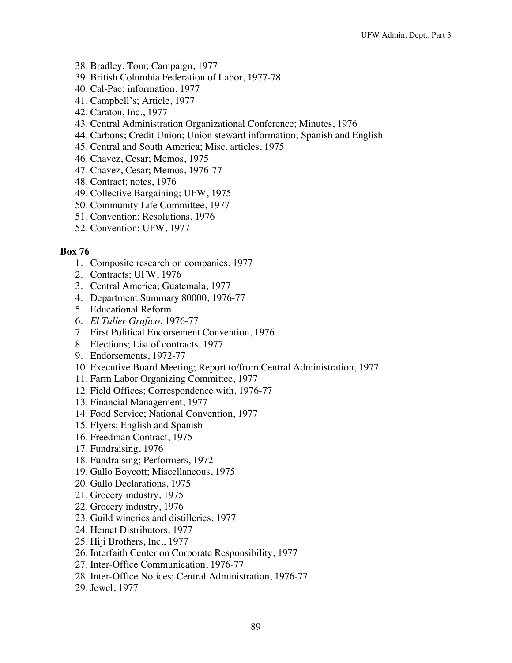- 38. Bradley, Tom; Campaign, 1977
- 39. British Columbia Federation of Labor, 1977-78
- 40. Cal-Pac; information, 1977
- 41. Campbell's; Article, 1977
- 42. Caraton, Inc., 1977
- 43. Central Administration Organizational Conference; Minutes, 1976
- 44. Carbons; Credit Union; Union steward information; Spanish and English
- 45. Central and South America; Misc. articles, 1975
- 46. Chavez, Cesar; Memos, 1975
- 47. Chavez, Cesar; Memos, 1976-77
- 48. Contract; notes, 1976
- 49. Collective Bargaining; UFW, 1975
- 50. Community Life Committee, 1977
- 51. Convention; Resolutions, 1976
- 52. Convention; UFW, 1977

- 1. Composite research on companies, 1977
- 2. Contracts; UFW, 1976
- 3. Central America; Guatemala, 1977
- 4. Department Summary 80000, 1976-77
- 5. Educational Reform
- 6. *El Taller Grafico*, 1976-77
- 7. First Political Endorsement Convention, 1976
- 8. Elections; List of contracts, 1977
- 9. Endorsements, 1972-77
- 10. Executive Board Meeting; Report to/from Central Administration, 1977
- 11. Farm Labor Organizing Committee, 1977
- 12. Field Offices; Correspondence with, 1976-77
- 13. Financial Management, 1977
- 14. Food Service; National Convention, 1977
- 15. Flyers; English and Spanish
- 16. Freedman Contract, 1975
- 17. Fundraising, 1976
- 18. Fundraising; Performers, 1972
- 19. Gallo Boycott; Miscellaneous, 1975
- 20. Gallo Declarations, 1975
- 21. Grocery industry, 1975
- 22. Grocery industry, 1976
- 23. Guild wineries and distilleries, 1977
- 24. Hemet Distributors, 1977
- 25. Hiji Brothers, Inc., 1977
- 26. Interfaith Center on Corporate Responsibility, 1977
- 27. Inter-Office Communication, 1976-77
- 28. Inter-Office Notices; Central Administration, 1976-77
- 29. Jewel, 1977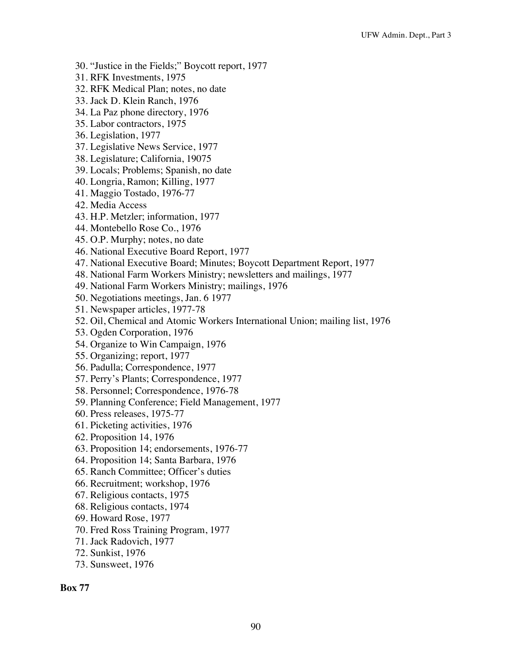- 30. "Justice in the Fields;" Boycott report, 1977
- 31. RFK Investments, 1975
- 32. RFK Medical Plan; notes, no date
- 33. Jack D. Klein Ranch, 1976
- 34. La Paz phone directory, 1976
- 35. Labor contractors, 1975
- 36. Legislation, 1977
- 37. Legislative News Service, 1977
- 38. Legislature; California, 19075
- 39. Locals; Problems; Spanish, no date
- 40. Longria, Ramon; Killing, 1977
- 41. Maggio Tostado, 1976-77
- 42. Media Access
- 43. H.P. Metzler; information, 1977
- 44. Montebello Rose Co., 1976
- 45. O.P. Murphy; notes, no date
- 46. National Executive Board Report, 1977
- 47. National Executive Board; Minutes; Boycott Department Report, 1977
- 48. National Farm Workers Ministry; newsletters and mailings, 1977
- 49. National Farm Workers Ministry; mailings, 1976
- 50. Negotiations meetings, Jan. 6 1977
- 51. Newspaper articles, 1977-78
- 52. Oil, Chemical and Atomic Workers International Union; mailing list, 1976
- 53. Ogden Corporation, 1976
- 54. Organize to Win Campaign, 1976
- 55. Organizing; report, 1977
- 56. Padulla; Correspondence, 1977
- 57. Perry's Plants; Correspondence, 1977
- 58. Personnel; Correspondence, 1976-78
- 59. Planning Conference; Field Management, 1977
- 60. Press releases, 1975-77
- 61. Picketing activities, 1976
- 62. Proposition 14, 1976
- 63. Proposition 14; endorsements, 1976-77
- 64. Proposition 14; Santa Barbara, 1976
- 65. Ranch Committee; Officer's duties
- 66. Recruitment; workshop, 1976
- 67. Religious contacts, 1975
- 68. Religious contacts, 1974
- 69. Howard Rose, 1977
- 70. Fred Ross Training Program, 1977
- 71. Jack Radovich, 1977
- 72. Sunkist, 1976
- 73. Sunsweet, 1976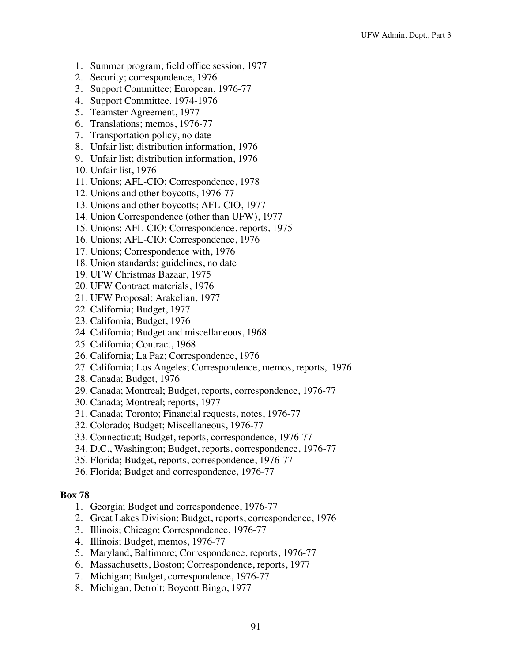- 1. Summer program; field office session, 1977
- 2. Security; correspondence, 1976
- 3. Support Committee; European, 1976-77
- 4. Support Committee. 1974-1976
- 5. Teamster Agreement, 1977
- 6. Translations; memos, 1976-77
- 7. Transportation policy, no date
- 8. Unfair list; distribution information, 1976
- 9. Unfair list; distribution information, 1976
- 10. Unfair list, 1976
- 11. Unions; AFL-CIO; Correspondence, 1978
- 12. Unions and other boycotts, 1976-77
- 13. Unions and other boycotts; AFL-CIO, 1977
- 14. Union Correspondence (other than UFW), 1977
- 15. Unions; AFL-CIO; Correspondence, reports, 1975
- 16. Unions; AFL-CIO; Correspondence, 1976
- 17. Unions; Correspondence with, 1976
- 18. Union standards; guidelines, no date
- 19. UFW Christmas Bazaar, 1975
- 20. UFW Contract materials, 1976
- 21. UFW Proposal; Arakelian, 1977
- 22. California; Budget, 1977
- 23. California; Budget, 1976
- 24. California; Budget and miscellaneous, 1968
- 25. California; Contract, 1968
- 26. California; La Paz; Correspondence, 1976
- 27. California; Los Angeles; Correspondence, memos, reports, 1976
- 28. Canada; Budget, 1976
- 29. Canada; Montreal; Budget, reports, correspondence, 1976-77
- 30. Canada; Montreal; reports, 1977
- 31. Canada; Toronto; Financial requests, notes, 1976-77
- 32. Colorado; Budget; Miscellaneous, 1976-77
- 33. Connecticut; Budget, reports, correspondence, 1976-77
- 34. D.C., Washington; Budget, reports, correspondence, 1976-77
- 35. Florida; Budget, reports, correspondence, 1976-77
- 36. Florida; Budget and correspondence, 1976-77

- 1. Georgia; Budget and correspondence, 1976-77
- 2. Great Lakes Division; Budget, reports, correspondence, 1976
- 3. Illinois; Chicago; Correspondence, 1976-77
- 4. Illinois; Budget, memos, 1976-77
- 5. Maryland, Baltimore; Correspondence, reports, 1976-77
- 6. Massachusetts, Boston; Correspondence, reports, 1977
- 7. Michigan; Budget, correspondence, 1976-77
- 8. Michigan, Detroit; Boycott Bingo, 1977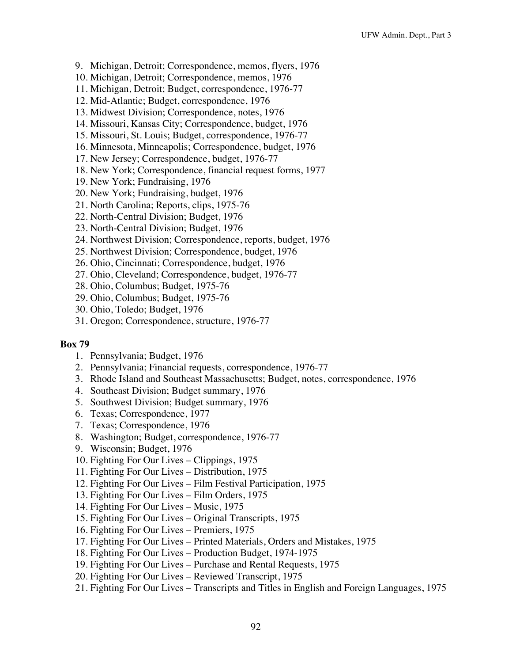- 9. Michigan, Detroit; Correspondence, memos, flyers, 1976
- 10. Michigan, Detroit; Correspondence, memos, 1976
- 11. Michigan, Detroit; Budget, correspondence, 1976-77
- 12. Mid-Atlantic; Budget, correspondence, 1976
- 13. Midwest Division; Correspondence, notes, 1976
- 14. Missouri, Kansas City; Correspondence, budget, 1976
- 15. Missouri, St. Louis; Budget, correspondence, 1976-77
- 16. Minnesota, Minneapolis; Correspondence, budget, 1976
- 17. New Jersey; Correspondence, budget, 1976-77
- 18. New York; Correspondence, financial request forms, 1977
- 19. New York; Fundraising, 1976
- 20. New York; Fundraising, budget, 1976
- 21. North Carolina; Reports, clips, 1975-76
- 22. North-Central Division; Budget, 1976
- 23. North-Central Division; Budget, 1976
- 24. Northwest Division; Correspondence, reports, budget, 1976
- 25. Northwest Division; Correspondence, budget, 1976
- 26. Ohio, Cincinnati; Correspondence, budget, 1976
- 27. Ohio, Cleveland; Correspondence, budget, 1976-77
- 28. Ohio, Columbus; Budget, 1975-76
- 29. Ohio, Columbus; Budget, 1975-76
- 30. Ohio, Toledo; Budget, 1976
- 31. Oregon; Correspondence, structure, 1976-77

- 1. Pennsylvania; Budget, 1976
- 2. Pennsylvania; Financial requests, correspondence, 1976-77
- 3. Rhode Island and Southeast Massachusetts; Budget, notes, correspondence, 1976
- 4. Southeast Division; Budget summary, 1976
- 5. Southwest Division; Budget summary, 1976
- 6. Texas; Correspondence, 1977
- 7. Texas; Correspondence, 1976
- 8. Washington; Budget, correspondence, 1976-77
- 9. Wisconsin; Budget, 1976
- 10. Fighting For Our Lives Clippings, 1975
- 11. Fighting For Our Lives Distribution, 1975
- 12. Fighting For Our Lives Film Festival Participation, 1975
- 13. Fighting For Our Lives Film Orders, 1975
- 14. Fighting For Our Lives Music, 1975
- 15. Fighting For Our Lives Original Transcripts, 1975
- 16. Fighting For Our Lives Premiers, 1975
- 17. Fighting For Our Lives Printed Materials, Orders and Mistakes, 1975
- 18. Fighting For Our Lives Production Budget, 1974-1975
- 19. Fighting For Our Lives Purchase and Rental Requests, 1975
- 20. Fighting For Our Lives Reviewed Transcript, 1975
- 21. Fighting For Our Lives Transcripts and Titles in English and Foreign Languages, 1975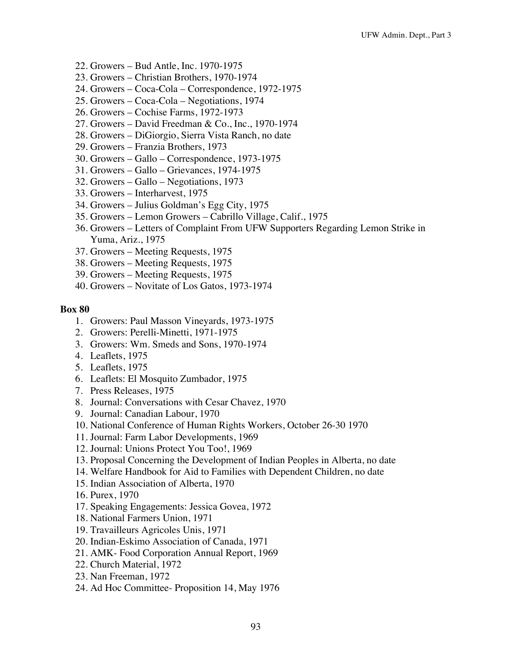- 22. Growers Bud Antle, Inc. 1970-1975
- 23. Growers Christian Brothers, 1970-1974
- 24. Growers Coca-Cola Correspondence, 1972-1975
- 25. Growers Coca-Cola Negotiations, 1974
- 26. Growers Cochise Farms, 1972-1973
- 27. Growers David Freedman & Co., Inc., 1970-1974
- 28. Growers DiGiorgio, Sierra Vista Ranch, no date
- 29. Growers Franzia Brothers, 1973
- 30. Growers Gallo Correspondence, 1973-1975
- 31. Growers Gallo Grievances, 1974-1975
- 32. Growers Gallo Negotiations, 1973
- 33. Growers Interharvest, 1975
- 34. Growers Julius Goldman's Egg City, 1975
- 35. Growers Lemon Growers Cabrillo Village, Calif., 1975
- 36. Growers Letters of Complaint From UFW Supporters Regarding Lemon Strike in Yuma, Ariz., 1975
- 37. Growers Meeting Requests, 1975
- 38. Growers Meeting Requests, 1975
- 39. Growers Meeting Requests, 1975
- 40. Growers Novitate of Los Gatos, 1973-1974

- 1. Growers: Paul Masson Vineyards, 1973-1975
- 2. Growers: Perelli-Minetti, 1971-1975
- 3. Growers: Wm. Smeds and Sons, 1970-1974
- 4. Leaflets, 1975
- 5. Leaflets, 1975
- 6. Leaflets: El Mosquito Zumbador, 1975
- 7. Press Releases, 1975
- 8. Journal: Conversations with Cesar Chavez, 1970
- 9. Journal: Canadian Labour, 1970
- 10. National Conference of Human Rights Workers, October 26-30 1970
- 11. Journal: Farm Labor Developments, 1969
- 12. Journal: Unions Protect You Too!, 1969
- 13. Proposal Concerning the Development of Indian Peoples in Alberta, no date
- 14. Welfare Handbook for Aid to Families with Dependent Children, no date
- 15. Indian Association of Alberta, 1970
- 16. Purex, 1970
- 17. Speaking Engagements: Jessica Govea, 1972
- 18. National Farmers Union, 1971
- 19. Travailleurs Agricoles Unis, 1971
- 20. Indian-Eskimo Association of Canada, 1971
- 21. AMK- Food Corporation Annual Report, 1969
- 22. Church Material, 1972
- 23. Nan Freeman, 1972
- 24. Ad Hoc Committee- Proposition 14, May 1976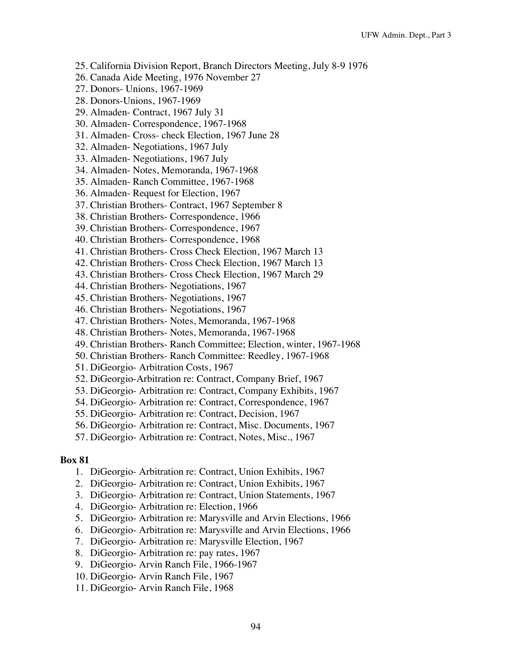- 25. California Division Report, Branch Directors Meeting, July 8-9 1976
- 26. Canada Aide Meeting, 1976 November 27
- 27. Donors- Unions, 1967-1969
- 28. Donors-Unions, 1967-1969
- 29. Almaden- Contract, 1967 July 31
- 30. Almaden- Correspondence, 1967-1968
- 31. Almaden- Cross- check Election, 1967 June 28
- 32. Almaden- Negotiations, 1967 July
- 33. Almaden- Negotiations, 1967 July
- 34. Almaden- Notes, Memoranda, 1967-1968
- 35. Almaden- Ranch Committee, 1967-1968
- 36. Almaden- Request for Election, 1967
- 37. Christian Brothers- Contract, 1967 September 8
- 38. Christian Brothers- Correspondence, 1966
- 39. Christian Brothers- Correspondence, 1967
- 40. Christian Brothers- Correspondence, 1968
- 41. Christian Brothers- Cross Check Election, 1967 March 13
- 42. Christian Brothers- Cross Check Election, 1967 March 13
- 43. Christian Brothers- Cross Check Election, 1967 March 29
- 44. Christian Brothers- Negotiations, 1967
- 45. Christian Brothers- Negotiations, 1967
- 46. Christian Brothers- Negotiations, 1967
- 47. Christian Brothers- Notes, Memoranda, 1967-1968
- 48. Christian Brothers- Notes, Memoranda, 1967-1968
- 49. Christian Brothers- Ranch Committee; Election, winter, 1967-1968
- 50. Christian Brothers- Ranch Committee: Reedley, 1967-1968
- 51. DiGeorgio- Arbitration Costs, 1967
- 52. DiGeorgio-Arbitration re: Contract, Company Brief, 1967
- 53. DiGeorgio- Arbitration re: Contract, Company Exhibits, 1967
- 54. DiGeorgio- Arbitration re: Contract, Correspondence, 1967
- 55. DiGeorgio- Arbitration re: Contract, Decision, 1967
- 56. DiGeorgio- Arbitration re: Contract, Misc. Documents, 1967
- 57. DiGeorgio- Arbitration re: Contract, Notes, Misc., 1967

- 1. DiGeorgio- Arbitration re: Contract, Union Exhibits, 1967
- 2. DiGeorgio- Arbitration re: Contract, Union Exhibits, 1967
- 3. DiGeorgio- Arbitration re: Contract, Union Statements, 1967
- 4. DiGeorgio- Arbitration re: Election, 1966
- 5. DiGeorgio- Arbitration re: Marysville and Arvin Elections, 1966
- 6. DiGeorgio- Arbitration re: Marysville and Arvin Elections, 1966
- 7. DiGeorgio- Arbitration re: Marysville Election, 1967
- 8. DiGeorgio- Arbitration re: pay rates, 1967
- 9. DiGeorgio- Arvin Ranch File, 1966-1967
- 10. DiGeorgio- Arvin Ranch File, 1967
- 11. DiGeorgio- Arvin Ranch File, 1968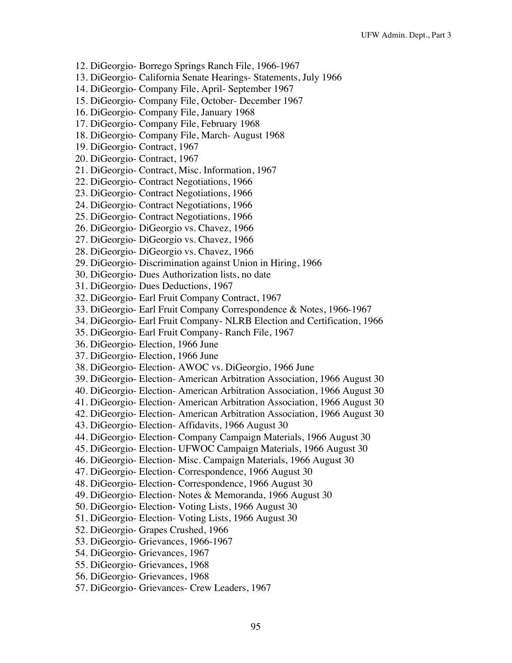- 12. DiGeorgio- Borrego Springs Ranch File, 1966-1967
- 13. DiGeorgio- California Senate Hearings- Statements, July 1966
- 14. DiGeorgio- Company File, April- September 1967
- 15. DiGeorgio- Company File, October- December 1967
- 16. DiGeorgio- Company File, January 1968
- 17. DiGeorgio- Company File, February 1968
- 18. DiGeorgio- Company File, March- August 1968
- 19. DiGeorgio- Contract, 1967
- 20. DiGeorgio- Contract, 1967
- 21. DiGeorgio- Contract, Misc. Information, 1967
- 22. DiGeorgio- Contract Negotiations, 1966
- 23. DiGeorgio- Contract Negotiations, 1966
- 24. DiGeorgio- Contract Negotiations, 1966
- 25. DiGeorgio- Contract Negotiations, 1966
- 26. DiGeorgio- DiGeorgio vs. Chavez, 1966
- 27. DiGeorgio- DiGeorgio vs. Chavez, 1966
- 28. DiGeorgio- DiGeorgio vs. Chavez, 1966
- 29. DiGeorgio- Discrimination against Union in Hiring, 1966
- 30. DiGeorgio- Dues Authorization lists, no date
- 31. DiGeorgio- Dues Deductions, 1967
- 32. DiGeorgio- Earl Fruit Company Contract, 1967
- 33. DiGeorgio- Earl Fruit Company Correspondence & Notes, 1966-1967
- 34. DiGeorgio- Earl Fruit Company- NLRB Election and Certification, 1966
- 35. DiGeorgio- Earl Fruit Company- Ranch File, 1967
- 36. DiGeorgio- Election, 1966 June
- 37. DiGeorgio- Election, 1966 June
- 38. DiGeorgio- Election- AWOC vs. DiGeorgio, 1966 June
- 39. DiGeorgio- Election- American Arbitration Association, 1966 August 30
- 40. DiGeorgio- Election- American Arbitration Association, 1966 August 30
- 41. DiGeorgio- Election- American Arbitration Association, 1966 August 30
- 42. DiGeorgio- Election- American Arbitration Association, 1966 August 30
- 43. DiGeorgio- Election- Affidavits, 1966 August 30
- 44. DiGeorgio- Election- Company Campaign Materials, 1966 August 30
- 45. DiGeorgio- Election- UFWOC Campaign Materials, 1966 August 30
- 46. DiGeorgio- Election- Misc. Campaign Materials, 1966 August 30
- 47. DiGeorgio- Election- Correspondence, 1966 August 30
- 48. DiGeorgio- Election- Correspondence, 1966 August 30
- 49. DiGeorgio- Election- Notes & Memoranda, 1966 August 30
- 50. DiGeorgio- Election- Voting Lists, 1966 August 30
- 51. DiGeorgio- Election- Voting Lists, 1966 August 30
- 52. DiGeorgio- Grapes Crushed, 1966
- 53. DiGeorgio- Grievances, 1966-1967
- 54. DiGeorgio- Grievances, 1967
- 55. DiGeorgio- Grievances, 1968
- 56. DiGeorgio- Grievances, 1968
- 57. DiGeorgio- Grievances- Crew Leaders, 1967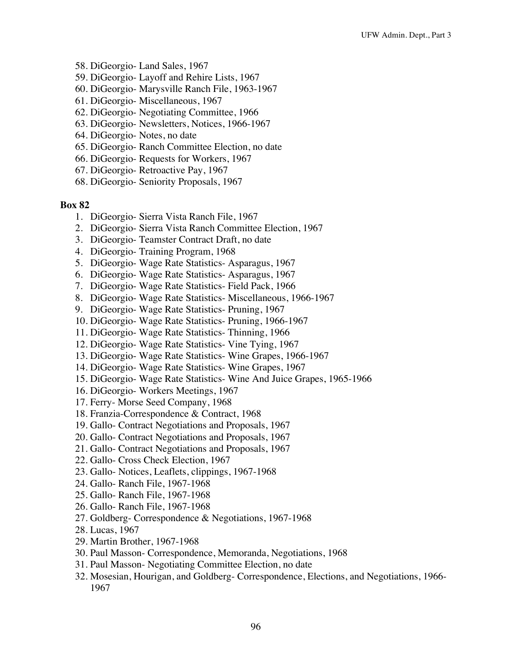- 58. DiGeorgio- Land Sales, 1967
- 59. DiGeorgio- Layoff and Rehire Lists, 1967
- 60. DiGeorgio- Marysville Ranch File, 1963-1967
- 61. DiGeorgio- Miscellaneous, 1967
- 62. DiGeorgio- Negotiating Committee, 1966
- 63. DiGeorgio- Newsletters, Notices, 1966-1967
- 64. DiGeorgio- Notes, no date
- 65. DiGeorgio- Ranch Committee Election, no date
- 66. DiGeorgio- Requests for Workers, 1967
- 67. DiGeorgio- Retroactive Pay, 1967
- 68. DiGeorgio- Seniority Proposals, 1967

- 1. DiGeorgio- Sierra Vista Ranch File, 1967
- 2. DiGeorgio- Sierra Vista Ranch Committee Election, 1967
- 3. DiGeorgio- Teamster Contract Draft, no date
- 4. DiGeorgio- Training Program, 1968
- 5. DiGeorgio- Wage Rate Statistics- Asparagus, 1967
- 6. DiGeorgio- Wage Rate Statistics- Asparagus, 1967
- 7. DiGeorgio- Wage Rate Statistics- Field Pack, 1966
- 8. DiGeorgio- Wage Rate Statistics- Miscellaneous, 1966-1967
- 9. DiGeorgio- Wage Rate Statistics- Pruning, 1967
- 10. DiGeorgio- Wage Rate Statistics- Pruning, 1966-1967
- 11. DiGeorgio- Wage Rate Statistics- Thinning, 1966
- 12. DiGeorgio- Wage Rate Statistics- Vine Tying, 1967
- 13. DiGeorgio- Wage Rate Statistics- Wine Grapes, 1966-1967
- 14. DiGeorgio- Wage Rate Statistics- Wine Grapes, 1967
- 15. DiGeorgio- Wage Rate Statistics- Wine And Juice Grapes, 1965-1966
- 16. DiGeorgio- Workers Meetings, 1967
- 17. Ferry- Morse Seed Company, 1968
- 18. Franzia-Correspondence & Contract, 1968
- 19. Gallo- Contract Negotiations and Proposals, 1967
- 20. Gallo- Contract Negotiations and Proposals, 1967
- 21. Gallo- Contract Negotiations and Proposals, 1967
- 22. Gallo- Cross Check Election, 1967
- 23. Gallo- Notices, Leaflets, clippings, 1967-1968
- 24. Gallo- Ranch File, 1967-1968
- 25. Gallo- Ranch File, 1967-1968
- 26. Gallo- Ranch File, 1967-1968
- 27. Goldberg- Correspondence & Negotiations, 1967-1968
- 28. Lucas, 1967
- 29. Martin Brother, 1967-1968
- 30. Paul Masson- Correspondence, Memoranda, Negotiations, 1968
- 31. Paul Masson- Negotiating Committee Election, no date
- 32. Mosesian, Hourigan, and Goldberg- Correspondence, Elections, and Negotiations, 1966- 1967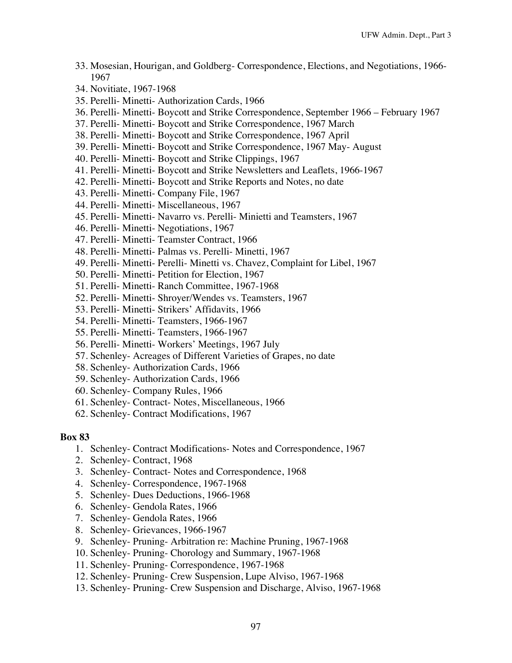- 33. Mosesian, Hourigan, and Goldberg- Correspondence, Elections, and Negotiations, 1966- 1967
- 34. Novitiate, 1967-1968
- 35. Perelli- Minetti- Authorization Cards, 1966
- 36. Perelli- Minetti- Boycott and Strike Correspondence, September 1966 February 1967
- 37. Perelli- Minetti- Boycott and Strike Correspondence, 1967 March
- 38. Perelli- Minetti- Boycott and Strike Correspondence, 1967 April
- 39. Perelli- Minetti- Boycott and Strike Correspondence, 1967 May- August
- 40. Perelli- Minetti- Boycott and Strike Clippings, 1967
- 41. Perelli- Minetti- Boycott and Strike Newsletters and Leaflets, 1966-1967
- 42. Perelli- Minetti- Boycott and Strike Reports and Notes, no date
- 43. Perelli- Minetti- Company File, 1967
- 44. Perelli- Minetti- Miscellaneous, 1967
- 45. Perelli- Minetti- Navarro vs. Perelli- Minietti and Teamsters, 1967
- 46. Perelli- Minetti- Negotiations, 1967
- 47. Perelli- Minetti- Teamster Contract, 1966
- 48. Perelli- Minetti- Palmas vs. Perelli- Minetti, 1967
- 49. Perelli- Minetti- Perelli- Minetti vs. Chavez, Complaint for Libel, 1967
- 50. Perelli- Minetti- Petition for Election, 1967
- 51. Perelli- Minetti- Ranch Committee, 1967-1968
- 52. Perelli- Minetti- Shroyer/Wendes vs. Teamsters, 1967
- 53. Perelli- Minetti- Strikers' Affidavits, 1966
- 54. Perelli- Minetti- Teamsters, 1966-1967
- 55. Perelli- Minetti- Teamsters, 1966-1967
- 56. Perelli- Minetti- Workers' Meetings, 1967 July
- 57. Schenley- Acreages of Different Varieties of Grapes, no date
- 58. Schenley- Authorization Cards, 1966
- 59. Schenley- Authorization Cards, 1966
- 60. Schenley- Company Rules, 1966
- 61. Schenley- Contract- Notes, Miscellaneous, 1966
- 62. Schenley- Contract Modifications, 1967

- 1. Schenley- Contract Modifications- Notes and Correspondence, 1967
- 2. Schenley- Contract, 1968
- 3. Schenley- Contract- Notes and Correspondence, 1968
- 4. Schenley- Correspondence, 1967-1968
- 5. Schenley- Dues Deductions, 1966-1968
- 6. Schenley- Gendola Rates, 1966
- 7. Schenley- Gendola Rates, 1966
- 8. Schenley- Grievances, 1966-1967
- 9. Schenley- Pruning- Arbitration re: Machine Pruning, 1967-1968
- 10. Schenley- Pruning- Chorology and Summary, 1967-1968
- 11. Schenley- Pruning- Correspondence, 1967-1968
- 12. Schenley- Pruning- Crew Suspension, Lupe Alviso, 1967-1968
- 13. Schenley- Pruning- Crew Suspension and Discharge, Alviso, 1967-1968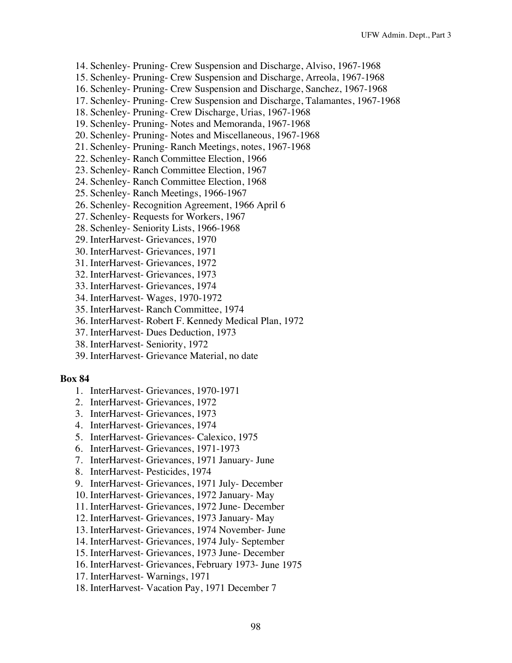- 14. Schenley- Pruning- Crew Suspension and Discharge, Alviso, 1967-1968
- 15. Schenley- Pruning- Crew Suspension and Discharge, Arreola, 1967-1968
- 16. Schenley- Pruning- Crew Suspension and Discharge, Sanchez, 1967-1968
- 17. Schenley- Pruning- Crew Suspension and Discharge, Talamantes, 1967-1968
- 18. Schenley- Pruning- Crew Discharge, Urias, 1967-1968
- 19. Schenley- Pruning- Notes and Memoranda, 1967-1968
- 20. Schenley- Pruning- Notes and Miscellaneous, 1967-1968
- 21. Schenley- Pruning- Ranch Meetings, notes, 1967-1968
- 22. Schenley- Ranch Committee Election, 1966
- 23. Schenley- Ranch Committee Election, 1967
- 24. Schenley- Ranch Committee Election, 1968
- 25. Schenley- Ranch Meetings, 1966-1967
- 26. Schenley- Recognition Agreement, 1966 April 6
- 27. Schenley- Requests for Workers, 1967
- 28. Schenley- Seniority Lists, 1966-1968
- 29. InterHarvest- Grievances, 1970
- 30. InterHarvest- Grievances, 1971
- 31. InterHarvest- Grievances, 1972
- 32. InterHarvest- Grievances, 1973
- 33. InterHarvest- Grievances, 1974
- 34. InterHarvest- Wages, 1970-1972
- 35. InterHarvest- Ranch Committee, 1974
- 36. InterHarvest- Robert F. Kennedy Medical Plan, 1972
- 37. InterHarvest- Dues Deduction, 1973
- 38. InterHarvest- Seniority, 1972
- 39. InterHarvest- Grievance Material, no date

- 1. InterHarvest- Grievances, 1970-1971
- 2. InterHarvest- Grievances, 1972
- 3. InterHarvest- Grievances, 1973
- 4. InterHarvest- Grievances, 1974
- 5. InterHarvest- Grievances- Calexico, 1975
- 6. InterHarvest- Grievances, 1971-1973
- 7. InterHarvest- Grievances, 1971 January- June
- 8. InterHarvest- Pesticides, 1974
- 9. InterHarvest- Grievances, 1971 July- December
- 10. InterHarvest- Grievances, 1972 January- May
- 11. InterHarvest- Grievances, 1972 June- December
- 12. InterHarvest- Grievances, 1973 January- May
- 13. InterHarvest- Grievances, 1974 November- June
- 14. InterHarvest- Grievances, 1974 July- September
- 15. InterHarvest- Grievances, 1973 June- December
- 16. InterHarvest- Grievances, February 1973- June 1975
- 17. InterHarvest- Warnings, 1971
- 18. InterHarvest- Vacation Pay, 1971 December 7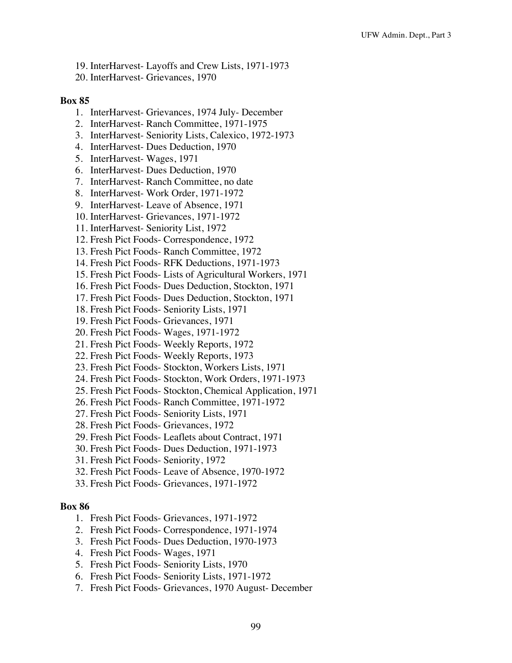- 19. InterHarvest- Layoffs and Crew Lists, 1971-1973
- 20. InterHarvest- Grievances, 1970

- 1. InterHarvest- Grievances, 1974 July- December
- 2. InterHarvest- Ranch Committee, 1971-1975
- 3. InterHarvest- Seniority Lists, Calexico, 1972-1973
- 4. InterHarvest- Dues Deduction, 1970
- 5. InterHarvest- Wages, 1971
- 6. InterHarvest- Dues Deduction, 1970
- 7. InterHarvest- Ranch Committee, no date
- 8. InterHarvest- Work Order, 1971-1972
- 9. InterHarvest- Leave of Absence, 1971
- 10. InterHarvest- Grievances, 1971-1972
- 11. InterHarvest- Seniority List, 1972
- 12. Fresh Pict Foods- Correspondence, 1972
- 13. Fresh Pict Foods- Ranch Committee, 1972
- 14. Fresh Pict Foods- RFK Deductions, 1971-1973
- 15. Fresh Pict Foods- Lists of Agricultural Workers, 1971
- 16. Fresh Pict Foods- Dues Deduction, Stockton, 1971
- 17. Fresh Pict Foods- Dues Deduction, Stockton, 1971
- 18. Fresh Pict Foods- Seniority Lists, 1971
- 19. Fresh Pict Foods- Grievances, 1971
- 20. Fresh Pict Foods- Wages, 1971-1972
- 21. Fresh Pict Foods- Weekly Reports, 1972
- 22. Fresh Pict Foods- Weekly Reports, 1973
- 23. Fresh Pict Foods- Stockton, Workers Lists, 1971
- 24. Fresh Pict Foods- Stockton, Work Orders, 1971-1973
- 25. Fresh Pict Foods- Stockton, Chemical Application, 1971
- 26. Fresh Pict Foods- Ranch Committee, 1971-1972
- 27. Fresh Pict Foods- Seniority Lists, 1971
- 28. Fresh Pict Foods- Grievances, 1972
- 29. Fresh Pict Foods- Leaflets about Contract, 1971
- 30. Fresh Pict Foods- Dues Deduction, 1971-1973
- 31. Fresh Pict Foods- Seniority, 1972
- 32. Fresh Pict Foods- Leave of Absence, 1970-1972
- 33. Fresh Pict Foods- Grievances, 1971-1972

- 1. Fresh Pict Foods- Grievances, 1971-1972
- 2. Fresh Pict Foods- Correspondence, 1971-1974
- 3. Fresh Pict Foods- Dues Deduction, 1970-1973
- 4. Fresh Pict Foods- Wages, 1971
- 5. Fresh Pict Foods- Seniority Lists, 1970
- 6. Fresh Pict Foods- Seniority Lists, 1971-1972
- 7. Fresh Pict Foods- Grievances, 1970 August- December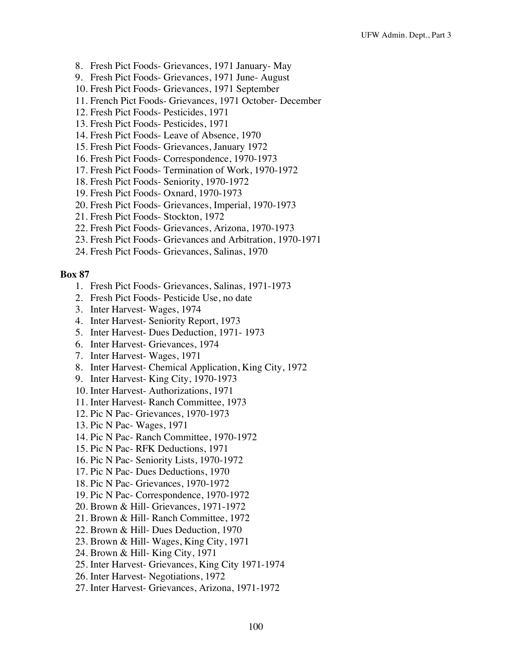- 8. Fresh Pict Foods- Grievances, 1971 January- May
- 9. Fresh Pict Foods- Grievances, 1971 June- August
- 10. Fresh Pict Foods- Grievances, 1971 September
- 11. French Pict Foods- Grievances, 1971 October- December
- 12. Fresh Pict Foods- Pesticides, 1971
- 13. Fresh Pict Foods- Pesticides, 1971
- 14. Fresh Pict Foods- Leave of Absence, 1970
- 15. Fresh Pict Foods- Grievances, January 1972
- 16. Fresh Pict Foods- Correspondence, 1970-1973
- 17. Fresh Pict Foods- Termination of Work, 1970-1972
- 18. Fresh Pict Foods- Seniority, 1970-1972
- 19. Fresh Pict Foods- Oxnard, 1970-1973
- 20. Fresh Pict Foods- Grievances, Imperial, 1970-1973
- 21. Fresh Pict Foods- Stockton, 1972
- 22. Fresh Pict Foods- Grievances, Arizona, 1970-1973
- 23. Fresh Pict Foods- Grievances and Arbitration, 1970-1971
- 24. Fresh Pict Foods- Grievances, Salinas, 1970

- 1. Fresh Pict Foods- Grievances, Salinas, 1971-1973
- 2. Fresh Pict Foods- Pesticide Use, no date
- 3. Inter Harvest- Wages, 1974
- 4. Inter Harvest- Seniority Report, 1973
- 5. Inter Harvest- Dues Deduction, 1971- 1973
- 6. Inter Harvest- Grievances, 1974
- 7. Inter Harvest- Wages, 1971
- 8. Inter Harvest- Chemical Application, King City, 1972
- 9. Inter Harvest- King City, 1970-1973
- 10. Inter Harvest- Authorizations, 1971
- 11. Inter Harvest- Ranch Committee, 1973
- 12. Pic N Pac- Grievances, 1970-1973
- 13. Pic N Pac- Wages, 1971
- 14. Pic N Pac- Ranch Committee, 1970-1972
- 15. Pic N Pac- RFK Deductions, 1971
- 16. Pic N Pac- Seniority Lists, 1970-1972
- 17. Pic N Pac- Dues Deductions, 1970
- 18. Pic N Pac- Grievances, 1970-1972
- 19. Pic N Pac- Correspondence, 1970-1972
- 20. Brown & Hill- Grievances, 1971-1972
- 21. Brown & Hill- Ranch Committee, 1972
- 22. Brown & Hill- Dues Deduction, 1970
- 23. Brown & Hill- Wages, King City, 1971
- 24. Brown & Hill- King City, 1971
- 25. Inter Harvest- Grievances, King City 1971-1974
- 26. Inter Harvest- Negotiations, 1972
- 27. Inter Harvest- Grievances, Arizona, 1971-1972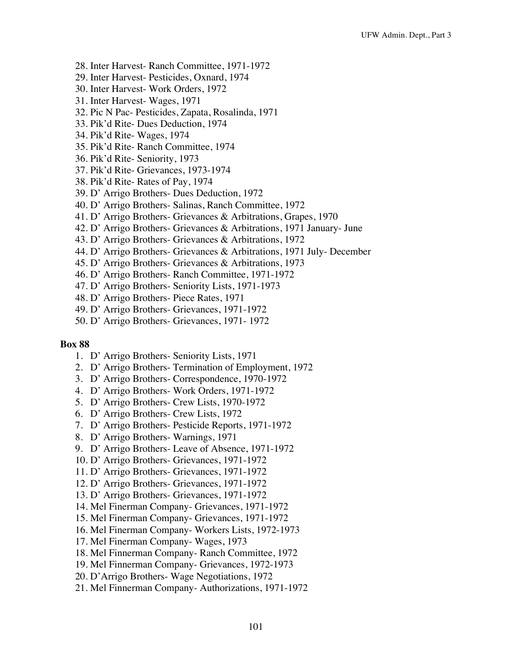- 28. Inter Harvest- Ranch Committee, 1971-1972
- 29. Inter Harvest- Pesticides, Oxnard, 1974
- 30. Inter Harvest- Work Orders, 1972
- 31. Inter Harvest- Wages, 1971
- 32. Pic N Pac- Pesticides, Zapata, Rosalinda, 1971
- 33. Pik'd Rite- Dues Deduction, 1974
- 34. Pik'd Rite- Wages, 1974
- 35. Pik'd Rite- Ranch Committee, 1974
- 36. Pik'd Rite- Seniority, 1973
- 37. Pik'd Rite- Grievances, 1973-1974
- 38. Pik'd Rite- Rates of Pay, 1974
- 39. D' Arrigo Brothers- Dues Deduction, 1972
- 40. D' Arrigo Brothers- Salinas, Ranch Committee, 1972
- 41. D' Arrigo Brothers- Grievances & Arbitrations, Grapes, 1970
- 42. D' Arrigo Brothers- Grievances & Arbitrations, 1971 January- June
- 43. D' Arrigo Brothers- Grievances & Arbitrations, 1972
- 44. D' Arrigo Brothers- Grievances & Arbitrations, 1971 July- December
- 45. D' Arrigo Brothers- Grievances & Arbitrations, 1973
- 46. D' Arrigo Brothers- Ranch Committee, 1971-1972
- 47. D' Arrigo Brothers- Seniority Lists, 1971-1973
- 48. D' Arrigo Brothers- Piece Rates, 1971
- 49. D' Arrigo Brothers- Grievances, 1971-1972
- 50. D' Arrigo Brothers- Grievances, 1971- 1972

- 1. D' Arrigo Brothers- Seniority Lists, 1971
- 2. D' Arrigo Brothers- Termination of Employment, 1972
- 3. D' Arrigo Brothers- Correspondence, 1970-1972
- 4. D' Arrigo Brothers- Work Orders, 1971-1972
- 5. D' Arrigo Brothers- Crew Lists, 1970-1972
- 6. D' Arrigo Brothers- Crew Lists, 1972
- 7. D' Arrigo Brothers- Pesticide Reports, 1971-1972
- 8. D' Arrigo Brothers- Warnings, 1971
- 9. D' Arrigo Brothers- Leave of Absence, 1971-1972
- 10. D' Arrigo Brothers- Grievances, 1971-1972
- 11. D' Arrigo Brothers- Grievances, 1971-1972
- 12. D' Arrigo Brothers- Grievances, 1971-1972
- 13. D' Arrigo Brothers- Grievances, 1971-1972
- 14. Mel Finerman Company- Grievances, 1971-1972
- 15. Mel Finerman Company- Grievances, 1971-1972
- 16. Mel Finerman Company- Workers Lists, 1972-1973
- 17. Mel Finerman Company- Wages, 1973
- 18. Mel Finnerman Company- Ranch Committee, 1972
- 19. Mel Finnerman Company- Grievances, 1972-1973
- 20. D'Arrigo Brothers- Wage Negotiations, 1972
- 21. Mel Finnerman Company- Authorizations, 1971-1972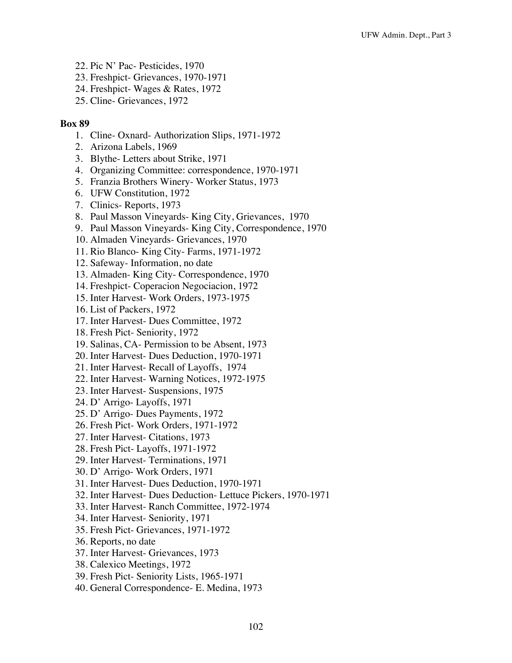- 22. Pic N' Pac- Pesticides, 1970
- 23. Freshpict- Grievances, 1970-1971
- 24. Freshpict- Wages & Rates, 1972
- 25. Cline- Grievances, 1972

- 1. Cline- Oxnard- Authorization Slips, 1971-1972
- 2. Arizona Labels, 1969
- 3. Blythe- Letters about Strike, 1971
- 4. Organizing Committee: correspondence, 1970-1971
- 5. Franzia Brothers Winery- Worker Status, 1973
- 6. UFW Constitution, 1972
- 7. Clinics- Reports, 1973
- 8. Paul Masson Vineyards- King City, Grievances, 1970
- 9. Paul Masson Vineyards- King City, Correspondence, 1970
- 10. Almaden Vineyards- Grievances, 1970
- 11. Rio Blanco- King City- Farms, 1971-1972
- 12. Safeway- Information, no date
- 13. Almaden- King City- Correspondence, 1970
- 14. Freshpict- Coperacion Negociacion, 1972
- 15. Inter Harvest- Work Orders, 1973-1975
- 16. List of Packers, 1972
- 17. Inter Harvest- Dues Committee, 1972
- 18. Fresh Pict- Seniority, 1972
- 19. Salinas, CA- Permission to be Absent, 1973
- 20. Inter Harvest- Dues Deduction, 1970-1971
- 21. Inter Harvest- Recall of Layoffs, 1974
- 22. Inter Harvest- Warning Notices, 1972-1975
- 23. Inter Harvest- Suspensions, 1975
- 24. D' Arrigo- Layoffs, 1971
- 25. D' Arrigo- Dues Payments, 1972
- 26. Fresh Pict- Work Orders, 1971-1972
- 27. Inter Harvest- Citations, 1973
- 28. Fresh Pict- Layoffs, 1971-1972
- 29. Inter Harvest- Terminations, 1971
- 30. D' Arrigo- Work Orders, 1971
- 31. Inter Harvest- Dues Deduction, 1970-1971
- 32. Inter Harvest- Dues Deduction- Lettuce Pickers, 1970-1971
- 33. Inter Harvest- Ranch Committee, 1972-1974
- 34. Inter Harvest- Seniority, 1971
- 35. Fresh Pict- Grievances, 1971-1972
- 36. Reports, no date
- 37. Inter Harvest- Grievances, 1973
- 38. Calexico Meetings, 1972
- 39. Fresh Pict- Seniority Lists, 1965-1971
- 40. General Correspondence- E. Medina, 1973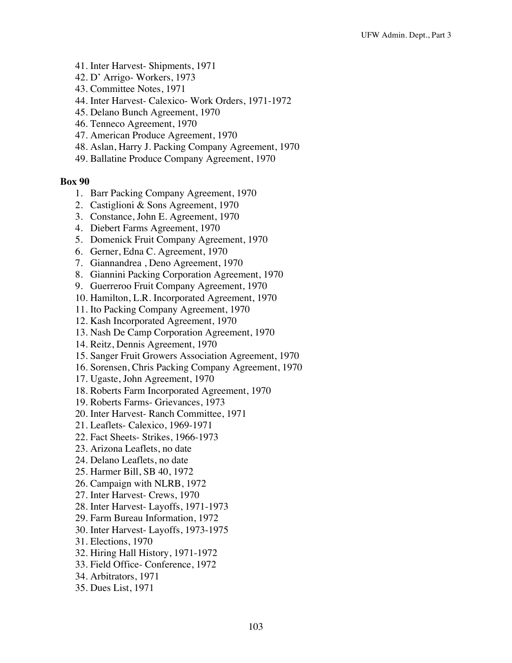- 41. Inter Harvest- Shipments, 1971
- 42. D' Arrigo- Workers, 1973
- 43. Committee Notes, 1971
- 44. Inter Harvest- Calexico- Work Orders, 1971-1972
- 45. Delano Bunch Agreement, 1970
- 46. Tenneco Agreement, 1970
- 47. American Produce Agreement, 1970
- 48. Aslan, Harry J. Packing Company Agreement, 1970
- 49. Ballatine Produce Company Agreement, 1970

- 1. Barr Packing Company Agreement, 1970
- 2. Castiglioni & Sons Agreement, 1970
- 3. Constance, John E. Agreement, 1970
- 4. Diebert Farms Agreement, 1970
- 5. Domenick Fruit Company Agreement, 1970
- 6. Gerner, Edna C. Agreement, 1970
- 7. Giannandrea , Deno Agreement, 1970
- 8. Giannini Packing Corporation Agreement, 1970
- 9. Guerreroo Fruit Company Agreement, 1970
- 10. Hamilton, L.R. Incorporated Agreement, 1970
- 11. Ito Packing Company Agreement, 1970
- 12. Kash Incorporated Agreement, 1970
- 13. Nash De Camp Corporation Agreement, 1970
- 14. Reitz, Dennis Agreement, 1970
- 15. Sanger Fruit Growers Association Agreement, 1970
- 16. Sorensen, Chris Packing Company Agreement, 1970
- 17. Ugaste, John Agreement, 1970
- 18. Roberts Farm Incorporated Agreement, 1970
- 19. Roberts Farms- Grievances, 1973
- 20. Inter Harvest- Ranch Committee, 1971
- 21. Leaflets- Calexico, 1969-1971
- 22. Fact Sheets- Strikes, 1966-1973
- 23. Arizona Leaflets, no date
- 24. Delano Leaflets, no date
- 25. Harmer Bill, SB 40, 1972
- 26. Campaign with NLRB, 1972
- 27. Inter Harvest- Crews, 1970
- 28. Inter Harvest- Layoffs, 1971-1973
- 29. Farm Bureau Information, 1972
- 30. Inter Harvest- Layoffs, 1973-1975
- 31. Elections, 1970
- 32. Hiring Hall History, 1971-1972
- 33. Field Office- Conference, 1972
- 34. Arbitrators, 1971
- 35. Dues List, 1971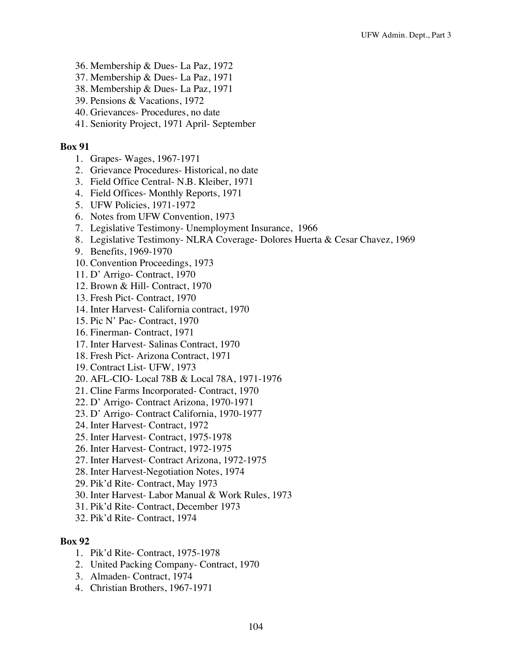- 36. Membership & Dues- La Paz, 1972
- 37. Membership & Dues- La Paz, 1971
- 38. Membership & Dues- La Paz, 1971
- 39. Pensions & Vacations, 1972
- 40. Grievances- Procedures, no date
- 41. Seniority Project, 1971 April- September

- 1. Grapes- Wages, 1967-1971
- 2. Grievance Procedures- Historical, no date
- 3. Field Office Central- N.B. Kleiber, 1971
- 4. Field Offices- Monthly Reports, 1971
- 5. UFW Policies, 1971-1972
- 6. Notes from UFW Convention, 1973
- 7. Legislative Testimony- Unemployment Insurance, 1966
- 8. Legislative Testimony- NLRA Coverage- Dolores Huerta & Cesar Chavez, 1969
- 9. Benefits, 1969-1970
- 10. Convention Proceedings, 1973
- 11. D' Arrigo- Contract, 1970
- 12. Brown & Hill- Contract, 1970
- 13. Fresh Pict- Contract, 1970
- 14. Inter Harvest- California contract, 1970
- 15. Pic N' Pac- Contract, 1970
- 16. Finerman- Contract, 1971
- 17. Inter Harvest- Salinas Contract, 1970
- 18. Fresh Pict- Arizona Contract, 1971
- 19. Contract List- UFW, 1973
- 20. AFL-CIO- Local 78B & Local 78A, 1971-1976
- 21. Cline Farms Incorporated- Contract, 1970
- 22. D' Arrigo- Contract Arizona, 1970-1971
- 23. D' Arrigo- Contract California, 1970-1977
- 24. Inter Harvest- Contract, 1972
- 25. Inter Harvest- Contract, 1975-1978
- 26. Inter Harvest- Contract, 1972-1975
- 27. Inter Harvest- Contract Arizona, 1972-1975
- 28. Inter Harvest-Negotiation Notes, 1974
- 29. Pik'd Rite- Contract, May 1973
- 30. Inter Harvest- Labor Manual & Work Rules, 1973
- 31. Pik'd Rite- Contract, December 1973
- 32. Pik'd Rite- Contract, 1974

- 1. Pik'd Rite- Contract, 1975-1978
- 2. United Packing Company- Contract, 1970
- 3. Almaden- Contract, 1974
- 4. Christian Brothers, 1967-1971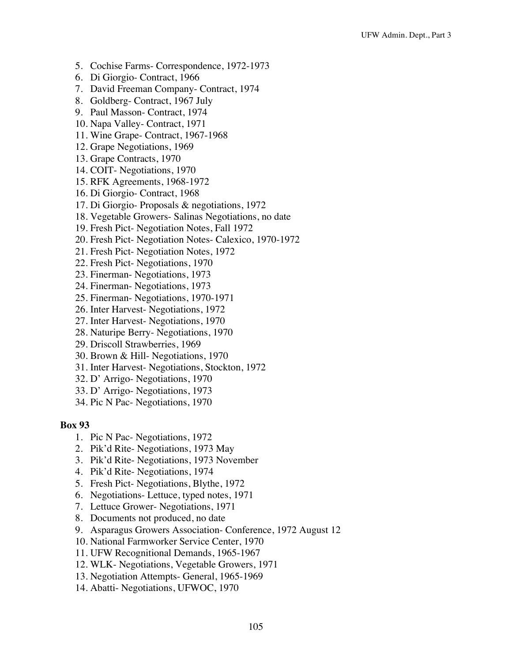- 5. Cochise Farms- Correspondence, 1972-1973
- 6. Di Giorgio- Contract, 1966
- 7. David Freeman Company- Contract, 1974
- 8. Goldberg- Contract, 1967 July
- 9. Paul Masson- Contract, 1974
- 10. Napa Valley- Contract, 1971
- 11. Wine Grape- Contract, 1967-1968
- 12. Grape Negotiations, 1969
- 13. Grape Contracts, 1970
- 14. COIT- Negotiations, 1970
- 15. RFK Agreements, 1968-1972
- 16. Di Giorgio- Contract, 1968
- 17. Di Giorgio- Proposals & negotiations, 1972
- 18. Vegetable Growers- Salinas Negotiations, no date
- 19. Fresh Pict- Negotiation Notes, Fall 1972
- 20. Fresh Pict- Negotiation Notes- Calexico, 1970-1972
- 21. Fresh Pict- Negotiation Notes, 1972
- 22. Fresh Pict- Negotiations, 1970
- 23. Finerman- Negotiations, 1973
- 24. Finerman- Negotiations, 1973
- 25. Finerman- Negotiations, 1970-1971
- 26. Inter Harvest- Negotiations, 1972
- 27. Inter Harvest- Negotiations, 1970
- 28. Naturipe Berry- Negotiations, 1970
- 29. Driscoll Strawberries, 1969
- 30. Brown & Hill- Negotiations, 1970
- 31. Inter Harvest- Negotiations, Stockton, 1972
- 32. D' Arrigo- Negotiations, 1970
- 33. D' Arrigo- Negotiations, 1973
- 34. Pic N Pac- Negotiations, 1970

- 1. Pic N Pac- Negotiations, 1972
- 2. Pik'd Rite- Negotiations, 1973 May
- 3. Pik'd Rite- Negotiations, 1973 November
- 4. Pik'd Rite- Negotiations, 1974
- 5. Fresh Pict- Negotiations, Blythe, 1972
- 6. Negotiations- Lettuce, typed notes, 1971
- 7. Lettuce Grower- Negotiations, 1971
- 8. Documents not produced, no date
- 9. Asparagus Growers Association- Conference, 1972 August 12
- 10. National Farmworker Service Center, 1970
- 11. UFW Recognitional Demands, 1965-1967
- 12. WLK- Negotiations, Vegetable Growers, 1971
- 13. Negotiation Attempts- General, 1965-1969
- 14. Abatti- Negotiations, UFWOC, 1970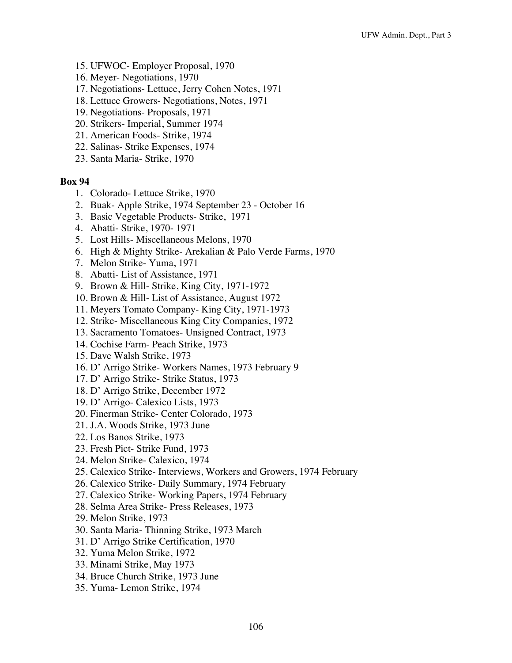- 15. UFWOC- Employer Proposal, 1970
- 16. Meyer- Negotiations, 1970
- 17. Negotiations- Lettuce, Jerry Cohen Notes, 1971
- 18. Lettuce Growers- Negotiations, Notes, 1971
- 19. Negotiations- Proposals, 1971
- 20. Strikers- Imperial, Summer 1974
- 21. American Foods- Strike, 1974
- 22. Salinas- Strike Expenses, 1974
- 23. Santa Maria- Strike, 1970

- 1. Colorado- Lettuce Strike, 1970
- 2. Buak- Apple Strike, 1974 September 23 October 16
- 3. Basic Vegetable Products- Strike, 1971
- 4. Abatti- Strike, 1970- 1971
- 5. Lost Hills- Miscellaneous Melons, 1970
- 6. High & Mighty Strike- Arekalian & Palo Verde Farms, 1970
- 7. Melon Strike- Yuma, 1971
- 8. Abatti- List of Assistance, 1971
- 9. Brown & Hill- Strike, King City, 1971-1972
- 10. Brown & Hill- List of Assistance, August 1972
- 11. Meyers Tomato Company- King City, 1971-1973
- 12. Strike- Miscellaneous King City Companies, 1972
- 13. Sacramento Tomatoes- Unsigned Contract, 1973
- 14. Cochise Farm- Peach Strike, 1973
- 15. Dave Walsh Strike, 1973
- 16. D' Arrigo Strike- Workers Names, 1973 February 9
- 17. D' Arrigo Strike- Strike Status, 1973
- 18. D' Arrigo Strike, December 1972
- 19. D' Arrigo- Calexico Lists, 1973
- 20. Finerman Strike- Center Colorado, 1973
- 21. J.A. Woods Strike, 1973 June
- 22. Los Banos Strike, 1973
- 23. Fresh Pict- Strike Fund, 1973
- 24. Melon Strike- Calexico, 1974
- 25. Calexico Strike- Interviews, Workers and Growers, 1974 February
- 26. Calexico Strike- Daily Summary, 1974 February
- 27. Calexico Strike- Working Papers, 1974 February
- 28. Selma Area Strike- Press Releases, 1973
- 29. Melon Strike, 1973
- 30. Santa Maria- Thinning Strike, 1973 March
- 31. D' Arrigo Strike Certification, 1970
- 32. Yuma Melon Strike, 1972
- 33. Minami Strike, May 1973
- 34. Bruce Church Strike, 1973 June
- 35. Yuma- Lemon Strike, 1974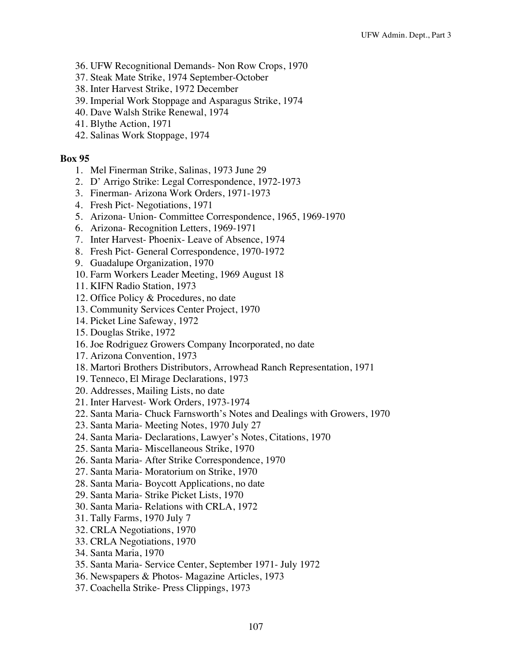- 36. UFW Recognitional Demands- Non Row Crops, 1970
- 37. Steak Mate Strike, 1974 September-October
- 38. Inter Harvest Strike, 1972 December
- 39. Imperial Work Stoppage and Asparagus Strike, 1974
- 40. Dave Walsh Strike Renewal, 1974
- 41. Blythe Action, 1971
- 42. Salinas Work Stoppage, 1974

- 1. Mel Finerman Strike, Salinas, 1973 June 29
- 2. D' Arrigo Strike: Legal Correspondence, 1972-1973
- 3. Finerman- Arizona Work Orders, 1971-1973
- 4. Fresh Pict- Negotiations, 1971
- 5. Arizona- Union- Committee Correspondence, 1965, 1969-1970
- 6. Arizona- Recognition Letters, 1969-1971
- 7. Inter Harvest- Phoenix- Leave of Absence, 1974
- 8. Fresh Pict- General Correspondence, 1970-1972
- 9. Guadalupe Organization, 1970
- 10. Farm Workers Leader Meeting, 1969 August 18
- 11. KIFN Radio Station, 1973
- 12. Office Policy & Procedures, no date
- 13. Community Services Center Project, 1970
- 14. Picket Line Safeway, 1972
- 15. Douglas Strike, 1972
- 16. Joe Rodriguez Growers Company Incorporated, no date
- 17. Arizona Convention, 1973
- 18. Martori Brothers Distributors, Arrowhead Ranch Representation, 1971
- 19. Tenneco, El Mirage Declarations, 1973
- 20. Addresses, Mailing Lists, no date
- 21. Inter Harvest- Work Orders, 1973-1974
- 22. Santa Maria- Chuck Farnsworth's Notes and Dealings with Growers, 1970
- 23. Santa Maria- Meeting Notes, 1970 July 27
- 24. Santa Maria- Declarations, Lawyer's Notes, Citations, 1970
- 25. Santa Maria- Miscellaneous Strike, 1970
- 26. Santa Maria- After Strike Correspondence, 1970
- 27. Santa Maria- Moratorium on Strike, 1970
- 28. Santa Maria- Boycott Applications, no date
- 29. Santa Maria- Strike Picket Lists, 1970
- 30. Santa Maria- Relations with CRLA, 1972
- 31. Tally Farms, 1970 July 7
- 32. CRLA Negotiations, 1970
- 33. CRLA Negotiations, 1970
- 34. Santa Maria, 1970
- 35. Santa Maria- Service Center, September 1971- July 1972
- 36. Newspapers & Photos- Magazine Articles, 1973
- 37. Coachella Strike- Press Clippings, 1973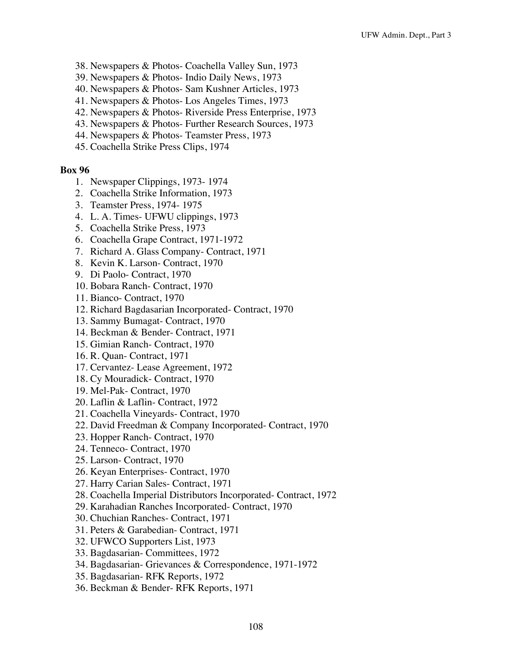- 38. Newspapers & Photos- Coachella Valley Sun, 1973
- 39. Newspapers & Photos- Indio Daily News, 1973
- 40. Newspapers & Photos- Sam Kushner Articles, 1973
- 41. Newspapers & Photos- Los Angeles Times, 1973
- 42. Newspapers & Photos- Riverside Press Enterprise, 1973
- 43. Newspapers & Photos- Further Research Sources, 1973
- 44. Newspapers & Photos- Teamster Press, 1973
- 45. Coachella Strike Press Clips, 1974

- 1. Newspaper Clippings, 1973- 1974
- 2. Coachella Strike Information, 1973
- 3. Teamster Press, 1974- 1975
- 4. L. A. Times- UFWU clippings, 1973
- 5. Coachella Strike Press, 1973
- 6. Coachella Grape Contract, 1971-1972
- 7. Richard A. Glass Company- Contract, 1971
- 8. Kevin K. Larson- Contract, 1970
- 9. Di Paolo- Contract, 1970
- 10. Bobara Ranch- Contract, 1970
- 11. Bianco- Contract, 1970
- 12. Richard Bagdasarian Incorporated- Contract, 1970
- 13. Sammy Bumagat- Contract, 1970
- 14. Beckman & Bender- Contract, 1971
- 15. Gimian Ranch- Contract, 1970
- 16. R. Quan- Contract, 1971
- 17. Cervantez- Lease Agreement, 1972
- 18. Cy Mouradick- Contract, 1970
- 19. Mel-Pak- Contract, 1970
- 20. Laflin & Laflin- Contract, 1972
- 21. Coachella Vineyards- Contract, 1970
- 22. David Freedman & Company Incorporated- Contract, 1970
- 23. Hopper Ranch- Contract, 1970
- 24. Tenneco- Contract, 1970
- 25. Larson- Contract, 1970
- 26. Keyan Enterprises- Contract, 1970
- 27. Harry Carian Sales- Contract, 1971
- 28. Coachella Imperial Distributors Incorporated- Contract, 1972
- 29. Karahadian Ranches Incorporated- Contract, 1970
- 30. Chuchian Ranches- Contract, 1971
- 31. Peters & Garabedian- Contract, 1971
- 32. UFWCO Supporters List, 1973
- 33. Bagdasarian- Committees, 1972
- 34. Bagdasarian- Grievances & Correspondence, 1971-1972
- 35. Bagdasarian- RFK Reports, 1972
- 36. Beckman & Bender- RFK Reports, 1971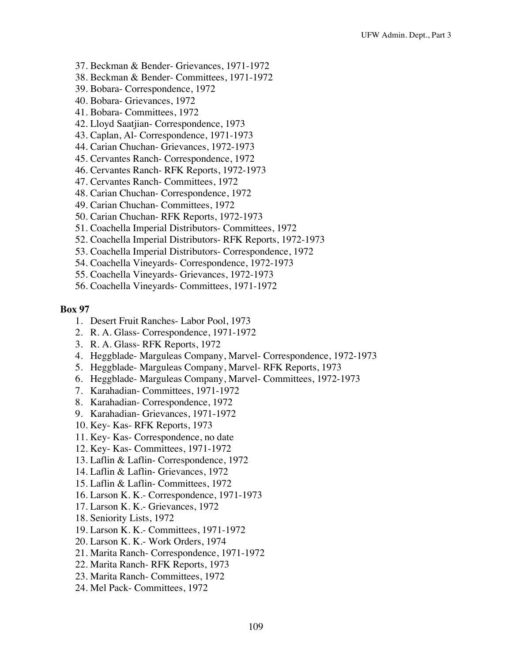- 37. Beckman & Bender- Grievances, 1971-1972
- 38. Beckman & Bender- Committees, 1971-1972
- 39. Bobara- Correspondence, 1972
- 40. Bobara- Grievances, 1972
- 41. Bobara- Committees, 1972
- 42. Lloyd Saatjian- Correspondence, 1973
- 43. Caplan, Al- Correspondence, 1971-1973
- 44. Carian Chuchan- Grievances, 1972-1973
- 45. Cervantes Ranch- Correspondence, 1972
- 46. Cervantes Ranch- RFK Reports, 1972-1973
- 47. Cervantes Ranch- Committees, 1972
- 48. Carian Chuchan- Correspondence, 1972
- 49. Carian Chuchan- Committees, 1972
- 50. Carian Chuchan- RFK Reports, 1972-1973
- 51. Coachella Imperial Distributors- Committees, 1972
- 52. Coachella Imperial Distributors- RFK Reports, 1972-1973
- 53. Coachella Imperial Distributors- Correspondence, 1972
- 54. Coachella Vineyards- Correspondence, 1972-1973
- 55. Coachella Vineyards- Grievances, 1972-1973
- 56. Coachella Vineyards- Committees, 1971-1972

- 1. Desert Fruit Ranches- Labor Pool, 1973
- 2. R. A. Glass- Correspondence, 1971-1972
- 3. R. A. Glass- RFK Reports, 1972
- 4. Heggblade- Marguleas Company, Marvel- Correspondence, 1972-1973
- 5. Heggblade- Marguleas Company, Marvel- RFK Reports, 1973
- 6. Heggblade- Marguleas Company, Marvel- Committees, 1972-1973
- 7. Karahadian- Committees, 1971-1972
- 8. Karahadian- Correspondence, 1972
- 9. Karahadian- Grievances, 1971-1972
- 10. Key- Kas- RFK Reports, 1973
- 11. Key- Kas- Correspondence, no date
- 12. Key- Kas- Committees, 1971-1972
- 13. Laflin & Laflin- Correspondence, 1972
- 14. Laflin & Laflin- Grievances, 1972
- 15. Laflin & Laflin- Committees, 1972
- 16. Larson K. K.- Correspondence, 1971-1973
- 17. Larson K. K.- Grievances, 1972
- 18. Seniority Lists, 1972
- 19. Larson K. K.- Committees, 1971-1972
- 20. Larson K. K.- Work Orders, 1974
- 21. Marita Ranch- Correspondence, 1971-1972
- 22. Marita Ranch- RFK Reports, 1973
- 23. Marita Ranch- Committees, 1972
- 24. Mel Pack- Committees, 1972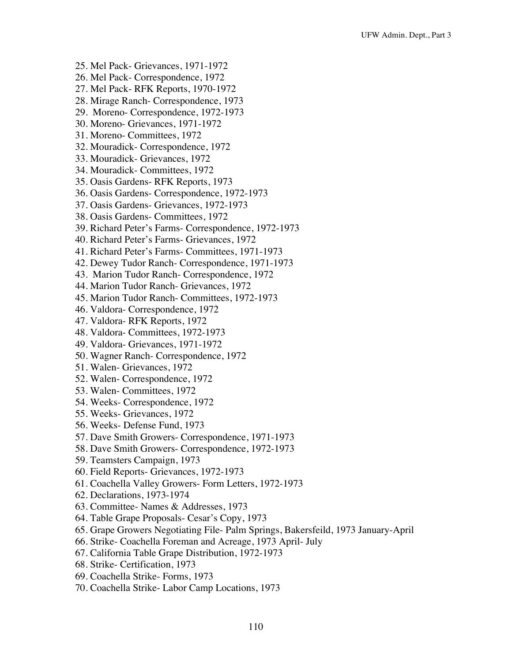- 25. Mel Pack- Grievances, 1971-1972
- 26. Mel Pack- Correspondence, 1972
- 27. Mel Pack- RFK Reports, 1970-1972
- 28. Mirage Ranch- Correspondence, 1973
- 29. Moreno- Correspondence, 1972-1973
- 30. Moreno- Grievances, 1971-1972
- 31. Moreno- Committees, 1972
- 32. Mouradick- Correspondence, 1972
- 33. Mouradick- Grievances, 1972
- 34. Mouradick- Committees, 1972
- 35. Oasis Gardens- RFK Reports, 1973
- 36. Oasis Gardens- Correspondence, 1972-1973
- 37. Oasis Gardens- Grievances, 1972-1973
- 38. Oasis Gardens- Committees, 1972
- 39. Richard Peter's Farms- Correspondence, 1972-1973
- 40. Richard Peter's Farms- Grievances, 1972
- 41. Richard Peter's Farms- Committees, 1971-1973
- 42. Dewey Tudor Ranch- Correspondence, 1971-1973
- 43. Marion Tudor Ranch- Correspondence, 1972
- 44. Marion Tudor Ranch- Grievances, 1972
- 45. Marion Tudor Ranch- Committees, 1972-1973
- 46. Valdora- Correspondence, 1972
- 47. Valdora- RFK Reports, 1972
- 48. Valdora- Committees, 1972-1973
- 49. Valdora- Grievances, 1971-1972
- 50. Wagner Ranch- Correspondence, 1972
- 51. Walen- Grievances, 1972
- 52. Walen- Correspondence, 1972
- 53. Walen- Committees, 1972
- 54. Weeks- Correspondence, 1972
- 55. Weeks- Grievances, 1972
- 56. Weeks- Defense Fund, 1973
- 57. Dave Smith Growers- Correspondence, 1971-1973
- 58. Dave Smith Growers- Correspondence, 1972-1973
- 59. Teamsters Campaign, 1973
- 60. Field Reports- Grievances, 1972-1973
- 61. Coachella Valley Growers- Form Letters, 1972-1973
- 62. Declarations, 1973-1974
- 63. Committee- Names & Addresses, 1973
- 64. Table Grape Proposals- Cesar's Copy, 1973
- 65. Grape Growers Negotiating File- Palm Springs, Bakersfeild, 1973 January-April
- 66. Strike- Coachella Foreman and Acreage, 1973 April- July
- 67. California Table Grape Distribution, 1972-1973
- 68. Strike- Certification, 1973
- 69. Coachella Strike- Forms, 1973
- 70. Coachella Strike- Labor Camp Locations, 1973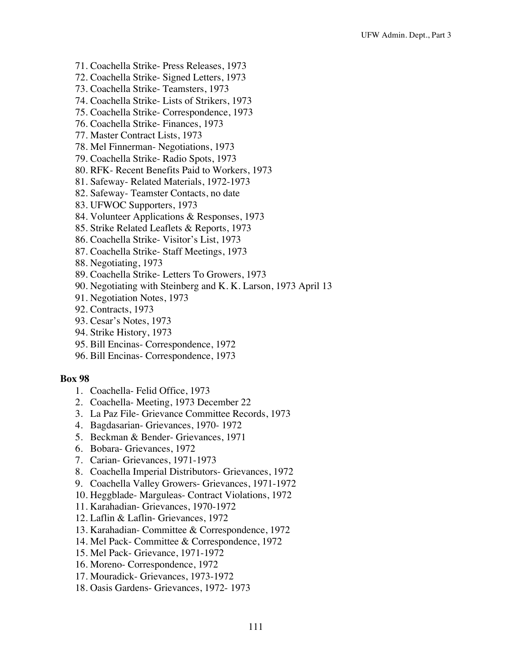- 71. Coachella Strike- Press Releases, 1973
- 72. Coachella Strike- Signed Letters, 1973
- 73. Coachella Strike- Teamsters, 1973
- 74. Coachella Strike- Lists of Strikers, 1973
- 75. Coachella Strike- Correspondence, 1973
- 76. Coachella Strike- Finances, 1973
- 77. Master Contract Lists, 1973
- 78. Mel Finnerman- Negotiations, 1973
- 79. Coachella Strike- Radio Spots, 1973
- 80. RFK- Recent Benefits Paid to Workers, 1973
- 81. Safeway- Related Materials, 1972-1973
- 82. Safeway- Teamster Contacts, no date
- 83. UFWOC Supporters, 1973
- 84. Volunteer Applications & Responses, 1973
- 85. Strike Related Leaflets & Reports, 1973
- 86. Coachella Strike- Visitor's List, 1973
- 87. Coachella Strike- Staff Meetings, 1973
- 88. Negotiating, 1973
- 89. Coachella Strike- Letters To Growers, 1973
- 90. Negotiating with Steinberg and K. K. Larson, 1973 April 13
- 91. Negotiation Notes, 1973
- 92. Contracts, 1973
- 93. Cesar's Notes, 1973
- 94. Strike History, 1973
- 95. Bill Encinas- Correspondence, 1972
- 96. Bill Encinas- Correspondence, 1973

- 1. Coachella- Felid Office, 1973
- 2. Coachella- Meeting, 1973 December 22
- 3. La Paz File- Grievance Committee Records, 1973
- 4. Bagdasarian- Grievances, 1970- 1972
- 5. Beckman & Bender- Grievances, 1971
- 6. Bobara- Grievances, 1972
- 7. Carian- Grievances, 1971-1973
- 8. Coachella Imperial Distributors- Grievances, 1972
- 9. Coachella Valley Growers- Grievances, 1971-1972
- 10. Heggblade- Marguleas- Contract Violations, 1972
- 11. Karahadian- Grievances, 1970-1972
- 12. Laflin & Laflin- Grievances, 1972
- 13. Karahadian- Committee & Correspondence, 1972
- 14. Mel Pack- Committee & Correspondence, 1972
- 15. Mel Pack- Grievance, 1971-1972
- 16. Moreno- Correspondence, 1972
- 17. Mouradick- Grievances, 1973-1972
- 18. Oasis Gardens- Grievances, 1972- 1973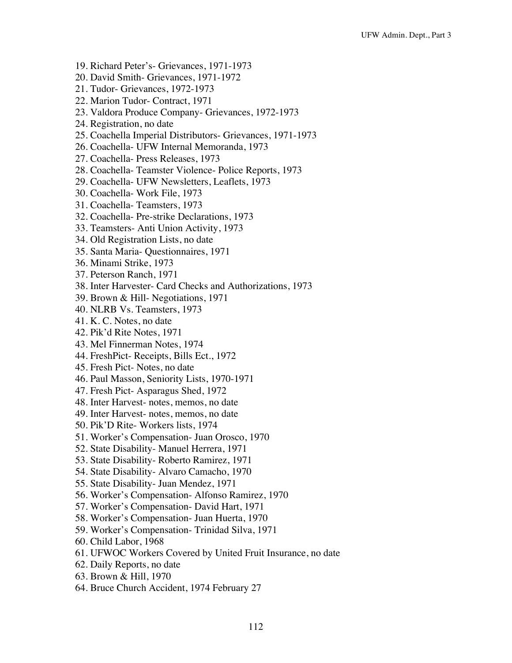- 19. Richard Peter's- Grievances, 1971-1973
- 20. David Smith- Grievances, 1971-1972
- 21. Tudor- Grievances, 1972-1973
- 22. Marion Tudor- Contract, 1971
- 23. Valdora Produce Company- Grievances, 1972-1973
- 24. Registration, no date
- 25. Coachella Imperial Distributors- Grievances, 1971-1973
- 26. Coachella- UFW Internal Memoranda, 1973
- 27. Coachella- Press Releases, 1973
- 28. Coachella- Teamster Violence- Police Reports, 1973
- 29. Coachella- UFW Newsletters, Leaflets, 1973
- 30. Coachella- Work File, 1973
- 31. Coachella- Teamsters, 1973
- 32. Coachella- Pre-strike Declarations, 1973
- 33. Teamsters- Anti Union Activity, 1973
- 34. Old Registration Lists, no date
- 35. Santa Maria- Questionnaires, 1971
- 36. Minami Strike, 1973
- 37. Peterson Ranch, 1971
- 38. Inter Harvester- Card Checks and Authorizations, 1973
- 39. Brown & Hill- Negotiations, 1971
- 40. NLRB Vs. Teamsters, 1973
- 41. K. C. Notes, no date
- 42. Pik'd Rite Notes, 1971
- 43. Mel Finnerman Notes, 1974
- 44. FreshPict- Receipts, Bills Ect., 1972
- 45. Fresh Pict- Notes, no date
- 46. Paul Masson, Seniority Lists, 1970-1971
- 47. Fresh Pict- Asparagus Shed, 1972
- 48. Inter Harvest- notes, memos, no date
- 49. Inter Harvest- notes, memos, no date
- 50. Pik'D Rite- Workers lists, 1974
- 51. Worker's Compensation- Juan Orosco, 1970
- 52. State Disability- Manuel Herrera, 1971
- 53. State Disability- Roberto Ramirez, 1971
- 54. State Disability- Alvaro Camacho, 1970
- 55. State Disability- Juan Mendez, 1971
- 56. Worker's Compensation- Alfonso Ramirez, 1970
- 57. Worker's Compensation- David Hart, 1971
- 58. Worker's Compensation- Juan Huerta, 1970
- 59. Worker's Compensation- Trinidad Silva, 1971
- 60. Child Labor, 1968
- 61. UFWOC Workers Covered by United Fruit Insurance, no date
- 62. Daily Reports, no date
- 63. Brown & Hill, 1970
- 64. Bruce Church Accident, 1974 February 27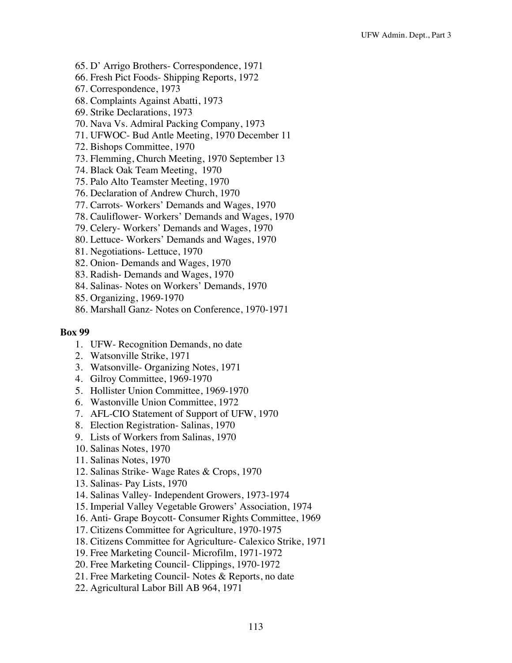- 65. D' Arrigo Brothers- Correspondence, 1971
- 66. Fresh Pict Foods- Shipping Reports, 1972
- 67. Correspondence, 1973
- 68. Complaints Against Abatti, 1973
- 69. Strike Declarations, 1973
- 70. Nava Vs. Admiral Packing Company, 1973
- 71. UFWOC- Bud Antle Meeting, 1970 December 11
- 72. Bishops Committee, 1970
- 73. Flemming, Church Meeting, 1970 September 13
- 74. Black Oak Team Meeting, 1970
- 75. Palo Alto Teamster Meeting, 1970
- 76. Declaration of Andrew Church, 1970
- 77. Carrots- Workers' Demands and Wages, 1970
- 78. Cauliflower- Workers' Demands and Wages, 1970
- 79. Celery- Workers' Demands and Wages, 1970
- 80. Lettuce- Workers' Demands and Wages, 1970
- 81. Negotiations- Lettuce, 1970
- 82. Onion- Demands and Wages, 1970
- 83. Radish- Demands and Wages, 1970
- 84. Salinas- Notes on Workers' Demands, 1970
- 85. Organizing, 1969-1970
- 86. Marshall Ganz- Notes on Conference, 1970-1971

- 1. UFW- Recognition Demands, no date
- 2. Watsonville Strike, 1971
- 3. Watsonville- Organizing Notes, 1971
- 4. Gilroy Committee, 1969-1970
- 5. Hollister Union Committee, 1969-1970
- 6. Wastonville Union Committee, 1972
- 7. AFL-CIO Statement of Support of UFW, 1970
- 8. Election Registration- Salinas, 1970
- 9. Lists of Workers from Salinas, 1970
- 10. Salinas Notes, 1970
- 11. Salinas Notes, 1970
- 12. Salinas Strike- Wage Rates & Crops, 1970
- 13. Salinas- Pay Lists, 1970
- 14. Salinas Valley- Independent Growers, 1973-1974
- 15. Imperial Valley Vegetable Growers' Association, 1974
- 16. Anti- Grape Boycott- Consumer Rights Committee, 1969
- 17. Citizens Committee for Agriculture, 1970-1975
- 18. Citizens Committee for Agriculture- Calexico Strike, 1971
- 19. Free Marketing Council- Microfilm, 1971-1972
- 20. Free Marketing Council- Clippings, 1970-1972
- 21. Free Marketing Council- Notes & Reports, no date
- 22. Agricultural Labor Bill AB 964, 1971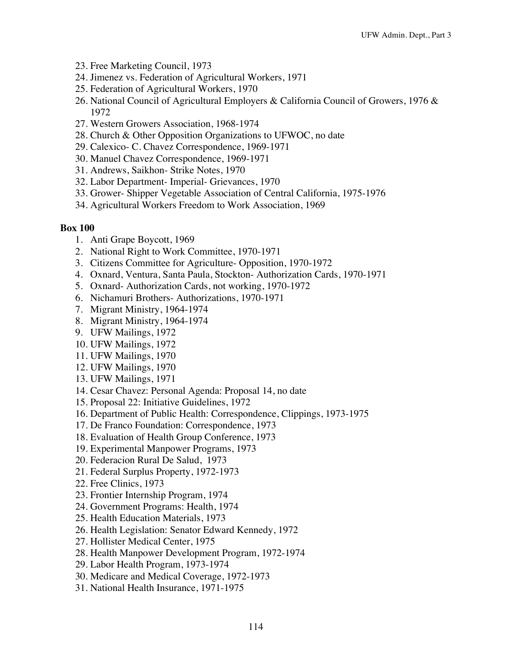- 23. Free Marketing Council, 1973
- 24. Jimenez vs. Federation of Agricultural Workers, 1971
- 25. Federation of Agricultural Workers, 1970
- 26. National Council of Agricultural Employers & California Council of Growers, 1976 & 1972
- 27. Western Growers Association, 1968-1974
- 28. Church & Other Opposition Organizations to UFWOC, no date
- 29. Calexico- C. Chavez Correspondence, 1969-1971
- 30. Manuel Chavez Correspondence, 1969-1971
- 31. Andrews, Saikhon- Strike Notes, 1970
- 32. Labor Department- Imperial- Grievances, 1970
- 33. Grower- Shipper Vegetable Association of Central California, 1975-1976
- 34. Agricultural Workers Freedom to Work Association, 1969

- 1. Anti Grape Boycott, 1969
- 2. National Right to Work Committee, 1970-1971
- 3. Citizens Committee for Agriculture- Opposition, 1970-1972
- 4. Oxnard, Ventura, Santa Paula, Stockton- Authorization Cards, 1970-1971
- 5. Oxnard- Authorization Cards, not working, 1970-1972
- 6. Nichamuri Brothers- Authorizations, 1970-1971
- 7. Migrant Ministry, 1964-1974
- 8. Migrant Ministry, 1964-1974
- 9. UFW Mailings, 1972
- 10. UFW Mailings, 1972
- 11. UFW Mailings, 1970
- 12. UFW Mailings, 1970
- 13. UFW Mailings, 1971
- 14. Cesar Chavez: Personal Agenda: Proposal 14, no date
- 15. Proposal 22: Initiative Guidelines, 1972
- 16. Department of Public Health: Correspondence, Clippings, 1973-1975
- 17. De Franco Foundation: Correspondence, 1973
- 18. Evaluation of Health Group Conference, 1973
- 19. Experimental Manpower Programs, 1973
- 20. Federacion Rural De Salud, 1973
- 21. Federal Surplus Property, 1972-1973
- 22. Free Clinics, 1973
- 23. Frontier Internship Program, 1974
- 24. Government Programs: Health, 1974
- 25. Health Education Materials, 1973
- 26. Health Legislation: Senator Edward Kennedy, 1972
- 27. Hollister Medical Center, 1975
- 28. Health Manpower Development Program, 1972-1974
- 29. Labor Health Program, 1973-1974
- 30. Medicare and Medical Coverage, 1972-1973
- 31. National Health Insurance, 1971-1975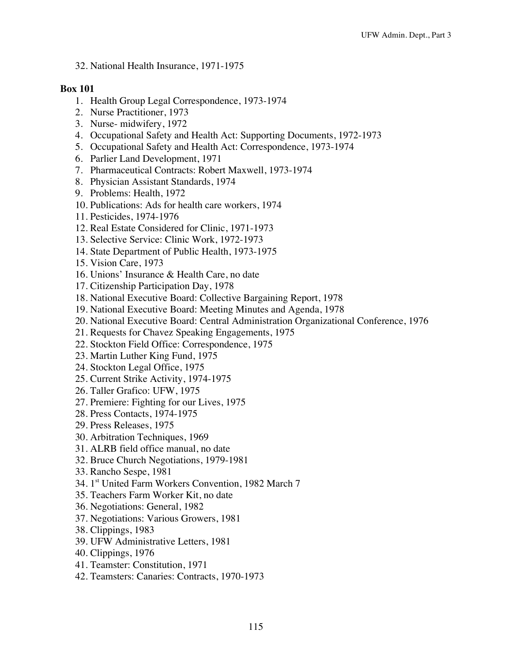32. National Health Insurance, 1971-1975

- 1. Health Group Legal Correspondence, 1973-1974
- 2. Nurse Practitioner, 1973
- 3. Nurse- midwifery, 1972
- 4. Occupational Safety and Health Act: Supporting Documents, 1972-1973
- 5. Occupational Safety and Health Act: Correspondence, 1973-1974
- 6. Parlier Land Development, 1971
- 7. Pharmaceutical Contracts: Robert Maxwell, 1973-1974
- 8. Physician Assistant Standards, 1974
- 9. Problems: Health, 1972
- 10. Publications: Ads for health care workers, 1974
- 11. Pesticides, 1974-1976
- 12. Real Estate Considered for Clinic, 1971-1973
- 13. Selective Service: Clinic Work, 1972-1973
- 14. State Department of Public Health, 1973-1975
- 15. Vision Care, 1973
- 16. Unions' Insurance & Health Care, no date
- 17. Citizenship Participation Day, 1978
- 18. National Executive Board: Collective Bargaining Report, 1978
- 19. National Executive Board: Meeting Minutes and Agenda, 1978
- 20. National Executive Board: Central Administration Organizational Conference, 1976
- 21. Requests for Chavez Speaking Engagements, 1975
- 22. Stockton Field Office: Correspondence, 1975
- 23. Martin Luther King Fund, 1975
- 24. Stockton Legal Office, 1975
- 25. Current Strike Activity, 1974-1975
- 26. Taller Grafico: UFW, 1975
- 27. Premiere: Fighting for our Lives, 1975
- 28. Press Contacts, 1974-1975
- 29. Press Releases, 1975
- 30. Arbitration Techniques, 1969
- 31. ALRB field office manual, no date
- 32. Bruce Church Negotiations, 1979-1981
- 33. Rancho Sespe, 1981
- 34. 1<sup>st</sup> United Farm Workers Convention, 1982 March 7
- 35. Teachers Farm Worker Kit, no date
- 36. Negotiations: General, 1982
- 37. Negotiations: Various Growers, 1981
- 38. Clippings, 1983
- 39. UFW Administrative Letters, 1981
- 40. Clippings, 1976
- 41. Teamster: Constitution, 1971
- 42. Teamsters: Canaries: Contracts, 1970-1973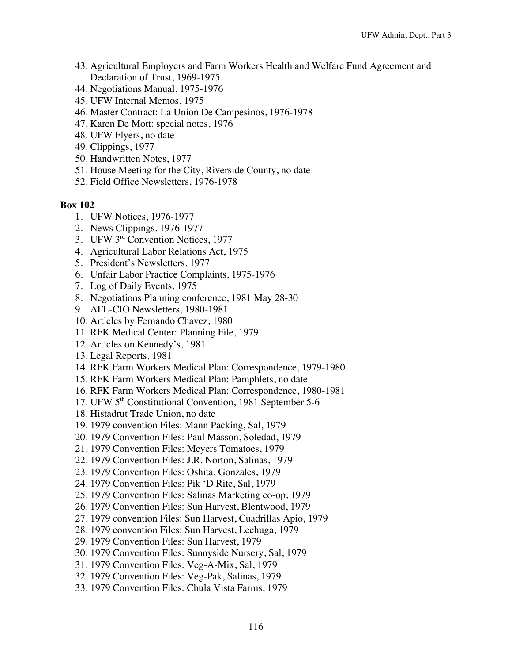- 43. Agricultural Employers and Farm Workers Health and Welfare Fund Agreement and Declaration of Trust, 1969-1975
- 44. Negotiations Manual, 1975-1976
- 45. UFW Internal Memos, 1975
- 46. Master Contract: La Union De Campesinos, 1976-1978
- 47. Karen De Mott: special notes, 1976
- 48. UFW Flyers, no date
- 49. Clippings, 1977
- 50. Handwritten Notes, 1977
- 51. House Meeting for the City, Riverside County, no date
- 52. Field Office Newsletters, 1976-1978

- 1. UFW Notices, 1976-1977
- 2. News Clippings, 1976-1977
- 3. UFW 3rd Convention Notices, 1977
- 4. Agricultural Labor Relations Act, 1975
- 5. President's Newsletters, 1977
- 6. Unfair Labor Practice Complaints, 1975-1976
- 7. Log of Daily Events, 1975
- 8. Negotiations Planning conference, 1981 May 28-30
- 9. AFL-CIO Newsletters, 1980-1981
- 10. Articles by Fernando Chavez, 1980
- 11. RFK Medical Center: Planning File, 1979
- 12. Articles on Kennedy's, 1981
- 13. Legal Reports, 1981
- 14. RFK Farm Workers Medical Plan: Correspondence, 1979-1980
- 15. RFK Farm Workers Medical Plan: Pamphlets, no date
- 16. RFK Farm Workers Medical Plan: Correspondence, 1980-1981
- 17. UFW 5<sup>th</sup> Constitutional Convention, 1981 September 5-6
- 18. Histadrut Trade Union, no date
- 19. 1979 convention Files: Mann Packing, Sal, 1979
- 20. 1979 Convention Files: Paul Masson, Soledad, 1979
- 21. 1979 Convention Files: Meyers Tomatoes, 1979
- 22. 1979 Convention Files: J.R. Norton, Salinas, 1979
- 23. 1979 Convention Files: Oshita, Gonzales, 1979
- 24. 1979 Convention Files: Pik 'D Rite, Sal, 1979
- 25. 1979 Convention Files: Salinas Marketing co-op, 1979
- 26. 1979 Convention Files: Sun Harvest, Blentwood, 1979
- 27. 1979 convention Files: Sun Harvest, Cuadrillas Apio, 1979
- 28. 1979 convention Files: Sun Harvest, Lechuga, 1979
- 29. 1979 Convention Files: Sun Harvest, 1979
- 30. 1979 Convention Files: Sunnyside Nursery, Sal, 1979
- 31. 1979 Convention Files: Veg-A-Mix, Sal, 1979
- 32. 1979 Convention Files: Veg-Pak, Salinas, 1979
- 33. 1979 Convention Files: Chula Vista Farms, 1979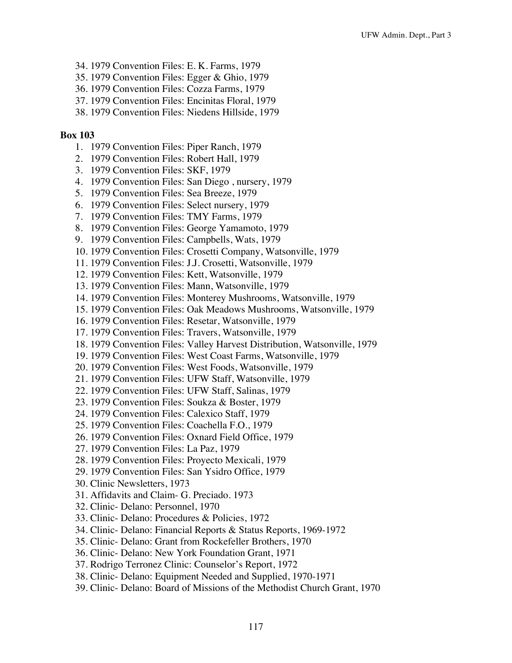- 34. 1979 Convention Files: E. K. Farms, 1979
- 35. 1979 Convention Files: Egger & Ghio, 1979
- 36. 1979 Convention Files: Cozza Farms, 1979
- 37. 1979 Convention Files: Encinitas Floral, 1979
- 38. 1979 Convention Files: Niedens Hillside, 1979

- 1. 1979 Convention Files: Piper Ranch, 1979
- 2. 1979 Convention Files: Robert Hall, 1979
- 3. 1979 Convention Files: SKF, 1979
- 4. 1979 Convention Files: San Diego , nursery, 1979
- 5. 1979 Convention Files: Sea Breeze, 1979
- 6. 1979 Convention Files: Select nursery, 1979
- 7. 1979 Convention Files: TMY Farms, 1979
- 8. 1979 Convention Files: George Yamamoto, 1979
- 9. 1979 Convention Files: Campbells, Wats, 1979
- 10. 1979 Convention Files: Crosetti Company, Watsonville, 1979
- 11. 1979 Convention Files: J.J. Crosetti, Watsonville, 1979
- 12. 1979 Convention Files: Kett, Watsonville, 1979
- 13. 1979 Convention Files: Mann, Watsonville, 1979
- 14. 1979 Convention Files: Monterey Mushrooms, Watsonville, 1979
- 15. 1979 Convention Files: Oak Meadows Mushrooms, Watsonville, 1979
- 16. 1979 Convention Files: Resetar, Watsonville, 1979
- 17. 1979 Convention Files: Travers, Watsonville, 1979
- 18. 1979 Convention Files: Valley Harvest Distribution, Watsonville, 1979
- 19. 1979 Convention Files: West Coast Farms, Watsonville, 1979
- 20. 1979 Convention Files: West Foods, Watsonville, 1979
- 21. 1979 Convention Files: UFW Staff, Watsonville, 1979
- 22. 1979 Convention Files: UFW Staff, Salinas, 1979
- 23. 1979 Convention Files: Soukza & Boster, 1979
- 24. 1979 Convention Files: Calexico Staff, 1979
- 25. 1979 Convention Files: Coachella F.O., 1979
- 26. 1979 Convention Files: Oxnard Field Office, 1979
- 27. 1979 Convention Files: La Paz, 1979
- 28. 1979 Convention Files: Proyecto Mexicali, 1979
- 29. 1979 Convention Files: San Ysidro Office, 1979
- 30. Clinic Newsletters, 1973
- 31. Affidavits and Claim- G. Preciado. 1973
- 32. Clinic- Delano: Personnel, 1970
- 33. Clinic- Delano: Procedures & Policies, 1972
- 34. Clinic- Delano: Financial Reports & Status Reports, 1969-1972
- 35. Clinic- Delano: Grant from Rockefeller Brothers, 1970
- 36. Clinic- Delano: New York Foundation Grant, 1971
- 37. Rodrigo Terronez Clinic: Counselor's Report, 1972
- 38. Clinic- Delano: Equipment Needed and Supplied, 1970-1971
- 39. Clinic- Delano: Board of Missions of the Methodist Church Grant, 1970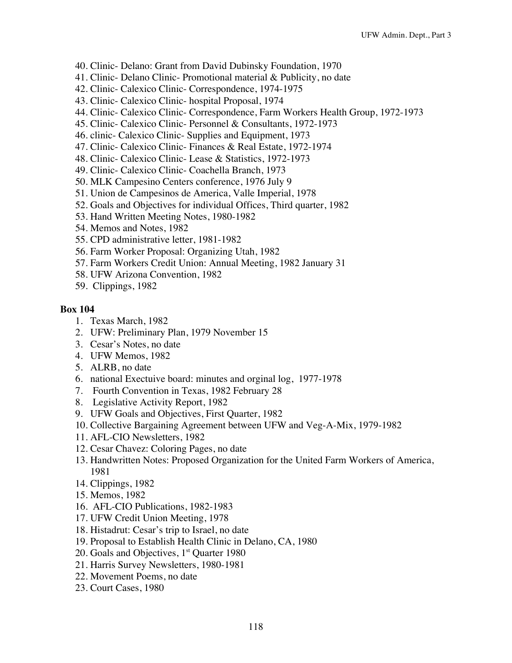- 40. Clinic- Delano: Grant from David Dubinsky Foundation, 1970
- 41. Clinic- Delano Clinic- Promotional material & Publicity, no date
- 42. Clinic- Calexico Clinic- Correspondence, 1974-1975
- 43. Clinic- Calexico Clinic- hospital Proposal, 1974
- 44. Clinic- Calexico Clinic- Correspondence, Farm Workers Health Group, 1972-1973
- 45. Clinic- Calexico Clinic- Personnel & Consultants, 1972-1973
- 46. clinic- Calexico Clinic- Supplies and Equipment, 1973
- 47. Clinic- Calexico Clinic- Finances & Real Estate, 1972-1974
- 48. Clinic- Calexico Clinic- Lease & Statistics, 1972-1973
- 49. Clinic- Calexico Clinic- Coachella Branch, 1973
- 50. MLK Campesino Centers conference, 1976 July 9
- 51. Union de Campesinos de America, Valle Imperial, 1978
- 52. Goals and Objectives for individual Offices, Third quarter, 1982
- 53. Hand Written Meeting Notes, 1980-1982
- 54. Memos and Notes, 1982
- 55. CPD administrative letter, 1981-1982
- 56. Farm Worker Proposal: Organizing Utah, 1982
- 57. Farm Workers Credit Union: Annual Meeting, 1982 January 31
- 58. UFW Arizona Convention, 1982
- 59. Clippings, 1982

- 1. Texas March, 1982
- 2. UFW: Preliminary Plan, 1979 November 15
- 3. Cesar's Notes, no date
- 4. UFW Memos, 1982
- 5. ALRB, no date
- 6. national Exectuive board: minutes and orginal log, 1977-1978
- 7. Fourth Convention in Texas, 1982 February 28
- 8. Legislative Activity Report, 1982
- 9. UFW Goals and Objectives, First Quarter, 1982
- 10. Collective Bargaining Agreement between UFW and Veg-A-Mix, 1979-1982
- 11. AFL-CIO Newsletters, 1982
- 12. Cesar Chavez: Coloring Pages, no date
- 13. Handwritten Notes: Proposed Organization for the United Farm Workers of America, 1981
- 14. Clippings, 1982
- 15. Memos, 1982
- 16. AFL-CIO Publications, 1982-1983
- 17. UFW Credit Union Meeting, 1978
- 18. Histadrut: Cesar's trip to Israel, no date
- 19. Proposal to Establish Health Clinic in Delano, CA, 1980
- 20. Goals and Objectives,  $1<sup>st</sup>$  Quarter 1980
- 21. Harris Survey Newsletters, 1980-1981
- 22. Movement Poems, no date
- 23. Court Cases, 1980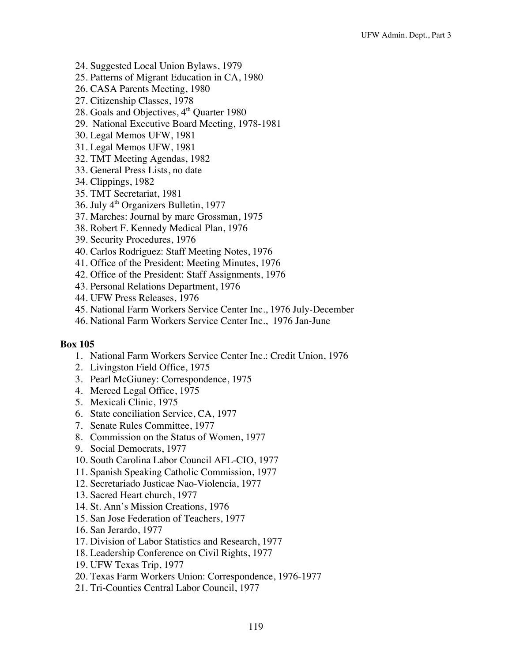- 24. Suggested Local Union Bylaws, 1979
- 25. Patterns of Migrant Education in CA, 1980
- 26. CASA Parents Meeting, 1980
- 27. Citizenship Classes, 1978
- 28. Goals and Objectives, 4<sup>th</sup> Quarter 1980
- 29. National Executive Board Meeting, 1978-1981
- 30. Legal Memos UFW, 1981
- 31. Legal Memos UFW, 1981
- 32. TMT Meeting Agendas, 1982
- 33. General Press Lists, no date
- 34. Clippings, 1982
- 35. TMT Secretariat, 1981
- 36. July 4<sup>th</sup> Organizers Bulletin, 1977
- 37. Marches: Journal by marc Grossman, 1975
- 38. Robert F. Kennedy Medical Plan, 1976
- 39. Security Procedures, 1976
- 40. Carlos Rodriguez: Staff Meeting Notes, 1976
- 41. Office of the President: Meeting Minutes, 1976
- 42. Office of the President: Staff Assignments, 1976
- 43. Personal Relations Department, 1976
- 44. UFW Press Releases, 1976
- 45. National Farm Workers Service Center Inc., 1976 July-December
- 46. National Farm Workers Service Center Inc., 1976 Jan-June

- 1. National Farm Workers Service Center Inc.: Credit Union, 1976
- 2. Livingston Field Office, 1975
- 3. Pearl McGiuney: Correspondence, 1975
- 4. Merced Legal Office, 1975
- 5. Mexicali Clinic, 1975
- 6. State conciliation Service, CA, 1977
- 7. Senate Rules Committee, 1977
- 8. Commission on the Status of Women, 1977
- 9. Social Democrats, 1977
- 10. South Carolina Labor Council AFL-CIO, 1977
- 11. Spanish Speaking Catholic Commission, 1977
- 12. Secretariado Justicae Nao-Violencia, 1977
- 13. Sacred Heart church, 1977
- 14. St. Ann's Mission Creations, 1976
- 15. San Jose Federation of Teachers, 1977
- 16. San Jerardo, 1977
- 17. Division of Labor Statistics and Research, 1977
- 18. Leadership Conference on Civil Rights, 1977
- 19. UFW Texas Trip, 1977
- 20. Texas Farm Workers Union: Correspondence, 1976-1977
- 21. Tri-Counties Central Labor Council, 1977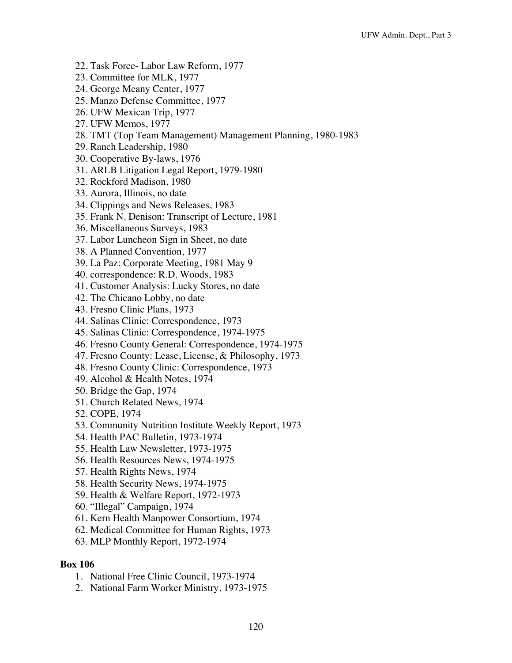- 22. Task Force- Labor Law Reform, 1977
- 23. Committee for MLK, 1977
- 24. George Meany Center, 1977
- 25. Manzo Defense Committee, 1977
- 26. UFW Mexican Trip, 1977
- 27. UFW Memos, 1977
- 28. TMT (Top Team Management) Management Planning, 1980-1983
- 29. Ranch Leadership, 1980
- 30. Cooperative By-laws, 1976
- 31. ARLB Litigation Legal Report, 1979-1980
- 32. Rockford Madison, 1980
- 33. Aurora, Illinois, no date
- 34. Clippings and News Releases, 1983
- 35. Frank N. Denison: Transcript of Lecture, 1981
- 36. Miscellaneous Surveys, 1983
- 37. Labor Luncheon Sign in Sheet, no date
- 38. A Planned Convention, 1977
- 39. La Paz: Corporate Meeting, 1981 May 9
- 40. correspondence: R.D. Woods, 1983
- 41. Customer Analysis: Lucky Stores, no date
- 42. The Chicano Lobby, no date
- 43. Fresno Clinic Plans, 1973
- 44. Salinas Clinic: Correspondence, 1973
- 45. Salinas Clinic: Correspondence, 1974-1975
- 46. Fresno County General: Correspondence, 1974-1975
- 47. Fresno County: Lease, License, & Philosophy, 1973
- 48. Fresno County Clinic: Correspondence, 1973
- 49. Alcohol & Health Notes, 1974
- 50. Bridge the Gap, 1974
- 51. Church Related News, 1974
- 52. COPE, 1974
- 53. Community Nutrition Institute Weekly Report, 1973
- 54. Health PAC Bulletin, 1973-1974
- 55. Health Law Newsletter, 1973-1975
- 56. Health Resources News, 1974-1975
- 57. Health Rights News, 1974
- 58. Health Security News, 1974-1975
- 59. Health & Welfare Report, 1972-1973
- 60. "Illegal" Campaign, 1974
- 61. Kern Health Manpower Consortium, 1974
- 62. Medical Committee for Human Rights, 1973
- 63. MLP Monthly Report, 1972-1974

- 1. National Free Clinic Council, 1973-1974
- 2. National Farm Worker Ministry, 1973-1975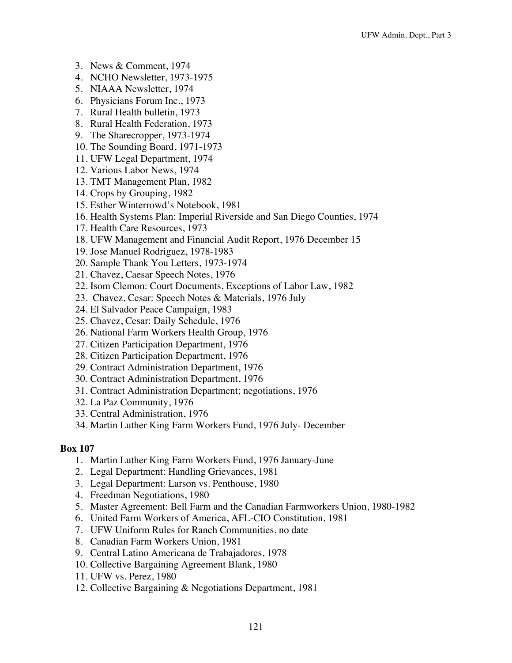- 3. News & Comment, 1974
- 4. NCHO Newsletter, 1973-1975
- 5. NIAAA Newsletter, 1974
- 6. Physicians Forum Inc., 1973
- 7. Rural Health bulletin, 1973
- 8. Rural Health Federation, 1973
- 9. The Sharecropper, 1973-1974
- 10. The Sounding Board, 1971-1973
- 11. UFW Legal Department, 1974
- 12. Various Labor News, 1974
- 13. TMT Management Plan, 1982
- 14. Crops by Grouping, 1982
- 15. Esther Winterrowd's Notebook, 1981
- 16. Health Systems Plan: Imperial Riverside and San Diego Counties, 1974
- 17. Health Care Resources, 1973
- 18. UFW Management and Financial Audit Report, 1976 December 15
- 19. Jose Manuel Rodriguez, 1978-1983
- 20. Sample Thank You Letters, 1973-1974
- 21. Chavez, Caesar Speech Notes, 1976
- 22. Isom Clemon: Court Documents, Exceptions of Labor Law, 1982
- 23. Chavez, Cesar: Speech Notes & Materials, 1976 July
- 24. El Salvador Peace Campaign, 1983
- 25. Chavez, Cesar: Daily Schedule, 1976
- 26. National Farm Workers Health Group, 1976
- 27. Citizen Participation Department, 1976
- 28. Citizen Participation Department, 1976
- 29. Contract Administration Department, 1976
- 30. Contract Administration Department, 1976
- 31. Contract Administration Department; negotiations, 1976
- 32. La Paz Community, 1976
- 33. Central Administration, 1976
- 34. Martin Luther King Farm Workers Fund, 1976 July- December

- 1. Martin Luther King Farm Workers Fund, 1976 January-June
- 2. Legal Department: Handling Grievances, 1981
- 3. Legal Department: Larson vs. Penthouse, 1980
- 4. Freedman Negotiations, 1980
- 5. Master Agreement: Bell Farm and the Canadian Farmworkers Union, 1980-1982
- 6. United Farm Workers of America, AFL-CIO Constitution, 1981
- 7. UFW Uniform Rules for Ranch Communities, no date
- 8. Canadian Farm Workers Union, 1981
- 9. Central Latino Americana de Trabajadores, 1978
- 10. Collective Bargaining Agreement Blank, 1980
- 11. UFW vs. Perez, 1980
- 12. Collective Bargaining & Negotiations Department, 1981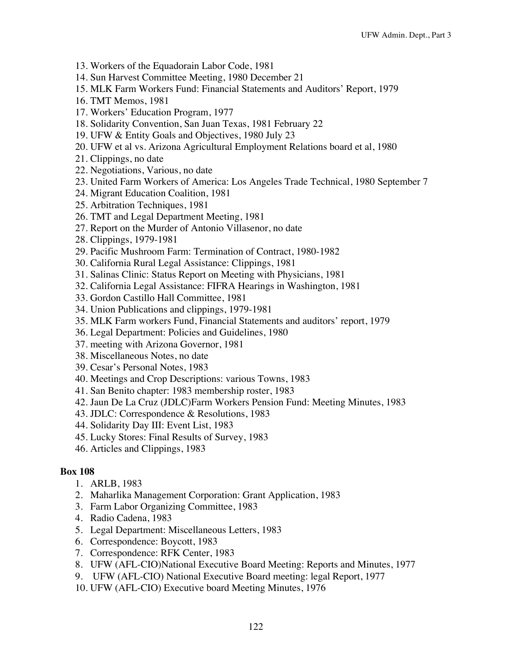- 13. Workers of the Equadorain Labor Code, 1981
- 14. Sun Harvest Committee Meeting, 1980 December 21
- 15. MLK Farm Workers Fund: Financial Statements and Auditors' Report, 1979
- 16. TMT Memos, 1981
- 17. Workers' Education Program, 1977
- 18. Solidarity Convention, San Juan Texas, 1981 February 22
- 19. UFW & Entity Goals and Objectives, 1980 July 23
- 20. UFW et al vs. Arizona Agricultural Employment Relations board et al, 1980
- 21. Clippings, no date
- 22. Negotiations, Various, no date
- 23. United Farm Workers of America: Los Angeles Trade Technical, 1980 September 7
- 24. Migrant Education Coalition, 1981
- 25. Arbitration Techniques, 1981
- 26. TMT and Legal Department Meeting, 1981
- 27. Report on the Murder of Antonio Villasenor, no date
- 28. Clippings, 1979-1981
- 29. Pacific Mushroom Farm: Termination of Contract, 1980-1982
- 30. California Rural Legal Assistance: Clippings, 1981
- 31. Salinas Clinic: Status Report on Meeting with Physicians, 1981
- 32. California Legal Assistance: FIFRA Hearings in Washington, 1981
- 33. Gordon Castillo Hall Committee, 1981
- 34. Union Publications and clippings, 1979-1981
- 35. MLK Farm workers Fund, Financial Statements and auditors' report, 1979
- 36. Legal Department: Policies and Guidelines, 1980
- 37. meeting with Arizona Governor, 1981
- 38. Miscellaneous Notes, no date
- 39. Cesar's Personal Notes, 1983
- 40. Meetings and Crop Descriptions: various Towns, 1983
- 41. San Benito chapter: 1983 membership roster, 1983
- 42. Jaun De La Cruz (JDLC)Farm Workers Pension Fund: Meeting Minutes, 1983
- 43. JDLC: Correspondence & Resolutions, 1983
- 44. Solidarity Day III: Event List, 1983
- 45. Lucky Stores: Final Results of Survey, 1983
- 46. Articles and Clippings, 1983

- 1. ARLB, 1983
- 2. Maharlika Management Corporation: Grant Application, 1983
- 3. Farm Labor Organizing Committee, 1983
- 4. Radio Cadena, 1983
- 5. Legal Department: Miscellaneous Letters, 1983
- 6. Correspondence: Boycott, 1983
- 7. Correspondence: RFK Center, 1983
- 8. UFW (AFL-CIO)National Executive Board Meeting: Reports and Minutes, 1977
- 9. UFW (AFL-CIO) National Executive Board meeting: legal Report, 1977
- 10. UFW (AFL-CIO) Executive board Meeting Minutes, 1976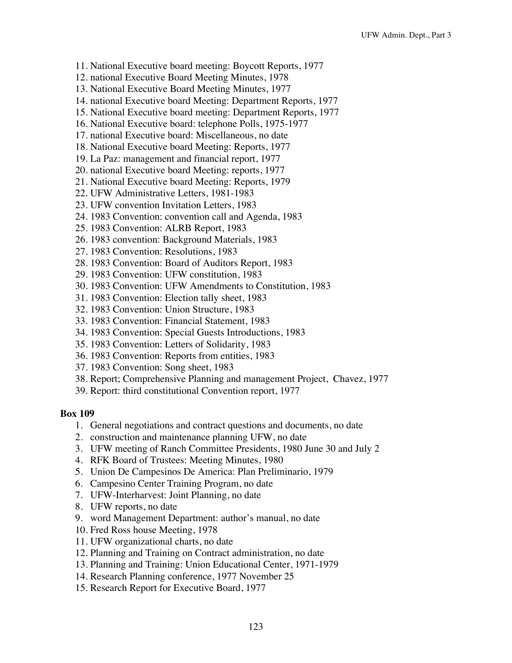- 11. National Executive board meeting: Boycott Reports, 1977
- 12. national Executive Board Meeting Minutes, 1978
- 13. National Executive Board Meeting Minutes, 1977
- 14. national Executive board Meeting: Department Reports, 1977
- 15. National Executive board meeting: Department Reports, 1977
- 16. National Executive board: telephone Polls, 1975-1977
- 17. national Executive board: Miscellaneous, no date
- 18. National Executive board Meeting: Reports, 1977
- 19. La Paz: management and financial report, 1977
- 20. national Executive board Meeting: reports, 1977
- 21. National Executive board Meeting: Reports, 1979
- 22. UFW Administrative Letters, 1981-1983
- 23. UFW convention Invitation Letters, 1983
- 24. 1983 Convention: convention call and Agenda, 1983
- 25. 1983 Convention: ALRB Report, 1983
- 26. 1983 convention: Background Materials, 1983
- 27. 1983 Convention: Resolutions, 1983
- 28. 1983 Convention: Board of Auditors Report, 1983
- 29. 1983 Convention: UFW constitution, 1983
- 30. 1983 Convention: UFW Amendments to Constitution, 1983
- 31. 1983 Convention: Election tally sheet, 1983
- 32. 1983 Convention: Union Structure, 1983
- 33. 1983 Convention: Financial Statement, 1983
- 34. 1983 Convention: Special Guests Introductions, 1983
- 35. 1983 Convention: Letters of Solidarity, 1983
- 36. 1983 Convention: Reports from entities, 1983
- 37. 1983 Convention: Song sheet, 1983
- 38. Report; Comprehensive Planning and management Project, Chavez, 1977
- 39. Report: third constitutional Convention report, 1977

- 1. General negotiations and contract questions and documents, no date
- 2. construction and maintenance planning UFW, no date
- 3. UFW meeting of Ranch Committee Presidents, 1980 June 30 and July 2
- 4. RFK Board of Trustees: Meeting Minutes, 1980
- 5. Union De Campesinos De America: Plan Preliminario, 1979
- 6. Campesino Center Training Program, no date
- 7. UFW-Interharvest: Joint Planning, no date
- 8. UFW reports, no date
- 9. word Management Department: author's manual, no date
- 10. Fred Ross house Meeting, 1978
- 11. UFW organizational charts, no date
- 12. Planning and Training on Contract administration, no date
- 13. Planning and Training: Union Educational Center, 1971-1979
- 14. Research Planning conference, 1977 November 25
- 15. Research Report for Executive Board, 1977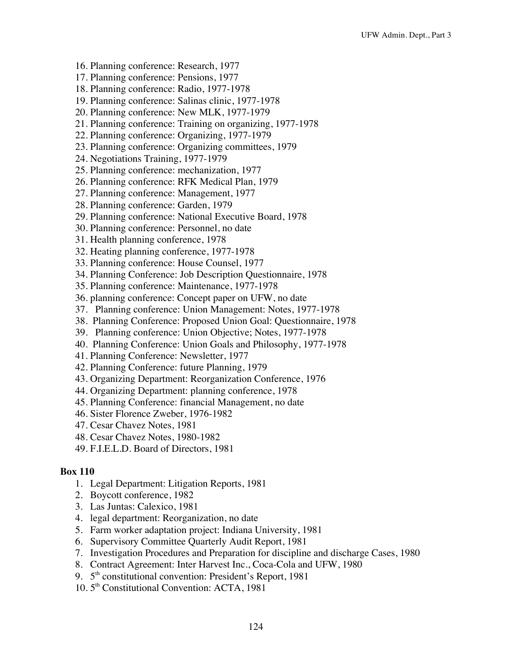- 16. Planning conference: Research, 1977
- 17. Planning conference: Pensions, 1977
- 18. Planning conference: Radio, 1977-1978
- 19. Planning conference: Salinas clinic, 1977-1978
- 20. Planning conference: New MLK, 1977-1979
- 21. Planning conference: Training on organizing, 1977-1978
- 22. Planning conference: Organizing, 1977-1979
- 23. Planning conference: Organizing committees, 1979
- 24. Negotiations Training, 1977-1979
- 25. Planning conference: mechanization, 1977
- 26. Planning conference: RFK Medical Plan, 1979
- 27. Planning conference: Management, 1977
- 28. Planning conference: Garden, 1979
- 29. Planning conference: National Executive Board, 1978
- 30. Planning conference: Personnel, no date
- 31. Health planning conference, 1978
- 32. Heating planning conference, 1977-1978
- 33. Planning conference: House Counsel, 1977
- 34. Planning Conference: Job Description Questionnaire, 1978
- 35. Planning conference: Maintenance, 1977-1978
- 36. planning conference: Concept paper on UFW, no date
- 37. Planning conference: Union Management: Notes, 1977-1978
- 38. Planning Conference: Proposed Union Goal: Questionnaire, 1978
- 39. Planning conference: Union Objective; Notes, 1977-1978
- 40. Planning Conference: Union Goals and Philosophy, 1977-1978
- 41. Planning Conference: Newsletter, 1977
- 42. Planning Conference: future Planning, 1979
- 43. Organizing Department: Reorganization Conference, 1976
- 44. Organizing Department: planning conference, 1978
- 45. Planning Conference: financial Management, no date
- 46. Sister Florence Zweber, 1976-1982
- 47. Cesar Chavez Notes, 1981
- 48. Cesar Chavez Notes, 1980-1982
- 49. F.I.E.L.D. Board of Directors, 1981

- 1. Legal Department: Litigation Reports, 1981
- 2. Boycott conference, 1982
- 3. Las Juntas: Calexico, 1981
- 4. legal department: Reorganization, no date
- 5. Farm worker adaptation project: Indiana University, 1981
- 6. Supervisory Committee Quarterly Audit Report, 1981
- 7. Investigation Procedures and Preparation for discipline and discharge Cases, 1980
- 8. Contract Agreement: Inter Harvest Inc., Coca-Cola and UFW, 1980
- 9. 5<sup>th</sup> constitutional convention: President's Report, 1981
- 10. 5<sup>th</sup> Constitutional Convention: ACTA, 1981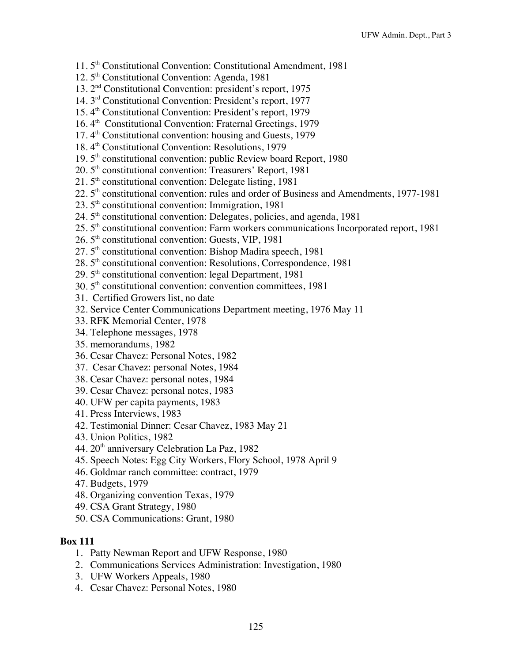- 11. 5th Constitutional Convention: Constitutional Amendment, 1981
- 12.5<sup>th</sup> Constitutional Convention: Agenda, 1981
- 13. 2nd Constitutional Convention: president's report, 1975
- 14. 3rd Constitutional Convention: President's report, 1977
- 15. 4<sup>th</sup> Constitutional Convention: President's report, 1979
- 16. 4<sup>th</sup> Constitutional Convention: Fraternal Greetings, 1979
- 17.  $4<sup>th</sup>$  Constitutional convention: housing and Guests, 1979
- 18. 4<sup>th</sup> Constitutional Convention: Resolutions, 1979
- 19. 5<sup>th</sup> constitutional convention: public Review board Report, 1980
- 20. 5<sup>th</sup> constitutional convention: Treasurers' Report, 1981
- $21.5<sup>th</sup>$  constitutional convention: Delegate listing, 1981
- $22.5<sup>th</sup>$  constitutional convention: rules and order of Business and Amendments, 1977-1981
- $23.5<sup>th</sup>$  constitutional convention: Immigration, 1981
- $24.5<sup>th</sup>$  constitutional convention: Delegates, policies, and agenda, 1981
- 25. 5th constitutional convention: Farm workers communications Incorporated report, 1981
- $26.5<sup>th</sup>$  constitutional convention: Guests, VIP, 1981
- $27.5<sup>th</sup>$  constitutional convention: Bishop Madira speech, 1981
- 28. 5<sup>th</sup> constitutional convention: Resolutions, Correspondence, 1981
- $29.5<sup>th</sup>$  constitutional convention: legal Department, 1981
- 30. 5th constitutional convention: convention committees, 1981
- 31. Certified Growers list, no date
- 32. Service Center Communications Department meeting, 1976 May 11
- 33. RFK Memorial Center, 1978
- 34. Telephone messages, 1978
- 35. memorandums, 1982
- 36. Cesar Chavez: Personal Notes, 1982
- 37. Cesar Chavez: personal Notes, 1984
- 38. Cesar Chavez: personal notes, 1984
- 39. Cesar Chavez: personal notes, 1983
- 40. UFW per capita payments, 1983
- 41. Press Interviews, 1983
- 42. Testimonial Dinner: Cesar Chavez, 1983 May 21
- 43. Union Politics, 1982
- 44. 20th anniversary Celebration La Paz, 1982
- 45. Speech Notes: Egg City Workers, Flory School, 1978 April 9
- 46. Goldmar ranch committee: contract, 1979
- 47. Budgets, 1979
- 48. Organizing convention Texas, 1979
- 49. CSA Grant Strategy, 1980
- 50. CSA Communications: Grant, 1980

- 1. Patty Newman Report and UFW Response, 1980
- 2. Communications Services Administration: Investigation, 1980
- 3. UFW Workers Appeals, 1980
- 4. Cesar Chavez: Personal Notes, 1980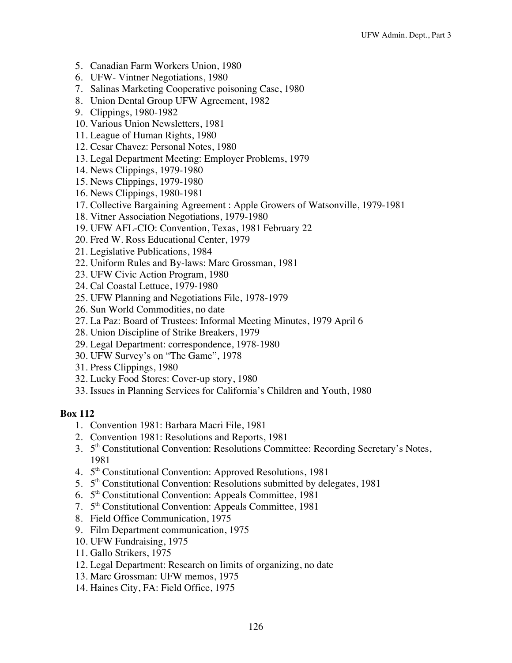- 5. Canadian Farm Workers Union, 1980
- 6. UFW- Vintner Negotiations, 1980
- 7. Salinas Marketing Cooperative poisoning Case, 1980
- 8. Union Dental Group UFW Agreement, 1982
- 9. Clippings, 1980-1982
- 10. Various Union Newsletters, 1981
- 11. League of Human Rights, 1980
- 12. Cesar Chavez: Personal Notes, 1980
- 13. Legal Department Meeting: Employer Problems, 1979
- 14. News Clippings, 1979-1980
- 15. News Clippings, 1979-1980
- 16. News Clippings, 1980-1981
- 17. Collective Bargaining Agreement : Apple Growers of Watsonville, 1979-1981
- 18. Vitner Association Negotiations, 1979-1980
- 19. UFW AFL-CIO: Convention, Texas, 1981 February 22
- 20. Fred W. Ross Educational Center, 1979
- 21. Legislative Publications, 1984
- 22. Uniform Rules and By-laws: Marc Grossman, 1981
- 23. UFW Civic Action Program, 1980
- 24. Cal Coastal Lettuce, 1979-1980
- 25. UFW Planning and Negotiations File, 1978-1979
- 26. Sun World Commodities, no date
- 27. La Paz: Board of Trustees: Informal Meeting Minutes, 1979 April 6
- 28. Union Discipline of Strike Breakers, 1979
- 29. Legal Department: correspondence, 1978-1980
- 30. UFW Survey's on "The Game", 1978
- 31. Press Clippings, 1980
- 32. Lucky Food Stores: Cover-up story, 1980
- 33. Issues in Planning Services for California's Children and Youth, 1980

- 1. Convention 1981: Barbara Macri File, 1981
- 2. Convention 1981: Resolutions and Reports, 1981
- 3. 5<sup>th</sup> Constitutional Convention: Resolutions Committee: Recording Secretary's Notes, 1981
- 4. 5<sup>th</sup> Constitutional Convention: Approved Resolutions, 1981
- 5.  $5<sup>th</sup>$  Constitutional Convention: Resolutions submitted by delegates, 1981
- 6. 5th Constitutional Convention: Appeals Committee, 1981
- 7. 5th Constitutional Convention: Appeals Committee, 1981
- 8. Field Office Communication, 1975
- 9. Film Department communication, 1975
- 10. UFW Fundraising, 1975
- 11. Gallo Strikers, 1975
- 12. Legal Department: Research on limits of organizing, no date
- 13. Marc Grossman: UFW memos, 1975
- 14. Haines City, FA: Field Office, 1975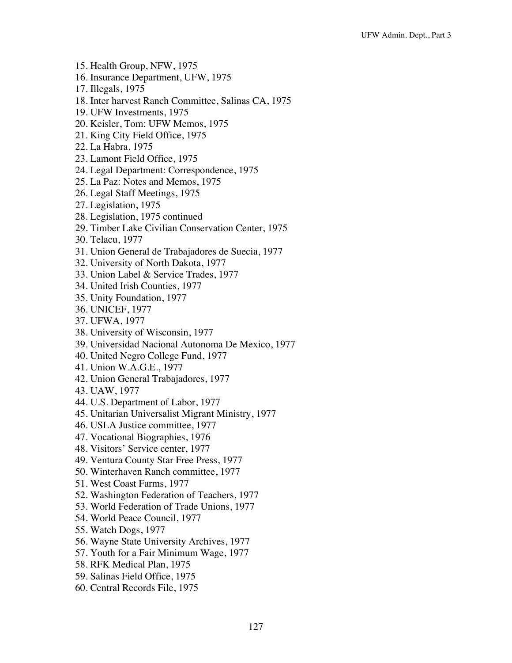- 15. Health Group, NFW, 1975
- 16. Insurance Department, UFW, 1975
- 17. Illegals, 1975
- 18. Inter harvest Ranch Committee, Salinas CA, 1975
- 19. UFW Investments, 1975
- 20. Keisler, Tom: UFW Memos, 1975
- 21. King City Field Office, 1975
- 22. La Habra, 1975
- 23. Lamont Field Office, 1975
- 24. Legal Department: Correspondence, 1975
- 25. La Paz: Notes and Memos, 1975
- 26. Legal Staff Meetings, 1975
- 27. Legislation, 1975
- 28. Legislation, 1975 continued
- 29. Timber Lake Civilian Conservation Center, 1975
- 30. Telacu, 1977
- 31. Union General de Trabajadores de Suecia, 1977
- 32. University of North Dakota, 1977
- 33. Union Label & Service Trades, 1977
- 34. United Irish Counties, 1977
- 35. Unity Foundation, 1977
- 36. UNICEF, 1977
- 37. UFWA, 1977
- 38. University of Wisconsin, 1977
- 39. Universidad Nacional Autonoma De Mexico, 1977
- 40. United Negro College Fund, 1977
- 41. Union W.A.G.E., 1977
- 42. Union General Trabajadores, 1977
- 43. UAW, 1977
- 44. U.S. Department of Labor, 1977
- 45. Unitarian Universalist Migrant Ministry, 1977
- 46. USLA Justice committee, 1977
- 47. Vocational Biographies, 1976
- 48. Visitors' Service center, 1977
- 49. Ventura County Star Free Press, 1977
- 50. Winterhaven Ranch committee, 1977
- 51. West Coast Farms, 1977
- 52. Washington Federation of Teachers, 1977
- 53. World Federation of Trade Unions, 1977
- 54. World Peace Council, 1977
- 55. Watch Dogs, 1977
- 56. Wayne State University Archives, 1977
- 57. Youth for a Fair Minimum Wage, 1977
- 58. RFK Medical Plan, 1975
- 59. Salinas Field Office, 1975
- 60. Central Records File, 1975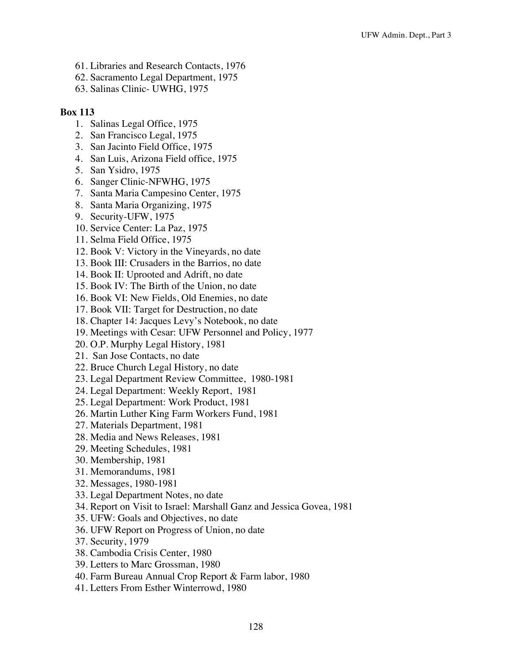- 61. Libraries and Research Contacts, 1976
- 62. Sacramento Legal Department, 1975
- 63. Salinas Clinic- UWHG, 1975

- 1. Salinas Legal Office, 1975
- 2. San Francisco Legal, 1975
- 3. San Jacinto Field Office, 1975
- 4. San Luis, Arizona Field office, 1975
- 5. San Ysidro, 1975
- 6. Sanger Clinic-NFWHG, 1975
- 7. Santa Maria Campesino Center, 1975
- 8. Santa Maria Organizing, 1975
- 9. Security-UFW, 1975
- 10. Service Center: La Paz, 1975
- 11. Selma Field Office, 1975
- 12. Book V: Victory in the Vineyards, no date
- 13. Book III: Crusaders in the Barrios, no date
- 14. Book II: Uprooted and Adrift, no date
- 15. Book IV: The Birth of the Union, no date
- 16. Book VI: New Fields, Old Enemies, no date
- 17. Book VII: Target for Destruction, no date
- 18. Chapter 14: Jacques Levy's Notebook, no date
- 19. Meetings with Cesar: UFW Personnel and Policy, 1977
- 20. O.P. Murphy Legal History, 1981
- 21. San Jose Contacts, no date
- 22. Bruce Church Legal History, no date
- 23. Legal Department Review Committee, 1980-1981
- 24. Legal Department: Weekly Report, 1981
- 25. Legal Department: Work Product, 1981
- 26. Martin Luther King Farm Workers Fund, 1981
- 27. Materials Department, 1981
- 28. Media and News Releases, 1981
- 29. Meeting Schedules, 1981
- 30. Membership, 1981
- 31. Memorandums, 1981
- 32. Messages, 1980-1981
- 33. Legal Department Notes, no date
- 34. Report on Visit to Israel: Marshall Ganz and Jessica Govea, 1981
- 35. UFW: Goals and Objectives, no date
- 36. UFW Report on Progress of Union, no date
- 37. Security, 1979
- 38. Cambodia Crisis Center, 1980
- 39. Letters to Marc Grossman, 1980
- 40. Farm Bureau Annual Crop Report & Farm labor, 1980
- 41. Letters From Esther Winterrowd, 1980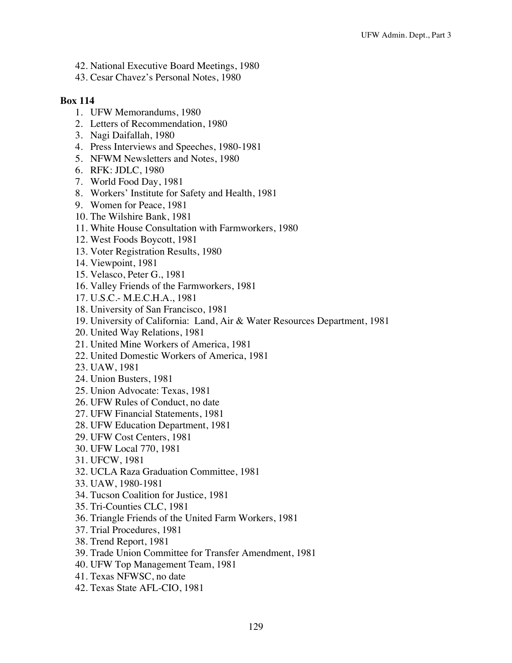- 42. National Executive Board Meetings, 1980
- 43. Cesar Chavez's Personal Notes, 1980

- 1. UFW Memorandums, 1980
- 2. Letters of Recommendation, 1980
- 3. Nagi Daifallah, 1980
- 4. Press Interviews and Speeches, 1980-1981
- 5. NFWM Newsletters and Notes, 1980
- 6. RFK: JDLC, 1980
- 7. World Food Day, 1981
- 8. Workers' Institute for Safety and Health, 1981
- 9. Women for Peace, 1981
- 10. The Wilshire Bank, 1981
- 11. White House Consultation with Farmworkers, 1980
- 12. West Foods Boycott, 1981
- 13. Voter Registration Results, 1980
- 14. Viewpoint, 1981
- 15. Velasco, Peter G., 1981
- 16. Valley Friends of the Farmworkers, 1981
- 17. U.S.C.- M.E.C.H.A., 1981
- 18. University of San Francisco, 1981
- 19. University of California: Land, Air & Water Resources Department, 1981
- 20. United Way Relations, 1981
- 21. United Mine Workers of America, 1981
- 22. United Domestic Workers of America, 1981
- 23. UAW, 1981
- 24. Union Busters, 1981
- 25. Union Advocate: Texas, 1981
- 26. UFW Rules of Conduct, no date
- 27. UFW Financial Statements, 1981
- 28. UFW Education Department, 1981
- 29. UFW Cost Centers, 1981
- 30. UFW Local 770, 1981
- 31. UFCW, 1981
- 32. UCLA Raza Graduation Committee, 1981
- 33. UAW, 1980-1981
- 34. Tucson Coalition for Justice, 1981
- 35. Tri-Counties CLC, 1981
- 36. Triangle Friends of the United Farm Workers, 1981
- 37. Trial Procedures, 1981
- 38. Trend Report, 1981
- 39. Trade Union Committee for Transfer Amendment, 1981
- 40. UFW Top Management Team, 1981
- 41. Texas NFWSC, no date
- 42. Texas State AFL-CIO, 1981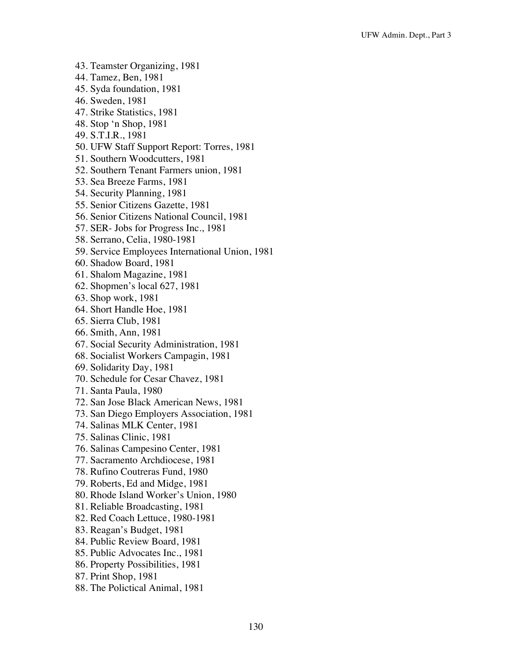- 43. Teamster Organizing, 1981
- 44. Tamez, Ben, 1981
- 45. Syda foundation, 1981
- 46. Sweden, 1981
- 47. Strike Statistics, 1981
- 48. Stop 'n Shop, 1981
- 49. S.T.I.R., 1981
- 50. UFW Staff Support Report: Torres, 1981
- 51. Southern Woodcutters, 1981
- 52. Southern Tenant Farmers union, 1981
- 53. Sea Breeze Farms, 1981
- 54. Security Planning, 1981
- 55. Senior Citizens Gazette, 1981
- 56. Senior Citizens National Council, 1981
- 57. SER- Jobs for Progress Inc., 1981
- 58. Serrano, Celia, 1980-1981
- 59. Service Employees International Union, 1981
- 60. Shadow Board, 1981
- 61. Shalom Magazine, 1981
- 62. Shopmen's local 627, 1981
- 63. Shop work, 1981
- 64. Short Handle Hoe, 1981
- 65. Sierra Club, 1981
- 66. Smith, Ann, 1981
- 67. Social Security Administration, 1981
- 68. Socialist Workers Campagin, 1981
- 69. Solidarity Day, 1981
- 70. Schedule for Cesar Chavez, 1981
- 71. Santa Paula, 1980
- 72. San Jose Black American News, 1981
- 73. San Diego Employers Association, 1981
- 74. Salinas MLK Center, 1981
- 75. Salinas Clinic, 1981
- 76. Salinas Campesino Center, 1981
- 77. Sacramento Archdiocese, 1981
- 78. Rufino Coutreras Fund, 1980
- 79. Roberts, Ed and Midge, 1981
- 80. Rhode Island Worker's Union, 1980
- 81. Reliable Broadcasting, 1981
- 82. Red Coach Lettuce, 1980-1981
- 83. Reagan's Budget, 1981
- 84. Public Review Board, 1981
- 85. Public Advocates Inc., 1981
- 86. Property Possibilities, 1981
- 87. Print Shop, 1981
- 88. The Polictical Animal, 1981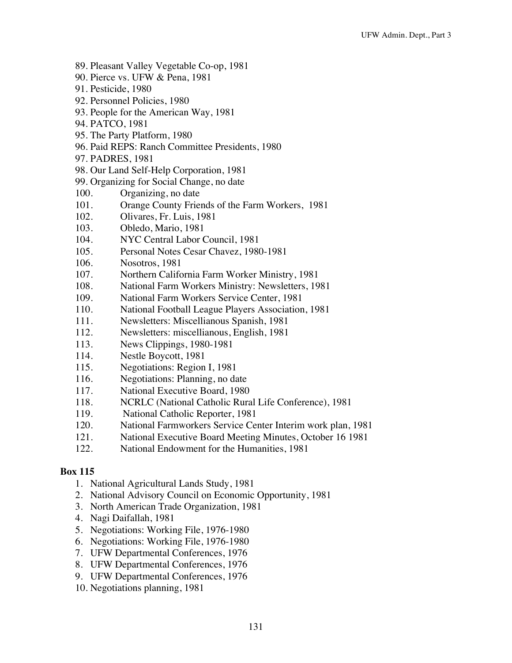- 89. Pleasant Valley Vegetable Co-op, 1981
- 90. Pierce vs. UFW & Pena, 1981
- 91. Pesticide, 1980
- 92. Personnel Policies, 1980
- 93. People for the American Way, 1981
- 94. PATCO, 1981
- 95. The Party Platform, 1980
- 96. Paid REPS: Ranch Committee Presidents, 1980
- 97. PADRES, 1981
- 98. Our Land Self-Help Corporation, 1981
- 99. Organizing for Social Change, no date
- 100. Organizing, no date
- 101. Orange County Friends of the Farm Workers, 1981
- 102. Olivares, Fr. Luis, 1981
- 103. Obledo, Mario, 1981
- 104. NYC Central Labor Council, 1981
- 105. Personal Notes Cesar Chavez, 1980-1981
- 106. Nosotros, 1981
- 107. Northern California Farm Worker Ministry, 1981
- 108. National Farm Workers Ministry: Newsletters, 1981
- 109. National Farm Workers Service Center, 1981
- 110. National Football League Players Association, 1981
- 111. Newsletters: Miscellianous Spanish, 1981
- 112. Newsletters: miscellianous, English, 1981
- 113. News Clippings, 1980-1981
- 114. Nestle Boycott, 1981
- 115. Negotiations: Region I, 1981
- 116. Negotiations: Planning, no date
- 117. National Executive Board, 1980
- 118. NCRLC (National Catholic Rural Life Conference), 1981
- 119. National Catholic Reporter, 1981
- 120. National Farmworkers Service Center Interim work plan, 1981
- 121. National Executive Board Meeting Minutes, October 16 1981
- 122. National Endowment for the Humanities, 1981

- 1. National Agricultural Lands Study, 1981
- 2. National Advisory Council on Economic Opportunity, 1981
- 3. North American Trade Organization, 1981
- 4. Nagi Daifallah, 1981
- 5. Negotiations: Working File, 1976-1980
- 6. Negotiations: Working File, 1976-1980
- 7. UFW Departmental Conferences, 1976
- 8. UFW Departmental Conferences, 1976
- 9. UFW Departmental Conferences, 1976
- 10. Negotiations planning, 1981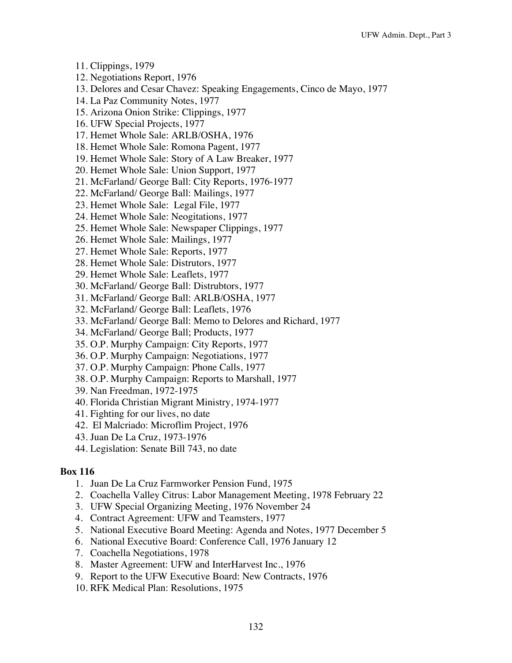- 11. Clippings, 1979
- 12. Negotiations Report, 1976
- 13. Delores and Cesar Chavez: Speaking Engagements, Cinco de Mayo, 1977
- 14. La Paz Community Notes, 1977
- 15. Arizona Onion Strike: Clippings, 1977
- 16. UFW Special Projects, 1977
- 17. Hemet Whole Sale: ARLB/OSHA, 1976
- 18. Hemet Whole Sale: Romona Pagent, 1977
- 19. Hemet Whole Sale: Story of A Law Breaker, 1977
- 20. Hemet Whole Sale: Union Support, 1977
- 21. McFarland/ George Ball: City Reports, 1976-1977
- 22. McFarland/ George Ball: Mailings, 1977
- 23. Hemet Whole Sale: Legal File, 1977
- 24. Hemet Whole Sale: Neogitations, 1977
- 25. Hemet Whole Sale: Newspaper Clippings, 1977
- 26. Hemet Whole Sale: Mailings, 1977
- 27. Hemet Whole Sale: Reports, 1977
- 28. Hemet Whole Sale: Distrutors, 1977
- 29. Hemet Whole Sale: Leaflets, 1977
- 30. McFarland/ George Ball: Distrubtors, 1977
- 31. McFarland/ George Ball: ARLB/OSHA, 1977
- 32. McFarland/ George Ball: Leaflets, 1976
- 33. McFarland/ George Ball: Memo to Delores and Richard, 1977
- 34. McFarland/ George Ball; Products, 1977
- 35. O.P. Murphy Campaign: City Reports, 1977
- 36. O.P. Murphy Campaign: Negotiations, 1977
- 37. O.P. Murphy Campaign: Phone Calls, 1977
- 38. O.P. Murphy Campaign: Reports to Marshall, 1977
- 39. Nan Freedman, 1972-1975
- 40. Florida Christian Migrant Ministry, 1974-1977
- 41. Fighting for our lives, no date
- 42. El Malcriado: Microflim Project, 1976
- 43. Juan De La Cruz, 1973-1976
- 44. Legislation: Senate Bill 743, no date

- 1. Juan De La Cruz Farmworker Pension Fund, 1975
- 2. Coachella Valley Citrus: Labor Management Meeting, 1978 February 22
- 3. UFW Special Organizing Meeting, 1976 November 24
- 4. Contract Agreement: UFW and Teamsters, 1977
- 5. National Executive Board Meeting: Agenda and Notes, 1977 December 5
- 6. National Executive Board: Conference Call, 1976 January 12
- 7. Coachella Negotiations, 1978
- 8. Master Agreement: UFW and InterHarvest Inc., 1976
- 9. Report to the UFW Executive Board: New Contracts, 1976
- 10. RFK Medical Plan: Resolutions, 1975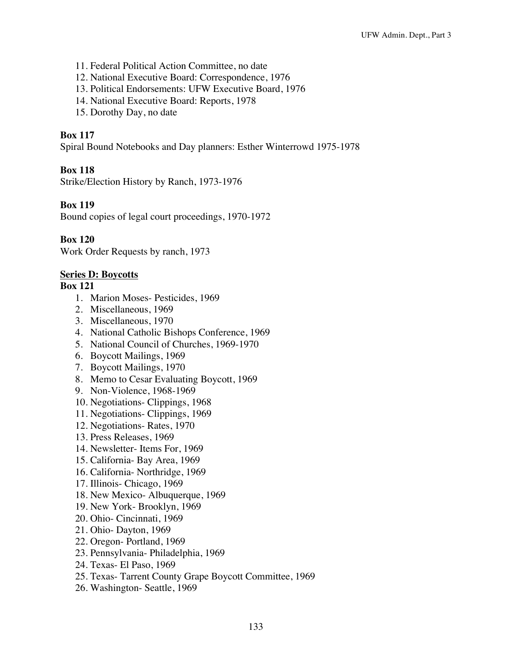- 11. Federal Political Action Committee, no date
- 12. National Executive Board: Correspondence, 1976
- 13. Political Endorsements: UFW Executive Board, 1976
- 14. National Executive Board: Reports, 1978
- 15. Dorothy Day, no date

Spiral Bound Notebooks and Day planners: Esther Winterrowd 1975-1978

# **Box 118**

Strike/Election History by Ranch, 1973-1976

# **Box 119**

Bound copies of legal court proceedings, 1970-1972

# **Box 120**

Work Order Requests by ranch, 1973

## **Series D: Boycotts**

- 1. Marion Moses- Pesticides, 1969
- 2. Miscellaneous, 1969
- 3. Miscellaneous, 1970
- 4. National Catholic Bishops Conference, 1969
- 5. National Council of Churches, 1969-1970
- 6. Boycott Mailings, 1969
- 7. Boycott Mailings, 1970
- 8. Memo to Cesar Evaluating Boycott, 1969
- 9. Non-Violence, 1968-1969
- 10. Negotiations- Clippings, 1968
- 11. Negotiations- Clippings, 1969
- 12. Negotiations- Rates, 1970
- 13. Press Releases, 1969
- 14. Newsletter- Items For, 1969
- 15. California- Bay Area, 1969
- 16. California- Northridge, 1969
- 17. Illinois- Chicago, 1969
- 18. New Mexico- Albuquerque, 1969
- 19. New York- Brooklyn, 1969
- 20. Ohio- Cincinnati, 1969
- 21. Ohio- Dayton, 1969
- 22. Oregon- Portland, 1969
- 23. Pennsylvania- Philadelphia, 1969
- 24. Texas- El Paso, 1969
- 25. Texas- Tarrent County Grape Boycott Committee, 1969
- 26. Washington- Seattle, 1969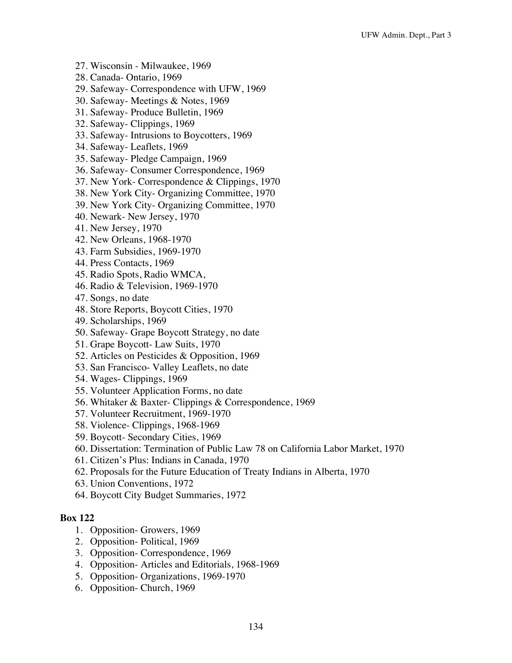- 27. Wisconsin Milwaukee, 1969
- 28. Canada- Ontario, 1969
- 29. Safeway- Correspondence with UFW, 1969
- 30. Safeway- Meetings & Notes, 1969
- 31. Safeway- Produce Bulletin, 1969
- 32. Safeway- Clippings, 1969
- 33. Safeway- Intrusions to Boycotters, 1969
- 34. Safeway- Leaflets, 1969
- 35. Safeway- Pledge Campaign, 1969
- 36. Safeway- Consumer Correspondence, 1969
- 37. New York- Correspondence & Clippings, 1970
- 38. New York City- Organizing Committee, 1970
- 39. New York City- Organizing Committee, 1970
- 40. Newark- New Jersey, 1970
- 41. New Jersey, 1970
- 42. New Orleans, 1968-1970
- 43. Farm Subsidies, 1969-1970
- 44. Press Contacts, 1969
- 45. Radio Spots, Radio WMCA,
- 46. Radio & Television, 1969-1970
- 47. Songs, no date
- 48. Store Reports, Boycott Cities, 1970
- 49. Scholarships, 1969
- 50. Safeway- Grape Boycott Strategy, no date
- 51. Grape Boycott- Law Suits, 1970
- 52. Articles on Pesticides & Opposition, 1969
- 53. San Francisco- Valley Leaflets, no date
- 54. Wages- Clippings, 1969
- 55. Volunteer Application Forms, no date
- 56. Whitaker & Baxter- Clippings & Correspondence, 1969
- 57. Volunteer Recruitment, 1969-1970
- 58. Violence- Clippings, 1968-1969
- 59. Boycott- Secondary Cities, 1969
- 60. Dissertation: Termination of Public Law 78 on California Labor Market, 1970
- 61. Citizen's Plus: Indians in Canada, 1970
- 62. Proposals for the Future Education of Treaty Indians in Alberta, 1970
- 63. Union Conventions, 1972
- 64. Boycott City Budget Summaries, 1972

- 1. Opposition- Growers, 1969
- 2. Opposition- Political, 1969
- 3. Opposition- Correspondence, 1969
- 4. Opposition- Articles and Editorials, 1968-1969
- 5. Opposition- Organizations, 1969-1970
- 6. Opposition- Church, 1969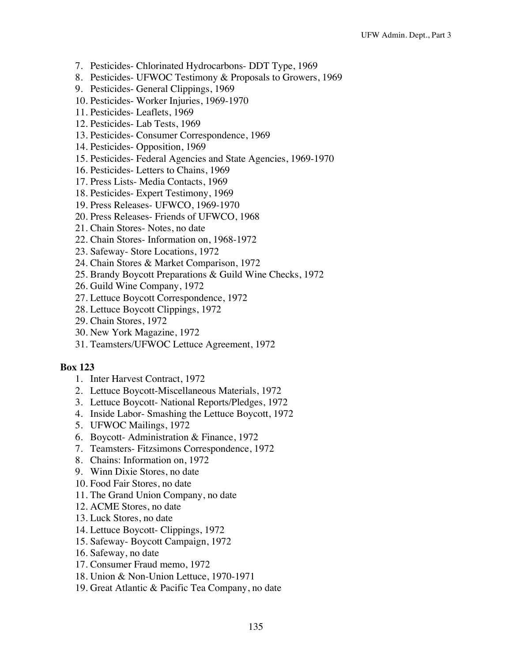- 7. Pesticides- Chlorinated Hydrocarbons- DDT Type, 1969
- 8. Pesticides- UFWOC Testimony & Proposals to Growers, 1969
- 9. Pesticides- General Clippings, 1969
- 10. Pesticides- Worker Injuries, 1969-1970
- 11. Pesticides- Leaflets, 1969
- 12. Pesticides- Lab Tests, 1969
- 13. Pesticides- Consumer Correspondence, 1969
- 14. Pesticides- Opposition, 1969
- 15. Pesticides- Federal Agencies and State Agencies, 1969-1970
- 16. Pesticides- Letters to Chains, 1969
- 17. Press Lists- Media Contacts, 1969
- 18. Pesticides- Expert Testimony, 1969
- 19. Press Releases- UFWCO, 1969-1970
- 20. Press Releases- Friends of UFWCO, 1968
- 21. Chain Stores- Notes, no date
- 22. Chain Stores- Information on, 1968-1972
- 23. Safeway- Store Locations, 1972
- 24. Chain Stores & Market Comparison, 1972
- 25. Brandy Boycott Preparations & Guild Wine Checks, 1972
- 26. Guild Wine Company, 1972
- 27. Lettuce Boycott Correspondence, 1972
- 28. Lettuce Boycott Clippings, 1972
- 29. Chain Stores, 1972
- 30. New York Magazine, 1972
- 31. Teamsters/UFWOC Lettuce Agreement, 1972

- 1. Inter Harvest Contract, 1972
- 2. Lettuce Boycott-Miscellaneous Materials, 1972
- 3. Lettuce Boycott- National Reports/Pledges, 1972
- 4. Inside Labor- Smashing the Lettuce Boycott, 1972
- 5. UFWOC Mailings, 1972
- 6. Boycott- Administration & Finance, 1972
- 7. Teamsters- Fitzsimons Correspondence, 1972
- 8. Chains: Information on, 1972
- 9. Winn Dixie Stores, no date
- 10. Food Fair Stores, no date
- 11. The Grand Union Company, no date
- 12. ACME Stores, no date
- 13. Luck Stores, no date
- 14. Lettuce Boycott- Clippings, 1972
- 15. Safeway- Boycott Campaign, 1972
- 16. Safeway, no date
- 17. Consumer Fraud memo, 1972
- 18. Union & Non-Union Lettuce, 1970-1971
- 19. Great Atlantic & Pacific Tea Company, no date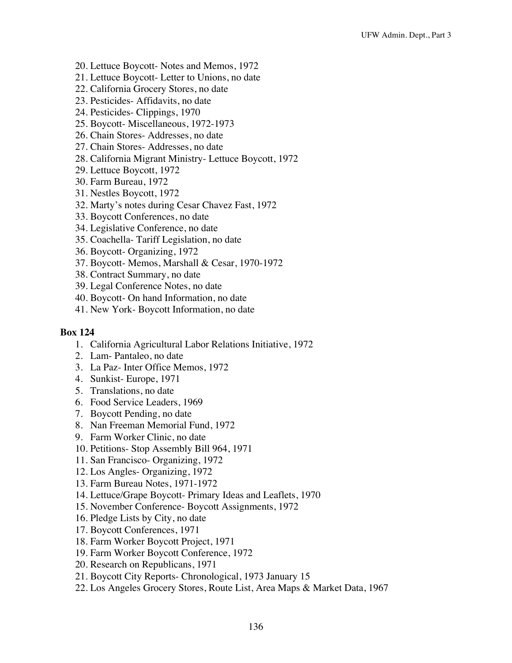- 20. Lettuce Boycott- Notes and Memos, 1972
- 21. Lettuce Boycott- Letter to Unions, no date
- 22. California Grocery Stores, no date
- 23. Pesticides- Affidavits, no date
- 24. Pesticides- Clippings, 1970
- 25. Boycott- Miscellaneous, 1972-1973
- 26. Chain Stores- Addresses, no date
- 27. Chain Stores- Addresses, no date
- 28. California Migrant Ministry- Lettuce Boycott, 1972
- 29. Lettuce Boycott, 1972
- 30. Farm Bureau, 1972
- 31. Nestles Boycott, 1972
- 32. Marty's notes during Cesar Chavez Fast, 1972
- 33. Boycott Conferences, no date
- 34. Legislative Conference, no date
- 35. Coachella- Tariff Legislation, no date
- 36. Boycott- Organizing, 1972
- 37. Boycott- Memos, Marshall & Cesar, 1970-1972
- 38. Contract Summary, no date
- 39. Legal Conference Notes, no date
- 40. Boycott- On hand Information, no date
- 41. New York- Boycott Information, no date

- 1. California Agricultural Labor Relations Initiative, 1972
- 2. Lam- Pantaleo, no date
- 3. La Paz- Inter Office Memos, 1972
- 4. Sunkist- Europe, 1971
- 5. Translations, no date
- 6. Food Service Leaders, 1969
- 7. Boycott Pending, no date
- 8. Nan Freeman Memorial Fund, 1972
- 9. Farm Worker Clinic, no date
- 10. Petitions- Stop Assembly Bill 964, 1971
- 11. San Francisco- Organizing, 1972
- 12. Los Angles- Organizing, 1972
- 13. Farm Bureau Notes, 1971-1972
- 14. Lettuce/Grape Boycott- Primary Ideas and Leaflets, 1970
- 15. November Conference- Boycott Assignments, 1972
- 16. Pledge Lists by City, no date
- 17. Boycott Conferences, 1971
- 18. Farm Worker Boycott Project, 1971
- 19. Farm Worker Boycott Conference, 1972
- 20. Research on Republicans, 1971
- 21. Boycott City Reports- Chronological, 1973 January 15
- 22. Los Angeles Grocery Stores, Route List, Area Maps & Market Data, 1967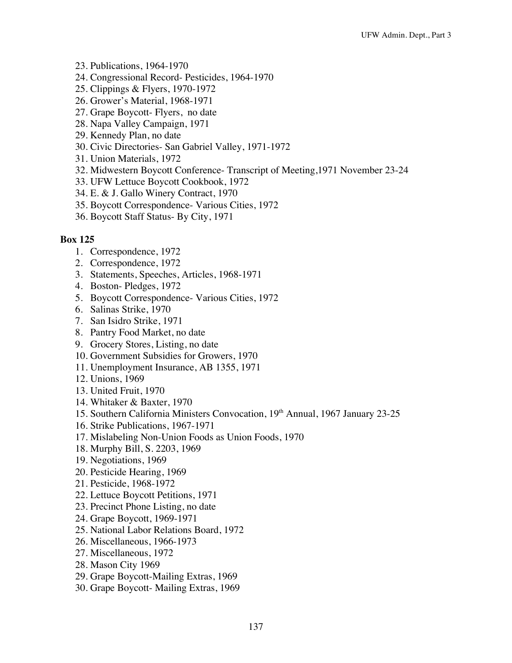- 23. Publications, 1964-1970
- 24. Congressional Record- Pesticides, 1964-1970
- 25. Clippings & Flyers, 1970-1972
- 26. Grower's Material, 1968-1971
- 27. Grape Boycott- Flyers, no date
- 28. Napa Valley Campaign, 1971
- 29. Kennedy Plan, no date
- 30. Civic Directories- San Gabriel Valley, 1971-1972
- 31. Union Materials, 1972
- 32. Midwestern Boycott Conference- Transcript of Meeting,1971 November 23-24
- 33. UFW Lettuce Boycott Cookbook, 1972
- 34. E. & J. Gallo Winery Contract, 1970
- 35. Boycott Correspondence- Various Cities, 1972
- 36. Boycott Staff Status- By City, 1971

- 1. Correspondence, 1972
- 2. Correspondence, 1972
- 3. Statements, Speeches, Articles, 1968-1971
- 4. Boston- Pledges, 1972
- 5. Boycott Correspondence- Various Cities, 1972
- 6. Salinas Strike, 1970
- 7. San Isidro Strike, 1971
- 8. Pantry Food Market, no date
- 9. Grocery Stores, Listing, no date
- 10. Government Subsidies for Growers, 1970
- 11. Unemployment Insurance, AB 1355, 1971
- 12. Unions, 1969
- 13. United Fruit, 1970
- 14. Whitaker & Baxter, 1970
- 15. Southern California Ministers Convocation, 19<sup>th</sup> Annual, 1967 January 23-25
- 16. Strike Publications, 1967-1971
- 17. Mislabeling Non-Union Foods as Union Foods, 1970
- 18. Murphy Bill, S. 2203, 1969
- 19. Negotiations, 1969
- 20. Pesticide Hearing, 1969
- 21. Pesticide, 1968-1972
- 22. Lettuce Boycott Petitions, 1971
- 23. Precinct Phone Listing, no date
- 24. Grape Boycott, 1969-1971
- 25. National Labor Relations Board, 1972
- 26. Miscellaneous, 1966-1973
- 27. Miscellaneous, 1972
- 28. Mason City 1969
- 29. Grape Boycott-Mailing Extras, 1969
- 30. Grape Boycott- Mailing Extras, 1969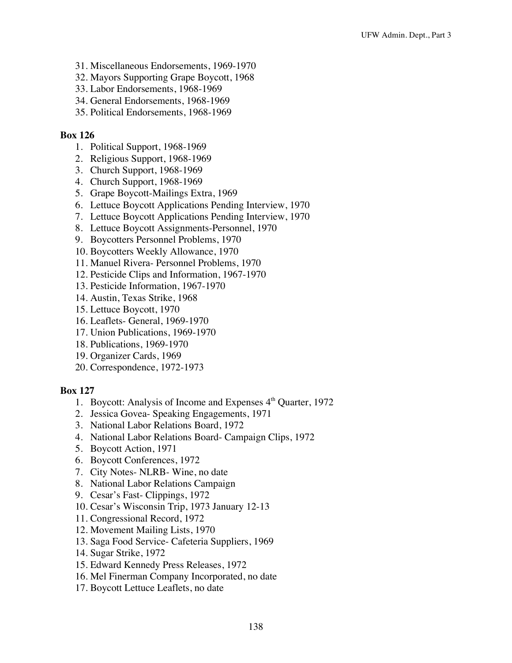- 31. Miscellaneous Endorsements, 1969-1970
- 32. Mayors Supporting Grape Boycott, 1968
- 33. Labor Endorsements, 1968-1969
- 34. General Endorsements, 1968-1969
- 35. Political Endorsements, 1968-1969

- 1. Political Support, 1968-1969
- 2. Religious Support, 1968-1969
- 3. Church Support, 1968-1969
- 4. Church Support, 1968-1969
- 5. Grape Boycott-Mailings Extra, 1969
- 6. Lettuce Boycott Applications Pending Interview, 1970
- 7. Lettuce Boycott Applications Pending Interview, 1970
- 8. Lettuce Boycott Assignments-Personnel, 1970
- 9. Boycotters Personnel Problems, 1970
- 10. Boycotters Weekly Allowance, 1970
- 11. Manuel Rivera- Personnel Problems, 1970
- 12. Pesticide Clips and Information, 1967-1970
- 13. Pesticide Information, 1967-1970
- 14. Austin, Texas Strike, 1968
- 15. Lettuce Boycott, 1970
- 16. Leaflets- General, 1969-1970
- 17. Union Publications, 1969-1970
- 18. Publications, 1969-1970
- 19. Organizer Cards, 1969
- 20. Correspondence, 1972-1973

- 1. Boycott: Analysis of Income and Expenses  $4<sup>th</sup>$  Quarter, 1972
- 2. Jessica Govea- Speaking Engagements, 1971
- 3. National Labor Relations Board, 1972
- 4. National Labor Relations Board- Campaign Clips, 1972
- 5. Boycott Action, 1971
- 6. Boycott Conferences, 1972
- 7. City Notes- NLRB- Wine, no date
- 8. National Labor Relations Campaign
- 9. Cesar's Fast- Clippings, 1972
- 10. Cesar's Wisconsin Trip, 1973 January 12-13
- 11. Congressional Record, 1972
- 12. Movement Mailing Lists, 1970
- 13. Saga Food Service- Cafeteria Suppliers, 1969
- 14. Sugar Strike, 1972
- 15. Edward Kennedy Press Releases, 1972
- 16. Mel Finerman Company Incorporated, no date
- 17. Boycott Lettuce Leaflets, no date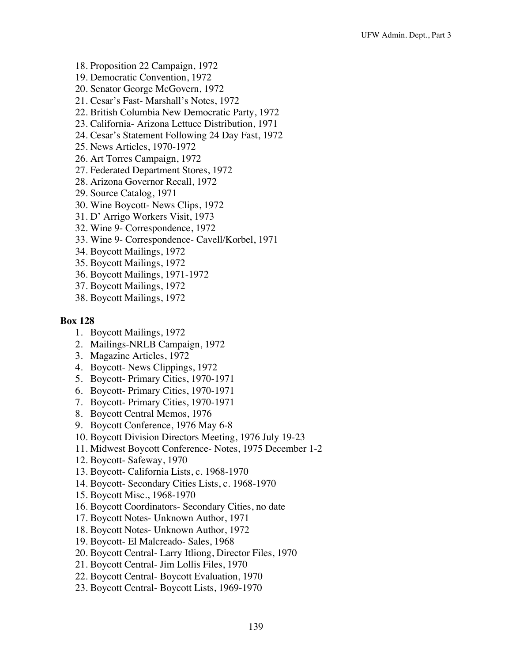- 18. Proposition 22 Campaign, 1972
- 19. Democratic Convention, 1972
- 20. Senator George McGovern, 1972
- 21. Cesar's Fast- Marshall's Notes, 1972
- 22. British Columbia New Democratic Party, 1972
- 23. California- Arizona Lettuce Distribution, 1971
- 24. Cesar's Statement Following 24 Day Fast, 1972
- 25. News Articles, 1970-1972
- 26. Art Torres Campaign, 1972
- 27. Federated Department Stores, 1972
- 28. Arizona Governor Recall, 1972
- 29. Source Catalog, 1971
- 30. Wine Boycott- News Clips, 1972
- 31. D' Arrigo Workers Visit, 1973
- 32. Wine 9- Correspondence, 1972
- 33. Wine 9- Correspondence- Cavell/Korbel, 1971
- 34. Boycott Mailings, 1972
- 35. Boycott Mailings, 1972
- 36. Boycott Mailings, 1971-1972
- 37. Boycott Mailings, 1972
- 38. Boycott Mailings, 1972

- 1. Boycott Mailings, 1972
- 2. Mailings-NRLB Campaign, 1972
- 3. Magazine Articles, 1972
- 4. Boycott- News Clippings, 1972
- 5. Boycott- Primary Cities, 1970-1971
- 6. Boycott- Primary Cities, 1970-1971
- 7. Boycott- Primary Cities, 1970-1971
- 8. Boycott Central Memos, 1976
- 9. Boycott Conference, 1976 May 6-8
- 10. Boycott Division Directors Meeting, 1976 July 19-23
- 11. Midwest Boycott Conference- Notes, 1975 December 1-2
- 12. Boycott- Safeway, 1970
- 13. Boycott- California Lists, c. 1968-1970
- 14. Boycott- Secondary Cities Lists, c. 1968-1970
- 15. Boycott Misc., 1968-1970
- 16. Boycott Coordinators- Secondary Cities, no date
- 17. Boycott Notes- Unknown Author, 1971
- 18. Boycott Notes- Unknown Author, 1972
- 19. Boycott- El Malcreado- Sales, 1968
- 20. Boycott Central- Larry Itliong, Director Files, 1970
- 21. Boycott Central- Jim Lollis Files, 1970
- 22. Boycott Central- Boycott Evaluation, 1970
- 23. Boycott Central- Boycott Lists, 1969-1970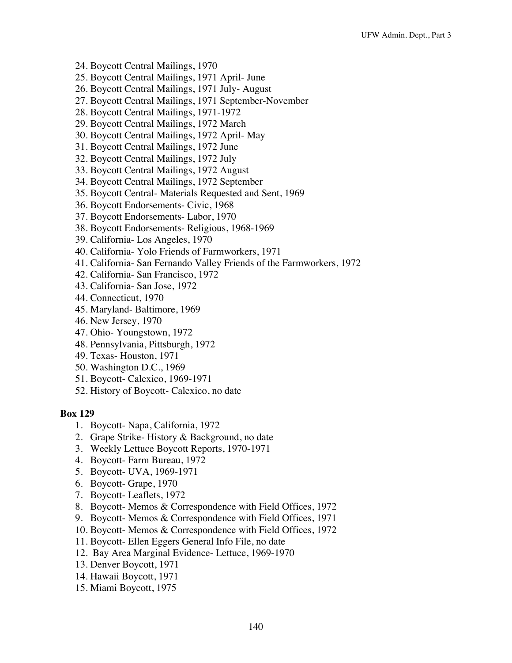- 24. Boycott Central Mailings, 1970
- 25. Boycott Central Mailings, 1971 April- June
- 26. Boycott Central Mailings, 1971 July- August
- 27. Boycott Central Mailings, 1971 September-November
- 28. Boycott Central Mailings, 1971-1972
- 29. Boycott Central Mailings, 1972 March
- 30. Boycott Central Mailings, 1972 April- May
- 31. Boycott Central Mailings, 1972 June
- 32. Boycott Central Mailings, 1972 July
- 33. Boycott Central Mailings, 1972 August
- 34. Boycott Central Mailings, 1972 September
- 35. Boycott Central- Materials Requested and Sent, 1969
- 36. Boycott Endorsements- Civic, 1968
- 37. Boycott Endorsements- Labor, 1970
- 38. Boycott Endorsements- Religious, 1968-1969
- 39. California- Los Angeles, 1970
- 40. California- Yolo Friends of Farmworkers, 1971
- 41. California- San Fernando Valley Friends of the Farmworkers, 1972
- 42. California- San Francisco, 1972
- 43. California- San Jose, 1972
- 44. Connecticut, 1970
- 45. Maryland- Baltimore, 1969
- 46. New Jersey, 1970
- 47. Ohio- Youngstown, 1972
- 48. Pennsylvania, Pittsburgh, 1972
- 49. Texas- Houston, 1971
- 50. Washington D.C., 1969
- 51. Boycott- Calexico, 1969-1971
- 52. History of Boycott- Calexico, no date

- 1. Boycott- Napa, California, 1972
- 2. Grape Strike- History & Background, no date
- 3. Weekly Lettuce Boycott Reports, 1970-1971
- 4. Boycott- Farm Bureau, 1972
- 5. Boycott- UVA, 1969-1971
- 6. Boycott- Grape, 1970
- 7. Boycott- Leaflets, 1972
- 8. Boycott- Memos & Correspondence with Field Offices, 1972
- 9. Boycott- Memos & Correspondence with Field Offices, 1971
- 10. Boycott- Memos & Correspondence with Field Offices, 1972
- 11. Boycott- Ellen Eggers General Info File, no date
- 12. Bay Area Marginal Evidence- Lettuce, 1969-1970
- 13. Denver Boycott, 1971
- 14. Hawaii Boycott, 1971
- 15. Miami Boycott, 1975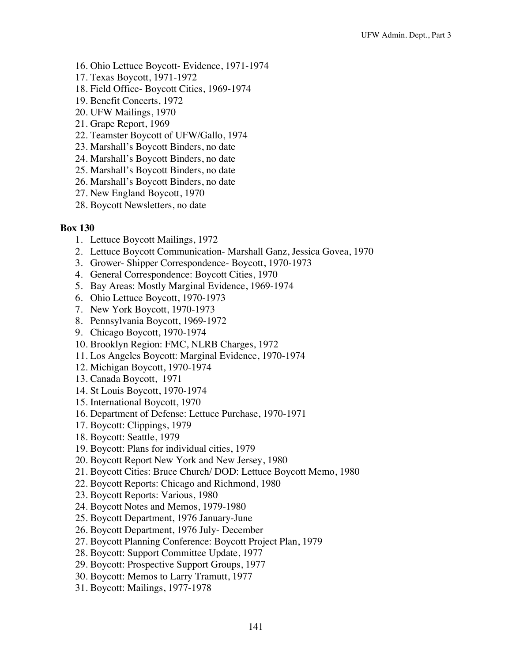- 16. Ohio Lettuce Boycott- Evidence, 1971-1974
- 17. Texas Boycott, 1971-1972
- 18. Field Office- Boycott Cities, 1969-1974
- 19. Benefit Concerts, 1972
- 20. UFW Mailings, 1970
- 21. Grape Report, 1969
- 22. Teamster Boycott of UFW/Gallo, 1974
- 23. Marshall's Boycott Binders, no date
- 24. Marshall's Boycott Binders, no date
- 25. Marshall's Boycott Binders, no date
- 26. Marshall's Boycott Binders, no date
- 27. New England Boycott, 1970
- 28. Boycott Newsletters, no date

- 1. Lettuce Boycott Mailings, 1972
- 2. Lettuce Boycott Communication- Marshall Ganz, Jessica Govea, 1970
- 3. Grower- Shipper Correspondence- Boycott, 1970-1973
- 4. General Correspondence: Boycott Cities, 1970
- 5. Bay Areas: Mostly Marginal Evidence, 1969-1974
- 6. Ohio Lettuce Boycott, 1970-1973
- 7. New York Boycott, 1970-1973
- 8. Pennsylvania Boycott, 1969-1972
- 9. Chicago Boycott, 1970-1974
- 10. Brooklyn Region: FMC, NLRB Charges, 1972
- 11. Los Angeles Boycott: Marginal Evidence, 1970-1974
- 12. Michigan Boycott, 1970-1974
- 13. Canada Boycott, 1971
- 14. St Louis Boycott, 1970-1974
- 15. International Boycott, 1970
- 16. Department of Defense: Lettuce Purchase, 1970-1971
- 17. Boycott: Clippings, 1979
- 18. Boycott: Seattle, 1979
- 19. Boycott: Plans for individual cities, 1979
- 20. Boycott Report New York and New Jersey, 1980
- 21. Boycott Cities: Bruce Church/ DOD: Lettuce Boycott Memo, 1980
- 22. Boycott Reports: Chicago and Richmond, 1980
- 23. Boycott Reports: Various, 1980
- 24. Boycott Notes and Memos, 1979-1980
- 25. Boycott Department, 1976 January-June
- 26. Boycott Department, 1976 July- December
- 27. Boycott Planning Conference: Boycott Project Plan, 1979
- 28. Boycott: Support Committee Update, 1977
- 29. Boycott: Prospective Support Groups, 1977
- 30. Boycott: Memos to Larry Tramutt, 1977
- 31. Boycott: Mailings, 1977-1978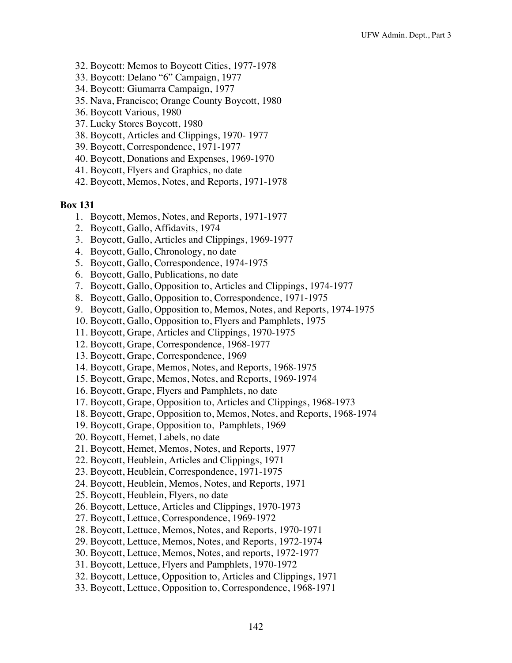- 32. Boycott: Memos to Boycott Cities, 1977-1978
- 33. Boycott: Delano "6" Campaign, 1977
- 34. Boycott: Giumarra Campaign, 1977
- 35. Nava, Francisco; Orange County Boycott, 1980
- 36. Boycott Various, 1980
- 37. Lucky Stores Boycott, 1980
- 38. Boycott, Articles and Clippings, 1970- 1977
- 39. Boycott, Correspondence, 1971-1977
- 40. Boycott, Donations and Expenses, 1969-1970
- 41. Boycott, Flyers and Graphics, no date
- 42. Boycott, Memos, Notes, and Reports, 1971-1978

- 1. Boycott, Memos, Notes, and Reports, 1971-1977
- 2. Boycott, Gallo, Affidavits, 1974
- 3. Boycott, Gallo, Articles and Clippings, 1969-1977
- 4. Boycott, Gallo, Chronology, no date
- 5. Boycott, Gallo, Correspondence, 1974-1975
- 6. Boycott, Gallo, Publications, no date
- 7. Boycott, Gallo, Opposition to, Articles and Clippings, 1974-1977
- 8. Boycott, Gallo, Opposition to, Correspondence, 1971-1975
- 9. Boycott, Gallo, Opposition to, Memos, Notes, and Reports, 1974-1975
- 10. Boycott, Gallo, Opposition to, Flyers and Pamphlets, 1975
- 11. Boycott, Grape, Articles and Clippings, 1970-1975
- 12. Boycott, Grape, Correspondence, 1968-1977
- 13. Boycott, Grape, Correspondence, 1969
- 14. Boycott, Grape, Memos, Notes, and Reports, 1968-1975
- 15. Boycott, Grape, Memos, Notes, and Reports, 1969-1974
- 16. Boycott, Grape, Flyers and Pamphlets, no date
- 17. Boycott, Grape, Opposition to, Articles and Clippings, 1968-1973
- 18. Boycott, Grape, Opposition to, Memos, Notes, and Reports, 1968-1974
- 19. Boycott, Grape, Opposition to, Pamphlets, 1969
- 20. Boycott, Hemet, Labels, no date
- 21. Boycott, Hemet, Memos, Notes, and Reports, 1977
- 22. Boycott, Heublein, Articles and Clippings, 1971
- 23. Boycott, Heublein, Correspondence, 1971-1975
- 24. Boycott, Heublein, Memos, Notes, and Reports, 1971
- 25. Boycott, Heublein, Flyers, no date
- 26. Boycott, Lettuce, Articles and Clippings, 1970-1973
- 27. Boycott, Lettuce, Correspondence, 1969-1972
- 28. Boycott, Lettuce, Memos, Notes, and Reports, 1970-1971
- 29. Boycott, Lettuce, Memos, Notes, and Reports, 1972-1974
- 30. Boycott, Lettuce, Memos, Notes, and reports, 1972-1977
- 31. Boycott, Lettuce, Flyers and Pamphlets, 1970-1972
- 32. Boycott, Lettuce, Opposition to, Articles and Clippings, 1971
- 33. Boycott, Lettuce, Opposition to, Correspondence, 1968-1971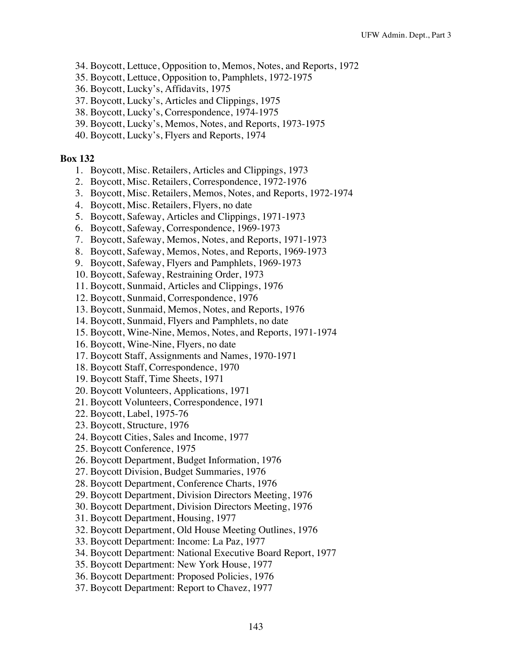- 34. Boycott, Lettuce, Opposition to, Memos, Notes, and Reports, 1972
- 35. Boycott, Lettuce, Opposition to, Pamphlets, 1972-1975
- 36. Boycott, Lucky's, Affidavits, 1975
- 37. Boycott, Lucky's, Articles and Clippings, 1975
- 38. Boycott, Lucky's, Correspondence, 1974-1975
- 39. Boycott, Lucky's, Memos, Notes, and Reports, 1973-1975
- 40. Boycott, Lucky's, Flyers and Reports, 1974

- 1. Boycott, Misc. Retailers, Articles and Clippings, 1973
- 2. Boycott, Misc. Retailers, Correspondence, 1972-1976
- 3. Boycott, Misc. Retailers, Memos, Notes, and Reports, 1972-1974
- 4. Boycott, Misc. Retailers, Flyers, no date
- 5. Boycott, Safeway, Articles and Clippings, 1971-1973
- 6. Boycott, Safeway, Correspondence, 1969-1973
- 7. Boycott, Safeway, Memos, Notes, and Reports, 1971-1973
- 8. Boycott, Safeway, Memos, Notes, and Reports, 1969-1973
- 9. Boycott, Safeway, Flyers and Pamphlets, 1969-1973
- 10. Boycott, Safeway, Restraining Order, 1973
- 11. Boycott, Sunmaid, Articles and Clippings, 1976
- 12. Boycott, Sunmaid, Correspondence, 1976
- 13. Boycott, Sunmaid, Memos, Notes, and Reports, 1976
- 14. Boycott, Sunmaid, Flyers and Pamphlets, no date
- 15. Boycott, Wine-Nine, Memos, Notes, and Reports, 1971-1974
- 16. Boycott, Wine-Nine, Flyers, no date
- 17. Boycott Staff, Assignments and Names, 1970-1971
- 18. Boycott Staff, Correspondence, 1970
- 19. Boycott Staff, Time Sheets, 1971
- 20. Boycott Volunteers, Applications, 1971
- 21. Boycott Volunteers, Correspondence, 1971
- 22. Boycott, Label, 1975-76
- 23. Boycott, Structure, 1976
- 24. Boycott Cities, Sales and Income, 1977
- 25. Boycott Conference, 1975
- 26. Boycott Department, Budget Information, 1976
- 27. Boycott Division, Budget Summaries, 1976
- 28. Boycott Department, Conference Charts, 1976
- 29. Boycott Department, Division Directors Meeting, 1976
- 30. Boycott Department, Division Directors Meeting, 1976
- 31. Boycott Department, Housing, 1977
- 32. Boycott Department, Old House Meeting Outlines, 1976
- 33. Boycott Department: Income: La Paz, 1977
- 34. Boycott Department: National Executive Board Report, 1977
- 35. Boycott Department: New York House, 1977
- 36. Boycott Department: Proposed Policies, 1976
- 37. Boycott Department: Report to Chavez, 1977